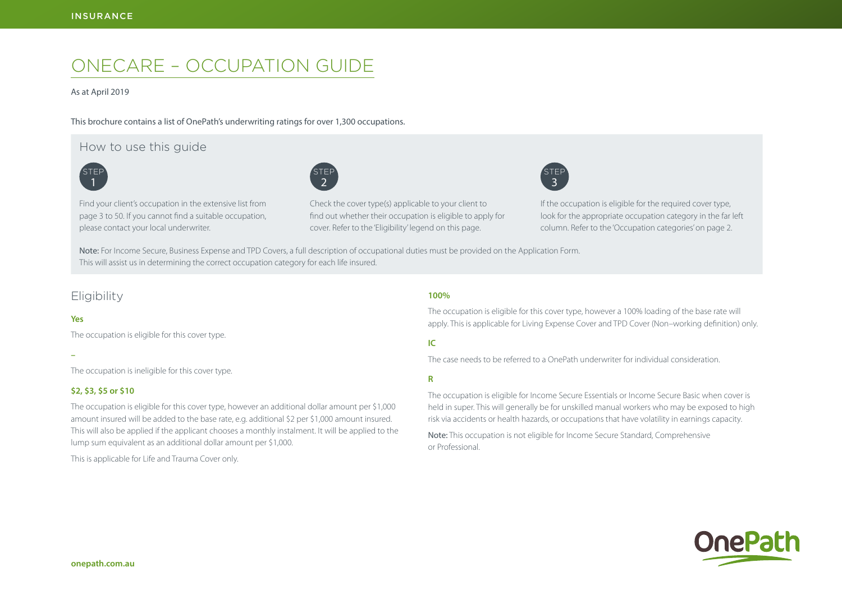# ONECARE – OCCUPATION GUIDE

#### As at April 2019

This brochure contains a list of OnePath's underwriting ratings for over 1,300 occupations.

# How to use this guide





Find your client's occupation in the extensive list from page 3 to 50. If you cannot find a suitable occupation, please contact your local underwriter.

Check the cover type(s) applicable to your client to find out whether their occupation is eligible to apply for cover. Refer to the 'Eligibility' legend on this page.



If the occupation is eligible for the required cover type, look for the appropriate occupation category in the far left column. Refer to the 'Occupation categories' on page 2.

Note: For Income Secure, Business Expense and TPD Covers, a full description of occupational duties must be provided on the Application Form. This will assist us in determining the correct occupation category for each life insured.

# **Eligibility**

### **Yes**

The occupation is eligible for this cover type.

**–**

The occupation is ineligible for this cover type.

# **\$2, \$3, \$5 or \$10**

The occupation is eligible for this cover type, however an additional dollar amount per \$1,000 amount insured will be added to the base rate, e.g. additional \$2 per \$1,000 amount insured. This will also be applied if the applicant chooses a monthly instalment. It will be applied to the lump sum equivalent as an additional dollar amount per \$1,000.

This is applicable for Life and Trauma Cover only.

# **100%**

The occupation is eligible for this cover type, however a 100% loading of the base rate will apply. This is applicable for Living Expense Cover and TPD Cover (Non–working definition) only.

# **IC**

The case needs to be referred to a OnePath underwriter for individual consideration.

**R**

The occupation is eligible for Income Secure Essentials or Income Secure Basic when cover is held in super. This will generally be for unskilled manual workers who may be exposed to high risk via accidents or health hazards, or occupations that have volatility in earnings capacity.

Note: This occupation is not eligible for Income Secure Standard, Comprehensive or Professional.

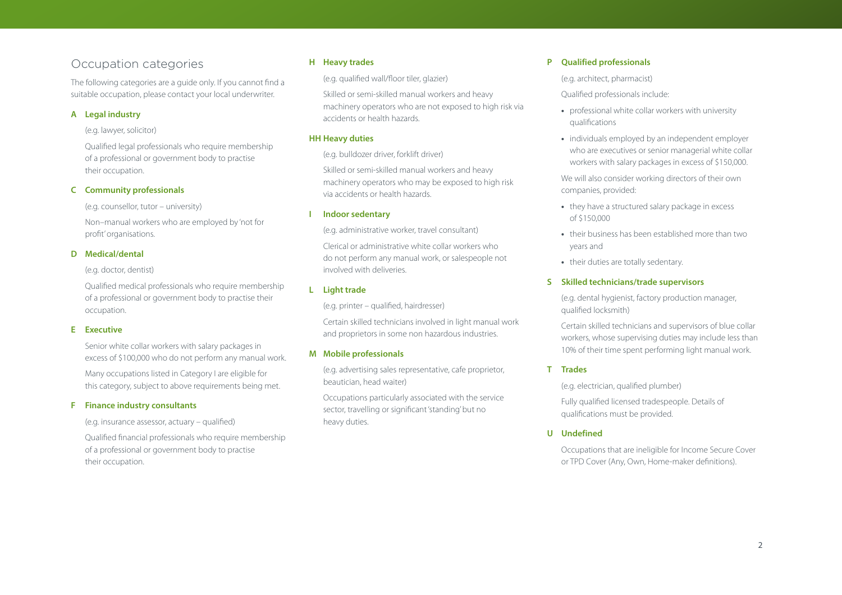# Occupation categories

The following categories are a guide only. If you cannot find a suitable occupation, please contact your local underwriter.

## **A Legal industry**

#### (e.g. lawyer, solicitor)

Qualified legal professionals who require membership of a professional or government body to practise their occupation.

# **C Community professionals**

(e.g. counsellor, tutor – university)

Non–manual workers who are employed by 'not for profit' organisations.

# **D Medical/dental**

(e.g. doctor, dentist)

Qualified medical professionals who require membership of a professional or government body to practise their occupation.

#### **E Executive**

Senior white collar workers with salary packages in excess of \$100,000 who do not perform any manual work.

Many occupations listed in Category I are eligible for this category, subject to above requirements being met.

#### **F Finance industry consultants**

(e.g. insurance assessor, actuary – qualified)

Qualified financial professionals who require membership of a professional or government body to practise their occupation.

# **H Heavy trades**

(e.g. qualified wall/floor tiler, glazier)

Skilled or semi-skilled manual workers and heavy machinery operators who are not exposed to high risk via accidents or health hazards.

#### **HH Heavy duties**

(e.g. bulldozer driver, forklift driver)

Skilled or semi-skilled manual workers and heavy machinery operators who may be exposed to high risk via accidents or health hazards.

#### **I Indoor sedentary**

(e.g. administrative worker, travel consultant)

Clerical or administrative white collar workers who do not perform any manual work, or salespeople not involved with deliveries.

# **L Light trade**

(e.g. printer – qualified, hairdresser)

Certain skilled technicians involved in light manual work and proprietors in some non hazardous industries.

#### **M Mobile professionals**

(e.g. advertising sales representative, cafe proprietor, beautician, head waiter)

Occupations particularly associated with the service sector, travelling or significant 'standing' but no heavy duties.

# **P Qualified professionals**

(e.g. architect, pharmacist)

- Qualified professionals include:
- **•** professional white collar workers with university qualifications
- **•** individuals employed by an independent employer who are executives or senior managerial white collar workers with salary packages in excess of \$150,000.

We will also consider working directors of their own companies, provided:

- **•** they have a structured salary package in excess of \$150,000
- **•** their business has been established more than two years and
- **•** their duties are totally sedentary.

# **S Skilled technicians/trade supervisors**

(e.g. dental hygienist, factory production manager, qualified locksmith)

Certain skilled technicians and supervisors of blue collar workers, whose supervising duties may include less than 10% of their time spent performing light manual work.

# **T Trades**

(e.g. electrician, qualified plumber)

Fully qualified licensed tradespeople. Details of qualifications must be provided.

# **U Undefined**

Occupations that are ineligible for Income Secure Cover or TPD Cover (Any, Own, Home-maker definitions).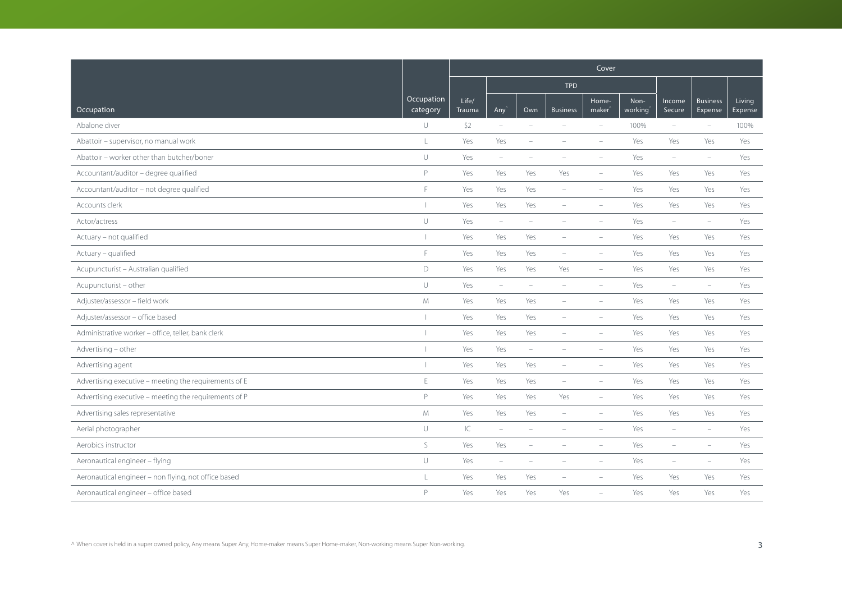|                                                       |                        | Cover           |                          |                          |                          |                             |                 |                          |                            |                   |
|-------------------------------------------------------|------------------------|-----------------|--------------------------|--------------------------|--------------------------|-----------------------------|-----------------|--------------------------|----------------------------|-------------------|
|                                                       |                        |                 |                          |                          | <b>TPD</b>               |                             |                 |                          |                            |                   |
| Occupation                                            | Occupation<br>category | Life/<br>Trauma | Any <sup></sup>          | Own                      | <b>Business</b>          | Home-<br>maker <sup>®</sup> | Non-<br>working | Income<br>Secure         | <b>Business</b><br>Expense | Living<br>Expense |
| Abalone diver                                         | $\cup$                 | \$2             | $\overline{\phantom{a}}$ | $\sim$                   | $\equiv$                 | $\overline{\phantom{a}}$    | 100%            | $\overline{\phantom{a}}$ | $\overline{\phantom{a}}$   | 100%              |
| Abattoir - supervisor, no manual work                 | L                      | Yes             | Yes                      | ۰                        |                          |                             | Yes             | Yes                      | Yes                        | Yes               |
| Abattoir - worker other than butcher/boner            | $\cup$                 | Yes             | $\overline{\phantom{a}}$ | ÷                        |                          | $\overline{\phantom{a}}$    | Yes             | $\overline{\phantom{a}}$ | $\overline{\phantom{m}}$   | Yes               |
| Accountant/auditor - degree qualified                 | P                      | Yes             | Yes                      | Yes                      | Yes                      | $\overline{\phantom{a}}$    | Yes             | Yes                      | Yes                        | Yes               |
| Accountant/auditor - not degree qualified             | F                      | Yes             | Yes                      | Yes                      | $\overline{\phantom{a}}$ | $\overline{\phantom{a}}$    | Yes             | Yes                      | Yes                        | Yes               |
| Accounts clerk                                        |                        | Yes             | Yes                      | Yes                      | $\equiv$                 | $\overline{\phantom{a}}$    | Yes             | Yes                      | Yes                        | Yes               |
| Actor/actress                                         | $\cup$                 | Yes             | $\overline{\phantom{a}}$ | $\overline{\phantom{a}}$ | $\overline{\phantom{a}}$ | $\overline{\phantom{a}}$    | Yes             | $\overline{\phantom{a}}$ | $\overline{\phantom{m}}$   | Yes               |
| Actuary - not qualified                               |                        | Yes             | Yes                      | Yes                      | $\equiv$                 | $\overline{\phantom{a}}$    | Yes             | Yes                      | Yes                        | Yes               |
| Actuary - qualified                                   | F                      | Yes             | Yes                      | Yes                      | $\overline{\phantom{a}}$ |                             | Yes             | Yes                      | Yes                        | Yes               |
| Acupuncturist - Australian qualified                  | D                      | Yes             | Yes                      | Yes                      | Yes                      | $\overline{\phantom{a}}$    | Yes             | Yes                      | Yes                        | Yes               |
| Acupuncturist - other                                 | $\cup$                 | Yes             | $\overline{\phantom{a}}$ | $\overline{\phantom{a}}$ | $\overline{\phantom{a}}$ | $\overline{\phantom{a}}$    | Yes             | $\overline{\phantom{a}}$ | $\overline{\phantom{m}}$   | Yes               |
| Adjuster/assessor - field work                        | M                      | Yes             | Yes                      | Yes                      |                          |                             | Yes             | Yes                      | Yes                        | Yes               |
| Adjuster/assessor - office based                      |                        | Yes             | Yes                      | Yes                      |                          | $\overline{\phantom{a}}$    | Yes             | Yes                      | Yes                        | Yes               |
| Administrative worker - office, teller, bank clerk    |                        | Yes             | Yes                      | Yes                      | $\overline{\phantom{0}}$ | $\overline{\phantom{a}}$    | Yes             | Yes                      | Yes                        | Yes               |
| Advertising - other                                   |                        | Yes             | Yes                      | $\overline{\phantom{m}}$ | $\overline{\phantom{a}}$ | $\overline{\phantom{a}}$    | Yes             | Yes                      | Yes                        | Yes               |
| Advertising agent                                     |                        | Yes             | Yes                      | Yes                      |                          |                             | Yes             | Yes                      | Yes                        | Yes               |
| Advertising executive - meeting the requirements of E | $\mathsf E$            | Yes             | Yes                      | Yes                      | $\overline{\phantom{a}}$ | $\overline{\phantom{a}}$    | Yes             | Yes                      | Yes                        | Yes               |
| Advertising executive - meeting the requirements of P | P                      | Yes             | Yes                      | Yes                      | Yes                      | $\overline{\phantom{a}}$    | Yes             | Yes                      | Yes                        | Yes               |
| Advertising sales representative                      | $M_{\odot}$            | Yes             | Yes                      | Yes                      | $\equiv$                 | $\equiv$                    | Yes             | Yes                      | Yes                        | Yes               |
| Aerial photographer                                   | $\cup$                 | IC              | $\equiv$                 | $\overline{\phantom{0}}$ |                          | $\overline{\phantom{a}}$    | Yes             | ÷                        | $\equiv$                   | Yes               |
| Aerobics instructor                                   | $\mathsf S$            | Yes             | Yes                      | $\qquad \qquad -$        |                          |                             | Yes             | ÷                        | $\equiv$                   | Yes               |
| Aeronautical engineer - flying                        | $\cup$                 | Yes             | $\overline{\phantom{a}}$ | $\qquad \qquad -$        |                          | $\overline{\phantom{a}}$    | Yes             | $\overline{\phantom{a}}$ | $\equiv$                   | Yes               |
| Aeronautical engineer - non flying, not office based  | L                      | Yes             | Yes                      | Yes                      |                          |                             | Yes             | Yes                      | Yes                        | Yes               |
| Aeronautical engineer - office based                  | P                      | Yes             | Yes                      | Yes                      | Yes                      | $\overline{\phantom{a}}$    | Yes             | Yes                      | Yes                        | Yes               |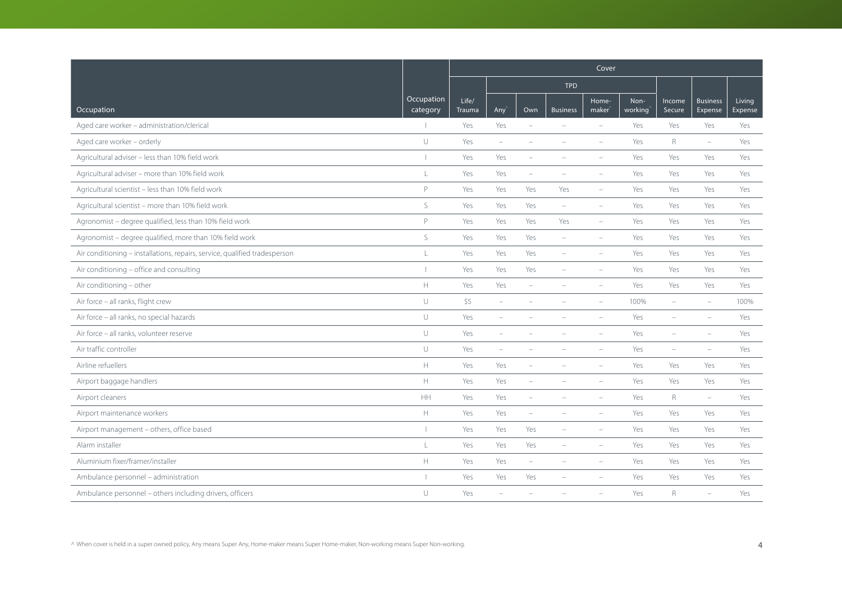|                                                                            |                                                                   | Cover           |                          |                          |                          |                             |                 |                          |                            |                   |  |
|----------------------------------------------------------------------------|-------------------------------------------------------------------|-----------------|--------------------------|--------------------------|--------------------------|-----------------------------|-----------------|--------------------------|----------------------------|-------------------|--|
|                                                                            |                                                                   |                 |                          |                          | <b>TPD</b>               |                             |                 |                          |                            |                   |  |
| Occupation                                                                 | Occupation<br>category                                            | Life/<br>Trauma | Any <sup></sup>          | Own                      | <b>Business</b>          | Home-<br>maker <sup>'</sup> | Non-<br>working | Income<br>Secure         | <b>Business</b><br>Expense | Living<br>Expense |  |
| Aged care worker - administration/clerical                                 |                                                                   | Yes             | Yes                      | $\equiv$                 | $\sim$                   | $\sim$                      | Yes             | Yes                      | Yes                        | Yes               |  |
| Aged care worker - orderly                                                 | $\cup$                                                            | Yes             | $\overline{\phantom{m}}$ | ۰                        | $\overline{\phantom{0}}$ | $\overline{\phantom{a}}$    | Yes             | R                        | $\overline{\phantom{a}}$   | Yes               |  |
| Agricultural adviser - less than 10% field work                            | $\overline{1}$                                                    | Yes             | Yes                      |                          |                          |                             | Yes             | Yes                      | Yes                        | Yes               |  |
| Agricultural adviser - more than 10% field work                            | $\frac{1}{2}$                                                     | Yes             | Yes                      | $\overline{\phantom{a}}$ |                          |                             | Yes             | Yes                      | Yes                        | Yes               |  |
| Agricultural scientist - less than 10% field work                          | P                                                                 | Yes             | Yes                      | Yes                      | Yes                      | $\overline{\phantom{a}}$    | Yes             | Yes                      | Yes                        | Yes               |  |
| Agricultural scientist - more than 10% field work                          | $\mathsf S$                                                       | Yes             | Yes                      | Yes                      | $\overline{\phantom{a}}$ | $\sim$                      | Yes             | Yes                      | Yes                        | Yes               |  |
| Agronomist - degree qualified, less than 10% field work                    | P                                                                 | Yes             | Yes                      | Yes                      | Yes                      | $\sim$                      | Yes             | Yes                      | Yes                        | Yes               |  |
| Agronomist - degree qualified, more than 10% field work                    | S                                                                 | Yes             | Yes                      | Yes                      | $\sim$                   | $\sim$                      | Yes             | Yes                      | Yes                        | Yes               |  |
| Air conditioning - installations, repairs, service, qualified tradesperson | $\mathsf{L}$                                                      | Yes             | Yes                      | Yes                      |                          |                             | Yes             | Yes                      | Yes                        | Yes               |  |
| Air conditioning - office and consulting                                   | $\overline{\phantom{a}}$                                          | Yes             | Yes                      | Yes                      |                          |                             | Yes             | Yes                      | Yes                        | Yes               |  |
| Air conditioning - other                                                   | $\mathsf{H}% _{\mathsf{H}}^{\ast}=\mathsf{H}_{\mathsf{H}}^{\ast}$ | Yes             | Yes                      | $\overline{\phantom{a}}$ |                          |                             | Yes             | Yes                      | Yes                        | Yes               |  |
| Air force - all ranks, flight crew                                         | $\cup$                                                            | \$5             | $\overline{\phantom{m}}$ |                          |                          | $\sim$                      | 100%            | $\overline{\phantom{a}}$ | $\equiv$                   | 100%              |  |
| Air force - all ranks, no special hazards                                  | $\cup$                                                            | Yes             | ÷                        |                          |                          |                             | Yes             |                          |                            | Yes               |  |
| Air force - all ranks, volunteer reserve                                   | $\cup$                                                            | Yes             | $\sim$                   |                          |                          |                             | Yes             | ÷                        | $\equiv$                   | Yes               |  |
| Air traffic controller                                                     | $\cup$                                                            | Yes             | $\overline{\phantom{a}}$ | $\overline{\phantom{m}}$ | $\overline{\phantom{m}}$ | $\overline{\phantom{a}}$    | Yes             | $\overline{\phantom{a}}$ | $\sim$                     | Yes               |  |
| Airline refuellers                                                         | $\mathsf{H}% _{\mathsf{H}}^{\ast}=\mathsf{H}_{\mathsf{H}}^{\ast}$ | Yes             | Yes                      |                          |                          |                             | Yes             | Yes                      | Yes                        | Yes               |  |
| Airport baggage handlers                                                   | $\mathbb H$                                                       | Yes             | Yes                      | $\overline{\phantom{m}}$ |                          |                             | Yes             | Yes                      | Yes                        | Yes               |  |
| Airport cleaners                                                           | HH                                                                | Yes             | Yes                      | $\qquad \qquad -$        |                          | $\sim$                      | Yes             | R                        | $\overline{\phantom{a}}$   | Yes               |  |
| Airport maintenance workers                                                | $\mathbb H$                                                       | Yes             | Yes                      | $\overline{\phantom{0}}$ | $\sim$                   | $\sim$                      | Yes             | Yes                      | Yes                        | Yes               |  |
| Airport management - others, office based                                  |                                                                   | Yes             | Yes                      | Yes                      |                          |                             | Yes             | Yes                      | Yes                        | Yes               |  |
| Alarm installer                                                            | L                                                                 | Yes             | Yes                      | Yes                      | $\overline{\phantom{a}}$ | $\overline{\phantom{a}}$    | Yes             | Yes                      | Yes                        | Yes               |  |
| Aluminium fixer/framer/installer                                           | $\mathbb H$                                                       | Yes             | Yes                      | $\overline{\phantom{0}}$ | $\overline{\phantom{a}}$ | $\overline{\phantom{a}}$    | Yes             | Yes                      | Yes                        | Yes               |  |
| Ambulance personnel - administration                                       |                                                                   | Yes             | Yes                      | Yes                      |                          |                             | Yes             | Yes                      | Yes                        | Yes               |  |
| Ambulance personnel - others including drivers, officers                   | $\cup$                                                            | Yes             |                          |                          |                          |                             | Yes             | R                        | $\overline{\phantom{a}}$   | Yes               |  |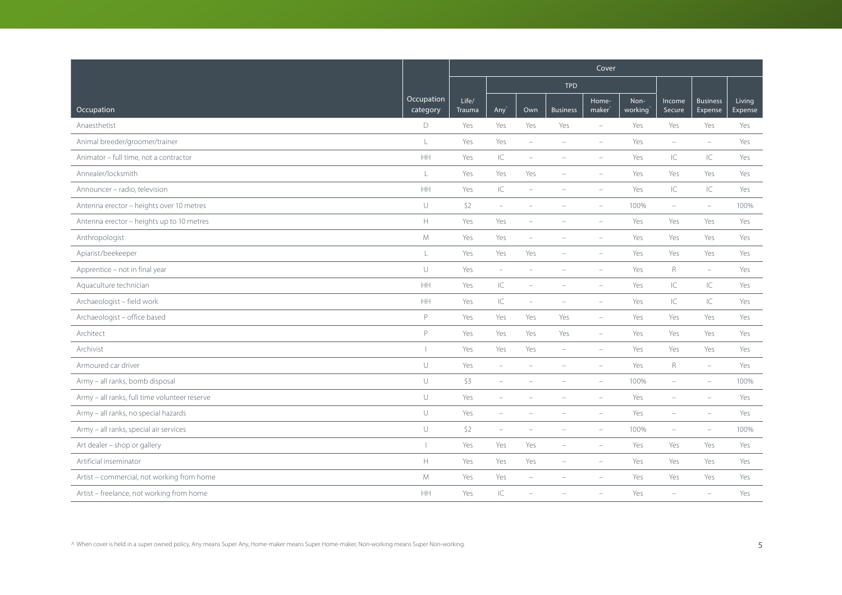|                                               |                        | Cover                  |                                   |                          |                          |                             |                 |                                   |                            |                   |
|-----------------------------------------------|------------------------|------------------------|-----------------------------------|--------------------------|--------------------------|-----------------------------|-----------------|-----------------------------------|----------------------------|-------------------|
|                                               |                        |                        |                                   |                          | <b>TPD</b>               |                             |                 |                                   |                            |                   |
| Occupation                                    | Occupation<br>category | Life/<br><b>Trauma</b> | Any                               | Own                      | <b>Business</b>          | Home-<br>maker <sup>®</sup> | Non-<br>working | Income<br>Secure                  | <b>Business</b><br>Expense | Living<br>Expense |
| Anaesthetist                                  | D                      | Yes                    | Yes                               | Yes                      | Yes                      | $\overline{\phantom{a}}$    | Yes             | Yes                               | Yes                        | Yes               |
| Animal breeder/groomer/trainer                | $\mathsf L$            | Yes                    | Yes                               | $\sim$                   | $\equiv$                 | $\equiv$                    | Yes             | $\overline{\phantom{a}}$          | $\equiv$                   | Yes               |
| Animator - full time, not a contractor        | HH                     | Yes                    | $\subset$                         | ÷                        |                          | $\equiv$                    | Yes             | IC                                | $\subset$                  | Yes               |
| Annealer/locksmith                            | L                      | Yes                    | Yes                               | Yes                      | $\overline{\phantom{a}}$ | $\overline{\phantom{a}}$    | Yes             | Yes                               | Yes                        | Yes               |
| Announcer - radio, television                 | HH                     | Yes                    | $\ensuremath{\mathsf{IC}}\xspace$ | $\overline{\phantom{a}}$ | $\overline{\phantom{a}}$ | $\overline{\phantom{a}}$    | Yes             | $\ensuremath{\mathsf{IC}}\xspace$ | $\subset$                  | Yes               |
| Antenna erector - heights over 10 metres      | $\cup$                 | \$2                    | $\overline{\phantom{m}}$          |                          |                          |                             | 100%            | ÷                                 | $\overline{\phantom{a}}$   | 100%              |
| Antenna erector - heights up to 10 metres     | $\mathbb H$            | Yes                    | Yes                               | ۰                        |                          | $\equiv$                    | Yes             | Yes                               | Yes                        | Yes               |
| Anthropologist                                | ${\mathsf M}$          | Yes                    | Yes                               | $\overline{\phantom{a}}$ | $\equiv$                 | $\equiv$                    | Yes             | Yes                               | Yes                        | Yes               |
| Apiarist/beekeeper                            | $\mathsf L$            | Yes                    | Yes                               | Yes                      |                          |                             | Yes             | Yes                               | Yes                        | Yes               |
| Apprentice - not in final year                | $\cup$                 | Yes                    | $\overline{\phantom{m}}$          | ÷                        |                          | $\overline{\phantom{a}}$    | Yes             | $\mathsf{R}$                      | $\overline{\phantom{0}}$   | Yes               |
| Aquaculture technician                        | $\mathsf{HH}$          | Yes                    | $\subset$                         | $\overline{\phantom{a}}$ | $\overline{\phantom{a}}$ | $\overline{\phantom{a}}$    | Yes             | IC                                | IC                         | Yes               |
| Archaeologist - field work                    | HH                     | Yes                    | $\subset$                         | $\overline{\phantom{a}}$ | $\overline{\phantom{a}}$ | $\overline{\phantom{a}}$    | Yes             | IC                                | C                          | Yes               |
| Archaeologist - office based                  | P                      | Yes                    | Yes                               | Yes                      | Yes                      | $\overline{\phantom{a}}$    | Yes             | Yes                               | Yes                        | Yes               |
| Architect                                     | P                      | Yes                    | Yes                               | Yes                      | Yes                      | $\overline{\phantom{a}}$    | Yes             | Yes                               | Yes                        | Yes               |
| Archivist                                     |                        | Yes                    | Yes                               | Yes                      | $\overline{\phantom{a}}$ | $\overline{\phantom{a}}$    | Yes             | Yes                               | Yes                        | Yes               |
| Armoured car driver                           | $\cup$                 | Yes                    | $\overline{\phantom{m}}$          |                          |                          |                             | Yes             | $\mathsf R$                       | $\overline{\phantom{a}}$   | Yes               |
| Army - all ranks, bomb disposal               | $\cup$                 | \$3                    | $\overline{\phantom{a}}$          |                          |                          |                             | 100%            | $\overline{\phantom{0}}$          | $\equiv$                   | 100%              |
| Army - all ranks, full time volunteer reserve | $\cup$                 | Yes                    | $\overline{\phantom{a}}$          |                          |                          | $\overline{\phantom{a}}$    | Yes             | ۰                                 | $\overline{\phantom{a}}$   | Yes               |
| Army - all ranks, no special hazards          | $\cup$                 | Yes                    | $\overline{\phantom{a}}$          | ÷                        |                          | $\overline{\phantom{a}}$    | Yes             | ۰                                 | $\overline{\phantom{a}}$   | Yes               |
| Army - all ranks, special air services        | $\cup$                 | \$2                    | $\equiv$                          |                          |                          | $\equiv$                    | 100%            | ÷                                 | $\equiv$                   | 100%              |
| Art dealer - shop or gallery                  |                        | Yes                    | Yes                               | Yes                      | $\overline{\phantom{a}}$ | $\overline{\phantom{a}}$    | Yes             | Yes                               | Yes                        | Yes               |
| Artificial inseminator                        | $\mathbb H$            | Yes                    | Yes                               | Yes                      | $\overline{\phantom{a}}$ | $\overline{\phantom{a}}$    | Yes             | Yes                               | Yes                        | Yes               |
| Artist - commercial, not working from home    | M                      | Yes                    | Yes                               |                          |                          |                             | Yes             | Yes                               | Yes                        | Yes               |
| Artist - freelance, not working from home     | HH                     | Yes                    | $\subset$                         |                          |                          |                             | Yes             | ÷                                 | $\overline{\phantom{a}}$   | Yes               |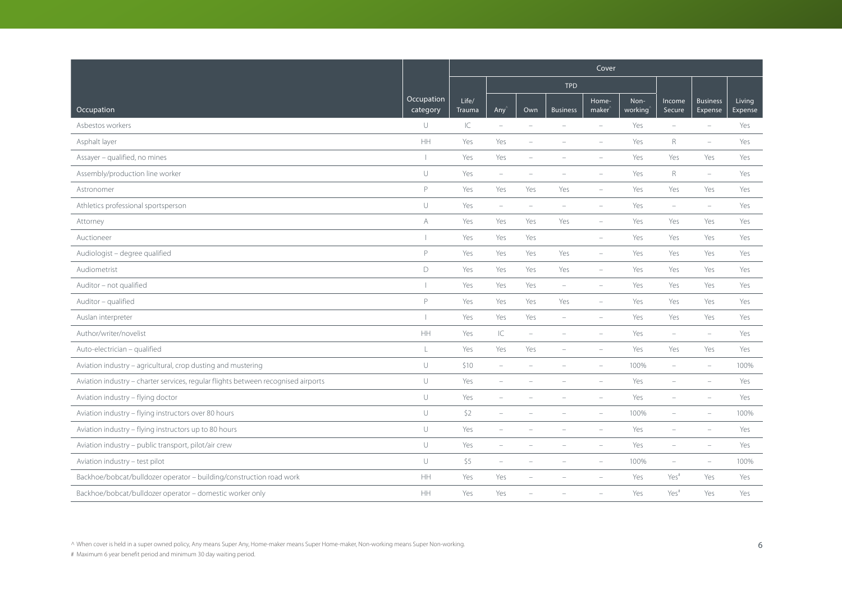|                                                                                   |                        | Cover           |                          |                          |                          |                             |                 |                          |                            |                          |  |
|-----------------------------------------------------------------------------------|------------------------|-----------------|--------------------------|--------------------------|--------------------------|-----------------------------|-----------------|--------------------------|----------------------------|--------------------------|--|
|                                                                                   |                        |                 |                          |                          | <b>TPD</b>               |                             |                 |                          |                            |                          |  |
| Occupation                                                                        | Occupation<br>category | Life/<br>Trauma | Any                      | Own                      | <b>Business</b>          | Home-<br>maker <sup>'</sup> | Non-<br>working | Income<br>Secure         | <b>Business</b><br>Expense | <b>Living</b><br>Expense |  |
| Asbestos workers                                                                  | $\cup$                 | IC              | $\overline{\phantom{a}}$ | $\equiv$                 | $\sim$                   | $\equiv$                    | Yes             | $\equiv$                 | $\equiv$                   | Yes                      |  |
| Asphalt layer                                                                     | $\mathsf{HH}$          | Yes             | Yes                      | $\overline{\phantom{m}}$ |                          | $\overline{\phantom{a}}$    | Yes             | R                        | $\overline{\phantom{a}}$   | Yes                      |  |
| Assayer - qualified, no mines                                                     | $\mathbf{I}$           | Yes             | Yes                      |                          |                          |                             | Yes             | Yes                      | Yes                        | Yes                      |  |
| Assembly/production line worker                                                   | $\cup$                 | Yes             | $\overline{\phantom{m}}$ |                          |                          |                             | Yes             | $\mathsf{R}$             | $\overline{\phantom{m}}$   | Yes                      |  |
| Astronomer                                                                        | P                      | Yes             | Yes                      | Yes                      | Yes                      | $\overline{\phantom{a}}$    | Yes             | Yes                      | Yes                        | Yes                      |  |
| Athletics professional sportsperson                                               | $\cup$                 | Yes             | $\overline{\phantom{a}}$ | ÷                        | $\equiv$                 | $\overline{\phantom{a}}$    | Yes             | $\overline{\phantom{a}}$ | $\overline{\phantom{a}}$   | Yes                      |  |
| Attorney                                                                          | A                      | Yes             | Yes                      | Yes                      | Yes                      | $\sim$                      | Yes             | Yes                      | Yes                        | Yes                      |  |
| Auctioneer                                                                        | $\mathbf{1}$           | Yes             | Yes                      | Yes                      |                          | $\overline{\phantom{a}}$    | Yes             | Yes                      | Yes                        | Yes                      |  |
| Audiologist - degree qualified                                                    | P                      | Yes             | Yes                      | Yes                      | Yes                      | $\overline{\phantom{a}}$    | Yes             | Yes                      | Yes                        | Yes                      |  |
| Audiometrist                                                                      | D                      | Yes             | Yes                      | Yes                      | Yes                      | $\overline{\phantom{a}}$    | Yes             | Yes                      | Yes                        | Yes                      |  |
| Auditor - not qualified                                                           | $\overline{1}$         | Yes             | Yes                      | Yes                      | $\overline{\phantom{m}}$ | $\overline{\phantom{a}}$    | Yes             | Yes                      | Yes                        | Yes                      |  |
| Auditor - qualified                                                               | P                      | Yes             | Yes                      | Yes                      | Yes                      | $\overline{\phantom{a}}$    | Yes             | Yes                      | Yes                        | Yes                      |  |
| Auslan interpreter                                                                | $\mathbf{I}$           | Yes             | Yes                      | Yes                      | $\equiv$                 |                             | Yes             | Yes                      | Yes                        | Yes                      |  |
| Author/writer/novelist                                                            | $\mathsf{HH}$          | Yes             | IC                       | $\overline{\phantom{a}}$ | $\equiv$                 | $\overline{\phantom{a}}$    | Yes             | $\overline{\phantom{a}}$ | $\overline{\phantom{a}}$   | Yes                      |  |
| Auto-electrician - qualified                                                      | $\mathsf L$            | Yes             | Yes                      | Yes                      | $\overline{\phantom{a}}$ | $\overline{\phantom{0}}$    | Yes             | Yes                      | Yes                        | Yes                      |  |
| Aviation industry - agricultural, crop dusting and mustering                      | $\cup$                 | \$10            | $\equiv$                 |                          |                          |                             | 100%            | $\overline{\phantom{0}}$ |                            | 100%                     |  |
| Aviation industry - charter services, regular flights between recognised airports | $\cup$                 | Yes             | $\sim$                   |                          |                          |                             | Yes             |                          |                            | Yes                      |  |
| Aviation industry - flying doctor                                                 | $\cup$                 | Yes             | ÷,                       |                          |                          |                             | Yes             | ÷                        |                            | Yes                      |  |
| Aviation industry - flying instructors over 80 hours                              | $\cup$                 | \$2             | $\sim$                   |                          |                          |                             | 100%            | $\equiv$                 | $\sim$                     | 100%                     |  |
| Aviation industry - flying instructors up to 80 hours                             | $\cup$                 | Yes             |                          |                          |                          |                             | Yes             |                          |                            | Yes                      |  |
| Aviation industry - public transport, pilot/air crew                              | $\cup$                 | Yes             | $\overline{\phantom{a}}$ |                          |                          |                             | Yes             | $\overline{\phantom{a}}$ | $\overline{\phantom{a}}$   | Yes                      |  |
| Aviation industry - test pilot                                                    | $\cup$                 | \$5             | $\overline{\phantom{m}}$ | $\overline{\phantom{a}}$ | $\equiv$                 | $\overline{\phantom{0}}$    | 100%            | $\overline{\phantom{a}}$ | $\overline{\phantom{a}}$   | 100%                     |  |
| Backhoe/bobcat/bulldozer operator - building/construction road work               | HH                     | Yes             | Yes                      |                          |                          |                             | Yes             | Yes <sup>#</sup>         | Yes                        | Yes                      |  |
| Backhoe/bobcat/bulldozer operator - domestic worker only                          | <b>HH</b>              | Yes             | Yes                      |                          |                          |                             | Yes             | Yes <sup>#</sup>         | Yes                        | Yes                      |  |

 $\land$  When cover is held in a super owned policy, Any means Super Any, Home-maker means Super Home-maker, Non-working means Super Non-working. 6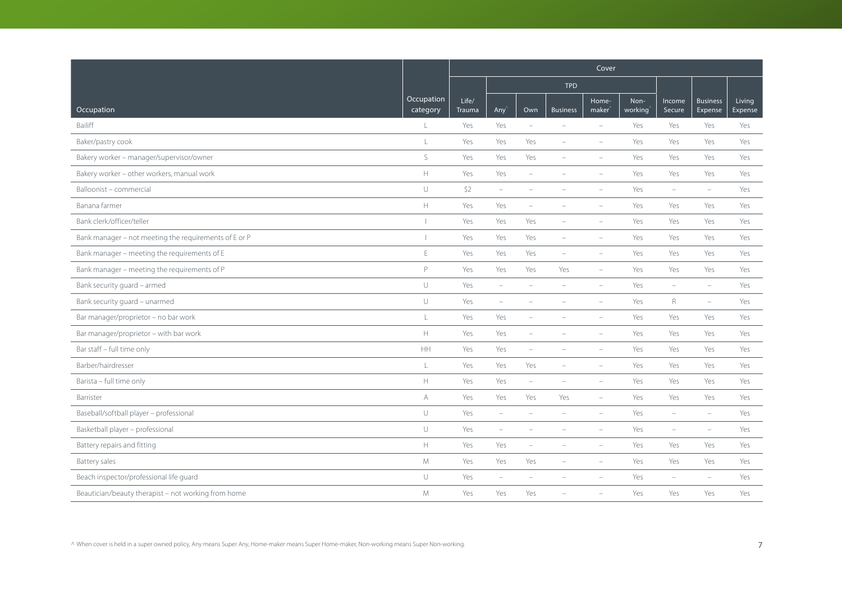|                                                       |                        | Cover           |                                 |                          |                          |                          |                 |                          |                            |                   |  |
|-------------------------------------------------------|------------------------|-----------------|---------------------------------|--------------------------|--------------------------|--------------------------|-----------------|--------------------------|----------------------------|-------------------|--|
|                                                       |                        |                 |                                 |                          | <b>TPD</b>               |                          |                 |                          |                            |                   |  |
| Occupation                                            | Occupation<br>category | Life/<br>Trauma | Any                             | Own                      | <b>Business</b>          | Home-<br>$make^$         | Non-<br>working | Income<br>Secure         | <b>Business</b><br>Expense | Living<br>Expense |  |
| Bailiff                                               | L                      | Yes             | Yes                             | $\sim$                   | $\equiv$                 | $\sim$                   | Yes             | Yes                      | Yes                        | Yes               |  |
| Baker/pastry cook                                     | $\mathsf{L}$           | Yes             | Yes                             | Yes                      | $\overline{\phantom{0}}$ |                          | Yes             | Yes                      | Yes                        | Yes               |  |
| Bakery worker - manager/supervisor/owner              | S                      | Yes             | Yes                             | Yes                      |                          |                          | Yes             | Yes                      | Yes                        | Yes               |  |
| Bakery worker - other workers, manual work            | $\mathbb H$            | Yes             | Yes                             | $\overline{\phantom{a}}$ |                          |                          | Yes             | Yes                      | Yes                        | Yes               |  |
| Balloonist - commercial                               | $\cup$                 | \$2             | $\hspace{0.1mm}-\hspace{0.1mm}$ | ۰                        |                          |                          | Yes             | $\overline{\phantom{a}}$ | $\equiv$                   | Yes               |  |
| Banana farmer                                         | $\mathbb H$            | Yes             | Yes                             | ÷                        |                          | $\equiv$                 | Yes             | Yes                      | Yes                        | Yes               |  |
| Bank clerk/officer/teller                             | $\overline{1}$         | Yes             | Yes                             | Yes                      | $\equiv$                 | $\equiv$                 | Yes             | Yes                      | Yes                        | Yes               |  |
| Bank manager – not meeting the requirements of E or P |                        | Yes             | Yes                             | Yes                      | $\sim$                   | $\sim$                   | Yes             | Yes                      | Yes                        | Yes               |  |
| Bank manager - meeting the requirements of E          | E                      | Yes             | Yes                             | Yes                      | $\overline{\phantom{0}}$ | $\overline{\phantom{a}}$ | Yes             | Yes                      | Yes                        | Yes               |  |
| Bank manager - meeting the requirements of P          | P                      | Yes             | Yes                             | Yes                      | Yes                      | $\qquad \qquad -$        | Yes             | Yes                      | Yes                        | Yes               |  |
| Bank security guard - armed                           | $\cup$                 | Yes             | $\overline{\phantom{a}}$        | ÷                        | $\overline{\phantom{a}}$ | $\equiv$                 | Yes             | $\overline{\phantom{a}}$ | $\overline{\phantom{a}}$   | Yes               |  |
| Bank security quard - unarmed                         | $\cup$                 | Yes             | $\overline{\phantom{a}}$        |                          |                          | $\overline{\phantom{a}}$ | Yes             | $\mathsf R$              | $\overline{\phantom{m}}$   | Yes               |  |
| Bar manager/proprietor - no bar work                  | L                      | Yes             | Yes                             |                          |                          | $\equiv$                 | Yes             | Yes                      | Yes                        | Yes               |  |
| Bar manager/proprietor - with bar work                | $\mathbb H$            | Yes             | Yes                             | ÷,                       |                          | $\equiv$                 | Yes             | Yes                      | Yes                        | Yes               |  |
| Bar staff - full time only                            | $\mathsf{HH}% _{0}$    | Yes             | Yes                             | ÷,                       |                          | $\equiv$                 | Yes             | Yes                      | Yes                        | Yes               |  |
| Barber/hairdresser                                    | L                      | Yes             | Yes                             | Yes                      |                          | $\overline{\phantom{a}}$ | Yes             | Yes                      | Yes                        | Yes               |  |
| Barista - full time only                              | $\mathbb H$            | Yes             | Yes                             | $\overline{\phantom{a}}$ |                          | $\overline{\phantom{a}}$ | Yes             | Yes                      | Yes                        | Yes               |  |
| Barrister                                             | A                      | Yes             | Yes                             | Yes                      | Yes                      | $\overline{\phantom{a}}$ | Yes             | Yes                      | Yes                        | Yes               |  |
| Baseball/softball player - professional               | $\cup$                 | Yes             | $\overline{\phantom{a}}$        | ÷,                       | ÷                        | L.                       | Yes             | ÷                        | $\equiv$                   | Yes               |  |
| Basketball player - professional                      | $\cup$                 | Yes             | $\overline{\phantom{a}}$        |                          |                          |                          | Yes             | ÷                        | $\equiv$                   | Yes               |  |
| Battery repairs and fitting                           | $\mathbb H$            | Yes             | Yes                             | ÷                        |                          | $\overline{\phantom{a}}$ | Yes             | Yes                      | Yes                        | Yes               |  |
| <b>Battery sales</b>                                  | ${\mathsf M}$          | Yes             | Yes                             | Yes                      | $\overline{\phantom{a}}$ | $\equiv$                 | Yes             | Yes                      | Yes                        | Yes               |  |
| Beach inspector/professional life quard               | U                      | Yes             | $\overline{\phantom{a}}$        |                          |                          |                          | Yes             | $\overline{\phantom{a}}$ | $\equiv$                   | Yes               |  |
| Beautician/beauty therapist - not working from home   | M                      | Yes             | Yes                             | Yes                      |                          |                          | Yes             | Yes                      | Yes                        | Yes               |  |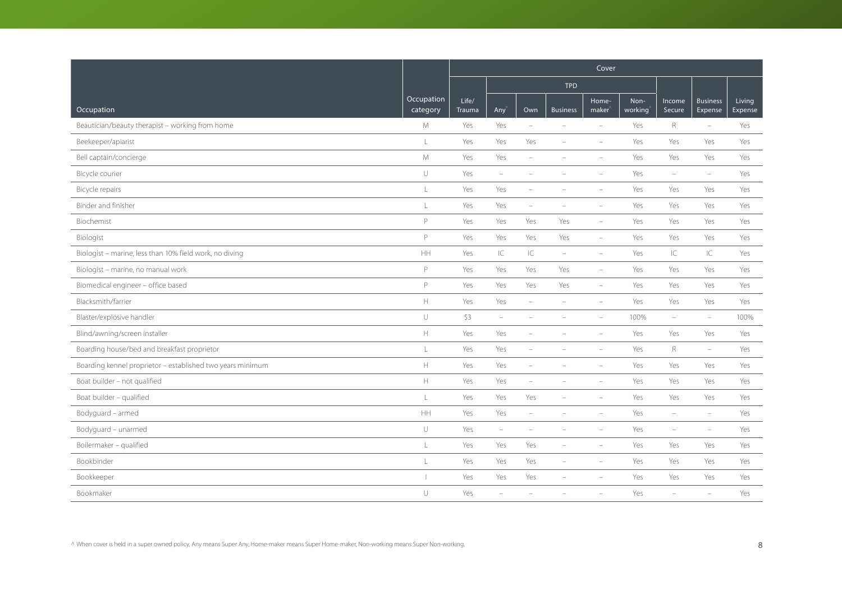|                                                            |                          | Cover           |                          |                          |                          |                             |                 |                          |                            |                   |  |
|------------------------------------------------------------|--------------------------|-----------------|--------------------------|--------------------------|--------------------------|-----------------------------|-----------------|--------------------------|----------------------------|-------------------|--|
|                                                            |                          |                 |                          |                          | <b>TPD</b>               |                             |                 |                          |                            |                   |  |
| Occupation                                                 | Occupation<br>category   | Life/<br>Trauma | Any                      | Own                      | <b>Business</b>          | Home-<br>maker <sup>'</sup> | Non-<br>working | Income<br>Secure         | <b>Business</b><br>Expense | Living<br>Expense |  |
| Beautician/beauty therapist - working from home            | M                        | Yes             | Yes                      | $\equiv$                 | $\sim$                   | $\equiv$                    | Yes             | $\mathsf R$              | $\overline{\phantom{a}}$   | Yes               |  |
| Beekeeper/apiarist                                         | L                        | Yes             | Yes                      | Yes                      | $\overline{\phantom{a}}$ | $\overline{\phantom{a}}$    | Yes             | Yes                      | Yes                        | Yes               |  |
| Bell captain/concierge                                     | M                        | Yes             | Yes                      |                          |                          |                             | Yes             | Yes                      | Yes                        | Yes               |  |
| Bicycle courier                                            | $\cup$                   | Yes             | $\overline{\phantom{m}}$ | $\overline{\phantom{0}}$ |                          |                             | Yes             | $\overline{\phantom{a}}$ | $\overline{\phantom{m}}$   | Yes               |  |
| Bicycle repairs                                            | $\mathsf L$              | Yes             | Yes                      | $\overline{\phantom{a}}$ | $\overline{\phantom{0}}$ | $\overline{\phantom{a}}$    | Yes             | Yes                      | Yes                        | Yes               |  |
| Binder and finisher                                        | $\mathsf L$              | Yes             | Yes                      | $\overline{\phantom{m}}$ |                          | $\overline{\phantom{a}}$    | Yes             | Yes                      | Yes                        | Yes               |  |
| Biochemist                                                 | P                        | Yes             | Yes                      | Yes                      | Yes                      | ÷                           | Yes             | Yes                      | Yes                        | Yes               |  |
| Biologist                                                  | P                        | Yes             | Yes                      | Yes                      | Yes                      | $\overline{\phantom{a}}$    | Yes             | Yes                      | Yes                        | Yes               |  |
| Biologist - marine, less than 10% field work, no diving    | HH                       | Yes             | IC                       | IC                       | $\overline{\phantom{m}}$ | $\overline{\phantom{a}}$    | Yes             | IC                       | IC                         | Yes               |  |
| Biologist - marine, no manual work                         | P                        | Yes             | Yes                      | Yes                      | Yes                      | ÷                           | Yes             | Yes                      | Yes                        | Yes               |  |
| Biomedical engineer - office based                         | P                        | Yes             | Yes                      | Yes                      | Yes                      | $\overline{\phantom{a}}$    | Yes             | Yes                      | Yes                        | Yes               |  |
| Blacksmith/farrier                                         | $\mathbb H$              | Yes             | Yes                      | $\overline{\phantom{m}}$ | $\overline{\phantom{a}}$ | $\overline{\phantom{a}}$    | Yes             | Yes                      | Yes                        | Yes               |  |
| Blaster/explosive handler                                  | $\cup$                   | \$3             | $\equiv$                 | L.                       |                          |                             | 100%            | L.                       | $\sim$                     | 100%              |  |
| Blind/awning/screen installer                              | $\mathbb H$              | Yes             | Yes                      | $\overline{\phantom{a}}$ |                          | $\overline{\phantom{a}}$    | Yes             | Yes                      | Yes                        | Yes               |  |
| Boarding house/bed and breakfast proprietor                | $\mathsf L$              | Yes             | Yes                      | $\overline{\phantom{0}}$ | $\overline{\phantom{a}}$ | $\overline{\phantom{0}}$    | Yes             | $\mathsf R$              | $\equiv$                   | Yes               |  |
| Boarding kennel proprietor - established two years minimum | $\mathbb H$              | Yes             | Yes                      | $\overline{\phantom{a}}$ |                          |                             | Yes             | Yes                      | Yes                        | Yes               |  |
| Boat builder - not qualified                               | $\mathbb H$              | Yes             | Yes                      | ÷,                       |                          |                             | Yes             | Yes                      | Yes                        | Yes               |  |
| Boat builder - qualified                                   | $\mathsf{L}$             | Yes             | Yes                      | Yes                      | $\overline{\phantom{a}}$ | ÷                           | Yes             | Yes                      | Yes                        | Yes               |  |
| Bodyguard - armed                                          | HH                       | Yes             | Yes                      | $\overline{\phantom{a}}$ | $\sim$                   | $\sim$                      | Yes             | $\equiv$                 | $\sim$                     | Yes               |  |
| Bodyguard - unarmed                                        | $\cup$                   | Yes             | $\overline{\phantom{a}}$ | $\overline{\phantom{0}}$ |                          |                             | Yes             | $\overline{\phantom{a}}$ | $\equiv$                   | Yes               |  |
| Boilermaker - qualified                                    | $\mathsf{L}$             | Yes             | Yes                      | Yes                      | $\overline{\phantom{a}}$ | $\overline{\phantom{a}}$    | Yes             | Yes                      | Yes                        | Yes               |  |
| Bookbinder                                                 | $\mathsf L$              | Yes             | Yes                      | Yes                      | $\overline{\phantom{a}}$ | $\overline{\phantom{a}}$    | Yes             | Yes                      | Yes                        | Yes               |  |
| Bookkeeper                                                 | $\overline{\phantom{0}}$ | Yes             | Yes                      | Yes                      | $\equiv$                 |                             | Yes             | Yes                      | Yes                        | Yes               |  |
| Bookmaker                                                  | $\cup$                   | Yes             | ÷,                       |                          |                          |                             | Yes             | ÷,                       |                            | Yes               |  |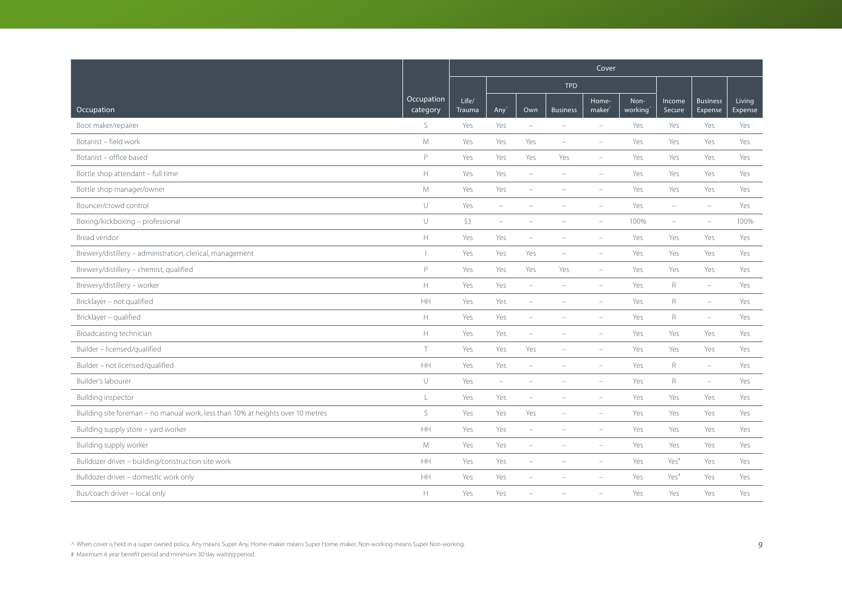|                                                                                 |                        | Cover           |                          |                          |                          |                          |                 |                          |                            |                   |  |
|---------------------------------------------------------------------------------|------------------------|-----------------|--------------------------|--------------------------|--------------------------|--------------------------|-----------------|--------------------------|----------------------------|-------------------|--|
|                                                                                 |                        |                 |                          |                          | <b>TPD</b>               |                          |                 |                          |                            |                   |  |
| Occupation                                                                      | Occupation<br>category | Life/<br>Trauma | $Any^2$                  | Own                      | <b>Business</b>          | Home-<br>$make^$         | Non-<br>working | Income<br>Secure         | <b>Business</b><br>Expense | Living<br>Expense |  |
| Boot maker/repairer                                                             | S                      | Yes             | Yes                      | $\overline{\phantom{a}}$ | $\equiv$                 | $\equiv$                 | Yes             | Yes                      | Yes                        | Yes               |  |
| Botanist - field work                                                           | M                      | Yes             | Yes                      | Yes                      | $\overline{\phantom{a}}$ | $\overline{\phantom{a}}$ | Yes             | Yes                      | Yes                        | Yes               |  |
| Botanist - office based                                                         | P                      | Yes             | Yes                      | Yes                      | Yes                      | $\equiv$                 | Yes             | Yes                      | Yes                        | Yes               |  |
| Bottle shop attendant - full time                                               | $\mathbb H$            | Yes             | Yes                      | $\overline{\phantom{a}}$ | $\overline{\phantom{a}}$ | $\qquad \qquad -$        | Yes             | Yes                      | Yes                        | Yes               |  |
| Bottle shop manager/owner                                                       | M                      | Yes             | Yes                      | $\overline{\phantom{a}}$ | $\overline{\phantom{a}}$ | $\equiv$                 | Yes             | Yes                      | Yes                        | Yes               |  |
| Bouncer/crowd control                                                           | $\cup$                 | Yes             | $\sim$                   |                          |                          |                          | Yes             | $\overline{\phantom{a}}$ | $\equiv$                   | Yes               |  |
| Boxing/kickboxing - professional                                                | $\cup$                 | \$3             | $\overline{\phantom{a}}$ | ÷                        |                          | $\equiv$                 | 100%            | $\equiv$                 | $\overline{\phantom{m}}$   | 100%              |  |
| Bread vendor                                                                    | $\mathbb H$            | Yes             | Yes                      | ÷                        | $\equiv$                 | $\equiv$                 | Yes             | Yes                      | Yes                        | Yes               |  |
| Brewery/distillery - administration, clerical, management                       | т                      | Yes             | Yes                      | Yes                      |                          |                          | Yes             | Yes                      | Yes                        | Yes               |  |
| Brewery/distillery - chemist, qualified                                         | $\mathsf P$            | Yes             | Yes                      | Yes                      | Yes                      | $\equiv$                 | Yes             | Yes                      | Yes                        | Yes               |  |
| Brewery/distillery - worker                                                     | $\mathbb H$            | Yes             | Yes                      | $\overline{\phantom{m}}$ |                          | $\equiv$                 | Yes             | $\mathsf{R}$             | $\overline{\phantom{a}}$   | Yes               |  |
| Bricklayer - not qualified                                                      | HH                     | Yes             | Yes                      | $\sim$                   |                          | $\overline{\phantom{a}}$ | Yes             | $\mathsf R$              | $\equiv$                   | Yes               |  |
| Bricklayer - qualified                                                          | $\mathbb H$            | Yes             | Yes                      | L.                       |                          | ÷                        | Yes             | $\mathsf{R}$             | $\equiv$                   | Yes               |  |
| Broadcasting technician                                                         | $\mathbb H$            | Yes             | Yes                      | ÷,                       |                          | $\equiv$                 | Yes             | Yes                      | Yes                        | Yes               |  |
| Builder - licensed/qualified                                                    | $\top$                 | Yes             | Yes                      | Yes                      | $\overline{\phantom{a}}$ | $\overline{\phantom{m}}$ | Yes             | Yes                      | Yes                        | Yes               |  |
| Builder - not licensed/qualified                                                | HH                     | Yes             | Yes                      | L,                       |                          |                          | Yes             | $\mathsf{R}$             | $\overline{\phantom{a}}$   | Yes               |  |
| Builder's labourer                                                              | $\cup$                 | Yes             | $\overline{\phantom{m}}$ |                          |                          |                          | Yes             | R                        | $\equiv$                   | Yes               |  |
| Building inspector                                                              | L                      | Yes             | Yes                      | ÷                        |                          | $\overline{\phantom{m}}$ | Yes             | Yes                      | Yes                        | Yes               |  |
| Building site foreman - no manual work, less than 10% at heights over 10 metres | $\mathsf S$            | Yes             | Yes                      | Yes                      |                          | $\equiv$                 | Yes             | Yes                      | Yes                        | Yes               |  |
| Building supply store - yard worker                                             | HH                     | Yes             | Yes                      | $\sim$                   |                          | $\equiv$                 | Yes             | Yes                      | Yes                        | Yes               |  |
| Building supply worker                                                          | ${\mathsf M}$          | Yes             | Yes                      | $\overline{\phantom{a}}$ |                          | $\overline{\phantom{m}}$ | Yes             | Yes                      | Yes                        | Yes               |  |
| Bulldozer driver - building/construction site work                              | HH                     | Yes             | Yes                      | $\overline{\phantom{0}}$ | $\overline{\phantom{a}}$ | $\overline{\phantom{m}}$ | Yes             | Yes <sup>#</sup>         | Yes                        | Yes               |  |
| Bulldozer driver - domestic work only                                           | HH                     | Yes             | Yes                      |                          |                          |                          | Yes             | Yes <sup>#</sup>         | Yes                        | Yes               |  |
| Bus/coach driver - local only                                                   | $\mathbb H$            | Yes             | Yes                      |                          |                          |                          | Yes             | Yes                      | Yes                        | Yes               |  |

^ When cover is held in a super owned policy, Any means Super Any, Home-maker means Super Home-maker, Non-working means Super Non-working. 9 (9)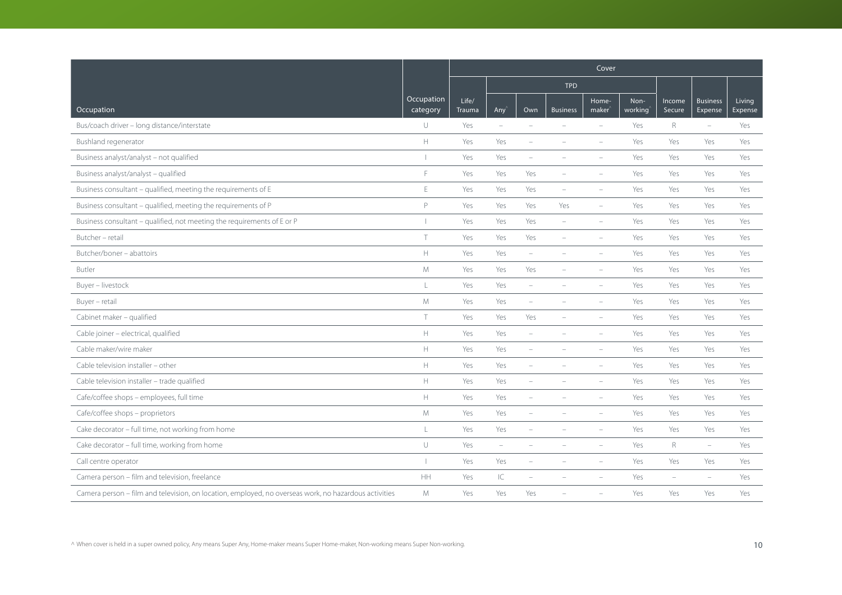|                                                                                                       |                                                                   |                 |                          |                          |                          | Cover                    |                 |                  |                            |                   |
|-------------------------------------------------------------------------------------------------------|-------------------------------------------------------------------|-----------------|--------------------------|--------------------------|--------------------------|--------------------------|-----------------|------------------|----------------------------|-------------------|
|                                                                                                       |                                                                   |                 |                          |                          | <b>TPD</b>               |                          |                 |                  |                            |                   |
| Occupation                                                                                            | Occupation<br>category                                            | Life/<br>Trauma | Any'                     | Own                      | <b>Business</b>          | Home-<br>maker           | Non-<br>working | Income<br>Secure | <b>Business</b><br>Expense | Living<br>Expense |
| Bus/coach driver - long distance/interstate                                                           | U                                                                 | Yes             | $\overline{\phantom{a}}$ | $\equiv$                 | $\overline{\phantom{a}}$ | $\overline{\phantom{0}}$ | Yes             | $\mathsf{R}$     | $\overline{\phantom{a}}$   | Yes               |
| Bushland regenerator                                                                                  | $\mathsf{H}% _{\mathsf{H}}^{\ast}=\mathsf{H}_{\mathsf{H}}^{\ast}$ | Yes             | Yes                      | ÷                        |                          | $\overline{\phantom{a}}$ | Yes             | Yes              | Yes                        | Yes               |
| Business analyst/analyst - not qualified                                                              |                                                                   | Yes             | Yes                      | ÷                        |                          |                          | Yes             | Yes              | Yes                        | Yes               |
| Business analyst/analyst - qualified                                                                  | F                                                                 | Yes             | Yes                      | Yes                      | ۰                        | $\overline{\phantom{a}}$ | Yes             | Yes              | Yes                        | Yes               |
| Business consultant - qualified, meeting the requirements of E                                        | $\mathsf E$                                                       | Yes             | Yes                      | Yes                      | $\overline{\phantom{a}}$ | ÷,                       | Yes             | Yes              | Yes                        | Yes               |
| Business consultant - qualified, meeting the requirements of P                                        | P                                                                 | Yes             | Yes                      | Yes                      | Yes                      | ÷,                       | Yes             | Yes              | Yes                        | Yes               |
| Business consultant - qualified, not meeting the requirements of E or P                               |                                                                   | Yes             | Yes                      | Yes                      | $\equiv$                 | ÷,                       | Yes             | Yes              | Yes                        | Yes               |
| Butcher - retail                                                                                      | $\top$                                                            | Yes             | Yes                      | Yes                      | $\overline{\phantom{a}}$ | $\qquad \qquad -$        | Yes             | Yes              | Yes                        | Yes               |
| Butcher/boner - abattoirs                                                                             | $\mathbb H$                                                       | Yes             | Yes                      | ÷                        |                          |                          | Yes             | Yes              | Yes                        | Yes               |
| Butler                                                                                                | M                                                                 | Yes             | Yes                      | Yes                      |                          | L.                       | Yes             | Yes              | Yes                        | Yes               |
| Buyer - livestock                                                                                     | L                                                                 | Yes             | Yes                      | $\equiv$                 | $\overline{\phantom{a}}$ | $\equiv$                 | Yes             | Yes              | Yes                        | Yes               |
| Buyer - retail                                                                                        | M                                                                 | Yes             | Yes                      | ÷                        |                          |                          | Yes             | Yes              | Yes                        | Yes               |
| Cabinet maker - qualified                                                                             | $\top$                                                            | Yes             | Yes                      | Yes                      |                          | $\equiv$                 | Yes             | Yes              | Yes                        | Yes               |
| Cable joiner - electrical, qualified                                                                  | H.                                                                | Yes             | Yes                      | $\overline{\phantom{a}}$ |                          | ÷,                       | Yes             | Yes              | Yes                        | Yes               |
| Cable maker/wire maker                                                                                | $\mathbb H$                                                       | Yes             | Yes                      | ÷,                       |                          | ÷,                       | Yes             | Yes              | Yes                        | Yes               |
| Cable television installer - other                                                                    | $\mathbb H$                                                       | Yes             | Yes                      |                          |                          |                          | Yes             | Yes              | Yes                        | Yes               |
| Cable television installer - trade qualified                                                          | $\mathbb H$                                                       | Yes             | Yes                      | ÷,                       |                          | $\equiv$                 | Yes             | Yes              | Yes                        | Yes               |
| Cafe/coffee shops - employees, full time                                                              | H.                                                                | Yes             | Yes                      | $\overline{\phantom{m}}$ |                          | $\overline{\phantom{m}}$ | Yes             | Yes              | Yes                        | Yes               |
| Cafe/coffee shops - proprietors                                                                       | ${\mathsf M}$                                                     | Yes             | Yes                      |                          |                          |                          | Yes             | Yes              | Yes                        | Yes               |
| Cake decorator - full time, not working from home                                                     | L                                                                 | Yes             | Yes                      |                          |                          |                          | Yes             | Yes              | Yes                        | Yes               |
| Cake decorator - full time, working from home                                                         | $\cup$                                                            | Yes             | $\overline{\phantom{a}}$ | $\overline{\phantom{a}}$ |                          | $\overline{\phantom{m}}$ | Yes             | R                | $\overline{\phantom{m}}$   | Yes               |
| Call centre operator                                                                                  |                                                                   | Yes             | Yes                      | ÷                        |                          | $\equiv$                 | Yes             | Yes              | Yes                        | Yes               |
| Camera person - film and television, freelance                                                        | HH                                                                | Yes             | IС                       |                          |                          |                          | Yes             | $\equiv$         | $\equiv$                   | Yes               |
| Camera person - film and television, on location, employed, no overseas work, no hazardous activities | M                                                                 | Yes             | Yes                      | Yes                      |                          |                          | Yes             | Yes              | Yes                        | Yes               |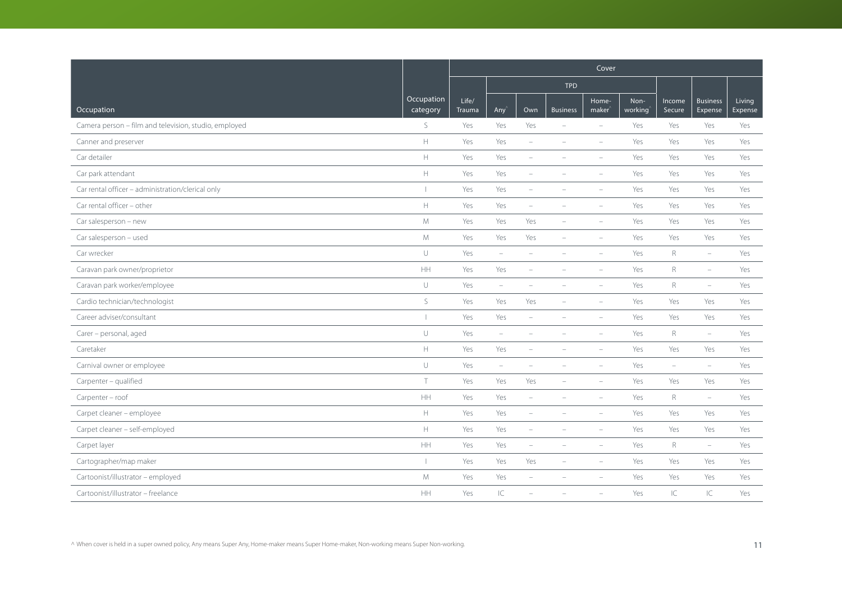|                                                       |                                                                                                  | Cover           |                          |                          |                          |                             |                 |                          |                            |                   |  |
|-------------------------------------------------------|--------------------------------------------------------------------------------------------------|-----------------|--------------------------|--------------------------|--------------------------|-----------------------------|-----------------|--------------------------|----------------------------|-------------------|--|
|                                                       |                                                                                                  |                 |                          |                          | <b>TPD</b>               |                             |                 |                          |                            |                   |  |
| Occupation                                            | Occupation<br>category                                                                           | Life/<br>Trauma | Any <sup></sup>          | Own                      | <b>Business</b>          | Home-<br>maker <sup>'</sup> | Non-<br>working | Income<br>Secure         | <b>Business</b><br>Expense | Living<br>Expense |  |
| Camera person - film and television, studio, employed | S                                                                                                | Yes             | Yes                      | Yes                      | $\overline{\phantom{a}}$ | $\equiv$                    | Yes             | Yes                      | Yes                        | Yes               |  |
| Canner and preserver                                  | H                                                                                                | Yes             | Yes                      | $\overline{\phantom{a}}$ | $\overline{\phantom{m}}$ | $\overline{\phantom{a}}$    | Yes             | Yes                      | Yes                        | Yes               |  |
| Car detailer                                          | $\mathbb H$                                                                                      | Yes             | Yes                      | ÷                        |                          |                             | Yes             | Yes                      | Yes                        | Yes               |  |
| Car park attendant                                    | H                                                                                                | Yes             | Yes                      | $\overline{\phantom{a}}$ |                          | $\overline{\phantom{a}}$    | Yes             | Yes                      | Yes                        | Yes               |  |
| Car rental officer - administration/clerical only     | $\mathbf{I}$                                                                                     | Yes             | Yes                      | $\overline{\phantom{a}}$ | $\overline{\phantom{0}}$ | $\overline{\phantom{a}}$    | Yes             | Yes                      | Yes                        | Yes               |  |
| Car rental officer - other                            | $\mathbb H$                                                                                      | Yes             | Yes                      | $\equiv$                 |                          | $\sim$                      | Yes             | Yes                      | Yes                        | Yes               |  |
| Car salesperson - new                                 | M                                                                                                | Yes             | Yes                      | Yes                      | $\overline{\phantom{a}}$ | $\overline{\phantom{a}}$    | Yes             | Yes                      | Yes                        | Yes               |  |
| Car salesperson - used                                | ${\mathsf M}$                                                                                    | Yes             | Yes                      | Yes                      | $\overline{\phantom{a}}$ | $\overline{\phantom{a}}$    | Yes             | Yes                      | Yes                        | Yes               |  |
| Car wrecker                                           | $\cup$                                                                                           | Yes             | $\overline{\phantom{m}}$ |                          |                          |                             | Yes             | $\mathsf{R}$             | $\overline{\phantom{m}}$   | Yes               |  |
| Caravan park owner/proprietor                         | HH                                                                                               | Yes             | Yes                      | $\overline{\phantom{m}}$ |                          | i.                          | Yes             | $R_{\odot}$              | $\equiv$                   | Yes               |  |
| Caravan park worker/employee                          | $\cup$                                                                                           | Yes             | $\overline{\phantom{a}}$ | $\overline{\phantom{m}}$ | $\overline{\phantom{a}}$ | $\overline{\phantom{a}}$    | Yes             | R                        | $\overline{\phantom{a}}$   | Yes               |  |
| Cardio technician/technologist                        | S                                                                                                | Yes             | Yes                      | Yes                      | $\overline{\phantom{a}}$ | $\sim$                      | Yes             | Yes                      | Yes                        | Yes               |  |
| Career adviser/consultant                             | $\overline{\phantom{a}}$                                                                         | Yes             | Yes                      | $\equiv$                 |                          |                             | Yes             | Yes                      | Yes                        | Yes               |  |
| Carer - personal, aged                                | $\cup$                                                                                           | Yes             | $\overline{\phantom{m}}$ | $\overline{\phantom{a}}$ | $\overline{\phantom{a}}$ | $\overline{\phantom{a}}$    | Yes             | $\mathsf{R}$             | $\overline{\phantom{a}}$   | Yes               |  |
| Caretaker                                             | $\mathbb H$                                                                                      | Yes             | Yes                      | $\overline{\phantom{m}}$ |                          | $\overline{\phantom{a}}$    | Yes             | Yes                      | Yes                        | Yes               |  |
| Carnival owner or employee                            | $\cup$                                                                                           | Yes             | $\overline{\phantom{a}}$ |                          |                          |                             | Yes             | $\overline{\phantom{0}}$ | $\sim$                     | Yes               |  |
| Carpenter - qualified                                 | $\top$                                                                                           | Yes             | Yes                      | Yes                      | $\overline{\phantom{0}}$ | $\overline{\phantom{a}}$    | Yes             | Yes                      | Yes                        | Yes               |  |
| Carpenter - roof                                      | $\mathsf{HH}$                                                                                    | Yes             | Yes                      | $\overline{\phantom{a}}$ | $\overline{\phantom{a}}$ | $\sim$                      | Yes             | R                        | $\overline{\phantom{m}}$   | Yes               |  |
| Carpet cleaner - employee                             | $\mathsf{H}$                                                                                     | Yes             | Yes                      | $\overline{\phantom{0}}$ | $\overline{\phantom{a}}$ | $\sim$                      | Yes             | Yes                      | Yes                        | Yes               |  |
| Carpet cleaner - self-employed                        | $\mathsf{H}% _{\mathsf{H}}^{\ast}=\mathsf{H}_{\mathsf{H}}^{\ast}=\mathsf{H}_{\mathsf{H}}^{\ast}$ | Yes             | Yes                      | $\overline{\phantom{a}}$ | $\overline{\phantom{a}}$ | $\equiv$                    | Yes             | Yes                      | Yes                        | Yes               |  |
| Carpet layer                                          | $\mathsf{HH}$                                                                                    | Yes             | Yes                      | $\overline{\phantom{a}}$ | $\overline{\phantom{a}}$ | $\overline{\phantom{a}}$    | Yes             | $R_{\rm}$                | $\overline{\phantom{m}}$   | Yes               |  |
| Cartographer/map maker                                | $\overline{1}$                                                                                   | Yes             | Yes                      | Yes                      | $\overline{\phantom{a}}$ | ۰                           | Yes             | Yes                      | Yes                        | Yes               |  |
| Cartoonist/illustrator - employed                     | M                                                                                                | Yes             | Yes                      |                          |                          |                             | Yes             | Yes                      | Yes                        | Yes               |  |
| Cartoonist/illustrator - freelance                    | HH                                                                                               | Yes             | C                        |                          |                          |                             | Yes             | $\subset$                | IC                         | Yes               |  |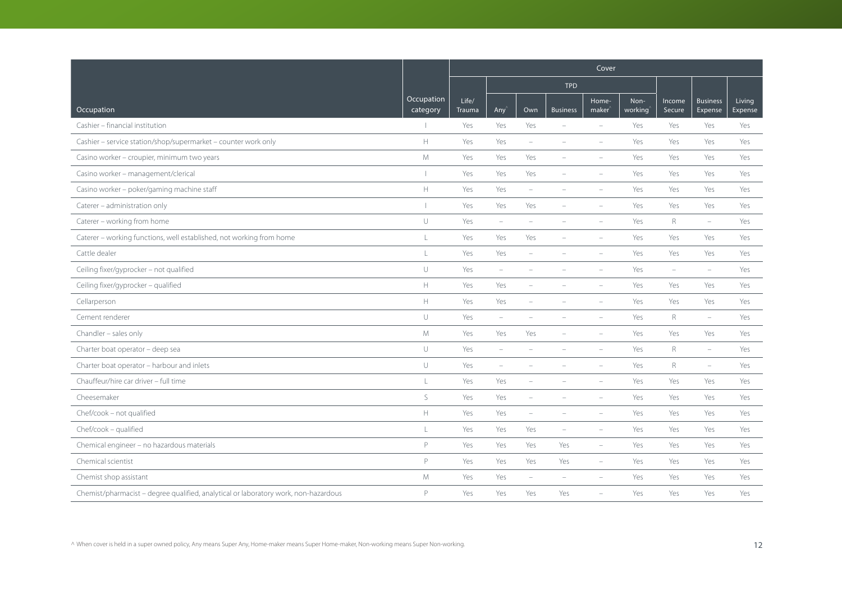|                                                                                     |                          | Cover           |                          |                          |                          |                             |                 |                          |                            |                   |
|-------------------------------------------------------------------------------------|--------------------------|-----------------|--------------------------|--------------------------|--------------------------|-----------------------------|-----------------|--------------------------|----------------------------|-------------------|
|                                                                                     |                          |                 |                          |                          | <b>TPD</b>               |                             |                 |                          |                            |                   |
| Occupation                                                                          | Occupation<br>category   | Life/<br>Trauma | Any                      | Own                      | <b>Business</b>          | Home-<br>maker <sup>®</sup> | Non-<br>working | Income<br>Secure         | <b>Business</b><br>Expense | Living<br>Expense |
| Cashier - financial institution                                                     |                          | Yes             | Yes                      | Yes                      | $\equiv$                 | $\equiv$                    | Yes             | Yes                      | Yes                        | Yes               |
| Cashier - service station/shop/supermarket - counter work only                      | $\mathbb H$              | Yes             | Yes                      | $\overline{\phantom{a}}$ |                          | $\overline{\phantom{a}}$    | Yes             | Yes                      | Yes                        | Yes               |
| Casino worker - croupier, minimum two years                                         | M                        | Yes             | Yes                      | Yes                      |                          |                             | Yes             | Yes                      | Yes                        | Yes               |
| Casino worker - management/clerical                                                 | $\overline{\phantom{a}}$ | Yes             | Yes                      | Yes                      | $\sim$                   |                             | Yes             | Yes                      | Yes                        | Yes               |
| Casino worker - poker/gaming machine staff                                          | $\mathbb H$              | Yes             | Yes                      | $\overline{\phantom{a}}$ | $\overline{\phantom{a}}$ | $\overline{\phantom{a}}$    | Yes             | Yes                      | Yes                        | Yes               |
| Caterer - administration only                                                       | $\overline{\phantom{a}}$ | Yes             | Yes                      | Yes                      |                          | $\equiv$                    | Yes             | Yes                      | Yes                        | Yes               |
| Caterer - working from home                                                         | $\cup$                   | Yes             | $\overline{\phantom{m}}$ | $\equiv$                 |                          |                             | Yes             | R                        | $\overline{\phantom{0}}$   | Yes               |
| Caterer - working functions, well established, not working from home                | $\frac{1}{2}$            | Yes             | Yes                      | Yes                      | $\sim$                   | $\equiv$                    | Yes             | Yes                      | Yes                        | Yes               |
| Cattle dealer                                                                       | $\mathsf{L}%$            | Yes             | Yes                      | $\overline{\phantom{0}}$ |                          |                             | Yes             | Yes                      | Yes                        | Yes               |
| Ceiling fixer/gyprocker - not qualified                                             | $\cup$                   | Yes             | $\overline{\phantom{m}}$ |                          |                          |                             | Yes             | $\overline{\phantom{a}}$ | $\equiv$                   | Yes               |
| Ceiling fixer/gyprocker - qualified                                                 | $\mathbb H$              | Yes             | Yes                      | $\qquad \qquad -$        |                          | $\overline{\phantom{a}}$    | Yes             | Yes                      | Yes                        | Yes               |
| Cellarperson                                                                        | $\mathbb H$              | Yes             | Yes                      | ۰                        |                          |                             | Yes             | Yes                      | Yes                        | Yes               |
| Cement renderer                                                                     | U                        | Yes             | $\overline{\phantom{a}}$ |                          |                          |                             | Yes             | $\mathsf{R}$             | $\equiv$                   | Yes               |
| Chandler - sales only                                                               | M                        | Yes             | Yes                      | Yes                      | $\equiv$                 | $\equiv$                    | Yes             | Yes                      | Yes                        | Yes               |
| Charter boat operator - deep sea                                                    | $\cup$                   | Yes             | $\overline{\phantom{a}}$ | $\overline{\phantom{m}}$ | $\overline{\phantom{a}}$ | $\overline{\phantom{a}}$    | Yes             | $R_{\rm}$                | $\overline{\phantom{a}}$   | Yes               |
| Charter boat operator - harbour and inlets                                          | $\cup$                   | Yes             | $\sim$                   |                          |                          | $\overline{\phantom{a}}$    | Yes             | R                        | $\overline{\phantom{m}}$   | Yes               |
| Chauffeur/hire car driver - full time                                               | $\mathsf L$              | Yes             | Yes                      | ÷,                       |                          |                             | Yes             | Yes                      | Yes                        | Yes               |
| Cheesemaker                                                                         | S                        | Yes             | Yes                      | $\qquad \qquad -$        |                          | $\overline{\phantom{a}}$    | Yes             | Yes                      | Yes                        | Yes               |
| Chef/cook - not qualified                                                           | $\mathbb H$              | Yes             | Yes                      | $\overline{\phantom{0}}$ | $\overline{\phantom{a}}$ | $\overline{\phantom{a}}$    | Yes             | Yes                      | Yes                        | Yes               |
| Chef/cook - qualified                                                               | L                        | Yes             | Yes                      | Yes                      | $\equiv$                 | $\equiv$                    | Yes             | Yes                      | Yes                        | Yes               |
| Chemical engineer - no hazardous materials                                          | P                        | Yes             | Yes                      | Yes                      | Yes                      | $\overline{\phantom{a}}$    | Yes             | Yes                      | Yes                        | Yes               |
| Chemical scientist                                                                  | P                        | Yes             | Yes                      | Yes                      | Yes                      | $\overline{\phantom{a}}$    | Yes             | Yes                      | Yes                        | Yes               |
| Chemist shop assistant                                                              | M                        | Yes             | Yes                      | ÷,                       | $\sim$                   |                             | Yes             | Yes                      | Yes                        | Yes               |
| Chemist/pharmacist - degree qualified, analytical or laboratory work, non-hazardous | P                        | Yes             | Yes                      | Yes                      | Yes                      |                             | Yes             | Yes                      | Yes                        | Yes               |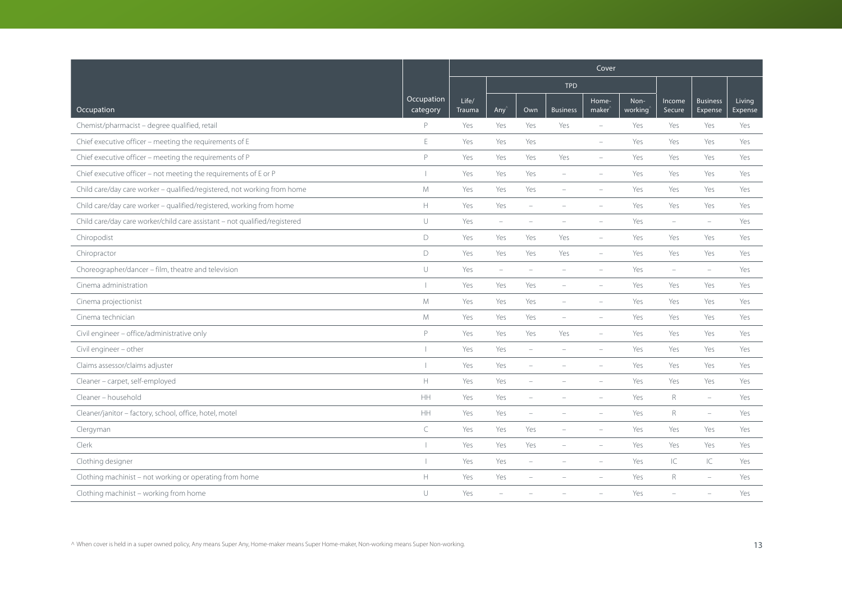|                                                                            |                        | Cover           |                          |                          |                          |                             |                 |                          |                            |                   |  |
|----------------------------------------------------------------------------|------------------------|-----------------|--------------------------|--------------------------|--------------------------|-----------------------------|-----------------|--------------------------|----------------------------|-------------------|--|
|                                                                            |                        |                 |                          |                          | <b>TPD</b>               |                             |                 |                          |                            |                   |  |
| Occupation                                                                 | Occupation<br>category | Life/<br>Trauma | Any                      | Own                      | <b>Business</b>          | Home-<br>maker <sup>®</sup> | Non-<br>working | Income<br>Secure         | <b>Business</b><br>Expense | Living<br>Expense |  |
| Chemist/pharmacist - degree qualified, retail                              | P                      | Yes             | Yes                      | Yes                      | Yes                      | $\overline{\phantom{a}}$    | Yes             | Yes                      | Yes                        | Yes               |  |
| Chief executive officer - meeting the requirements of E                    | $\mathsf E$            | Yes             | Yes                      | Yes                      |                          | $\equiv$                    | Yes             | Yes                      | Yes                        | Yes               |  |
| Chief executive officer - meeting the requirements of P                    | P                      | Yes             | Yes                      | Yes                      | Yes                      | $\equiv$                    | Yes             | Yes                      | Yes                        | Yes               |  |
| Chief executive officer - not meeting the requirements of E or P           |                        | Yes             | Yes                      | Yes                      | $\overline{\phantom{a}}$ | $\overline{\phantom{a}}$    | Yes             | Yes                      | Yes                        | Yes               |  |
| Child care/day care worker - qualified/registered, not working from home   | M                      | Yes             | Yes                      | Yes                      | $\overline{\phantom{a}}$ | $\overline{\phantom{a}}$    | Yes             | Yes                      | Yes                        | Yes               |  |
| Child care/day care worker - qualified/registered, working from home       | $\mathbb H$            | Yes             | Yes                      | $\overline{\phantom{a}}$ |                          |                             | Yes             | Yes                      | Yes                        | Yes               |  |
| Child care/day care worker/child care assistant - not qualified/registered | $\cup$                 | Yes             | $\overline{\phantom{m}}$ | ۰                        |                          | $\overline{\phantom{a}}$    | Yes             | $\overline{\phantom{a}}$ | $\overline{\phantom{a}}$   | Yes               |  |
| Chiropodist                                                                | $\mathsf D$            | Yes             | Yes                      | Yes                      | Yes                      | $\overline{\phantom{a}}$    | Yes             | Yes                      | Yes                        | Yes               |  |
| Chiropractor                                                               | D                      | Yes             | Yes                      | Yes                      | Yes                      | $\overline{\phantom{a}}$    | Yes             | Yes                      | Yes                        | Yes               |  |
| Choreographer/dancer - film, theatre and television                        | $\cup$                 | Yes             | $\overline{\phantom{a}}$ | ÷                        |                          | $\overline{\phantom{a}}$    | Yes             | $\overline{\phantom{a}}$ | $\equiv$                   | Yes               |  |
| Cinema administration                                                      |                        | Yes             | Yes                      | Yes                      | $\overline{\phantom{a}}$ | $\overline{\phantom{a}}$    | Yes             | Yes                      | Yes                        | Yes               |  |
| Cinema projectionist                                                       | M                      | Yes             | Yes                      | Yes                      | $\overline{\phantom{a}}$ | $\overline{\phantom{a}}$    | Yes             | Yes                      | Yes                        | Yes               |  |
| Cinema technician                                                          | $M_{\odot}$            | Yes             | Yes                      | Yes                      | $\equiv$                 | $\overline{\phantom{a}}$    | Yes             | Yes                      | Yes                        | Yes               |  |
| Civil engineer - office/administrative only                                | P                      | Yes             | Yes                      | Yes                      | Yes                      | $\equiv$                    | Yes             | Yes                      | Yes                        | Yes               |  |
| Civil engineer - other                                                     |                        | Yes             | Yes                      | $\overline{\phantom{a}}$ | $\overline{\phantom{a}}$ | $\overline{\phantom{a}}$    | Yes             | Yes                      | Yes                        | Yes               |  |
| Claims assessor/claims adjuster                                            |                        | Yes             | Yes                      | ÷                        |                          |                             | Yes             | Yes                      | Yes                        | Yes               |  |
| Cleaner - carpet, self-employed                                            | H                      | Yes             | Yes                      | ÷                        |                          |                             | Yes             | Yes                      | Yes                        | Yes               |  |
| Cleaner - household                                                        | HH                     | Yes             | Yes                      | $\overline{\phantom{a}}$ |                          | $\overline{\phantom{a}}$    | Yes             | $\mathsf R$              | $\overline{\phantom{a}}$   | Yes               |  |
| Cleaner/janitor - factory, school, office, hotel, motel                    | HH                     | Yes             | Yes                      | $\overline{\phantom{a}}$ |                          | $\overline{\phantom{a}}$    | Yes             | $\mathsf{R}$             | $\overline{\phantom{a}}$   | Yes               |  |
| Clergyman                                                                  | $\subset$              | Yes             | Yes                      | Yes                      |                          | $\equiv$                    | Yes             | Yes                      | Yes                        | Yes               |  |
| Clerk                                                                      |                        | Yes             | Yes                      | Yes                      |                          | $\overline{\phantom{a}}$    | Yes             | Yes                      | Yes                        | Yes               |  |
| Clothing designer                                                          |                        | Yes             | Yes                      | $\overline{\phantom{0}}$ |                          | $\overline{\phantom{a}}$    | Yes             | IC                       | $\subset$                  | Yes               |  |
| Clothing machinist - not working or operating from home                    | $\mathbb H$            | Yes             | Yes                      |                          |                          |                             | Yes             | R                        | ÷                          | Yes               |  |
| Clothing machinist - working from home                                     | U                      | Yes             |                          |                          |                          |                             | Yes             |                          |                            | Yes               |  |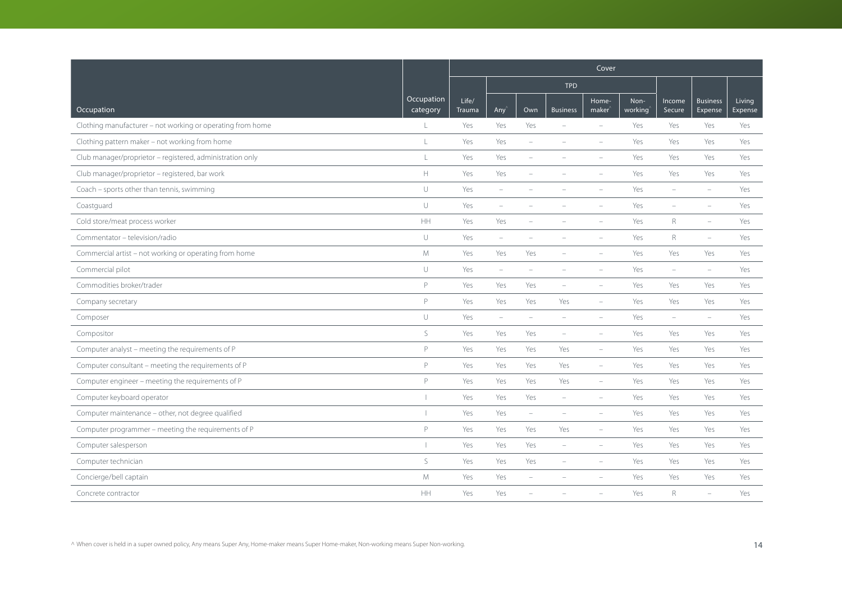|                                                            |                        | Cover           |                          |                          |                          |                             |                 |                  |                            |                   |
|------------------------------------------------------------|------------------------|-----------------|--------------------------|--------------------------|--------------------------|-----------------------------|-----------------|------------------|----------------------------|-------------------|
|                                                            |                        |                 |                          |                          | <b>TPD</b>               |                             |                 |                  |                            |                   |
| Occupation                                                 | Occupation<br>category | Life/<br>Trauma | Any                      | Own                      | <b>Business</b>          | Home-<br>maker <sup>®</sup> | Non-<br>working | Income<br>Secure | <b>Business</b><br>Expense | Living<br>Expense |
| Clothing manufacturer - not working or operating from home | $\perp$                | Yes             | Yes                      | Yes                      |                          | $\equiv$                    | Yes             | Yes              | Yes                        | Yes               |
| Clothing pattern maker - not working from home             | L                      | Yes             | Yes                      | $\overline{\phantom{0}}$ |                          | $\sim$                      | Yes             | Yes              | Yes                        | Yes               |
| Club manager/proprietor - registered, administration only  | $\mathsf L$            | Yes             | Yes                      | $\equiv$                 |                          |                             | Yes             | Yes              | Yes                        | Yes               |
| Club manager/proprietor - registered, bar work             | $\mathbb H$            | Yes             | Yes                      | $\overline{\phantom{0}}$ |                          | $\equiv$                    | Yes             | Yes              | Yes                        | Yes               |
| Coach - sports other than tennis, swimming                 | $\cup$                 | Yes             | $\overline{\phantom{m}}$ | ÷                        |                          |                             | Yes             | $\equiv$         | $\equiv$                   | Yes               |
| Coastguard                                                 | $\cup$                 | Yes             | $\overline{\phantom{a}}$ |                          |                          |                             | Yes             | ÷                | $\overline{\phantom{a}}$   | Yes               |
| Cold store/meat process worker                             | <b>HH</b>              | Yes             | Yes                      | L.                       |                          | $\equiv$                    | Yes             | R                | $\overline{\phantom{m}}$   | Yes               |
| Commentator - television/radio                             | $\cup$                 | Yes             | $\overline{\phantom{m}}$ | $\equiv$                 | $\equiv$                 | $\equiv$                    | Yes             | $\mathsf R$      | $\overline{\phantom{a}}$   | Yes               |
| Commercial artist - not working or operating from home     | ${\mathsf M}$          | Yes             | Yes                      | Yes                      |                          |                             | Yes             | Yes              | Yes                        | Yes               |
| Commercial pilot                                           | $\cup$                 | Yes             | $\overline{\phantom{a}}$ | $\overline{\phantom{0}}$ |                          |                             | Yes             | $\equiv$         | $\equiv$                   | Yes               |
| Commodities broker/trader                                  | P                      | Yes             | Yes                      | Yes                      | $\overline{\phantom{a}}$ | $\overline{\phantom{a}}$    | Yes             | Yes              | Yes                        | Yes               |
| Company secretary                                          | P                      | Yes             | Yes                      | Yes                      | Yes                      | $\overline{\phantom{a}}$    | Yes             | Yes              | Yes                        | Yes               |
| Composer                                                   | $\cup$                 | Yes             | $\overline{\phantom{a}}$ | L.                       |                          | $\sim$                      | Yes             | ÷                | $\equiv$                   | Yes               |
| Compositor                                                 | S.                     | Yes             | Yes                      | Yes                      | $\overline{\phantom{a}}$ | $\overline{\phantom{a}}$    | Yes             | Yes              | Yes                        | Yes               |
| Computer analyst - meeting the requirements of P           | P                      | Yes             | Yes                      | Yes                      | Yes                      | $\overline{\phantom{0}}$    | Yes             | Yes              | Yes                        | Yes               |
| Computer consultant - meeting the requirements of P        | P                      | Yes             | Yes                      | Yes                      | Yes                      | $\overline{\phantom{a}}$    | Yes             | Yes              | Yes                        | Yes               |
| Computer engineer - meeting the requirements of P          | P                      | Yes             | Yes                      | Yes                      | Yes                      | $\overline{\phantom{a}}$    | Yes             | Yes              | Yes                        | Yes               |
| Computer keyboard operator                                 |                        | Yes             | Yes                      | Yes                      | $\overline{\phantom{a}}$ | $\overline{\phantom{a}}$    | Yes             | Yes              | Yes                        | Yes               |
| Computer maintenance - other, not degree qualified         | $\mathbf{I}$           | Yes             | Yes                      | $\overline{\phantom{0}}$ | $\sim$                   | $\overline{\phantom{a}}$    | Yes             | Yes              | Yes                        | Yes               |
| Computer programmer - meeting the requirements of P        | P                      | Yes             | Yes                      | Yes                      | Yes                      | $\equiv$                    | Yes             | Yes              | Yes                        | Yes               |
| Computer salesperson                                       |                        | Yes             | Yes                      | Yes                      | $\overline{\phantom{a}}$ | $\overline{\phantom{a}}$    | Yes             | Yes              | Yes                        | Yes               |
| Computer technician                                        | S                      | Yes             | Yes                      | Yes                      | $\overline{\phantom{a}}$ | $\overline{\phantom{a}}$    | Yes             | Yes              | Yes                        | Yes               |
| Concierge/bell captain                                     | M                      | Yes             | Yes                      | ÷,                       |                          |                             | Yes             | Yes              | Yes                        | Yes               |
| Concrete contractor                                        | HH                     | Yes             | Yes                      |                          |                          |                             | Yes             | R                | $\equiv$                   | Yes               |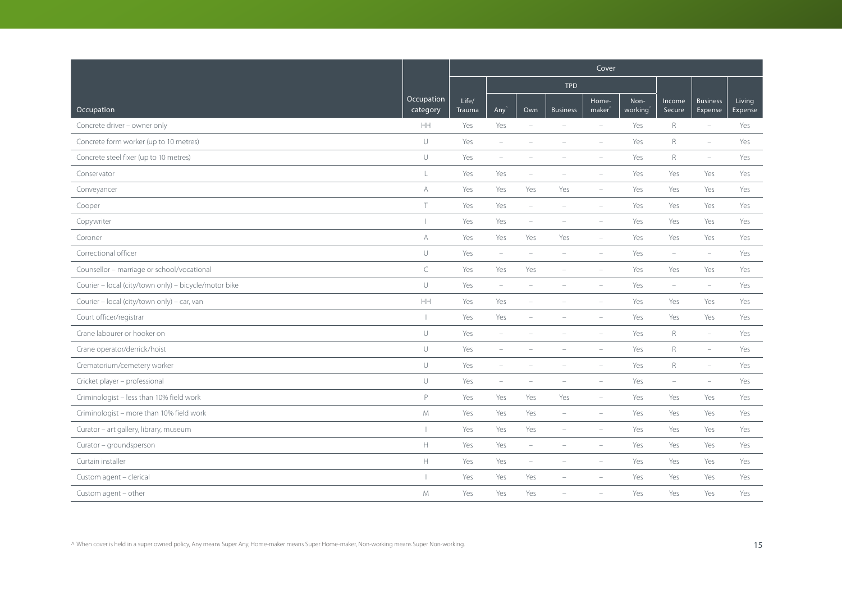|                                                       |                          | Cover           |                          |                          |                          |                             |                 |                          |                            |                   |  |
|-------------------------------------------------------|--------------------------|-----------------|--------------------------|--------------------------|--------------------------|-----------------------------|-----------------|--------------------------|----------------------------|-------------------|--|
|                                                       |                          |                 |                          |                          | <b>TPD</b>               |                             |                 |                          |                            |                   |  |
| Occupation                                            | Occupation<br>category   | Life/<br>Trauma | Any <sup></sup>          | Own                      | <b>Business</b>          | Home-<br>maker <sup>'</sup> | Non-<br>working | Income<br>Secure         | <b>Business</b><br>Expense | Living<br>Expense |  |
| Concrete driver - owner only                          | <b>HH</b>                | Yes             | Yes                      | $\overline{\phantom{a}}$ | $\overline{\phantom{a}}$ | $\equiv$                    | Yes             | R                        | $\equiv$                   | Yes               |  |
| Concrete form worker (up to 10 metres)                | $\cup$                   | Yes             | $\overline{\phantom{m}}$ | $\overline{\phantom{a}}$ | $\overline{\phantom{m}}$ | $\overline{\phantom{a}}$    | Yes             | $\mathsf{R}$             | $\overline{\phantom{a}}$   | Yes               |  |
| Concrete steel fixer (up to 10 metres)                | $\cup$                   | Yes             | $\equiv$                 |                          |                          |                             | Yes             | $R_{\rm}$                | $\overline{\phantom{a}}$   | Yes               |  |
| Conservator                                           | L                        | Yes             | Yes                      | $\overline{\phantom{m}}$ | $\overline{\phantom{m}}$ | $\overline{\phantom{a}}$    | Yes             | Yes                      | Yes                        | Yes               |  |
| Conveyancer                                           | A                        | Yes             | Yes                      | Yes                      | Yes                      | $\overline{\phantom{a}}$    | Yes             | Yes                      | Yes                        | Yes               |  |
| Cooper                                                | T                        | Yes             | Yes                      | $\equiv$                 | $\equiv$                 | $\sim$                      | Yes             | Yes                      | Yes                        | Yes               |  |
| Copywriter                                            | $\overline{\phantom{a}}$ | Yes             | Yes                      | $\overline{\phantom{a}}$ | $\overline{\phantom{a}}$ | $\sim$                      | Yes             | Yes                      | Yes                        | Yes               |  |
| Coroner                                               | A                        | Yes             | Yes                      | Yes                      | Yes                      | $\overline{\phantom{a}}$    | Yes             | Yes                      | Yes                        | Yes               |  |
| Correctional officer                                  | $\cup$                   | Yes             | $\overline{\phantom{m}}$ |                          |                          |                             | Yes             | $\overline{\phantom{a}}$ | $\overline{\phantom{a}}$   | Yes               |  |
| Counsellor - marriage or school/vocational            | $\subset$                | Yes             | Yes                      | Yes                      | ÷                        | i.                          | Yes             | Yes                      | Yes                        | Yes               |  |
| Courier - local (city/town only) - bicycle/motor bike | $\cup$                   | Yes             | $\overline{\phantom{a}}$ | $\qquad \qquad -$        | $\overline{\phantom{a}}$ | $\overline{\phantom{a}}$    | Yes             | $\overline{\phantom{a}}$ | $\overline{\phantom{a}}$   | Yes               |  |
| Courier - local (city/town only) - car, van           | HH                       | Yes             | Yes                      | ÷                        |                          | $\sim$                      | Yes             | Yes                      | Yes                        | Yes               |  |
| Court officer/registrar                               | $\mathbf{I}$             | Yes             | Yes                      |                          |                          |                             | Yes             | Yes                      | Yes                        | Yes               |  |
| Crane labourer or hooker on                           | $\cup$                   | Yes             | $\overline{\phantom{m}}$ | $\overline{\phantom{m}}$ | $\overline{\phantom{a}}$ | $\overline{\phantom{a}}$    | Yes             | $\mathsf{R}$             | $\equiv$                   | Yes               |  |
| Crane operator/derrick/hoist                          | $\cup$                   | Yes             | $\overline{\phantom{a}}$ |                          |                          | $\overline{\phantom{a}}$    | Yes             | $\mathsf{R}$             | $\overline{\phantom{a}}$   | Yes               |  |
| Crematorium/cemetery worker                           | $\cup$                   | Yes             | ÷                        |                          |                          |                             | Yes             | $\mathsf{R}$             | $\equiv$                   | Yes               |  |
| Cricket player - professional                         | $\cup$                   | Yes             | $\overline{\phantom{a}}$ | $\qquad \qquad -$        | $\overline{\phantom{a}}$ | $\overline{\phantom{a}}$    | Yes             | $\overline{\phantom{a}}$ | $\overline{\phantom{a}}$   | Yes               |  |
| Criminologist - less than 10% field work              | P                        | Yes             | Yes                      | Yes                      | Yes                      | $\overline{\phantom{a}}$    | Yes             | Yes                      | Yes                        | Yes               |  |
| Criminologist - more than 10% field work              | M                        | Yes             | Yes                      | Yes                      | $\overline{\phantom{a}}$ | $\equiv$                    | Yes             | Yes                      | Yes                        | Yes               |  |
| Curator - art gallery, library, museum                | $\overline{\phantom{a}}$ | Yes             | Yes                      | Yes                      | $\sim$                   | $\equiv$                    | Yes             | Yes                      | Yes                        | Yes               |  |
| Curator - groundsperson                               | $\mathbb H$              | Yes             | Yes                      | $\overline{\phantom{0}}$ | $\overline{\phantom{a}}$ | $\overline{\phantom{a}}$    | Yes             | Yes                      | Yes                        | Yes               |  |
| Curtain installer                                     | $\mathbb H$              | Yes             | Yes                      | $\overline{\phantom{a}}$ | $\overline{\phantom{a}}$ | $\sim$                      | Yes             | Yes                      | Yes                        | Yes               |  |
| Custom agent - clerical                               |                          | Yes             | Yes                      | Yes                      |                          |                             | Yes             | Yes                      | Yes                        | Yes               |  |
| Custom agent - other                                  | M                        | Yes             | Yes                      | Yes                      |                          |                             | Yes             | Yes                      | Yes                        | Yes               |  |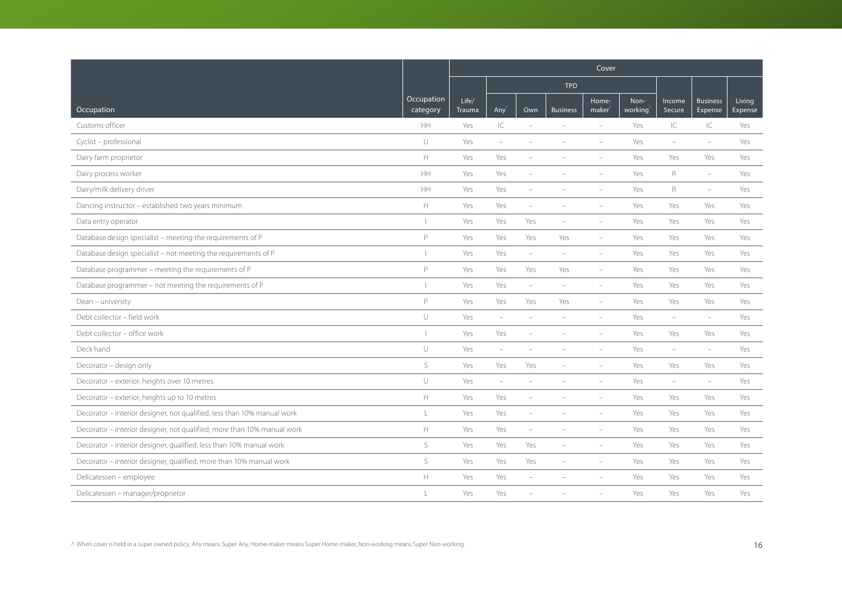|                                                                         |                                                     | Cover           |                                 |                          |                          |                             |                 |                          |                            |                   |
|-------------------------------------------------------------------------|-----------------------------------------------------|-----------------|---------------------------------|--------------------------|--------------------------|-----------------------------|-----------------|--------------------------|----------------------------|-------------------|
|                                                                         |                                                     |                 |                                 |                          | <b>TPD</b>               |                             |                 |                          |                            |                   |
| Occupation                                                              | Occupation<br>category                              | Life/<br>Trauma | Any'                            | Own                      | <b>Business</b>          | Home-<br>maker <sup>®</sup> | Non-<br>working | Income<br>Secure         | <b>Business</b><br>Expense | Living<br>Expense |
| Customs officer                                                         | <b>HH</b>                                           | Yes             | IC                              | $\overline{\phantom{a}}$ |                          | $\equiv$                    | Yes             | IC                       | IC.                        | Yes               |
| Cyclist - professional                                                  | $\cup$                                              | Yes             | $\overline{\phantom{a}}$        | ÷                        |                          | $\overline{\phantom{a}}$    | Yes             | $\overline{\phantom{a}}$ | $\equiv$                   | Yes               |
| Dairy farm proprietor                                                   | $\mathbb H$                                         | Yes             | Yes                             |                          |                          |                             | Yes             | Yes                      | Yes                        | Yes               |
| Dairy process worker                                                    | HH                                                  | Yes             | Yes                             | ÷                        |                          | $\overline{\phantom{m}}$    | Yes             | R                        | $\overline{\phantom{m}}$   | Yes               |
| Dairy/milk delivery driver                                              | HH                                                  | Yes             | Yes                             | $\overline{\phantom{a}}$ | $\overline{\phantom{a}}$ | $\overline{\phantom{m}}$    | Yes             | $\mathsf R$              | $\overline{\phantom{a}}$   | Yes               |
| Dancing instructor - established two years minimum                      | $\mathbb H$                                         | Yes             | Yes                             | ÷                        |                          |                             | Yes             | Yes                      | Yes                        | Yes               |
| Data entry operator                                                     |                                                     | Yes             | Yes                             | Yes                      | $\equiv$                 | $\overline{\phantom{a}}$    | Yes             | Yes                      | Yes                        | Yes               |
| Database design specialist - meeting the requirements of P              | $\mathsf{P}$                                        | Yes             | Yes                             | Yes                      | Yes                      | $\overline{\phantom{a}}$    | Yes             | Yes                      | Yes                        | Yes               |
| Database design specialist - not meeting the requirements of P          |                                                     | Yes             | Yes                             | $\overline{\phantom{a}}$ |                          |                             | Yes             | Yes                      | Yes                        | Yes               |
| Database programmer - meeting the requirements of P                     | P                                                   | Yes             | Yes                             | Yes                      | Yes                      | ÷,                          | Yes             | Yes                      | Yes                        | Yes               |
| Database programmer - not meeting the requirements of P                 |                                                     | Yes             | Yes                             | $\overline{\phantom{m}}$ | $\overline{\phantom{a}}$ | $\overline{\phantom{a}}$    | Yes             | Yes                      | Yes                        | Yes               |
| Dean - university                                                       | P                                                   | Yes             | Yes                             | Yes                      | Yes                      | $\qquad \qquad -$           | Yes             | Yes                      | Yes                        | Yes               |
| Debt collector - field work                                             | U                                                   | Yes             | $\sim$                          |                          |                          |                             | Yes             | ÷                        | ÷,                         | Yes               |
| Debt collector - office work                                            |                                                     | Yes             | Yes                             | ÷                        |                          | $\equiv$                    | Yes             | Yes                      | Yes                        | Yes               |
| Deck hand                                                               | $\cup$                                              | Yes             | $\hspace{0.1mm}-\hspace{0.1mm}$ |                          |                          | $\overline{\phantom{m}}$    | Yes             | $\overline{\phantom{0}}$ | $\overline{\phantom{a}}$   | Yes               |
| Decorator - design only                                                 | $\mathsf{S}$                                        | Yes             | Yes                             | Yes                      |                          |                             | Yes             | Yes                      | Yes                        | Yes               |
| Decorator - exterior, heights over 10 metres                            | U                                                   | Yes             | $\overline{\phantom{a}}$        |                          |                          |                             | Yes             | $\equiv$                 | $\equiv$                   | Yes               |
| Decorator - exterior, heights up to 10 metres                           | $\mathsf{H}% _{\mathsf{H}}^{\ast}(\mathcal{M}_{0})$ | Yes             | Yes                             | ÷                        |                          |                             | Yes             | Yes                      | Yes                        | Yes               |
| Decorator - interior designer, not qualified, less than 10% manual work | L                                                   | Yes             | Yes                             | $\overline{\phantom{a}}$ |                          | $\overline{\phantom{a}}$    | Yes             | Yes                      | Yes                        | Yes               |
| Decorator - interior designer, not qualified, more than 10% manual work | $\mathbb H$                                         | Yes             | Yes                             | ÷                        |                          |                             | Yes             | Yes                      | Yes                        | Yes               |
| Decorator - interior designer, qualified, less than 10% manual work     | S                                                   | Yes             | Yes                             | Yes                      |                          |                             | Yes             | Yes                      | Yes                        | Yes               |
| Decorator - interior designer, qualified, more than 10% manual work     | S                                                   | Yes             | Yes                             | Yes                      | $\overline{\phantom{0}}$ | $\overline{\phantom{m}}$    | Yes             | Yes                      | Yes                        | Yes               |
| Delicatessen - employee                                                 | $\mathbb H$                                         | Yes             | Yes                             | $\overline{\phantom{m}}$ |                          |                             | Yes             | Yes                      | Yes                        | Yes               |
| Delicatessen - manager/proprietor                                       | $\mathbf{I}$                                        | Yes             | Yes                             |                          |                          |                             | Yes             | Yes                      | Yes                        | Yes               |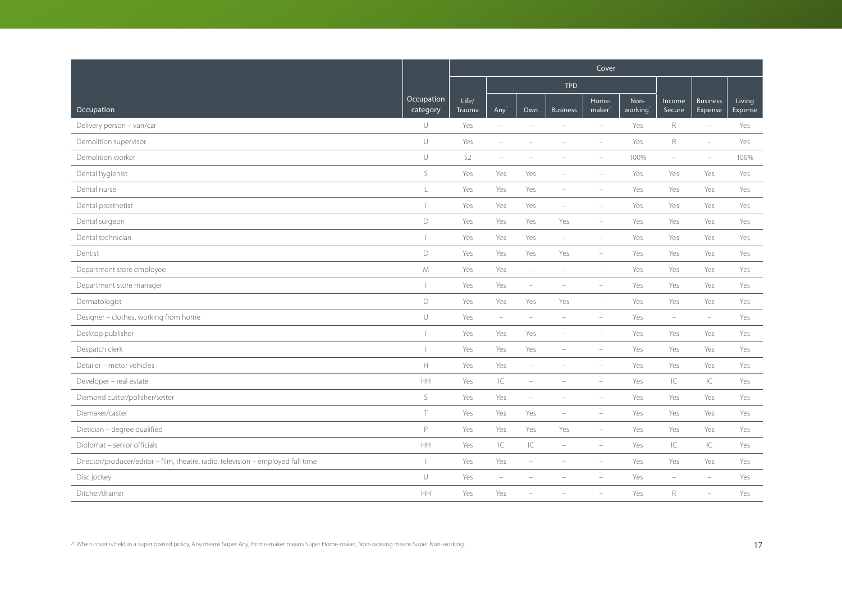|                                                                                  |                        |                 |                          |                                 |                          | Cover                       |                 |                          |                            |                   |
|----------------------------------------------------------------------------------|------------------------|-----------------|--------------------------|---------------------------------|--------------------------|-----------------------------|-----------------|--------------------------|----------------------------|-------------------|
|                                                                                  |                        |                 |                          |                                 | <b>TPD</b>               |                             |                 |                          |                            |                   |
| Occupation                                                                       | Occupation<br>category | Life/<br>Trauma | Any <sup></sup>          | Own                             | <b>Business</b>          | Home-<br>maker <sup>®</sup> | Non-<br>working | Income<br>Secure         | <b>Business</b><br>Expense | Living<br>Expense |
| Delivery person - van/car                                                        | $\cup$                 | Yes             | $\equiv$                 | $\sim$                          | $\overline{\phantom{a}}$ | $\overline{\phantom{a}}$    | Yes             | $R_{\rm}$                | $\overline{\phantom{a}}$   | Yes               |
| Demolition supervisor                                                            | $\cup$                 | Yes             | $\overline{\phantom{a}}$ | $\overline{\phantom{0}}$        | $\overline{\phantom{a}}$ | $\overline{\phantom{a}}$    | Yes             | $\mathsf{R}$             | $\overline{\phantom{m}}$   | Yes               |
| Demolition worker                                                                | $\cup$                 | \$2             | $\overline{\phantom{m}}$ |                                 |                          |                             | 100%            | $\overline{\phantom{a}}$ | $\overline{\phantom{m}}$   | 100%              |
| Dental hygienist                                                                 | $\mathsf S$            | Yes             | Yes                      | Yes                             | $\overline{\phantom{a}}$ | $\overline{\phantom{a}}$    | Yes             | Yes                      | Yes                        | Yes               |
| Dental nurse                                                                     | $\mathsf{L}$           | Yes             | Yes                      | Yes                             | $\overline{\phantom{a}}$ | $\overline{\phantom{a}}$    | Yes             | Yes                      | Yes                        | Yes               |
| Dental prosthetist                                                               |                        | Yes             | Yes                      | Yes                             | $\overline{\phantom{a}}$ | $\overline{\phantom{a}}$    | Yes             | Yes                      | Yes                        | Yes               |
| Dental surgeon                                                                   | $\mathsf D$            | Yes             | Yes                      | Yes                             | Yes                      | $\equiv$                    | Yes             | Yes                      | Yes                        | Yes               |
| Dental technician                                                                |                        | Yes             | Yes                      | Yes                             | $\overline{\phantom{m}}$ | $\overline{\phantom{a}}$    | Yes             | Yes                      | Yes                        | Yes               |
| Dentist                                                                          | $\mathsf D$            | Yes             | Yes                      | Yes                             | Yes                      | $\overline{\phantom{a}}$    | Yes             | Yes                      | Yes                        | Yes               |
| Department store employee                                                        | M                      | Yes             | Yes                      | $\overline{\phantom{a}}$        | $\overline{\phantom{a}}$ | $\overline{\phantom{a}}$    | Yes             | Yes                      | Yes                        | Yes               |
| Department store manager                                                         |                        | Yes             | Yes                      | $\hspace{0.1mm}-\hspace{0.1mm}$ | $\overline{\phantom{a}}$ | $\overline{\phantom{a}}$    | Yes             | Yes                      | Yes                        | Yes               |
| Dermatologist                                                                    | $\mathsf D$            | Yes             | Yes                      | Yes                             | Yes                      | $\overline{\phantom{a}}$    | Yes             | Yes                      | Yes                        | Yes               |
| Designer - clothes, working from home                                            | $\cup$                 | Yes             | $\overline{\phantom{a}}$ | ÷                               | $\equiv$                 | $\equiv$                    | Yes             | $\equiv$                 | $\equiv$                   | Yes               |
| Desktop publisher                                                                |                        | Yes             | Yes                      | Yes                             | $\overline{\phantom{a}}$ | $\overline{\phantom{a}}$    | Yes             | Yes                      | Yes                        | Yes               |
| Despatch clerk                                                                   |                        | Yes             | Yes                      | Yes                             | $\overline{\phantom{a}}$ | $\overline{\phantom{a}}$    | Yes             | Yes                      | Yes                        | Yes               |
| Detailer - motor vehicles                                                        | $\mathbb H$            | Yes             | Yes                      | $\overline{\phantom{a}}$        |                          | $\overline{\phantom{a}}$    | Yes             | Yes                      | Yes                        | Yes               |
| Developer - real estate                                                          | $\mathsf{HH}$          | Yes             | $\subset$                | $\sim$                          | $\equiv$                 | $\equiv$                    | Yes             | IC                       | IC                         | Yes               |
| Diamond cutter/polisher/setter                                                   | S                      | Yes             | Yes                      | $\overline{\phantom{m}}$        | $\overline{\phantom{a}}$ | $\overline{\phantom{a}}$    | Yes             | Yes                      | Yes                        | Yes               |
| Diemaker/caster                                                                  | Τ                      | Yes             | Yes                      | Yes                             | $\overline{\phantom{a}}$ | ÷                           | Yes             | Yes                      | Yes                        | Yes               |
| Dietician - degree qualified                                                     | P                      | Yes             | Yes                      | Yes                             | Yes                      | $\overline{\phantom{a}}$    | Yes             | Yes                      | Yes                        | Yes               |
| Diplomat - senior officials                                                      | HH                     | Yes             | $\subset$                | $\subset$                       | $\overline{\phantom{a}}$ | $\overline{\phantom{a}}$    | Yes             | IC                       | IC                         | Yes               |
| Director/producer/editor - film, theatre, radio, television - employed full time |                        | Yes             | Yes                      | $\overline{\phantom{a}}$        | $\equiv$                 | $\equiv$                    | Yes             | Yes                      | Yes                        | Yes               |
| Disc jockey                                                                      | $\cup$                 | Yes             | $\equiv$                 | ۳                               |                          |                             | Yes             | $\equiv$                 | $\equiv$                   | Yes               |
| Ditcher/drainer                                                                  | $\mathsf{HH}$          | Yes             | Yes                      |                                 |                          |                             | Yes             | $\mathsf R$              | $\equiv$                   | Yes               |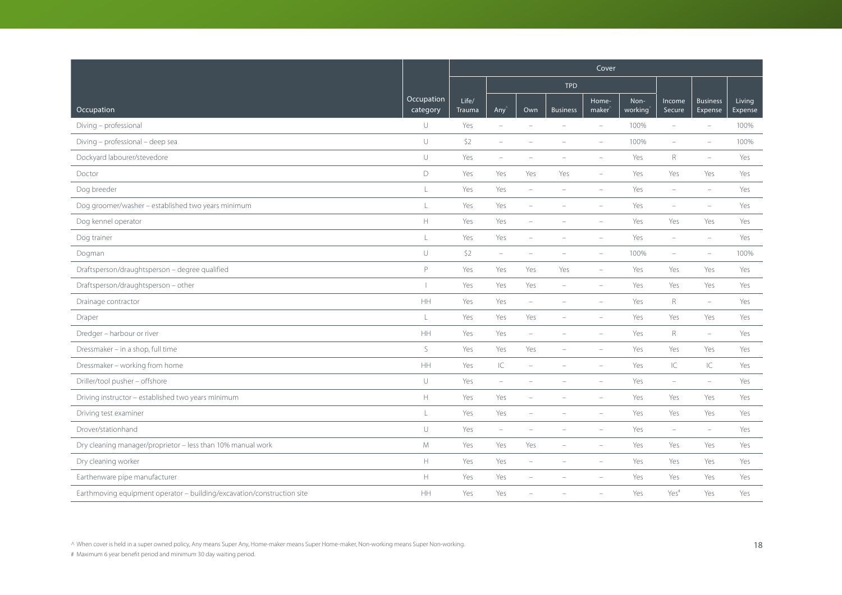|                                                                        |                                                                                                  | Cover           |                                   |                          |                          |                             |                 |                          |                            |                   |  |
|------------------------------------------------------------------------|--------------------------------------------------------------------------------------------------|-----------------|-----------------------------------|--------------------------|--------------------------|-----------------------------|-----------------|--------------------------|----------------------------|-------------------|--|
|                                                                        |                                                                                                  |                 |                                   |                          | <b>TPD</b>               |                             |                 |                          |                            |                   |  |
| Occupation                                                             | Occupation<br>category                                                                           | Life/<br>Trauma | Any'                              | Own                      | <b>Business</b>          | Home-<br>maker <sup>'</sup> | Non-<br>working | Income<br>Secure         | <b>Business</b><br>Expense | Living<br>Expense |  |
| Diving - professional                                                  | U                                                                                                | Yes             | $\overline{\phantom{a}}$          | ÷                        | $\overline{\phantom{a}}$ | $\overline{\phantom{a}}$    | 100%            | $\overline{\phantom{a}}$ | $\overline{\phantom{0}}$   | 100%              |  |
| Diving - professional - deep sea                                       | $\cup$                                                                                           | \$2             | $\overline{\phantom{a}}$          | ۰                        |                          |                             | 100%            | $\overline{\phantom{a}}$ | $\overline{\phantom{a}}$   | 100%              |  |
| Dockyard labourer/stevedore                                            | $\cup$                                                                                           | Yes             | $\equiv$                          |                          |                          |                             | Yes             | $\mathsf{R}$             | $\equiv$                   | Yes               |  |
| Doctor                                                                 | D                                                                                                | Yes             | Yes                               | Yes                      | Yes                      | $\overline{\phantom{m}}$    | Yes             | Yes                      | Yes                        | Yes               |  |
| Dog breeder                                                            | $\mathsf L$                                                                                      | Yes             | Yes                               | $\overline{\phantom{a}}$ | $\overline{\phantom{a}}$ | $\qquad \qquad -$           | Yes             | $\overline{\phantom{a}}$ | $\overline{\phantom{m}}$   | Yes               |  |
| Dog groomer/washer - established two years minimum                     | L                                                                                                | Yes             | Yes                               | ÷                        |                          | $\sim$                      | Yes             | $\overline{\phantom{a}}$ | $\overline{\phantom{a}}$   | Yes               |  |
| Dog kennel operator                                                    | $\mathbb H$                                                                                      | Yes             | Yes                               | ÷                        |                          | $\overline{\phantom{a}}$    | Yes             | Yes                      | Yes                        | Yes               |  |
| Dog trainer                                                            | L                                                                                                | Yes             | Yes                               | $\overline{\phantom{a}}$ | $\overline{\phantom{a}}$ | $\overline{\phantom{m}}$    | Yes             | $\overline{\phantom{a}}$ | $\equiv$                   | Yes               |  |
| Dogman                                                                 | U                                                                                                | \$2             | $\overline{\phantom{a}}$          |                          |                          |                             | 100%            | $\overline{\phantom{a}}$ | ÷                          | 100%              |  |
| Draftsperson/draughtsperson - degree qualified                         | P                                                                                                | Yes             | Yes                               | Yes                      | Yes                      | ÷,                          | Yes             | Yes                      | Yes                        | Yes               |  |
| Draftsperson/draughtsperson - other                                    |                                                                                                  | Yes             | Yes                               | Yes                      | $\overline{\phantom{a}}$ | $\qquad \qquad -$           | Yes             | Yes                      | Yes                        | Yes               |  |
| Drainage contractor                                                    | HH                                                                                               | Yes             | Yes                               | $\overline{\phantom{a}}$ |                          | $\equiv$                    | Yes             | $R_{\rm}$                | $\overline{\phantom{m}}$   | Yes               |  |
| Draper                                                                 | $\mathsf L$                                                                                      | Yes             | Yes                               | Yes                      |                          | $\equiv$                    | Yes             | Yes                      | Yes                        | Yes               |  |
| Dredger - harbour or river                                             | HH                                                                                               | Yes             | Yes                               | $\overline{\phantom{m}}$ | $\overline{\phantom{a}}$ | $\overline{\phantom{m}}$    | Yes             | $R_{\rm}$                | $\overline{\phantom{a}}$   | Yes               |  |
| Dressmaker - in a shop, full time                                      | S                                                                                                | Yes             | Yes                               | Yes                      | $\overline{\phantom{a}}$ | $\overline{\phantom{m}}$    | Yes             | Yes                      | Yes                        | Yes               |  |
| Dressmaker - working from home                                         | HH                                                                                               | Yes             | $\ensuremath{\mathsf{IC}}\xspace$ |                          |                          |                             | Yes             | $\mathsf{IC}$            | IC                         | Yes               |  |
| Driller/tool pusher - offshore                                         | U                                                                                                | Yes             | $\overline{\phantom{a}}$          |                          |                          |                             | Yes             | $\overline{\phantom{m}}$ | $\overline{\phantom{m}}$   | Yes               |  |
| Driving instructor - established two years minimum                     | H.                                                                                               | Yes             | Yes                               | ÷                        |                          | $\equiv$                    | Yes             | Yes                      | Yes                        | Yes               |  |
| Driving test examiner                                                  | L                                                                                                | Yes             | Yes                               | ÷                        |                          | $\overline{\phantom{a}}$    | Yes             | Yes                      | Yes                        | Yes               |  |
| Drover/stationhand                                                     | U                                                                                                | Yes             | $\overline{\phantom{a}}$          |                          |                          |                             | Yes             | $\equiv$                 | $\equiv$                   | Yes               |  |
| Dry cleaning manager/proprietor - less than 10% manual work            | ${\mathsf M}$                                                                                    | Yes             | Yes                               | Yes                      | $\overline{\phantom{a}}$ | $\overline{\phantom{m}}$    | Yes             | Yes                      | Yes                        | Yes               |  |
| Dry cleaning worker                                                    | $\mathbb H$                                                                                      | Yes             | Yes                               | $\overline{\phantom{0}}$ | $\overline{\phantom{a}}$ | $\overline{\phantom{m}}$    | Yes             | Yes                      | Yes                        | Yes               |  |
| Earthenware pipe manufacturer                                          | $\mathsf{H}% _{\mathsf{H}}^{\ast}=\mathsf{H}_{\mathsf{H}}^{\ast}=\mathsf{H}_{\mathsf{H}}^{\ast}$ | Yes             | Yes                               |                          |                          |                             | Yes             | Yes                      | Yes                        | Yes               |  |
| Earthmoving equipment operator - building/excavation/construction site | HH                                                                                               | Yes             | Yes                               |                          |                          |                             | Yes             | Yes <sup>#</sup>         | Yes                        | Yes               |  |

^ When cover is held in a super owned policy, Any means Super Any, Home-maker means Super Home-maker, Non-working means Super Non-working. (18)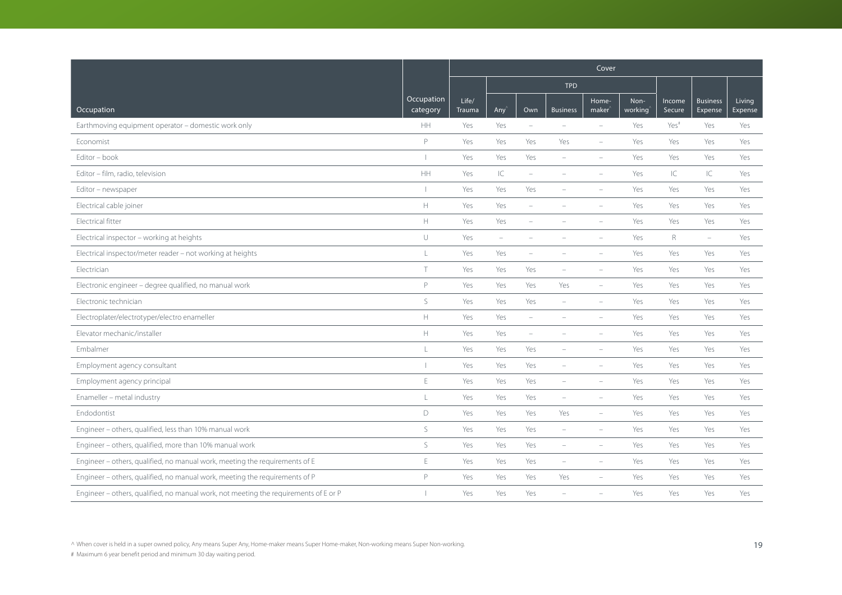|                                                                                      |                                                     | Cover           |                          |                          |                          |                             |                 |                  |                            |                   |
|--------------------------------------------------------------------------------------|-----------------------------------------------------|-----------------|--------------------------|--------------------------|--------------------------|-----------------------------|-----------------|------------------|----------------------------|-------------------|
|                                                                                      |                                                     |                 |                          |                          | <b>TPD</b>               |                             |                 |                  |                            |                   |
| Occupation                                                                           | Occupation<br>category                              | Life/<br>Trauma | Any'                     | Own                      | <b>Business</b>          | Home-<br>maker <sup>®</sup> | Non-<br>working | Income<br>Secure | <b>Business</b><br>Expense | Living<br>Expense |
| Earthmoving equipment operator - domestic work only                                  | HH                                                  | Yes             | Yes                      | $\equiv$                 | $\equiv$                 | ÷,                          | Yes             | Yes <sup>#</sup> | Yes                        | Yes               |
| Economist                                                                            | P                                                   | Yes             | Yes                      | Yes                      | Yes                      | $\overline{\phantom{m}}$    | Yes             | Yes              | Yes                        | Yes               |
| Editor - book                                                                        |                                                     | Yes             | Yes                      | Yes                      |                          | $\equiv$                    | Yes             | Yes              | Yes                        | Yes               |
| Editor - film, radio, television                                                     | $\mathsf{HH}$                                       | Yes             | $\subset$                | $\overline{\phantom{a}}$ |                          | $\overline{\phantom{m}}$    | Yes             | IC               | IC                         | Yes               |
| Editor - newspaper                                                                   |                                                     | Yes             | Yes                      | Yes                      | $\overline{\phantom{a}}$ | $\overline{\phantom{m}}$    | Yes             | Yes              | Yes                        | Yes               |
| Electrical cable joiner                                                              | $\mathsf{H}% _{\mathsf{H}}^{\ast}(\mathcal{M}_{0})$ | Yes             | Yes                      |                          |                          |                             | Yes             | Yes              | Yes                        | Yes               |
| Electrical fitter                                                                    | H.                                                  | Yes             | Yes                      | ÷                        |                          |                             | Yes             | Yes              | Yes                        | Yes               |
| Electrical inspector - working at heights                                            | U                                                   | Yes             | $\overline{\phantom{a}}$ | $\overline{\phantom{a}}$ |                          | $\equiv$                    | Yes             | $\mathsf{R}$     | $\overline{\phantom{0}}$   | Yes               |
| Electrical inspector/meter reader - not working at heights                           | L                                                   | Yes             | Yes                      |                          |                          |                             | Yes             | Yes              | Yes                        | Yes               |
| Electrician                                                                          | $\top$                                              | Yes             | Yes                      | Yes                      |                          |                             | Yes             | Yes              | Yes                        | Yes               |
| Electronic engineer - degree qualified, no manual work                               | P                                                   | Yes             | Yes                      | Yes                      | Yes                      | $\equiv$                    | Yes             | Yes              | Yes                        | Yes               |
| Electronic technician                                                                | S                                                   | Yes             | Yes                      | Yes                      | $\overline{\phantom{a}}$ | $\overline{\phantom{m}}$    | Yes             | Yes              | Yes                        | Yes               |
| Electroplater/electrotyper/electro enameller                                         | $\mathbb H$                                         | Yes             | Yes                      | ÷                        |                          |                             | Yes             | Yes              | Yes                        | Yes               |
| Elevator mechanic/installer                                                          | $\mathbb H$                                         | Yes             | Yes                      | $\equiv$                 |                          | $\equiv$                    | Yes             | Yes              | Yes                        | Yes               |
| Embalmer                                                                             | L                                                   | Yes             | Yes                      | Yes                      |                          | $\qquad \qquad -$           | Yes             | Yes              | Yes                        | Yes               |
| Employment agency consultant                                                         |                                                     | Yes             | Yes                      | Yes                      |                          |                             | Yes             | Yes              | Yes                        | Yes               |
| Employment agency principal                                                          | E                                                   | Yes             | Yes                      | Yes                      |                          |                             | Yes             | Yes              | Yes                        | Yes               |
| Enameller - metal industry                                                           | L                                                   | Yes             | Yes                      | Yes                      | $\overline{\phantom{a}}$ | $\overline{\phantom{m}}$    | Yes             | Yes              | Yes                        | Yes               |
| Endodontist                                                                          | D                                                   | Yes             | Yes                      | Yes                      | Yes                      | $\overline{\phantom{m}}$    | Yes             | Yes              | Yes                        | Yes               |
| Engineer - others, qualified, less than 10% manual work                              | S                                                   | Yes             | Yes                      | Yes                      | $\equiv$                 | $\equiv$                    | Yes             | Yes              | Yes                        | Yes               |
| Engineer - others, qualified, more than 10% manual work                              | $\mathsf S$                                         | Yes             | Yes                      | Yes                      | $\overline{\phantom{a}}$ | $\overline{\phantom{m}}$    | Yes             | Yes              | Yes                        | Yes               |
| Engineer - others, qualified, no manual work, meeting the requirements of E          | $\mathsf E$                                         | Yes             | Yes                      | Yes                      | $\overline{\phantom{0}}$ | ÷,                          | Yes             | Yes              | Yes                        | Yes               |
| Engineer - others, qualified, no manual work, meeting the requirements of P          | $\mathsf{P}$                                        | Yes             | Yes                      | Yes                      | Yes                      |                             | Yes             | Yes              | Yes                        | Yes               |
| Engineer - others, qualified, no manual work, not meeting the requirements of E or P |                                                     | Yes             | Yes                      | Yes                      |                          |                             | Yes             | Yes              | Yes                        | Yes               |

^ When cover is held in a super owned policy, Any means Super Any, Home-maker means Super Home-maker, Non-working means Super Non-working. (19 and the super Non-working.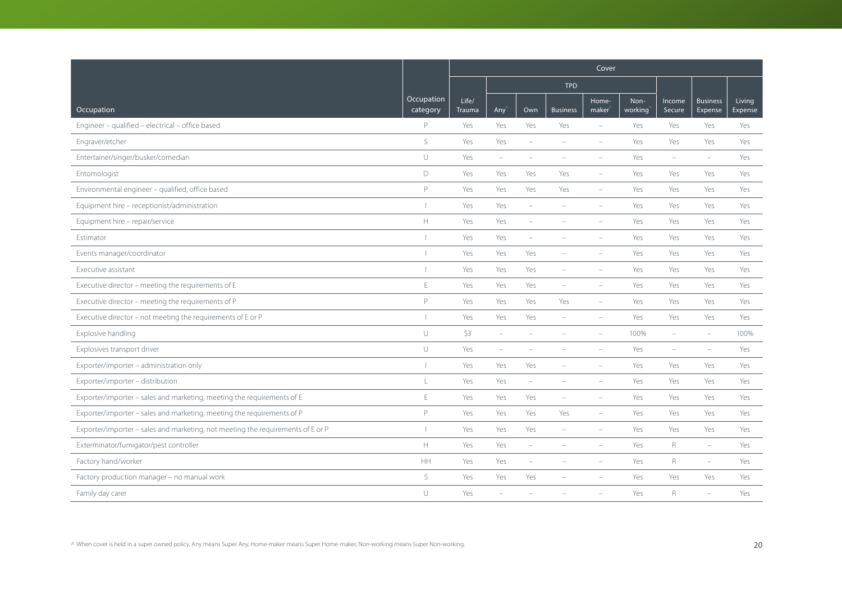|                                                                                 |                          | Cover                  |                          |                          |                          |                             |                 |                          |                            |                   |
|---------------------------------------------------------------------------------|--------------------------|------------------------|--------------------------|--------------------------|--------------------------|-----------------------------|-----------------|--------------------------|----------------------------|-------------------|
|                                                                                 |                          |                        |                          |                          | <b>TPD</b>               |                             |                 |                          |                            |                   |
| Occupation                                                                      | Occupation<br>category   | Life/<br><b>Trauma</b> | Any'                     | Own                      | <b>Business</b>          | Home-<br>maker <sup>®</sup> | Non-<br>working | Income<br>Secure         | <b>Business</b><br>Expense | Living<br>Expense |
| Engineer - qualified - electrical - office based                                | $\mathsf{P}$             | Yes                    | Yes                      | Yes                      | Yes                      | ÷,                          | Yes             | Yes                      | Yes                        | Yes               |
| Engraver/etcher                                                                 | S                        | Yes                    | Yes                      | ÷                        | $\overline{\phantom{a}}$ |                             | Yes             | Yes                      | Yes                        | Yes               |
| Entertainer/singer/busker/comedian                                              | U                        | Yes                    | $\overline{\phantom{a}}$ | $\overline{\phantom{a}}$ |                          |                             | Yes             | $\overline{\phantom{a}}$ | $\equiv$                   | Yes               |
| Entomologist                                                                    | $\mathsf D$              | Yes                    | Yes                      | Yes                      | Yes                      | ÷,                          | Yes             | Yes                      | Yes                        | Yes               |
| Environmental engineer - qualified, office based                                | P                        | Yes                    | Yes                      | Yes                      | Yes                      | $\overline{\phantom{a}}$    | Yes             | Yes                      | Yes                        | Yes               |
| Equipment hire - receptionist/administration                                    |                          | Yes                    | Yes                      | ÷                        |                          |                             | Yes             | Yes                      | Yes                        | Yes               |
| Equipment hire - repair/service                                                 | H.                       | Yes                    | Yes                      |                          |                          |                             | Yes             | Yes                      | Yes                        | Yes               |
| Estimator                                                                       |                          | Yes                    | Yes                      | $\overline{\phantom{a}}$ | $\overline{\phantom{a}}$ | $\qquad \qquad -$           | Yes             | Yes                      | Yes                        | Yes               |
| Events manager/coordinator                                                      |                          | Yes                    | Yes                      | Yes                      |                          | $\equiv$                    | Yes             | Yes                      | Yes                        | Yes               |
| Executive assistant                                                             |                          | Yes                    | Yes                      | Yes                      | ÷                        | $\equiv$                    | Yes             | Yes                      | Yes                        | Yes               |
| Executive director - meeting the requirements of E                              | E                        | Yes                    | Yes                      | Yes                      | $\overline{\phantom{a}}$ | $\overline{\phantom{m}}$    | Yes             | Yes                      | Yes                        | Yes               |
| Executive director - meeting the requirements of P                              | P                        | Yes                    | Yes                      | Yes                      | Yes                      | $\qquad \qquad -$           | Yes             | Yes                      | Yes                        | Yes               |
| Executive director - not meeting the requirements of E or P                     | $\overline{\phantom{a}}$ | Yes                    | Yes                      | Yes                      |                          |                             | Yes             | Yes                      | Yes                        | Yes               |
| Explosive handling                                                              | $\cup$                   | \$3                    | $\equiv$                 |                          |                          |                             | 100%            | $\overline{\phantom{a}}$ | ÷                          | 100%              |
| Explosives transport driver                                                     | $\cup$                   | Yes                    | $\overline{\phantom{a}}$ | ۰                        |                          |                             | Yes             | $\overline{\phantom{a}}$ | $\overline{\phantom{m}}$   | Yes               |
| Exporter/importer - administration only                                         |                          | Yes                    | Yes                      | Yes                      |                          | $\equiv$                    | Yes             | Yes                      | Yes                        | Yes               |
| Exporter/importer - distribution                                                | L                        | Yes                    | Yes                      | ÷                        |                          |                             | Yes             | Yes                      | Yes                        | Yes               |
| Exporter/importer - sales and marketing, meeting the requirements of E          | $\mathsf E$              | Yes                    | Yes                      | Yes                      | $\overline{\phantom{a}}$ | $\overline{\phantom{m}}$    | Yes             | Yes                      | Yes                        | Yes               |
| Exporter/importer - sales and marketing, meeting the requirements of P          | P                        | Yes                    | Yes                      | Yes                      | Yes                      | $\overline{\phantom{m}}$    | Yes             | Yes                      | Yes                        | Yes               |
| Exporter/importer - sales and marketing, not meeting the requirements of E or P |                          | Yes                    | Yes                      | Yes                      | $\overline{\phantom{a}}$ | $\overline{\phantom{a}}$    | Yes             | Yes                      | Yes                        | Yes               |
| Exterminator/fumigator/pest controller                                          | $\mathbb H$              | Yes                    | Yes                      | $\overline{\phantom{0}}$ |                          |                             | Yes             | $\mathsf R$              | $\overline{\phantom{m}}$   | Yes               |
| Factory hand/worker                                                             | HH                       | Yes                    | Yes                      | $\overline{\phantom{0}}$ | $\overline{\phantom{a}}$ | $\overline{\phantom{m}}$    | Yes             | $\mathsf{R}$             | $\overline{\phantom{m}}$   | Yes               |
| Factory production manager - no manual work                                     | S                        | Yes                    | Yes                      | Yes                      |                          |                             | Yes             | Yes                      | Yes                        | Yes               |
| Family day carer                                                                | U                        | Yes                    | ÷                        |                          |                          |                             | Yes             | $\mathsf{R}$             | $\equiv$                   | Yes               |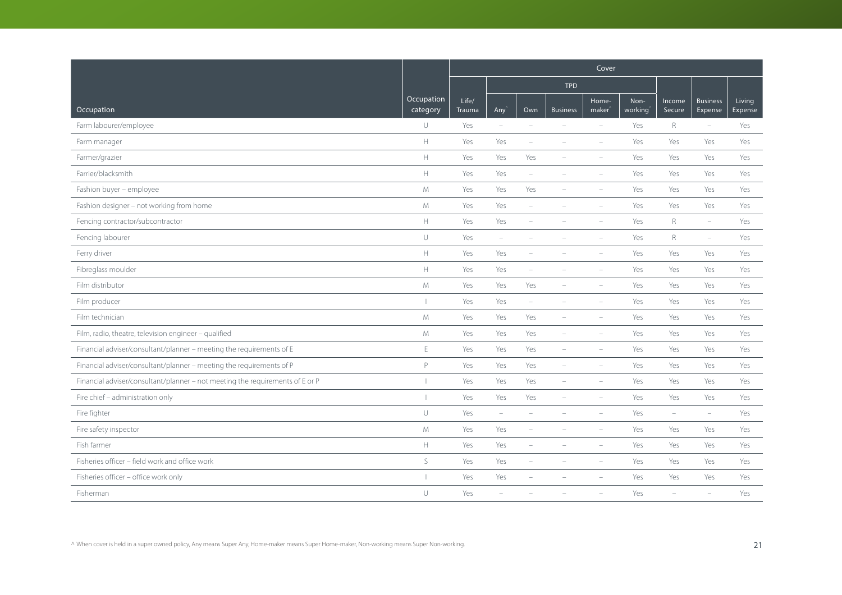|                                                                               |                        | Cover           |                          |                          |                          |                             |                 |                          |                            |                   |
|-------------------------------------------------------------------------------|------------------------|-----------------|--------------------------|--------------------------|--------------------------|-----------------------------|-----------------|--------------------------|----------------------------|-------------------|
|                                                                               |                        |                 |                          |                          | <b>TPD</b>               |                             |                 |                          |                            |                   |
| Occupation                                                                    | Occupation<br>category | Life/<br>Trauma | Any <sup></sup>          | Own                      | <b>Business</b>          | Home-<br>maker <sup>®</sup> | Non-<br>working | Income<br>Secure         | <b>Business</b><br>Expense | Living<br>Expense |
| Farm labourer/employee                                                        | $\cup$                 | Yes             | $\overline{\phantom{a}}$ | $\sim$                   | $\equiv$                 | $\sim$                      | Yes             | $\mathsf R$              | $\overline{\phantom{a}}$   | Yes               |
| Farm manager                                                                  | $\mathbb H$            | Yes             | Yes                      | $\overline{\phantom{a}}$ |                          | $\overline{\phantom{a}}$    | Yes             | Yes                      | Yes                        | Yes               |
| Farmer/grazier                                                                | $\mathbb H$            | Yes             | Yes                      | Yes                      |                          |                             | Yes             | Yes                      | Yes                        | Yes               |
| Farrier/blacksmith                                                            | $\mathbb H$            | Yes             | Yes                      | $\overline{\phantom{a}}$ |                          |                             | Yes             | Yes                      | Yes                        | Yes               |
| Fashion buyer - employee                                                      | M                      | Yes             | Yes                      | Yes                      |                          | $\overline{\phantom{a}}$    | Yes             | Yes                      | Yes                        | Yes               |
| Fashion designer - not working from home                                      | $M_{\odot}$            | Yes             | Yes                      | ÷                        |                          | $\equiv$                    | Yes             | Yes                      | Yes                        | Yes               |
| Fencing contractor/subcontractor                                              | $\mathbb H$            | Yes             | Yes                      | ۰                        |                          | $\equiv$                    | Yes             | R                        | $\overline{\phantom{a}}$   | Yes               |
| Fencing labourer                                                              | $\cup$                 | Yes             | $\equiv$                 | ÷                        |                          | $\equiv$                    | Yes             | $\mathsf R$              | $\overline{\phantom{a}}$   | Yes               |
| Ferry driver                                                                  | $\mathbb H$            | Yes             | Yes                      |                          |                          |                             | Yes             | Yes                      | Yes                        | Yes               |
| Fibreglass moulder                                                            | $\mathbb H$            | Yes             | Yes                      | ÷                        |                          |                             | Yes             | Yes                      | Yes                        | Yes               |
| Film distributor                                                              | M                      | Yes             | Yes                      | Yes                      |                          | $\overline{\phantom{a}}$    | Yes             | Yes                      | Yes                        | Yes               |
| Film producer                                                                 |                        | Yes             | Yes                      | $\overline{\phantom{a}}$ |                          | $\equiv$                    | Yes             | Yes                      | Yes                        | Yes               |
| Film technician                                                               | $M_{\odot}$            | Yes             | Yes                      | Yes                      |                          | $\equiv$                    | Yes             | Yes                      | Yes                        | Yes               |
| Film, radio, theatre, television engineer - qualified                         | $M_{\odot}$            | Yes             | Yes                      | Yes                      | $\equiv$                 | $\equiv$                    | Yes             | Yes                      | Yes                        | Yes               |
| Financial adviser/consultant/planner - meeting the requirements of E          | $\mathsf E$            | Yes             | Yes                      | Yes                      | $\overline{\phantom{a}}$ | $\overline{\phantom{a}}$    | Yes             | Yes                      | Yes                        | Yes               |
| Financial adviser/consultant/planner - meeting the requirements of P          | P                      | Yes             | Yes                      | Yes                      | $\overline{\phantom{a}}$ |                             | Yes             | Yes                      | Yes                        | Yes               |
| Financial adviser/consultant/planner - not meeting the requirements of E or P |                        | Yes             | Yes                      | Yes                      |                          |                             | Yes             | Yes                      | Yes                        | Yes               |
| Fire chief - administration only                                              |                        | Yes             | Yes                      | Yes                      | $\overline{\phantom{a}}$ | $\overline{\phantom{a}}$    | Yes             | Yes                      | Yes                        | Yes               |
| Fire fighter                                                                  | $\cup$                 | Yes             | $\overline{\phantom{a}}$ | i.                       |                          | $\sim$                      | Yes             | $\overline{\phantom{a}}$ | $\overline{\phantom{a}}$   | Yes               |
| Fire safety inspector                                                         | M                      | Yes             | Yes                      |                          |                          |                             | Yes             | Yes                      | Yes                        | Yes               |
| Fish farmer                                                                   | $\mathbb H$            | Yes             | Yes                      | $\overline{\phantom{a}}$ |                          | $\overline{\phantom{a}}$    | Yes             | Yes                      | Yes                        | Yes               |
| Fisheries officer - field work and office work                                | $\mathsf S$            | Yes             | Yes                      | $\overline{\phantom{0}}$ | $\overline{\phantom{a}}$ | $\overline{\phantom{a}}$    | Yes             | Yes                      | Yes                        | Yes               |
| Fisheries officer - office work only                                          |                        | Yes             | Yes                      |                          |                          |                             | Yes             | Yes                      | Yes                        | Yes               |
| Fisherman                                                                     | U                      | Yes             |                          |                          |                          |                             | Yes             |                          | $\overline{\phantom{a}}$   | Yes               |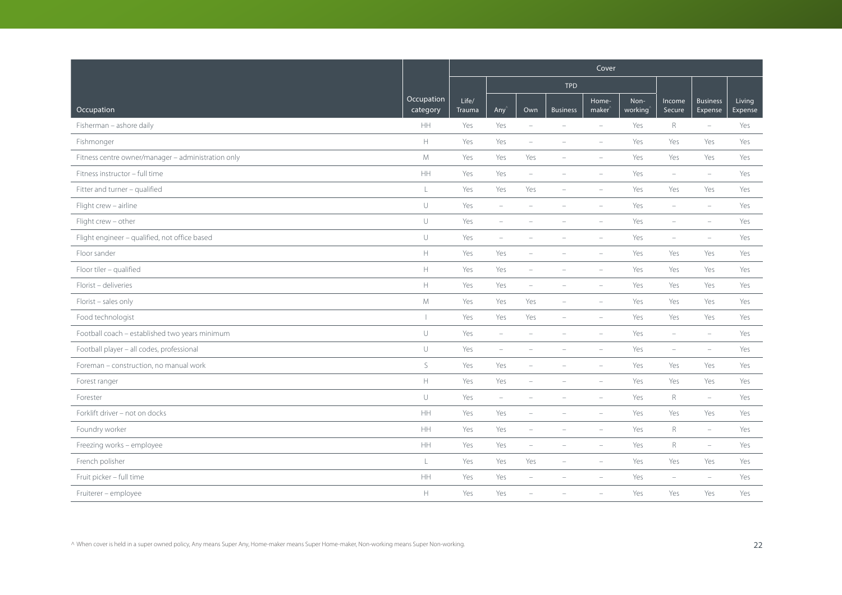|                                                    |                               | Cover                  |                          |                          |                          |                             |                 |                          |                            |                   |
|----------------------------------------------------|-------------------------------|------------------------|--------------------------|--------------------------|--------------------------|-----------------------------|-----------------|--------------------------|----------------------------|-------------------|
|                                                    |                               |                        |                          |                          | <b>TPD</b>               |                             |                 |                          |                            |                   |
| Occupation                                         | <b>Occupation</b><br>category | Life/<br><b>Trauma</b> | Any                      | Own                      | <b>Business</b>          | Home-<br>maker <sup>®</sup> | Non-<br>working | Income<br>Secure         | <b>Business</b><br>Expense | Living<br>Expense |
| Fisherman - ashore daily                           | HH                            | Yes                    | Yes                      | $\overline{\phantom{a}}$ |                          | $\overline{\phantom{a}}$    | Yes             | $\mathsf R$              | $\overline{\phantom{m}}$   | Yes               |
| Fishmonger                                         | $\mathbb H$                   | Yes                    | Yes                      | $\overline{\phantom{a}}$ |                          | $\equiv$                    | Yes             | Yes                      | Yes                        | Yes               |
| Fitness centre owner/manager - administration only | M                             | Yes                    | Yes                      | Yes                      |                          | $\equiv$                    | Yes             | Yes                      | Yes                        | Yes               |
| Fitness instructor - full time                     | $\mathsf{HH}% _{0}$           | Yes                    | Yes                      | $\overline{\phantom{a}}$ | $\overline{\phantom{a}}$ | $\overline{\phantom{a}}$    | Yes             | $\overline{\phantom{a}}$ | $\overline{\phantom{m}}$   | Yes               |
| Fitter and turner - qualified                      | $\mathsf L$                   | Yes                    | Yes                      | Yes                      | $\overline{\phantom{a}}$ | $\overline{\phantom{a}}$    | Yes             | Yes                      | Yes                        | Yes               |
| Flight crew - airline                              | $\cup$                        | Yes                    | $\overline{\phantom{a}}$ |                          |                          | ÷                           | Yes             | ÷                        | $\overline{\phantom{m}}$   | Yes               |
| Flight crew - other                                | $\cup$                        | Yes                    | $\overline{\phantom{a}}$ |                          |                          | $\equiv$                    | Yes             | ۰                        | $\overline{\phantom{m}}$   | Yes               |
| Flight engineer - qualified, not office based      | $\cup$                        | Yes                    | $\overline{\phantom{a}}$ | $\equiv$                 | $\equiv$                 | $\equiv$                    | Yes             | $\overline{\phantom{a}}$ | $\overline{\phantom{a}}$   | Yes               |
| Floor sander                                       | $\mathbb H$                   | Yes                    | Yes                      | $\overline{\phantom{a}}$ |                          |                             | Yes             | Yes                      | Yes                        | Yes               |
| Floor tiler - qualified                            | $\mathbb H$                   | Yes                    | Yes                      | $\qquad \qquad -$        |                          | $\overline{\phantom{a}}$    | Yes             | Yes                      | Yes                        | Yes               |
| Florist - deliveries                               | $\mathbb H$                   | Yes                    | Yes                      | $\overline{\phantom{m}}$ | $\overline{\phantom{a}}$ | $\overline{\phantom{a}}$    | Yes             | Yes                      | Yes                        | Yes               |
| Florist - sales only                               | $M_{\odot}$                   | Yes                    | Yes                      | Yes                      |                          | $\overline{\phantom{a}}$    | Yes             | Yes                      | Yes                        | Yes               |
| Food technologist                                  |                               | Yes                    | Yes                      | Yes                      | $\equiv$                 | $\equiv$                    | Yes             | Yes                      | Yes                        | Yes               |
| Football coach - established two years minimum     | $\cup$                        | Yes                    | $\equiv$                 | $\overline{\phantom{a}}$ | $\equiv$                 | $\equiv$                    | Yes             | $\equiv$                 | $\overline{\phantom{a}}$   | Yes               |
| Football player - all codes, professional          | $\cup$                        | Yes                    | $\overline{\phantom{a}}$ |                          |                          | $\overline{\phantom{a}}$    | Yes             | $\overline{\phantom{a}}$ | $\overline{\phantom{a}}$   | Yes               |
| Foreman - construction, no manual work             | S                             | Yes                    | Yes                      | ÷,                       |                          | $\overline{\phantom{a}}$    | Yes             | Yes                      | Yes                        | Yes               |
| Forest ranger                                      | $\mathbb H$                   | Yes                    | Yes                      | $\overline{\phantom{m}}$ |                          | $\sim$                      | Yes             | Yes                      | Yes                        | Yes               |
| Forester                                           | $\cup$                        | Yes                    | $\overline{\phantom{a}}$ | ÷                        |                          | $\overline{\phantom{a}}$    | Yes             | $\mathsf{R}$             | $\overline{\phantom{m}}$   | Yes               |
| Forklift driver - not on docks                     | HH                            | Yes                    | Yes                      | $\overline{\phantom{a}}$ |                          | $\equiv$                    | Yes             | Yes                      | Yes                        | Yes               |
| Foundry worker                                     | HH                            | Yes                    | Yes                      | $\equiv$                 |                          | $\equiv$                    | Yes             | $R_{\rm}$                | $\overline{\phantom{a}}$   | Yes               |
| Freezing works - employee                          | $\mathsf{HH}% _{0}$           | Yes                    | Yes                      | $\overline{\phantom{a}}$ |                          | $\overline{\phantom{a}}$    | Yes             | $\mathsf R$              | $\overline{\phantom{m}}$   | Yes               |
| French polisher                                    | $\mathsf L$                   | Yes                    | Yes                      | Yes                      | $\overline{\phantom{a}}$ | $\sim$                      | Yes             | Yes                      | Yes                        | Yes               |
| Fruit picker - full time                           | HH                            | Yes                    | Yes                      | i.                       |                          |                             | Yes             | $\overline{\phantom{a}}$ | $\overline{\phantom{a}}$   | Yes               |
| Fruiterer - employee                               | $\mathbb H$                   | Yes                    | Yes                      |                          |                          |                             | Yes             | Yes                      | Yes                        | Yes               |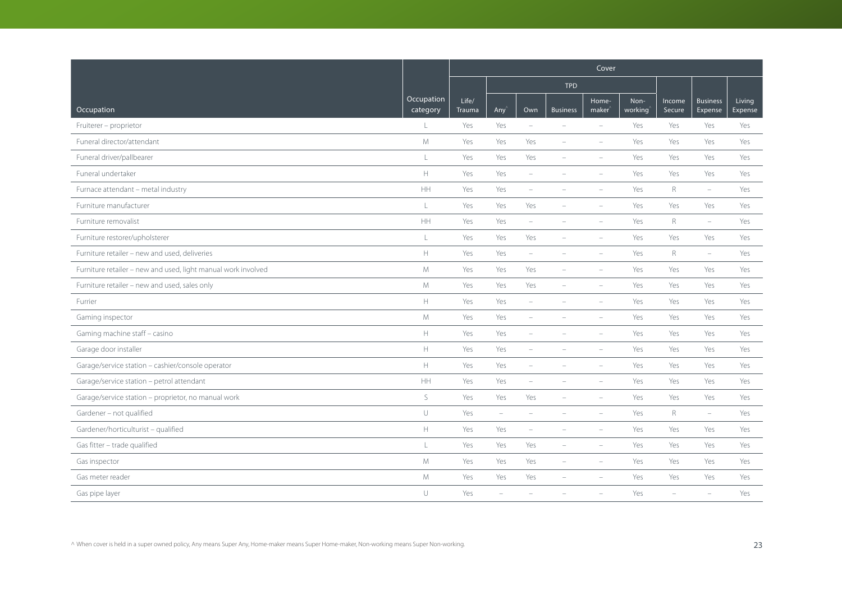|                                                               |                        | Cover                  |                          |                          |                          |                             |                 |                  |                            |                   |
|---------------------------------------------------------------|------------------------|------------------------|--------------------------|--------------------------|--------------------------|-----------------------------|-----------------|------------------|----------------------------|-------------------|
|                                                               |                        |                        |                          |                          | <b>TPD</b>               |                             |                 |                  |                            |                   |
| Occupation                                                    | Occupation<br>category | Life/<br><b>Trauma</b> | Any                      | Own                      | <b>Business</b>          | Home-<br>maker <sup>®</sup> | Non-<br>working | Income<br>Secure | <b>Business</b><br>Expense | Living<br>Expense |
| Fruiterer - proprietor                                        | $\mathbf{L}$           | Yes                    | Yes                      | $\overline{\phantom{a}}$ | $\equiv$                 | $\equiv$                    | Yes             | Yes              | Yes                        | Yes               |
| Funeral director/attendant                                    | $M_{\odot}$            | Yes                    | Yes                      | Yes                      | $\equiv$                 | $\overline{\phantom{a}}$    | Yes             | Yes              | Yes                        | Yes               |
| Funeral driver/pallbearer                                     | $\mathsf L$            | Yes                    | Yes                      | Yes                      |                          | $\equiv$                    | Yes             | Yes              | Yes                        | Yes               |
| Funeral undertaker                                            | $\mathbb H$            | Yes                    | Yes                      | $\overline{\phantom{a}}$ | $\equiv$                 | $\overline{\phantom{a}}$    | Yes             | Yes              | Yes                        | Yes               |
| Furnace attendant - metal industry                            | HH                     | Yes                    | Yes                      | $\overline{\phantom{a}}$ | $\overline{\phantom{a}}$ | $\overline{\phantom{a}}$    | Yes             | $R_{\rm}$        | $\overline{\phantom{m}}$   | Yes               |
| Furniture manufacturer                                        | $\mathsf L$            | Yes                    | Yes                      | Yes                      |                          | $\sim$                      | Yes             | Yes              | Yes                        | Yes               |
| Furniture removalist                                          | <b>HH</b>              | Yes                    | Yes                      | $\overline{\phantom{a}}$ | $\equiv$                 | $\equiv$                    | Yes             | R                | $\overline{\phantom{m}}$   | Yes               |
| Furniture restorer/upholsterer                                | L                      | Yes                    | Yes                      | Yes                      | $\overline{\phantom{a}}$ | $\overline{\phantom{a}}$    | Yes             | Yes              | Yes                        | Yes               |
| Furniture retailer - new and used, deliveries                 | $\mathbb H$            | Yes                    | Yes                      | $\overline{\phantom{a}}$ |                          | $\equiv$                    | Yes             | R                | $\overline{\phantom{m}}$   | Yes               |
| Furniture retailer - new and used, light manual work involved | M                      | Yes                    | Yes                      | Yes                      | $\equiv$                 | $\overline{\phantom{a}}$    | Yes             | Yes              | Yes                        | Yes               |
| Furniture retailer - new and used, sales only                 | ${\mathsf M}$          | Yes                    | Yes                      | Yes                      | $\overline{\phantom{a}}$ | $\overline{\phantom{a}}$    | Yes             | Yes              | Yes                        | Yes               |
| Furrier                                                       | $\mathbb H$            | Yes                    | Yes                      | $\qquad \qquad -$        |                          | $\overline{\phantom{a}}$    | Yes             | Yes              | Yes                        | Yes               |
| Gaming inspector                                              | ${\mathsf M}$          | Yes                    | Yes                      | i.                       |                          | $\sim$                      | Yes             | Yes              | Yes                        | Yes               |
| Gaming machine staff - casino                                 | H                      | Yes                    | Yes                      |                          |                          | $\equiv$                    | Yes             | Yes              | Yes                        | Yes               |
| Garage door installer                                         | $\mathbb H$            | Yes                    | Yes                      | $\overline{\phantom{m}}$ | $\overline{\phantom{a}}$ | $\overline{\phantom{a}}$    | Yes             | Yes              | Yes                        | Yes               |
| Garage/service station - cashier/console operator             | $\mathbb H$            | Yes                    | Yes                      | $\equiv$                 |                          | $\overline{\phantom{a}}$    | Yes             | Yes              | Yes                        | Yes               |
| Garage/service station - petrol attendant                     | HH                     | Yes                    | Yes                      | $\equiv$                 |                          | $\overline{\phantom{a}}$    | Yes             | Yes              | Yes                        | Yes               |
| Garage/service station - proprietor, no manual work           | $\mathsf S$            | Yes                    | Yes                      | Yes                      | $\overline{\phantom{a}}$ | $\overline{\phantom{a}}$    | Yes             | Yes              | Yes                        | Yes               |
| Gardener - not qualified                                      | $\cup$                 | Yes                    | $\overline{\phantom{a}}$ | $\qquad \qquad -$        | $\overline{\phantom{a}}$ | $\overline{\phantom{a}}$    | Yes             | R                | $\overline{\phantom{m}}$   | Yes               |
| Gardener/horticulturist - qualified                           | $\mathbb H$            | Yes                    | Yes                      | $\equiv$                 |                          | ÷                           | Yes             | Yes              | Yes                        | Yes               |
| Gas fitter - trade qualified                                  | L                      | Yes                    | Yes                      | Yes                      | $\overline{\phantom{a}}$ | $\overline{\phantom{a}}$    | Yes             | Yes              | Yes                        | Yes               |
| Gas inspector                                                 | M                      | Yes                    | Yes                      | Yes                      | $\overline{\phantom{0}}$ | $\overline{\phantom{a}}$    | Yes             | Yes              | Yes                        | Yes               |
| Gas meter reader                                              | M                      | Yes                    | Yes                      | Yes                      |                          |                             | Yes             | Yes              | Yes                        | Yes               |
| Gas pipe layer                                                | U                      | Yes                    | $\overline{\phantom{0}}$ |                          |                          |                             | Yes             | L,               | $\overline{\phantom{a}}$   | Yes               |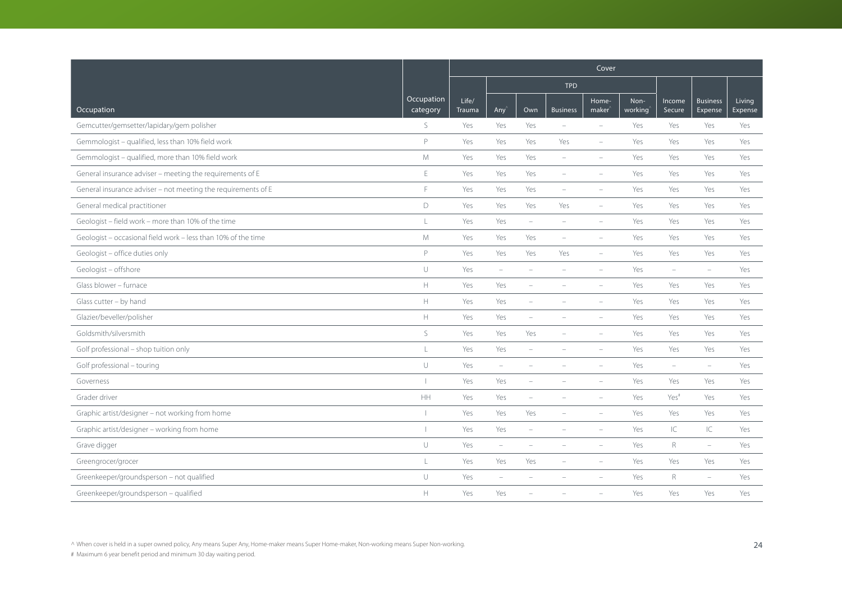|                                                               |                        | Cover                  |                          |                          |                          |                             |                 |                          |                            |                   |
|---------------------------------------------------------------|------------------------|------------------------|--------------------------|--------------------------|--------------------------|-----------------------------|-----------------|--------------------------|----------------------------|-------------------|
|                                                               |                        |                        |                          |                          | <b>TPD</b>               |                             |                 |                          |                            |                   |
| Occupation                                                    | Occupation<br>category | Life/<br><b>Trauma</b> | Any                      | Own                      | <b>Business</b>          | Home-<br>maker <sup>®</sup> | Non-<br>working | Income<br>Secure         | <b>Business</b><br>Expense | Living<br>Expense |
| Gemcutter/gemsetter/lapidary/gem polisher                     | S                      | Yes                    | Yes                      | Yes                      | $\overline{\phantom{a}}$ | $\overline{\phantom{a}}$    | Yes             | Yes                      | Yes                        | Yes               |
| Gemmologist - qualified, less than 10% field work             | P                      | Yes                    | Yes                      | Yes                      | Yes                      | $\overline{\phantom{a}}$    | Yes             | Yes                      | Yes                        | Yes               |
| Gemmologist - qualified, more than 10% field work             | M                      | Yes                    | Yes                      | Yes                      | $\sim$                   | $\equiv$                    | Yes             | Yes                      | Yes                        | Yes               |
| General insurance adviser - meeting the requirements of E     | E                      | Yes                    | Yes                      | Yes                      | $\overline{\phantom{a}}$ | $\overline{\phantom{a}}$    | Yes             | Yes                      | Yes                        | Yes               |
| General insurance adviser - not meeting the requirements of E | E                      | Yes                    | Yes                      | Yes                      | $\overline{\phantom{a}}$ | $\overline{\phantom{a}}$    | Yes             | Yes                      | Yes                        | Yes               |
| General medical practitioner                                  | D                      | Yes                    | Yes                      | Yes                      | Yes                      | $\equiv$                    | Yes             | Yes                      | Yes                        | Yes               |
| Geologist - field work - more than 10% of the time            | $\frac{1}{2}$          | Yes                    | Yes                      | $\overline{\phantom{a}}$ | $\sim$                   | $\overline{\phantom{a}}$    | Yes             | Yes                      | Yes                        | Yes               |
| Geologist - occasional field work - less than 10% of the time | M                      | Yes                    | Yes                      | Yes                      | $\equiv$                 | $\equiv$                    | Yes             | Yes                      | Yes                        | Yes               |
| Geologist - office duties only                                | P                      | Yes                    | Yes                      | Yes                      | Yes                      | $\overline{\phantom{a}}$    | Yes             | Yes                      | Yes                        | Yes               |
| Geologist - offshore                                          | $\cup$                 | Yes                    | $\overline{\phantom{m}}$ | ÷                        |                          | $\overline{\phantom{a}}$    | Yes             | $\equiv$                 | $\qquad \qquad -$          | Yes               |
| Glass blower - furnace                                        | $\mathbb H$            | Yes                    | Yes                      | $\qquad \qquad -$        |                          | $\overline{\phantom{a}}$    | Yes             | Yes                      | Yes                        | Yes               |
| Glass cutter - by hand                                        | $\mathbb H$            | Yes                    | Yes                      | $\overline{\phantom{0}}$ |                          | $\overline{\phantom{a}}$    | Yes             | Yes                      | Yes                        | Yes               |
| Glazier/beveller/polisher                                     | $\mathbb H$            | Yes                    | Yes                      | ÷                        |                          |                             | Yes             | Yes                      | Yes                        | Yes               |
| Goldsmith/silversmith                                         | S                      | Yes                    | Yes                      | Yes                      | $\equiv$                 | $\equiv$                    | Yes             | Yes                      | Yes                        | Yes               |
| Golf professional - shop tuition only                         | $\mathsf{L}$           | Yes                    | Yes                      | $\overline{\phantom{0}}$ |                          | $\overline{\phantom{a}}$    | Yes             | Yes                      | Yes                        | Yes               |
| Golf professional - touring                                   | U                      | Yes                    | $\overline{\phantom{a}}$ |                          |                          |                             | Yes             | $\overline{\phantom{a}}$ | $\overline{\phantom{m}}$   | Yes               |
| Governess                                                     | $\overline{1}$         | Yes                    | Yes                      | ÷,                       |                          |                             | Yes             | Yes                      | Yes                        | Yes               |
| Grader driver                                                 | <b>HH</b>              | Yes                    | Yes                      | $\overline{\phantom{a}}$ |                          | $\overline{\phantom{a}}$    | Yes             | Yes <sup>#</sup>         | Yes                        | Yes               |
| Graphic artist/designer - not working from home               | т                      | Yes                    | Yes                      | Yes                      | $\equiv$                 | $\equiv$                    | Yes             | Yes                      | Yes                        | Yes               |
| Graphic artist/designer - working from home                   | $\mathbf{I}$           | Yes                    | Yes                      | $\equiv$                 |                          | $\sim$                      | Yes             | IC                       | IC                         | Yes               |
| Grave digger                                                  | $\cup$                 | Yes                    | $\overline{\phantom{a}}$ | ÷                        |                          | $\overline{\phantom{a}}$    | Yes             | $\mathsf R$              | $\overline{\phantom{m}}$   | Yes               |
| Greengrocer/grocer                                            | $\frac{1}{2}$          | Yes                    | Yes                      | Yes                      | $\sim$                   | $\overline{\phantom{a}}$    | Yes             | Yes                      | Yes                        | Yes               |
| Greenkeeper/groundsperson - not qualified                     | U                      | Yes                    | $\equiv$                 |                          |                          |                             | Yes             | R                        | $\equiv$                   | Yes               |
| Greenkeeper/groundsperson - qualified                         | $\mathbb H$            | Yes                    | Yes                      |                          |                          |                             | Yes             | Yes                      | Yes                        | Yes               |

^ When cover is held in a super owned policy, Any means Super Any, Home-maker means Super Home-maker, Non-working means Super Non-working. 24 [20]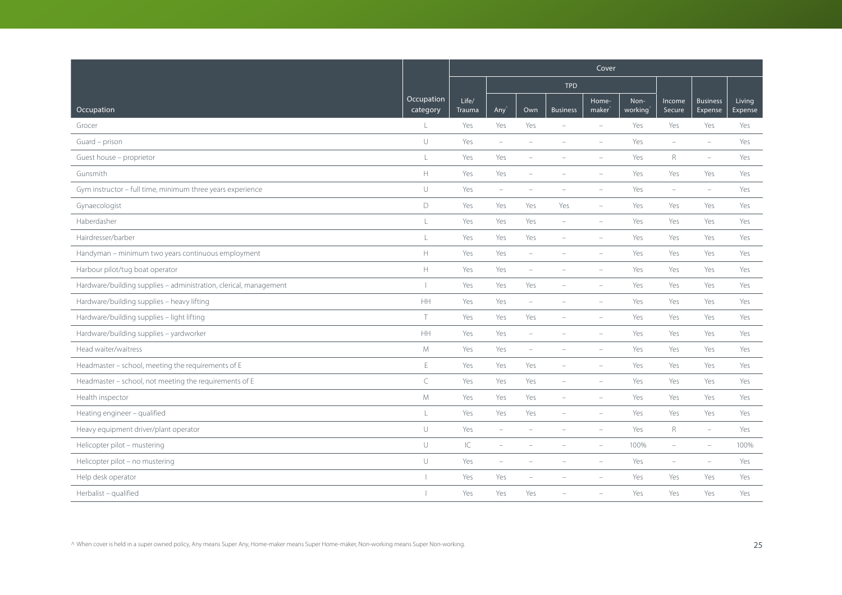|                                                                   |                        | Cover           |                          |                          |                          |                             |                 |                          |                            |                   |
|-------------------------------------------------------------------|------------------------|-----------------|--------------------------|--------------------------|--------------------------|-----------------------------|-----------------|--------------------------|----------------------------|-------------------|
|                                                                   |                        |                 |                          |                          | <b>TPD</b>               |                             |                 |                          |                            |                   |
| Occupation                                                        | Occupation<br>category | Life/<br>Trauma | Any                      | Own                      | <b>Business</b>          | Home-<br>maker <sup>®</sup> | Non-<br>working | Income<br>Secure         | <b>Business</b><br>Expense | Living<br>Expense |
| Grocer                                                            | L                      | Yes             | Yes                      | Yes                      |                          | $\equiv$                    | Yes             | Yes                      | Yes                        | Yes               |
| Guard - prison                                                    | $\cup$                 | Yes             | $\overline{\phantom{a}}$ | ۰                        |                          | $\equiv$                    | Yes             | $\overline{\phantom{0}}$ | $\equiv$                   | Yes               |
| Guest house - proprietor                                          | $\mathsf L$            | Yes             | Yes                      | $\overline{\phantom{0}}$ |                          |                             | Yes             | R                        | $\equiv$                   | Yes               |
| Gunsmith                                                          | $\mathbb H$            | Yes             | Yes                      | $\overline{\phantom{0}}$ |                          | $\overline{\phantom{a}}$    | Yes             | Yes                      | Yes                        | Yes               |
| Gym instructor - full time, minimum three years experience        | $\cup$                 | Yes             | $\overline{\phantom{a}}$ | $\overline{\phantom{a}}$ | $\overline{\phantom{a}}$ | $\overline{\phantom{a}}$    | Yes             | $\overline{\phantom{a}}$ | $\equiv$                   | Yes               |
| Gynaecologist                                                     | $\mathsf D$            | Yes             | Yes                      | Yes                      | Yes                      | $\overline{\phantom{a}}$    | Yes             | Yes                      | Yes                        | Yes               |
| Haberdasher                                                       | L                      | Yes             | Yes                      | Yes                      | $\overline{\phantom{a}}$ | $\overline{\phantom{a}}$    | Yes             | Yes                      | Yes                        | Yes               |
| Hairdresser/barber                                                | L                      | Yes             | Yes                      | Yes                      | $\overline{\phantom{a}}$ | $\overline{\phantom{a}}$    | Yes             | Yes                      | Yes                        | Yes               |
| Handyman - minimum two years continuous employment                | $\mathbb H$            | Yes             | Yes                      | $\overline{\phantom{a}}$ |                          |                             | Yes             | Yes                      | Yes                        | Yes               |
| Harbour pilot/tug boat operator                                   | $\mathbb H$            | Yes             | Yes                      | i.                       |                          | $\equiv$                    | Yes             | Yes                      | Yes                        | Yes               |
| Hardware/building supplies - administration, clerical, management |                        | Yes             | Yes                      | Yes                      | $\overline{\phantom{a}}$ | $\overline{\phantom{a}}$    | Yes             | Yes                      | Yes                        | Yes               |
| Hardware/building supplies - heavy lifting                        | $\mathsf{HH}$          | Yes             | Yes                      | $\qquad \qquad -$        |                          | $\overline{\phantom{a}}$    | Yes             | Yes                      | Yes                        | Yes               |
| Hardware/building supplies - light lifting                        | T                      | Yes             | Yes                      | Yes                      |                          | $\equiv$                    | Yes             | Yes                      | Yes                        | Yes               |
| Hardware/building supplies - yardworker                           | HH                     | Yes             | Yes                      | $\overline{\phantom{a}}$ |                          | $\equiv$                    | Yes             | Yes                      | Yes                        | Yes               |
| Head waiter/waitress                                              | ${\mathsf M}$          | Yes             | Yes                      | $\overline{\phantom{m}}$ | $\overline{\phantom{a}}$ | $\overline{\phantom{a}}$    | Yes             | Yes                      | Yes                        | Yes               |
| Headmaster - school, meeting the requirements of E                | $\mathsf E$            | Yes             | Yes                      | Yes                      | $\equiv$                 | $\overline{\phantom{a}}$    | Yes             | Yes                      | Yes                        | Yes               |
| Headmaster - school, not meeting the requirements of E            | $\subset$              | Yes             | Yes                      | Yes                      | $\overline{\phantom{a}}$ | $\overline{\phantom{a}}$    | Yes             | Yes                      | Yes                        | Yes               |
| Health inspector                                                  | M                      | Yes             | Yes                      | Yes                      | $\overline{\phantom{a}}$ | $\overline{\phantom{a}}$    | Yes             | Yes                      | Yes                        | Yes               |
| Heating engineer - qualified                                      | $\mathsf L$            | Yes             | Yes                      | Yes                      | $\overline{\phantom{a}}$ | $\overline{\phantom{a}}$    | Yes             | Yes                      | Yes                        | Yes               |
| Heavy equipment driver/plant operator                             | $\cup$                 | Yes             | ÷                        |                          |                          |                             | Yes             | R                        | $\equiv$                   | Yes               |
| Helicopter pilot - mustering                                      | $\cup$                 | $\mathsf{IC}$   | $\overline{\phantom{a}}$ |                          |                          | $\overline{\phantom{a}}$    | 100%            | ÷                        | $\equiv$                   | 100%              |
| Helicopter pilot - no mustering                                   | $\cup$                 | Yes             | $\overline{\phantom{m}}$ | $\equiv$                 | $\overline{\phantom{a}}$ | $\overline{\phantom{a}}$    | Yes             | $\overline{\phantom{a}}$ | $\overline{\phantom{a}}$   | Yes               |
| Help desk operator                                                |                        | Yes             | Yes                      |                          |                          |                             | Yes             | Yes                      | Yes                        | Yes               |
| Herbalist - qualified                                             |                        | Yes             | Yes                      | Yes                      |                          |                             | Yes             | Yes                      | Yes                        | Yes               |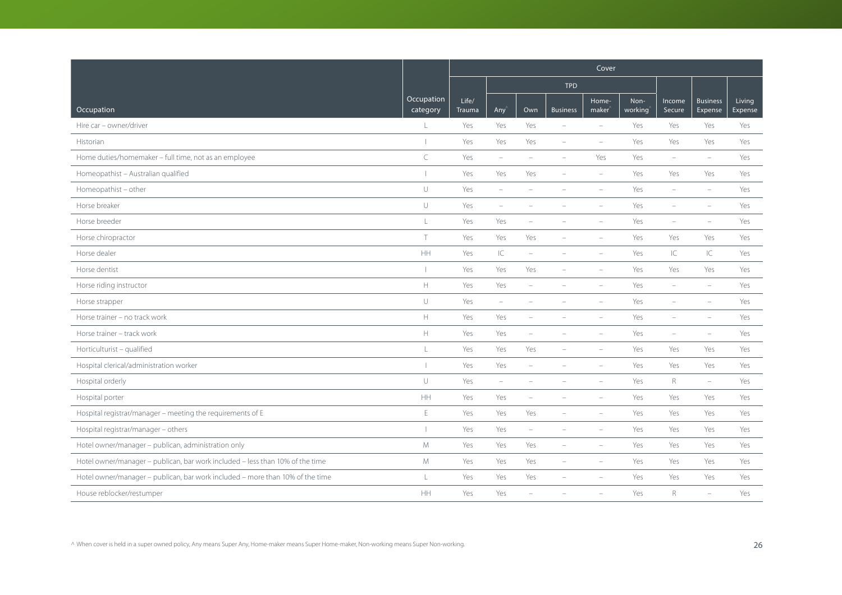|                                                                               |                        |                 |                          |                          |                          | Cover                    |                 |                          |                            |                   |
|-------------------------------------------------------------------------------|------------------------|-----------------|--------------------------|--------------------------|--------------------------|--------------------------|-----------------|--------------------------|----------------------------|-------------------|
|                                                                               |                        |                 |                          |                          | <b>TPD</b>               |                          |                 |                          |                            |                   |
| Occupation                                                                    | Occupation<br>category | Life/<br>Trauma | Any <sup></sup>          | Own                      | <b>Business</b>          | Home-<br>maker           | Non-<br>working | Income<br>Secure         | <b>Business</b><br>Expense | Living<br>Expense |
| Hire car - owner/driver                                                       | L                      | Yes             | Yes                      | Yes                      | $\overline{\phantom{a}}$ | $\overline{\phantom{a}}$ | Yes             | Yes                      | Yes                        | Yes               |
| Historian                                                                     |                        | Yes             | Yes                      | Yes                      | $\overline{\phantom{a}}$ | $\overline{\phantom{a}}$ | Yes             | Yes                      | Yes                        | Yes               |
| Home duties/homemaker - full time, not as an employee                         | $\subset$              | Yes             | $\overline{\phantom{m}}$ | ۰                        |                          | Yes                      | Yes             | $\overline{\phantom{a}}$ | $\qquad \qquad -$          | Yes               |
| Homeopathist - Australian qualified                                           |                        | Yes             | Yes                      | Yes                      | $\overline{\phantom{a}}$ | $\overline{\phantom{a}}$ | Yes             | Yes                      | Yes                        | Yes               |
| Homeopathist - other                                                          | $\cup$                 | Yes             | $\overline{\phantom{m}}$ | $\sim$                   |                          | $\equiv$                 | Yes             | ÷                        | $\overline{\phantom{a}}$   | Yes               |
| Horse breaker                                                                 | $\cup$                 | Yes             | ÷                        |                          |                          |                          | Yes             | ÷                        | $\equiv$                   | Yes               |
| Horse breeder                                                                 | $\mathsf L$            | Yes             | Yes                      | ÷                        |                          | $\overline{\phantom{a}}$ | Yes             | ÷                        | $\equiv$                   | Yes               |
| Horse chiropractor                                                            | $\top$                 | Yes             | Yes                      | Yes                      | $\overline{\phantom{a}}$ | $\overline{\phantom{a}}$ | Yes             | Yes                      | Yes                        | Yes               |
| Horse dealer                                                                  | HH                     | Yes             | $\subset$                | ÷                        |                          | $\equiv$                 | Yes             | IC                       | IC                         | Yes               |
| Horse dentist                                                                 |                        | Yes             | Yes                      | Yes                      |                          | $\equiv$                 | Yes             | Yes                      | Yes                        | Yes               |
| Horse riding instructor                                                       | $\mathbb H$            | Yes             | Yes                      | $\overline{\phantom{a}}$ | $\equiv$                 | $\equiv$                 | Yes             | ÷                        | $\overline{\phantom{a}}$   | Yes               |
| Horse strapper                                                                | $\cup$                 | Yes             | $\overline{\phantom{m}}$ |                          |                          |                          | Yes             | ۰                        | $\overline{\phantom{a}}$   | Yes               |
| Horse trainer - no track work                                                 | $\mathbb H$            | Yes             | Yes                      | $\equiv$                 |                          | $\equiv$                 | Yes             | ÷                        | $\equiv$                   | Yes               |
| Horse trainer - track work                                                    | $\mathbb H$            | Yes             | Yes                      | $\overline{\phantom{a}}$ |                          | $\overline{\phantom{a}}$ | Yes             | $\overline{\phantom{m}}$ | $\overline{\phantom{m}}$   | Yes               |
| Horticulturist - qualified                                                    | $\mathsf L$            | Yes             | Yes                      | Yes                      |                          | $\overline{\phantom{a}}$ | Yes             | Yes                      | Yes                        | Yes               |
| Hospital clerical/administration worker                                       |                        | Yes             | Yes                      | ÷                        |                          |                          | Yes             | Yes                      | Yes                        | Yes               |
| Hospital orderly                                                              | $\cup$                 | Yes             | $\overline{\phantom{a}}$ | $\equiv$                 |                          | $\equiv$                 | Yes             | $R_{\rm}$                | $\overline{\phantom{0}}$   | Yes               |
| Hospital porter                                                               | HH                     | Yes             | Yes                      | $\overline{\phantom{a}}$ | $\overline{\phantom{a}}$ | $\overline{\phantom{a}}$ | Yes             | Yes                      | Yes                        | Yes               |
| Hospital registrar/manager - meeting the requirements of E                    | E                      | Yes             | Yes                      | Yes                      |                          |                          | Yes             | Yes                      | Yes                        | Yes               |
| Hospital registrar/manager - others                                           | $\mathbf{I}$           | Yes             | Yes                      | $\qquad \qquad -$        |                          |                          | Yes             | Yes                      | Yes                        | Yes               |
| Hotel owner/manager - publican, administration only                           | M                      | Yes             | Yes                      | Yes                      | $\overline{\phantom{a}}$ | $\overline{\phantom{a}}$ | Yes             | Yes                      | Yes                        | Yes               |
| Hotel owner/manager - publican, bar work included - less than 10% of the time | $M_{\odot}$            | Yes             | Yes                      | Yes                      | $\equiv$                 | $\equiv$                 | Yes             | Yes                      | Yes                        | Yes               |
| Hotel owner/manager - publican, bar work included - more than 10% of the time | L                      | Yes             | Yes                      | Yes                      |                          |                          | Yes             | Yes                      | Yes                        | Yes               |
| House reblocker/restumper                                                     | $\mathsf{HH}$          | Yes             | Yes                      |                          |                          |                          | Yes             | R                        | $\equiv$                   | Yes               |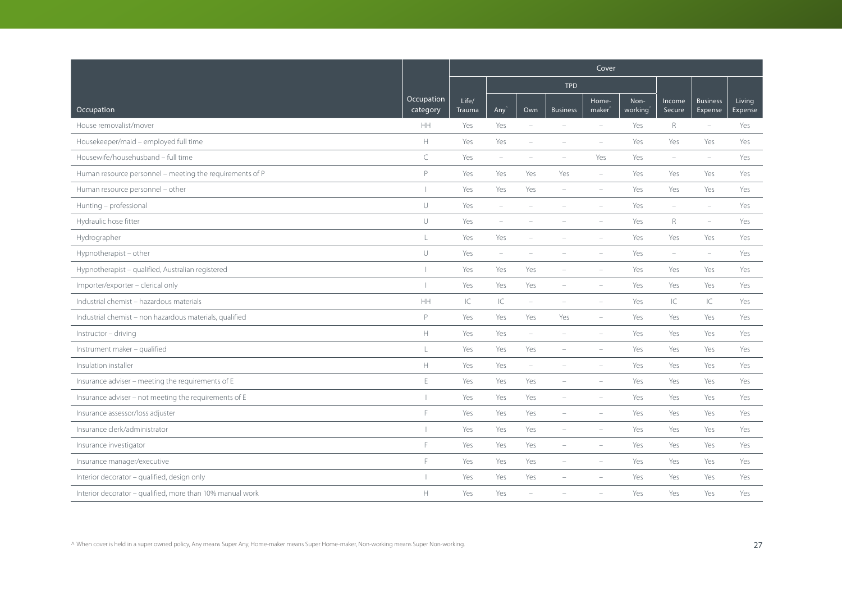|                                                           |                        | Cover           |                          |                          |                          |                             |                 |                          |                            |                   |  |
|-----------------------------------------------------------|------------------------|-----------------|--------------------------|--------------------------|--------------------------|-----------------------------|-----------------|--------------------------|----------------------------|-------------------|--|
|                                                           |                        |                 |                          |                          | <b>TPD</b>               |                             |                 |                          |                            |                   |  |
| Occupation                                                | Occupation<br>category | Life/<br>Trauma | Any <sup></sup>          | Own                      | <b>Business</b>          | Home-<br>maker <sup>®</sup> | Non-<br>working | Income<br>Secure         | <b>Business</b><br>Expense | Living<br>Expense |  |
| House removalist/mover                                    | HH                     | Yes             | Yes                      | $\overline{\phantom{a}}$ | $\equiv$                 | $\sim$                      | Yes             | R                        | $\overline{\phantom{0}}$   | Yes               |  |
| Housekeeper/maid - employed full time                     | $\mathbb H$            | Yes             | Yes                      | $\equiv$                 |                          | $\overline{\phantom{a}}$    | Yes             | Yes                      | Yes                        | Yes               |  |
| Housewife/househusband - full time                        | $\subset$              | Yes             | $\overline{\phantom{m}}$ |                          |                          | Yes                         | Yes             | ÷                        | $\equiv$                   | Yes               |  |
| Human resource personnel - meeting the requirements of P  | P                      | Yes             | Yes                      | Yes                      | Yes                      | $\overline{\phantom{a}}$    | Yes             | Yes                      | Yes                        | Yes               |  |
| Human resource personnel - other                          |                        | Yes             | Yes                      | Yes                      | $\overline{\phantom{0}}$ | $\overline{\phantom{a}}$    | Yes             | Yes                      | Yes                        | Yes               |  |
| Hunting - professional                                    | $\cup$                 | Yes             | ÷                        |                          |                          | ÷                           | Yes             | $\equiv$                 | $\equiv$                   | Yes               |  |
| Hydraulic hose fitter                                     | $\cup$                 | Yes             | $\overline{\phantom{m}}$ | $\overline{\phantom{a}}$ |                          | $\equiv$                    | Yes             | R                        | $\overline{\phantom{m}}$   | Yes               |  |
| Hydrographer                                              | L                      | Yes             | Yes                      | $\overline{\phantom{a}}$ | $\equiv$                 | $\equiv$                    | Yes             | Yes                      | Yes                        | Yes               |  |
| Hypnotherapist - other                                    | $\cup$                 | Yes             | $\overline{\phantom{a}}$ |                          |                          |                             | Yes             | $\overline{\phantom{a}}$ | $\equiv$                   | Yes               |  |
| Hypnotherapist - qualified, Australian registered         |                        | Yes             | Yes                      | Yes                      |                          | $\equiv$                    | Yes             | Yes                      | Yes                        | Yes               |  |
| Importer/exporter - clerical only                         |                        | Yes             | Yes                      | Yes                      | $\overline{\phantom{0}}$ | $\overline{\phantom{a}}$    | Yes             | Yes                      | Yes                        | Yes               |  |
| Industrial chemist - hazardous materials                  | HH                     | $\subset$       | $\subset$                | $\overline{\phantom{0}}$ |                          | $\overline{\phantom{a}}$    | Yes             | IC                       | IC                         | Yes               |  |
| Industrial chemist - non hazardous materials, qualified   | $\mathsf{P}$           | Yes             | Yes                      | Yes                      | Yes                      | $\overline{\phantom{a}}$    | Yes             | Yes                      | Yes                        | Yes               |  |
| Instructor - driving                                      | H                      | Yes             | Yes                      | $\overline{\phantom{m}}$ | $\equiv$                 | $\overline{\phantom{a}}$    | Yes             | Yes                      | Yes                        | Yes               |  |
| Instrument maker - qualified                              | L                      | Yes             | Yes                      | Yes                      | $\overline{\phantom{a}}$ | $\overline{\phantom{a}}$    | Yes             | Yes                      | Yes                        | Yes               |  |
| Insulation installer                                      | $\mathbb H$            | Yes             | Yes                      | $\overline{\phantom{a}}$ |                          |                             | Yes             | Yes                      | Yes                        | Yes               |  |
| Insurance adviser - meeting the requirements of E         | $\mathsf E$            | Yes             | Yes                      | Yes                      | $\equiv$                 | $\equiv$                    | Yes             | Yes                      | Yes                        | Yes               |  |
| Insurance adviser - not meeting the requirements of E     |                        | Yes             | Yes                      | Yes                      |                          |                             | Yes             | Yes                      | Yes                        | Yes               |  |
| Insurance assessor/loss adjuster                          | E                      | Yes             | Yes                      | Yes                      | $\overline{\phantom{a}}$ |                             | Yes             | Yes                      | Yes                        | Yes               |  |
| Insurance clerk/administrator                             |                        | Yes             | Yes                      | Yes                      |                          |                             | Yes             | Yes                      | Yes                        | Yes               |  |
| Insurance investigator                                    | F                      | Yes             | Yes                      | Yes                      | $\equiv$                 | $\equiv$                    | Yes             | Yes                      | Yes                        | Yes               |  |
| Insurance manager/executive                               | F                      | Yes             | Yes                      | Yes                      | $\equiv$                 | $\equiv$                    | Yes             | Yes                      | Yes                        | Yes               |  |
| Interior decorator - qualified, design only               |                        | Yes             | Yes                      | Yes                      |                          |                             | Yes             | Yes                      | Yes                        | Yes               |  |
| Interior decorator - qualified, more than 10% manual work | $\mathbb H$            | Yes             | Yes                      |                          |                          |                             | Yes             | Yes                      | Yes                        | Yes               |  |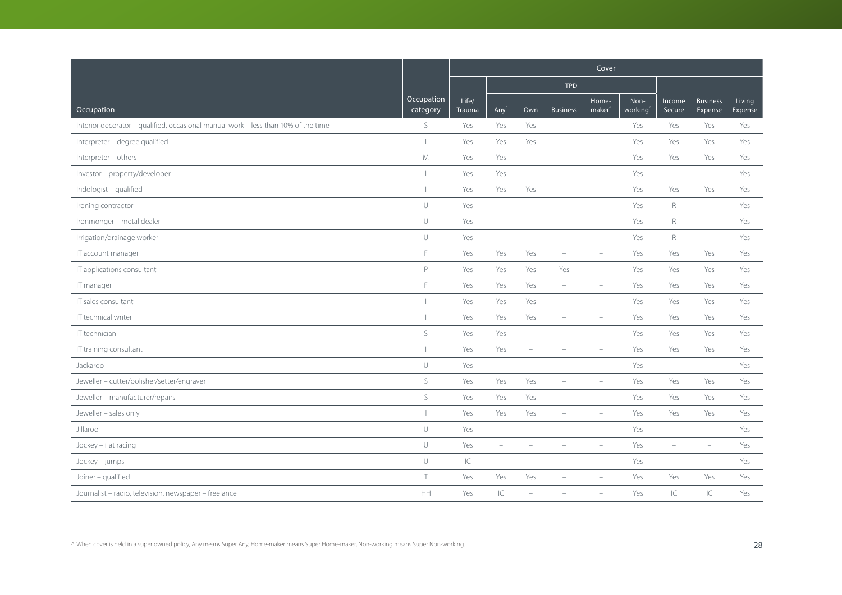|                                                                                    |                        | Cover                  |                          |                          |                          |                             |                 |                          |                            |                   |
|------------------------------------------------------------------------------------|------------------------|------------------------|--------------------------|--------------------------|--------------------------|-----------------------------|-----------------|--------------------------|----------------------------|-------------------|
|                                                                                    |                        |                        |                          |                          | <b>TPD</b>               |                             |                 |                          |                            |                   |
| Occupation                                                                         | Occupation<br>category | Life/<br><b>Trauma</b> | Any                      | Own                      | <b>Business</b>          | Home-<br>maker <sup>®</sup> | Non-<br>working | Income<br>Secure         | <b>Business</b><br>Expense | Living<br>Expense |
| Interior decorator - qualified, occasional manual work - less than 10% of the time | S                      | Yes                    | Yes                      | Yes                      |                          | $\overline{\phantom{a}}$    | Yes             | Yes                      | Yes                        | Yes               |
| Interpreter - degree qualified                                                     |                        | Yes                    | Yes                      | Yes                      | $\overline{\phantom{a}}$ | $\overline{\phantom{a}}$    | Yes             | Yes                      | Yes                        | Yes               |
| Interpreter - others                                                               | M                      | Yes                    | Yes                      | ÷                        |                          | $\equiv$                    | Yes             | Yes                      | Yes                        | Yes               |
| Investor - property/developer                                                      |                        | Yes                    | Yes                      | ۰                        |                          | $\overline{\phantom{a}}$    | Yes             | $\overline{\phantom{a}}$ | $\overline{\phantom{m}}$   | Yes               |
| Iridologist - qualified                                                            |                        | Yes                    | Yes                      | Yes                      | $\overline{\phantom{a}}$ | $\overline{\phantom{a}}$    | Yes             | Yes                      | Yes                        | Yes               |
| Ironing contractor                                                                 | $\cup$                 | Yes                    | $\overline{\phantom{m}}$ |                          |                          |                             | Yes             | $\mathsf R$              | $\equiv$                   | Yes               |
| Ironmonger - metal dealer                                                          | $\cup$                 | Yes                    | $\overline{\phantom{a}}$ |                          |                          |                             | Yes             | $\mathsf R$              | $\overline{\phantom{m}}$   | Yes               |
| Irrigation/drainage worker                                                         | $\cup$                 | Yes                    | $\overline{\phantom{a}}$ | $\overline{\phantom{a}}$ | $\equiv$                 | $\overline{\phantom{a}}$    | Yes             | $R_{\rm}$                | $\overline{\phantom{m}}$   | Yes               |
| IT account manager                                                                 | F                      | Yes                    | Yes                      | Yes                      | $\overline{\phantom{a}}$ | $\overline{\phantom{a}}$    | Yes             | Yes                      | Yes                        | Yes               |
| IT applications consultant                                                         | P                      | Yes                    | Yes                      | Yes                      | Yes                      | $\overline{\phantom{a}}$    | Yes             | Yes                      | Yes                        | Yes               |
| IT manager                                                                         | F                      | Yes                    | Yes                      | Yes                      | $\overline{\phantom{a}}$ | $\overline{\phantom{a}}$    | Yes             | Yes                      | Yes                        | Yes               |
| IT sales consultant                                                                |                        | Yes                    | Yes                      | Yes                      | $\overline{\phantom{a}}$ | $\overline{\phantom{a}}$    | Yes             | Yes                      | Yes                        | Yes               |
| IT technical writer                                                                |                        | Yes                    | Yes                      | Yes                      | $\overline{\phantom{a}}$ | $\overline{\phantom{a}}$    | Yes             | Yes                      | Yes                        | Yes               |
| IT technician                                                                      | $\mathsf{S}$           | Yes                    | Yes                      | $\overline{\phantom{0}}$ |                          | $\equiv$                    | Yes             | Yes                      | Yes                        | Yes               |
| IT training consultant                                                             |                        | Yes                    | Yes                      | $\overline{\phantom{m}}$ |                          | $\overline{\phantom{a}}$    | Yes             | Yes                      | Yes                        | Yes               |
| Jackaroo                                                                           | $\cup$                 | Yes                    | $\overline{\phantom{a}}$ | i.                       |                          | $\overline{\phantom{a}}$    | Yes             | $\overline{\phantom{a}}$ | $\overline{\phantom{m}}$   | Yes               |
| Jeweller - cutter/polisher/setter/engraver                                         | S                      | Yes                    | Yes                      | Yes                      | $\equiv$                 | $\equiv$                    | Yes             | Yes                      | Yes                        | Yes               |
| Jeweller - manufacturer/repairs                                                    | $\mathsf S$            | Yes                    | Yes                      | Yes                      | $\overline{\phantom{a}}$ | $\overline{\phantom{a}}$    | Yes             | Yes                      | Yes                        | Yes               |
| Jeweller - sales only                                                              |                        | Yes                    | Yes                      | Yes                      | $\overline{\phantom{a}}$ | $\overline{\phantom{a}}$    | Yes             | Yes                      | Yes                        | Yes               |
| Jillaroo                                                                           | $\cup$                 | Yes                    | $\overline{\phantom{a}}$ | ۳                        |                          | ÷                           | Yes             | ÷                        | $\equiv$                   | Yes               |
| Jockey - flat racing                                                               | $\cup$                 | Yes                    | $\overline{\phantom{a}}$ | ۰                        |                          | $\overline{\phantom{a}}$    | Yes             | ۰                        | $\overline{\phantom{m}}$   | Yes               |
| Jockey - jumps                                                                     | $\cup$                 | $\mathsf{IC}$          | $\overline{\phantom{m}}$ | $\overline{\phantom{a}}$ | $\overline{\phantom{a}}$ | $\overline{\phantom{a}}$    | Yes             | $\overline{\phantom{a}}$ | $\overline{\phantom{a}}$   | Yes               |
| Joiner - qualified                                                                 | $\top$                 | Yes                    | Yes                      | Yes                      |                          |                             | Yes             | Yes                      | Yes                        | Yes               |
| Journalist - radio, television, newspaper - freelance                              | HH                     | Yes                    | $\subset$                |                          |                          |                             | Yes             | IC                       | IC                         | Yes               |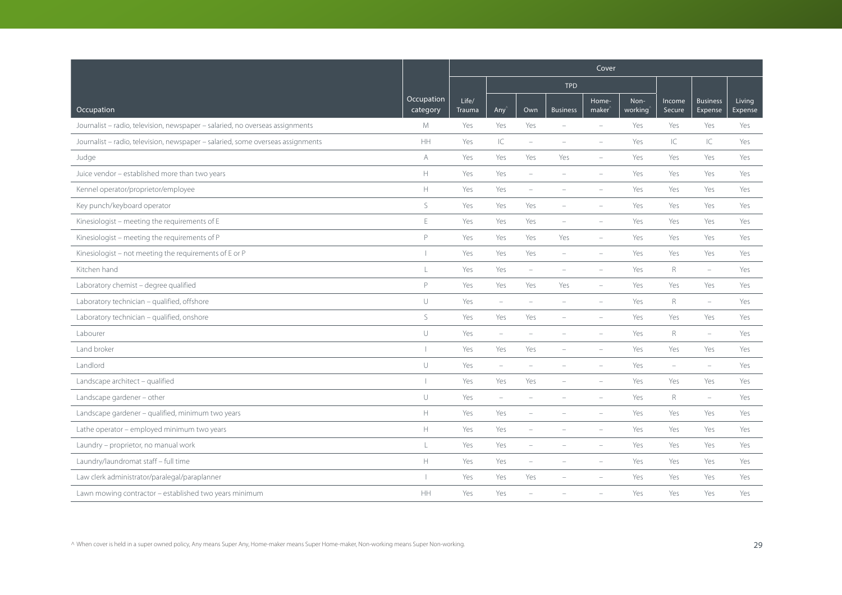|                                                                                 |                        | Cover           |                          |                          |                          |                             |                 |                  |                            |                   |  |
|---------------------------------------------------------------------------------|------------------------|-----------------|--------------------------|--------------------------|--------------------------|-----------------------------|-----------------|------------------|----------------------------|-------------------|--|
|                                                                                 |                        |                 |                          |                          | <b>TPD</b>               |                             |                 |                  |                            |                   |  |
| Occupation                                                                      | Occupation<br>category | Life/<br>Trauma | Any <sup></sup>          | Own                      | <b>Business</b>          | Home-<br>maker <sup>®</sup> | Non-<br>working | Income<br>Secure | <b>Business</b><br>Expense | Living<br>Expense |  |
| Journalist - radio, television, newspaper - salaried, no overseas assignments   | M                      | Yes             | Yes                      | Yes                      | $\equiv$                 | $\equiv$                    | Yes             | Yes              | Yes                        | Yes               |  |
| Journalist - radio, television, newspaper - salaried, some overseas assignments | $\mathsf{HH}$          | Yes             | $\subset$                | ۰                        | $\overline{\phantom{a}}$ | $\overline{\phantom{a}}$    | Yes             | IC               | IC                         | Yes               |  |
| Judge                                                                           | A                      | Yes             | Yes                      | Yes                      | Yes                      |                             | Yes             | Yes              | Yes                        | Yes               |  |
| Juice vendor - established more than two years                                  | $\mathbb H$            | Yes             | Yes                      | $\overline{\phantom{a}}$ |                          |                             | Yes             | Yes              | Yes                        | Yes               |  |
| Kennel operator/proprietor/employee                                             | $\mathbb H$            | Yes             | Yes                      | $\overline{\phantom{a}}$ |                          |                             | Yes             | Yes              | Yes                        | Yes               |  |
| Key punch/keyboard operator                                                     | $\mathsf S$            | Yes             | Yes                      | Yes                      |                          |                             | Yes             | Yes              | Yes                        | Yes               |  |
| Kinesiologist - meeting the requirements of E                                   | $\mathsf E$            | Yes             | Yes                      | Yes                      | $\equiv$                 | $\equiv$                    | Yes             | Yes              | Yes                        | Yes               |  |
| Kinesiologist - meeting the requirements of P                                   | $\mathsf{P}$           | Yes             | Yes                      | Yes                      | Yes                      | $\equiv$                    | Yes             | Yes              | Yes                        | Yes               |  |
| Kinesiologist - not meeting the requirements of E or P                          |                        | Yes             | Yes                      | Yes                      |                          |                             | Yes             | Yes              | Yes                        | Yes               |  |
| Kitchen hand                                                                    | L                      | Yes             | Yes                      | ÷                        |                          |                             | Yes             | R                | $\equiv$                   | Yes               |  |
| Laboratory chemist - degree qualified                                           | $\mathsf{P}$           | Yes             | Yes                      | Yes                      | Yes                      | $\overline{\phantom{a}}$    | Yes             | Yes              | Yes                        | Yes               |  |
| Laboratory technician - qualified, offshore                                     | $\cup$                 | Yes             | $\overline{\phantom{m}}$ | ÷                        |                          | $\equiv$                    | Yes             | R                | $\equiv$                   | Yes               |  |
| Laboratory technician - qualified, onshore                                      | $\mathsf S$            | Yes             | Yes                      | Yes                      |                          |                             | Yes             | Yes              | Yes                        | Yes               |  |
| Labourer                                                                        | $\cup$                 | Yes             | $\overline{\phantom{m}}$ | ۰                        |                          | $\equiv$                    | Yes             | R                | $\overline{\phantom{a}}$   | Yes               |  |
| Land broker                                                                     |                        | Yes             | Yes                      | Yes                      | $\equiv$                 | $\overline{\phantom{a}}$    | Yes             | Yes              | Yes                        | Yes               |  |
| Landlord                                                                        | $\cup$                 | Yes             | $\equiv$                 |                          |                          |                             | Yes             | ÷                | $\equiv$                   | Yes               |  |
| Landscape architect - qualified                                                 |                        | Yes             | Yes                      | Yes                      |                          |                             | Yes             | Yes              | Yes                        | Yes               |  |
| Landscape gardener - other                                                      | $\cup$                 | Yes             | $\overline{\phantom{m}}$ | ÷                        |                          | $\overline{\phantom{a}}$    | Yes             | $\mathsf R$      | $\overline{\phantom{m}}$   | Yes               |  |
| Landscape gardener - qualified, minimum two years                               | $\mathbb H$            | Yes             | Yes                      | i.                       |                          | $\sim$                      | Yes             | Yes              | Yes                        | Yes               |  |
| Lathe operator - employed minimum two years                                     | $\mathbb H$            | Yes             | Yes                      |                          |                          |                             | Yes             | Yes              | Yes                        | Yes               |  |
| Laundry - proprietor, no manual work                                            | L                      | Yes             | Yes                      | $\overline{\phantom{a}}$ |                          |                             | Yes             | Yes              | Yes                        | Yes               |  |
| Laundry/laundromat staff - full time                                            | $\mathbb H$            | Yes             | Yes                      | $\overline{\phantom{a}}$ | $\equiv$                 | $\overline{\phantom{a}}$    | Yes             | Yes              | Yes                        | Yes               |  |
| Law clerk administrator/paralegal/paraplanner                                   |                        | Yes             | Yes                      | Yes                      |                          |                             | Yes             | Yes              | Yes                        | Yes               |  |
| Lawn mowing contractor - established two years minimum                          | HH                     | Yes             | Yes                      |                          |                          |                             | Yes             | Yes              | Yes                        | Yes               |  |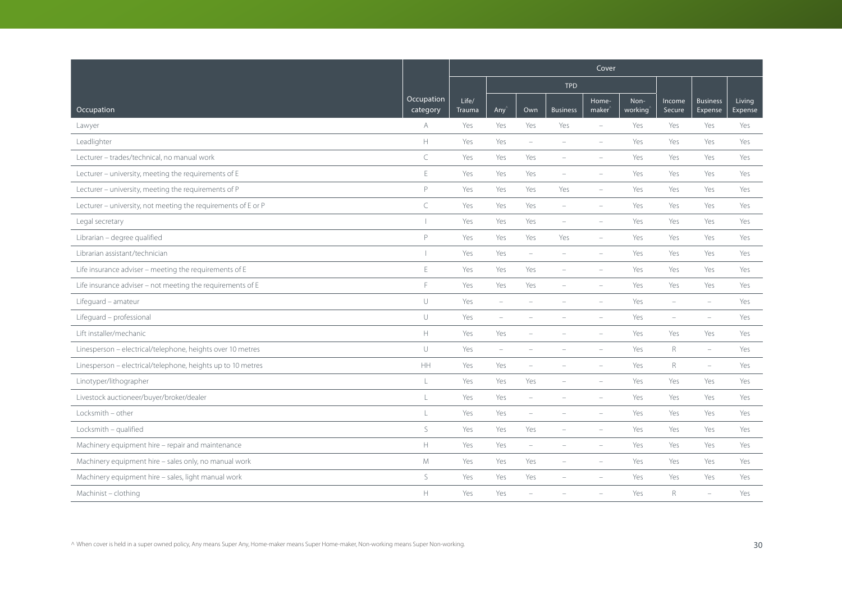|                                                               |                        | Cover           |                                 |                          |                          |                          |                 |                          |                            |                   |  |
|---------------------------------------------------------------|------------------------|-----------------|---------------------------------|--------------------------|--------------------------|--------------------------|-----------------|--------------------------|----------------------------|-------------------|--|
|                                                               |                        |                 |                                 |                          | <b>TPD</b>               |                          |                 |                          |                            |                   |  |
| Occupation                                                    | Occupation<br>category | Life/<br>Trauma | $Any^2$                         | Own                      | <b>Business</b>          | Home-<br>$make^$         | Non-<br>working | Income<br>Secure         | <b>Business</b><br>Expense | Living<br>Expense |  |
| Lawyer                                                        | A                      | Yes             | Yes                             | Yes                      | Yes                      | $\overline{\phantom{a}}$ | Yes             | Yes                      | Yes                        | Yes               |  |
| Leadlighter                                                   | $\mathbb H$            | Yes             | Yes                             | $\overline{\phantom{a}}$ | $\overline{\phantom{a}}$ | $\overline{\phantom{a}}$ | Yes             | Yes                      | Yes                        | Yes               |  |
| Lecturer - trades/technical, no manual work                   | C                      | Yes             | Yes                             | Yes                      | $\equiv$                 | $\equiv$                 | Yes             | Yes                      | Yes                        | Yes               |  |
| Lecturer - university, meeting the requirements of E          | E                      | Yes             | Yes                             | Yes                      | $\overline{\phantom{a}}$ | $\overline{\phantom{a}}$ | Yes             | Yes                      | Yes                        | Yes               |  |
| Lecturer - university, meeting the requirements of P          | P                      | Yes             | Yes                             | Yes                      | Yes                      | $\overline{\phantom{a}}$ | Yes             | Yes                      | Yes                        | Yes               |  |
| Lecturer - university, not meeting the requirements of E or P | $\subset$              | Yes             | Yes                             | Yes                      | $\overline{\phantom{a}}$ | $\overline{\phantom{a}}$ | Yes             | Yes                      | Yes                        | Yes               |  |
| Legal secretary                                               | $\perp$                | Yes             | Yes                             | Yes                      | $\overline{\phantom{a}}$ | $\overline{\phantom{a}}$ | Yes             | Yes                      | Yes                        | Yes               |  |
| Librarian - degree qualified                                  | P                      | Yes             | Yes                             | Yes                      | Yes                      | $\overline{\phantom{a}}$ | Yes             | Yes                      | Yes                        | Yes               |  |
| Librarian assistant/technician                                | $\overline{1}$         | Yes             | Yes                             | $\overline{\phantom{a}}$ |                          | $\overline{\phantom{a}}$ | Yes             | Yes                      | Yes                        | Yes               |  |
| Life insurance adviser - meeting the requirements of E        | E                      | Yes             | Yes                             | Yes                      | $\equiv$                 | i.                       | Yes             | Yes                      | Yes                        | Yes               |  |
| Life insurance adviser - not meeting the requirements of E    | F                      | Yes             | Yes                             | Yes                      | $\overline{\phantom{a}}$ | $\qquad \qquad -$        | Yes             | Yes                      | Yes                        | Yes               |  |
| Lifequard - amateur                                           | $\cup$                 | Yes             | $\overline{\phantom{a}}$        | ۰                        |                          | $\overline{\phantom{a}}$ | Yes             | $\overline{\phantom{a}}$ | $\overline{\phantom{0}}$   | Yes               |  |
| Lifeguard - professional                                      | $\cup$                 | Yes             | ÷,                              |                          |                          |                          | Yes             | ÷                        | $\equiv$                   | Yes               |  |
| Lift installer/mechanic                                       | $\mathbb H$            | Yes             | Yes                             | ۰                        |                          | $\overline{\phantom{a}}$ | Yes             | Yes                      | Yes                        | Yes               |  |
| Linesperson - electrical/telephone, heights over 10 metres    | $\cup$                 | Yes             | $\hspace{0.1mm}-\hspace{0.1mm}$ | ÷                        |                          | $\overline{\phantom{m}}$ | Yes             | $\mathsf R$              | $\overline{\phantom{a}}$   | Yes               |  |
| Linesperson - electrical/telephone, heights up to 10 metres   | HH                     | Yes             | Yes                             | ÷,                       |                          | $\overline{\phantom{a}}$ | Yes             | $\mathsf{R}$             | $\overline{\phantom{a}}$   | Yes               |  |
| Linotyper/lithographer                                        | L                      | Yes             | Yes                             | Yes                      |                          | $\overline{\phantom{a}}$ | Yes             | Yes                      | Yes                        | Yes               |  |
| Livestock auctioneer/buyer/broker/dealer                      | T                      | Yes             | Yes                             | $\overline{\phantom{a}}$ |                          |                          | Yes             | Yes                      | Yes                        | Yes               |  |
| Locksmith - other                                             | L                      | Yes             | Yes                             | $\overline{\phantom{a}}$ | $\equiv$                 | i.                       | Yes             | Yes                      | Yes                        | Yes               |  |
| Locksmith - qualified                                         | S                      | Yes             | Yes                             | Yes                      |                          | ÷                        | Yes             | Yes                      | Yes                        | Yes               |  |
| Machinery equipment hire - repair and maintenance             | $\mathbb H$            | Yes             | Yes                             | $\overline{\phantom{a}}$ |                          | $\overline{\phantom{a}}$ | Yes             | Yes                      | Yes                        | Yes               |  |
| Machinery equipment hire - sales only, no manual work         | M                      | Yes             | Yes                             | Yes                      | $\overline{\phantom{a}}$ | $\overline{\phantom{a}}$ | Yes             | Yes                      | Yes                        | Yes               |  |
| Machinery equipment hire - sales, light manual work           | S                      | Yes             | Yes                             | Yes                      |                          |                          | Yes             | Yes                      | Yes                        | Yes               |  |
| Machinist - clothing                                          | $\mathbb H$            | Yes             | Yes                             |                          |                          |                          | Yes             | R                        | $\overline{\phantom{m}}$   | Yes               |  |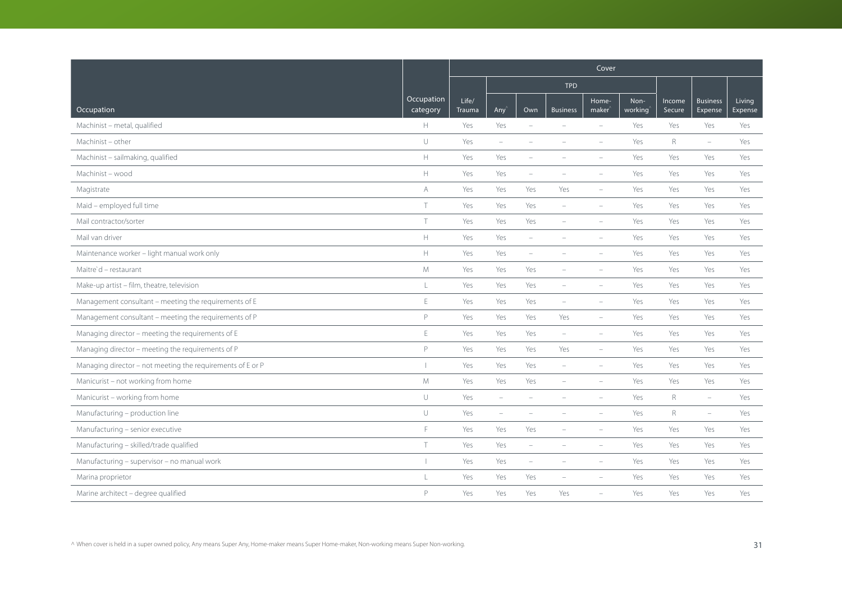|                                                            |                        | Cover           |                          |                                 |                          |                             |                 |                  |                            |                   |
|------------------------------------------------------------|------------------------|-----------------|--------------------------|---------------------------------|--------------------------|-----------------------------|-----------------|------------------|----------------------------|-------------------|
|                                                            |                        |                 |                          |                                 | <b>TPD</b>               |                             |                 |                  |                            |                   |
| Occupation                                                 | Occupation<br>category | Life/<br>Trauma | Any                      | Own                             | <b>Business</b>          | Home-<br>maker <sup>®</sup> | Non-<br>working | Income<br>Secure | <b>Business</b><br>Expense | Living<br>Expense |
| Machinist - metal, qualified                               | H                      | Yes             | Yes                      | $\sim$                          |                          | $\equiv$                    | Yes             | Yes              | Yes                        | Yes               |
| Machinist - other                                          | $\cup$                 | Yes             | $\overline{\phantom{a}}$ | ÷                               |                          | $\equiv$                    | Yes             | R                | $\overline{\phantom{m}}$   | Yes               |
| Machinist - sailmaking, qualified                          | $\mathbb H$            | Yes             | Yes                      |                                 |                          |                             | Yes             | Yes              | Yes                        | Yes               |
| Machinist - wood                                           | $\mathbb H$            | Yes             | Yes                      | $\overline{\phantom{a}}$        | $\overline{\phantom{a}}$ | $\overline{\phantom{a}}$    | Yes             | Yes              | Yes                        | Yes               |
| Magistrate                                                 | A                      | Yes             | Yes                      | Yes                             | Yes                      | $\overline{\phantom{a}}$    | Yes             | Yes              | Yes                        | Yes               |
| Maid - employed full time                                  | T                      | Yes             | Yes                      | Yes                             | $\overline{\phantom{a}}$ | $\overline{\phantom{a}}$    | Yes             | Yes              | Yes                        | Yes               |
| Mail contractor/sorter                                     | $\top$                 | Yes             | Yes                      | Yes                             | $\equiv$                 | $\overline{\phantom{a}}$    | Yes             | Yes              | Yes                        | Yes               |
| Mail van driver                                            | $\mathbb H$            | Yes             | Yes                      | $\hspace{0.1mm}-\hspace{0.1mm}$ | $\equiv$                 | $\equiv$                    | Yes             | Yes              | Yes                        | Yes               |
| Maintenance worker - light manual work only                | $\mathbb H$            | Yes             | Yes                      | $\overline{\phantom{a}}$        |                          |                             | Yes             | Yes              | Yes                        | Yes               |
| Maitre'd - restaurant                                      | M                      | Yes             | Yes                      | Yes                             |                          | $\overline{\phantom{a}}$    | Yes             | Yes              | Yes                        | Yes               |
| Make-up artist - film, theatre, television                 | L                      | Yes             | Yes                      | Yes                             | $\overline{\phantom{a}}$ | $\overline{\phantom{a}}$    | Yes             | Yes              | Yes                        | Yes               |
| Management consultant - meeting the requirements of E      | $\mathsf E$            | Yes             | Yes                      | Yes                             | $\overline{\phantom{a}}$ | $\overline{\phantom{a}}$    | Yes             | Yes              | Yes                        | Yes               |
| Management consultant - meeting the requirements of P      | $\mathsf{P}$           | Yes             | Yes                      | Yes                             | Yes                      | $\overline{\phantom{a}}$    | Yes             | Yes              | Yes                        | Yes               |
| Managing director - meeting the requirements of E          | E                      | Yes             | Yes                      | Yes                             | $\overline{\phantom{a}}$ | $\overline{\phantom{a}}$    | Yes             | Yes              | Yes                        | Yes               |
| Managing director - meeting the requirements of P          | P                      | Yes             | Yes                      | Yes                             | Yes                      | $\overline{\phantom{a}}$    | Yes             | Yes              | Yes                        | Yes               |
| Managing director - not meeting the requirements of E or P |                        | Yes             | Yes                      | Yes                             | $\equiv$                 | $\overline{\phantom{a}}$    | Yes             | Yes              | Yes                        | Yes               |
| Manicurist - not working from home                         | M                      | Yes             | Yes                      | Yes                             | $\overline{\phantom{a}}$ | $\overline{\phantom{a}}$    | Yes             | Yes              | Yes                        | Yes               |
| Manicurist - working from home                             | $\cup$                 | Yes             | $\overline{\phantom{a}}$ |                                 |                          |                             | Yes             | $\mathsf R$      | $\overline{\phantom{m}}$   | Yes               |
| Manufacturing - production line                            | $\cup$                 | Yes             | $\overline{\phantom{a}}$ | i.                              |                          | $\overline{\phantom{a}}$    | Yes             | $R_{\rm}$        | $\overline{\phantom{m}}$   | Yes               |
| Manufacturing - senior executive                           | F                      | Yes             | Yes                      | Yes                             |                          | ÷                           | Yes             | Yes              | Yes                        | Yes               |
| Manufacturing - skilled/trade qualified                    | $\top$                 | Yes             | Yes                      | $\overline{\phantom{a}}$        |                          |                             | Yes             | Yes              | Yes                        | Yes               |
| Manufacturing - supervisor - no manual work                |                        | Yes             | Yes                      | $\overline{\phantom{m}}$        | $\overline{\phantom{a}}$ | $\overline{\phantom{a}}$    | Yes             | Yes              | Yes                        | Yes               |
| Marina proprietor                                          | L                      | Yes             | Yes                      | Yes                             |                          |                             | Yes             | Yes              | Yes                        | Yes               |
| Marine architect - degree qualified                        | $\mathsf{P}$           | Yes             | Yes                      | Yes                             | Yes                      |                             | Yes             | Yes              | Yes                        | Yes               |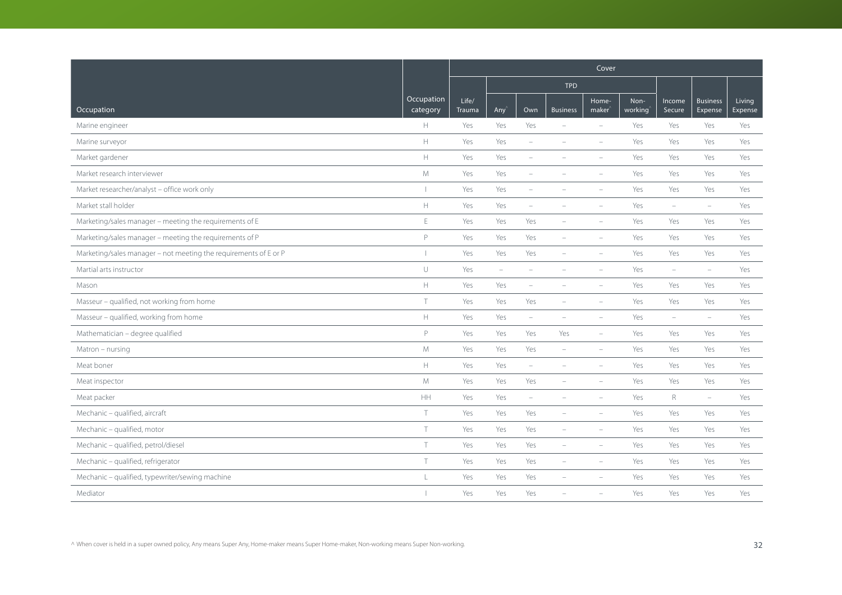|                                                                  |                        | Cover                  |                          |                          |                          |                             |                 |                          |                            |                   |  |
|------------------------------------------------------------------|------------------------|------------------------|--------------------------|--------------------------|--------------------------|-----------------------------|-----------------|--------------------------|----------------------------|-------------------|--|
|                                                                  |                        |                        |                          |                          | <b>TPD</b>               |                             |                 |                          |                            |                   |  |
| Occupation                                                       | Occupation<br>category | Life/<br><b>Trauma</b> | Any                      | Own                      | <b>Business</b>          | Home-<br>maker <sup>®</sup> | Non-<br>working | Income<br>Secure         | <b>Business</b><br>Expense | Living<br>Expense |  |
| Marine engineer                                                  | H                      | Yes                    | Yes                      | Yes                      |                          | $\overline{\phantom{a}}$    | Yes             | Yes                      | Yes                        | Yes               |  |
| Marine surveyor                                                  | $\mathbb H$            | Yes                    | Yes                      | $\overline{\phantom{a}}$ |                          | $\equiv$                    | Yes             | Yes                      | Yes                        | Yes               |  |
| Market gardener                                                  | $\mathbb H$            | Yes                    | Yes                      | $\equiv$                 |                          |                             | Yes             | Yes                      | Yes                        | Yes               |  |
| Market research interviewer                                      | M                      | Yes                    | Yes                      | $\overline{\phantom{a}}$ |                          | $\overline{\phantom{a}}$    | Yes             | Yes                      | Yes                        | Yes               |  |
| Market researcher/analyst - office work only                     |                        | Yes                    | Yes                      | $\overline{\phantom{a}}$ | $\overline{\phantom{a}}$ | $\overline{\phantom{a}}$    | Yes             | Yes                      | Yes                        | Yes               |  |
| Market stall holder                                              | $\mathbb H$            | Yes                    | Yes                      | $\overline{\phantom{a}}$ |                          |                             | Yes             | $\overline{\phantom{m}}$ | $\overline{\phantom{m}}$   | Yes               |  |
| Marketing/sales manager - meeting the requirements of E          | $\mathsf E$            | Yes                    | Yes                      | Yes                      | $\overline{\phantom{a}}$ | $\overline{\phantom{a}}$    | Yes             | Yes                      | Yes                        | Yes               |  |
| Marketing/sales manager - meeting the requirements of P          | $\mathsf{P}$           | Yes                    | Yes                      | Yes                      | $\overline{\phantom{a}}$ | $\equiv$                    | Yes             | Yes                      | Yes                        | Yes               |  |
| Marketing/sales manager - not meeting the requirements of E or P |                        | Yes                    | Yes                      | Yes                      |                          |                             | Yes             | Yes                      | Yes                        | Yes               |  |
| Martial arts instructor                                          | $\cup$                 | Yes                    | $\overline{\phantom{0}}$ | ÷                        |                          | $\overline{\phantom{a}}$    | Yes             | $\overline{\phantom{a}}$ | $\overline{\phantom{m}}$   | Yes               |  |
| Mason                                                            | $\mathbb H$            | Yes                    | Yes                      | $\qquad \qquad -$        | $\overline{\phantom{a}}$ | $\overline{\phantom{a}}$    | Yes             | Yes                      | Yes                        | Yes               |  |
| Masseur - qualified, not working from home                       | $\top$                 | Yes                    | Yes                      | Yes                      |                          | $\overline{\phantom{a}}$    | Yes             | Yes                      | Yes                        | Yes               |  |
| Masseur - qualified, working from home                           | $\mathbb H$            | Yes                    | Yes                      | $\overline{\phantom{a}}$ |                          | $\equiv$                    | Yes             | ÷                        | $\equiv$                   | Yes               |  |
| Mathematician - degree qualified                                 | P                      | Yes                    | Yes                      | Yes                      | Yes                      | $\overline{\phantom{a}}$    | Yes             | Yes                      | Yes                        | Yes               |  |
| Matron - nursing                                                 | M                      | Yes                    | Yes                      | Yes                      | $\overline{\phantom{m}}$ | $\overline{\phantom{a}}$    | Yes             | Yes                      | Yes                        | Yes               |  |
| Meat boner                                                       | $\mathbb H$            | Yes                    | Yes                      | $\overline{\phantom{0}}$ |                          |                             | Yes             | Yes                      | Yes                        | Yes               |  |
| Meat inspector                                                   | M                      | Yes                    | Yes                      | Yes                      | $\overline{\phantom{a}}$ | $\overline{\phantom{a}}$    | Yes             | Yes                      | Yes                        | Yes               |  |
| Meat packer                                                      | $\mathsf{HH}% _{0}$    | Yes                    | Yes                      | $\overline{\phantom{a}}$ | $\overline{\phantom{a}}$ | $\overline{\phantom{a}}$    | Yes             | $\mathsf R$              | $\overline{\phantom{m}}$   | Yes               |  |
| Mechanic - qualified, aircraft                                   | $\top$                 | Yes                    | Yes                      | Yes                      | $\equiv$                 | $\equiv$                    | Yes             | Yes                      | Yes                        | Yes               |  |
| Mechanic - qualified, motor                                      | T                      | Yes                    | Yes                      | Yes                      | $\equiv$                 | $\equiv$                    | Yes             | Yes                      | Yes                        | Yes               |  |
| Mechanic - qualified, petrol/diesel                              | $\top$                 | Yes                    | Yes                      | Yes                      | $\overline{\phantom{a}}$ | $\overline{\phantom{a}}$    | Yes             | Yes                      | Yes                        | Yes               |  |
| Mechanic - qualified, refrigerator                               | T                      | Yes                    | Yes                      | Yes                      | $\overline{\phantom{a}}$ | $\overline{\phantom{a}}$    | Yes             | Yes                      | Yes                        | Yes               |  |
| Mechanic - qualified, typewriter/sewing machine                  | L                      | Yes                    | Yes                      | Yes                      |                          |                             | Yes             | Yes                      | Yes                        | Yes               |  |
| Mediator                                                         |                        | Yes                    | Yes                      | Yes                      |                          |                             | Yes             | Yes                      | Yes                        | Yes               |  |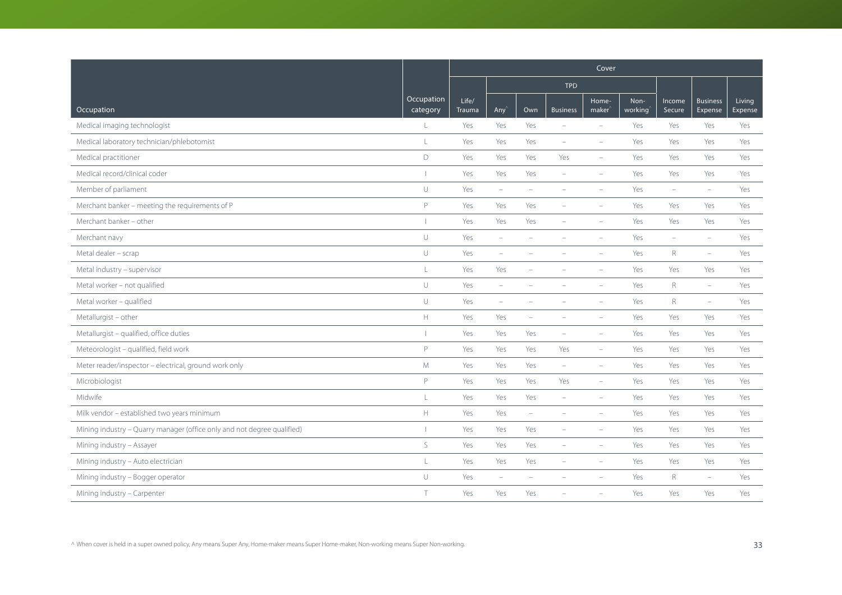|                                                                         |                        | Cover           |                          |                          |                          |                             |                 |                          |                            |                   |  |
|-------------------------------------------------------------------------|------------------------|-----------------|--------------------------|--------------------------|--------------------------|-----------------------------|-----------------|--------------------------|----------------------------|-------------------|--|
|                                                                         |                        |                 |                          |                          | <b>TPD</b>               |                             |                 |                          |                            |                   |  |
| Occupation                                                              | Occupation<br>category | Life/<br>Trauma | Any <sup></sup>          | Own                      | <b>Business</b>          | Home-<br>maker <sup>®</sup> | Non-<br>working | Income<br>Secure         | <b>Business</b><br>Expense | Living<br>Expense |  |
| Medical imaging technologist                                            | L                      | Yes             | Yes                      | Yes                      | $\equiv$                 | $\sim$                      | Yes             | Yes                      | Yes                        | Yes               |  |
| Medical laboratory technician/phlebotomist                              | L                      | Yes             | Yes                      | Yes                      | $\overline{\phantom{a}}$ | $\overline{\phantom{a}}$    | Yes             | Yes                      | Yes                        | Yes               |  |
| Medical practitioner                                                    | D                      | Yes             | Yes                      | Yes                      | Yes                      | $\overline{\phantom{a}}$    | Yes             | Yes                      | Yes                        | Yes               |  |
| Medical record/clinical coder                                           |                        | Yes             | Yes                      | Yes                      | $\equiv$                 |                             | Yes             | Yes                      | Yes                        | Yes               |  |
| Member of parliament                                                    | $\cup$                 | Yes             | $\overline{\phantom{a}}$ | $\overline{\phantom{a}}$ | $\overline{\phantom{a}}$ |                             | Yes             | $\overline{\phantom{m}}$ | $\equiv$                   | Yes               |  |
| Merchant banker - meeting the requirements of P                         | P                      | Yes             | Yes                      | Yes                      |                          | $\equiv$                    | Yes             | Yes                      | Yes                        | Yes               |  |
| Merchant banker - other                                                 |                        | Yes             | Yes                      | Yes                      | $\equiv$                 | $\equiv$                    | Yes             | Yes                      | Yes                        | Yes               |  |
| Merchant navy                                                           | $\cup$                 | Yes             | $\equiv$                 | $\sim$                   | $\equiv$                 | $\equiv$                    | Yes             | $\equiv$                 | $\sim$                     | Yes               |  |
| Metal dealer - scrap                                                    | $\cup$                 | Yes             | $\overline{\phantom{m}}$ |                          |                          |                             | Yes             | $\mathsf R$              | $\overline{\phantom{m}}$   | Yes               |  |
| Metal industry - supervisor                                             | $\mathsf L$            | Yes             | Yes                      |                          |                          |                             | Yes             | Yes                      | Yes                        | Yes               |  |
| Metal worker - not qualified                                            | $\cup$                 | Yes             | $\overline{\phantom{m}}$ |                          |                          |                             | Yes             | R                        | $\overline{\phantom{0}}$   | Yes               |  |
| Metal worker - qualified                                                | $\cup$                 | Yes             | $\overline{\phantom{m}}$ | $\overline{\phantom{a}}$ |                          | $\equiv$                    | Yes             | $\mathsf R$              | $\overline{\phantom{a}}$   | Yes               |  |
| Metallurgist - other                                                    | $\mathbb H$            | Yes             | Yes                      | ÷                        |                          | $\equiv$                    | Yes             | Yes                      | Yes                        | Yes               |  |
| Metallurgist - qualified, office duties                                 |                        | Yes             | Yes                      | Yes                      | $\equiv$                 | $\equiv$                    | Yes             | Yes                      | Yes                        | Yes               |  |
| Meteorologist - qualified, field work                                   | P                      | Yes             | Yes                      | Yes                      | Yes                      | $\overline{\phantom{a}}$    | Yes             | Yes                      | Yes                        | Yes               |  |
| Meter reader/inspector - electrical, ground work only                   | M                      | Yes             | Yes                      | Yes                      | $\overline{\phantom{a}}$ | $\overline{\phantom{a}}$    | Yes             | Yes                      | Yes                        | Yes               |  |
| Microbiologist                                                          | P                      | Yes             | Yes                      | Yes                      | Yes                      | $\overline{\phantom{a}}$    | Yes             | Yes                      | Yes                        | Yes               |  |
| Midwife                                                                 | L                      | Yes             | Yes                      | Yes                      | $\overline{\phantom{a}}$ | $\overline{\phantom{a}}$    | Yes             | Yes                      | Yes                        | Yes               |  |
| Milk vendor - established two years minimum                             | $\mathbb H$            | Yes             | Yes                      | $\overline{\phantom{m}}$ | $\equiv$                 | $\equiv$                    | Yes             | Yes                      | Yes                        | Yes               |  |
| Mining industry - Quarry manager (office only and not degree qualified) |                        | Yes             | Yes                      | Yes                      |                          | $\equiv$                    | Yes             | Yes                      | Yes                        | Yes               |  |
| Mining industry - Assayer                                               | S                      | Yes             | Yes                      | Yes                      | $\overline{\phantom{a}}$ | $\overline{\phantom{a}}$    | Yes             | Yes                      | Yes                        | Yes               |  |
| Mining industry - Auto electrician                                      | $\mathsf L$            | Yes             | Yes                      | Yes                      | $\overline{\phantom{a}}$ | $\overline{\phantom{a}}$    | Yes             | Yes                      | Yes                        | Yes               |  |
| Mining industry - Bogger operator                                       | U                      | Yes             | $\equiv$                 |                          |                          |                             | Yes             | $\mathsf R$              | $\equiv$                   | Yes               |  |
| Mining industry - Carpenter                                             | T                      | Yes             | Yes                      | Yes                      |                          |                             | Yes             | Yes                      | Yes                        | Yes               |  |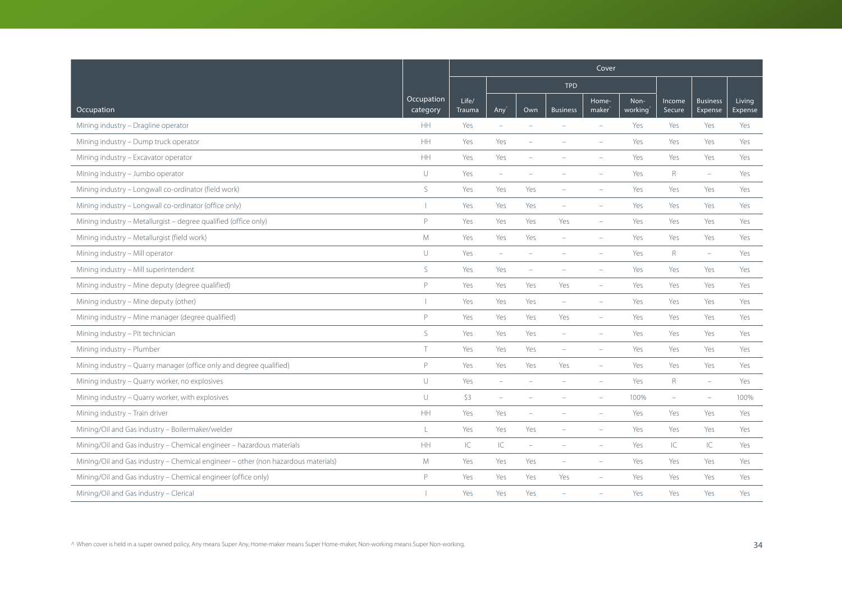|                                                                                   |                        | Cover           |                                   |                          |                          |                             |                 |                          |                            |                          |  |
|-----------------------------------------------------------------------------------|------------------------|-----------------|-----------------------------------|--------------------------|--------------------------|-----------------------------|-----------------|--------------------------|----------------------------|--------------------------|--|
|                                                                                   |                        |                 |                                   |                          | <b>TPD</b>               |                             |                 |                          |                            |                          |  |
| Occupation                                                                        | Occupation<br>category | Life/<br>Trauma | Any'                              | Own                      | <b>Business</b>          | Home-<br>maker <sup>'</sup> | Non-<br>working | Income<br>Secure         | <b>Business</b><br>Expense | Living<br><b>Expense</b> |  |
| Mining industry - Dragline operator                                               | <b>HH</b>              | Yes             | $\overline{\phantom{a}}$          | ÷                        | $\equiv$                 | $\sim$                      | Yes             | Yes                      | Yes                        | Yes                      |  |
| Mining industry - Dump truck operator                                             | HH                     | Yes             | Yes                               | ۰                        |                          |                             | Yes             | Yes                      | Yes                        | Yes                      |  |
| Mining industry - Excavator operator                                              | HH                     | Yes             | Yes                               |                          |                          |                             | Yes             | Yes                      | Yes                        | Yes                      |  |
| Mining industry - Jumbo operator                                                  | U                      | Yes             | $\overline{\phantom{a}}$          |                          |                          |                             | Yes             | $\mathsf{R}$             | $\overline{\phantom{a}}$   | Yes                      |  |
| Mining industry - Longwall co-ordinator (field work)                              | $\mathsf S$            | Yes             | Yes                               | Yes                      |                          | $\overline{\phantom{a}}$    | Yes             | Yes                      | Yes                        | Yes                      |  |
| Mining industry - Longwall co-ordinator (office only)                             |                        | Yes             | Yes                               | Yes                      | $\equiv$                 | $\equiv$                    | Yes             | Yes                      | Yes                        | Yes                      |  |
| Mining industry - Metallurgist - degree qualified (office only)                   | P                      | Yes             | Yes                               | Yes                      | Yes                      | $\equiv$                    | Yes             | Yes                      | Yes                        | Yes                      |  |
| Mining industry - Metallurgist (field work)                                       | M                      | Yes             | Yes                               | Yes                      | $\equiv$                 | $\equiv$                    | Yes             | Yes                      | Yes                        | Yes                      |  |
| Mining industry - Mill operator                                                   | U                      | Yes             | $\overline{\phantom{m}}$          |                          |                          |                             | Yes             | $\mathsf R$              | $\overline{\phantom{m}}$   | Yes                      |  |
| Mining industry - Mill superintendent                                             | S                      | Yes             | Yes                               | ۰                        |                          | $\overline{\phantom{a}}$    | Yes             | Yes                      | Yes                        | Yes                      |  |
| Mining industry - Mine deputy (degree qualified)                                  | $\mathsf{P}$           | Yes             | Yes                               | Yes                      | Yes                      | ÷,                          | Yes             | Yes                      | Yes                        | Yes                      |  |
| Mining industry - Mine deputy (other)                                             |                        | Yes             | Yes                               | Yes                      | $\overline{\phantom{a}}$ | $\overline{\phantom{m}}$    | Yes             | Yes                      | Yes                        | Yes                      |  |
| Mining industry - Mine manager (degree qualified)                                 | $\mathsf{P}$           | Yes             | Yes                               | Yes                      | Yes                      | $\overline{\phantom{a}}$    | Yes             | Yes                      | Yes                        | Yes                      |  |
| Mining industry - Pit technician                                                  | S                      | Yes             | Yes                               | Yes                      | $\overline{\phantom{a}}$ | $\equiv$                    | Yes             | Yes                      | Yes                        | Yes                      |  |
| Mining industry - Plumber                                                         | $\top$                 | Yes             | Yes                               | Yes                      | $\overline{\phantom{a}}$ | ÷,                          | Yes             | Yes                      | Yes                        | Yes                      |  |
| Mining industry - Quarry manager (office only and degree qualified)               | P                      | Yes             | Yes                               | Yes                      | Yes                      | i.                          | Yes             | Yes                      | Yes                        | Yes                      |  |
| Mining industry - Quarry worker, no explosives                                    | U                      | Yes             | $\overline{\phantom{a}}$          |                          |                          |                             | Yes             | $\mathsf R$              | $\equiv$                   | Yes                      |  |
| Mining industry - Quarry worker, with explosives                                  | $\cup$                 | \$3             | $\overline{\phantom{a}}$          |                          |                          | $\overline{\phantom{a}}$    | 100%            | $\overline{\phantom{a}}$ | $\overline{\phantom{m}}$   | 100%                     |  |
| Mining industry - Train driver                                                    | HH                     | Yes             | Yes                               | ÷,                       |                          | $\overline{\phantom{a}}$    | Yes             | Yes                      | Yes                        | Yes                      |  |
| Mining/Oil and Gas industry - Boilermaker/welder                                  | L                      | Yes             | Yes                               | Yes                      |                          |                             | Yes             | Yes                      | Yes                        | Yes                      |  |
| Mining/Oil and Gas industry - Chemical engineer - hazardous materials             | HH                     | IC              | $\ensuremath{\mathsf{IC}}\xspace$ | $\overline{\phantom{a}}$ |                          | $\overline{\phantom{m}}$    | Yes             | IC                       | IC                         | Yes                      |  |
| Mining/Oil and Gas industry - Chemical engineer - other (non hazardous materials) | ${\mathsf M}$          | Yes             | Yes                               | Yes                      | $\overline{\phantom{a}}$ | ÷,                          | Yes             | Yes                      | Yes                        | Yes                      |  |
| Mining/Oil and Gas industry - Chemical engineer (office only)                     | $\mathsf{P}$           | Yes             | Yes                               | Yes                      | Yes                      | $\overline{\phantom{a}}$    | Yes             | Yes                      | Yes                        | Yes                      |  |
| Mining/Oil and Gas industry - Clerical                                            |                        | Yes             | Yes                               | Yes                      |                          |                             | Yes             | Yes                      | Yes                        | Yes                      |  |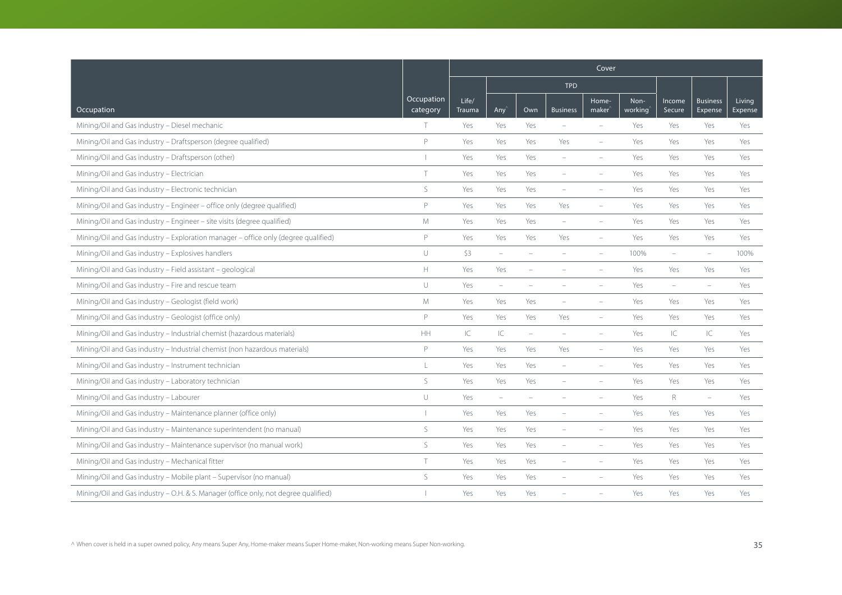|                                                                                     |                        | Cover           |                          |                          |                          |                             |                 |                          |                            |                          |
|-------------------------------------------------------------------------------------|------------------------|-----------------|--------------------------|--------------------------|--------------------------|-----------------------------|-----------------|--------------------------|----------------------------|--------------------------|
|                                                                                     |                        |                 |                          |                          | <b>TPD</b>               |                             |                 |                          |                            |                          |
| Occupation                                                                          | Occupation<br>category | Life/<br>Trauma | Any <sup></sup>          | Own                      | <b>Business</b>          | Home-<br>maker <sup>'</sup> | Non-<br>working | Income<br>Secure         | <b>Business</b><br>Expense | Living<br><b>Expense</b> |
| Mining/Oil and Gas industry - Diesel mechanic                                       | T.                     | Yes             | Yes                      | Yes                      | $\equiv$                 | $\equiv$                    | Yes             | Yes                      | Yes                        | Yes                      |
| Mining/Oil and Gas industry - Draftsperson (degree qualified)                       | P                      | Yes             | Yes                      | Yes                      | Yes                      | $\overline{\phantom{a}}$    | Yes             | Yes                      | Yes                        | Yes                      |
| Mining/Oil and Gas industry - Draftsperson (other)                                  |                        | Yes             | Yes                      | Yes                      |                          |                             | Yes             | Yes                      | Yes                        | Yes                      |
| Mining/Oil and Gas industry - Electrician                                           | T                      | Yes             | Yes                      | Yes                      |                          |                             | Yes             | Yes                      | Yes                        | Yes                      |
| Mining/Oil and Gas industry - Electronic technician                                 | S                      | Yes             | Yes                      | Yes                      | $\overline{\phantom{a}}$ |                             | Yes             | Yes                      | Yes                        | Yes                      |
| Mining/Oil and Gas industry - Engineer - office only (degree qualified)             | P                      | Yes             | Yes                      | Yes                      | Yes                      | $\overline{\phantom{a}}$    | Yes             | Yes                      | Yes                        | Yes                      |
| Mining/Oil and Gas industry - Engineer - site visits (degree qualified)             | M                      | Yes             | Yes                      | Yes                      | $\equiv$                 | $\overline{\phantom{a}}$    | Yes             | Yes                      | Yes                        | Yes                      |
| Mining/Oil and Gas industry - Exploration manager - office only (degree qualified)  | P                      | Yes             | Yes                      | Yes                      | Yes                      | $\equiv$                    | Yes             | Yes                      | Yes                        | Yes                      |
| Mining/Oil and Gas industry - Explosives handlers                                   | $\cup$                 | \$3             | $\overline{\phantom{a}}$ |                          |                          |                             | 100%            | $\overline{\phantom{a}}$ | $\qquad \qquad -$          | 100%                     |
| Mining/Oil and Gas industry - Field assistant - geological                          | $\mathbb H$            | Yes             | Yes                      |                          |                          |                             | Yes             | Yes                      | Yes                        | Yes                      |
| Mining/Oil and Gas industry - Fire and rescue team                                  | $\cup$                 | Yes             | $\overline{\phantom{m}}$ |                          |                          |                             | Yes             | $\overline{\phantom{a}}$ | $\equiv$                   | Yes                      |
| Mining/Oil and Gas industry - Geologist (field work)                                | M                      | Yes             | Yes                      | Yes                      | $\overline{\phantom{a}}$ | $\overline{\phantom{a}}$    | Yes             | Yes                      | Yes                        | Yes                      |
| Mining/Oil and Gas industry - Geologist (office only)                               | P                      | Yes             | Yes                      | Yes                      | Yes                      | $\overline{\phantom{a}}$    | Yes             | Yes                      | Yes                        | Yes                      |
| Mining/Oil and Gas industry - Industrial chemist (hazardous materials)              | HH                     | IC              | $\subset$                | $\overline{\phantom{a}}$ | $\equiv$                 | $\equiv$                    | Yes             | IC                       | $\subset$                  | Yes                      |
| Mining/Oil and Gas industry - Industrial chemist (non hazardous materials)          | P                      | Yes             | Yes                      | Yes                      | Yes                      | $\overline{\phantom{a}}$    | Yes             | Yes                      | Yes                        | Yes                      |
| Mining/Oil and Gas industry - Instrument technician                                 | L                      | Yes             | Yes                      | Yes                      |                          |                             | Yes             | Yes                      | Yes                        | Yes                      |
| Mining/Oil and Gas industry - Laboratory technician                                 | S                      | Yes             | Yes                      | Yes                      |                          |                             | Yes             | Yes                      | Yes                        | Yes                      |
| Mining/Oil and Gas industry - Labourer                                              | $\cup$                 | Yes             | $\overline{\phantom{m}}$ | ÷                        |                          |                             | Yes             | $\mathsf R$              | $\overline{\phantom{0}}$   | Yes                      |
| Mining/Oil and Gas industry - Maintenance planner (office only)                     |                        | Yes             | Yes                      | Yes                      |                          | $\overline{\phantom{a}}$    | Yes             | Yes                      | Yes                        | Yes                      |
| Mining/Oil and Gas industry - Maintenance superintendent (no manual)                | $\mathsf S$            | Yes             | Yes                      | Yes                      |                          |                             | Yes             | Yes                      | Yes                        | Yes                      |
| Mining/Oil and Gas industry - Maintenance supervisor (no manual work)               | $\mathsf S$            | Yes             | Yes                      | Yes                      |                          |                             | Yes             | Yes                      | Yes                        | Yes                      |
| Mining/Oil and Gas industry - Mechanical fitter                                     | T                      | Yes             | Yes                      | Yes                      | $\overline{\phantom{a}}$ | $\overline{\phantom{a}}$    | Yes             | Yes                      | Yes                        | Yes                      |
| Mining/Oil and Gas industry - Mobile plant - Supervisor (no manual)                 | S                      | Yes             | Yes                      | Yes                      |                          |                             | Yes             | Yes                      | Yes                        | Yes                      |
| Mining/Oil and Gas industry - O.H. & S. Manager (office only, not degree qualified) |                        | Yes             | Yes                      | Yes                      |                          |                             | Yes             | Yes                      | Yes                        | Yes                      |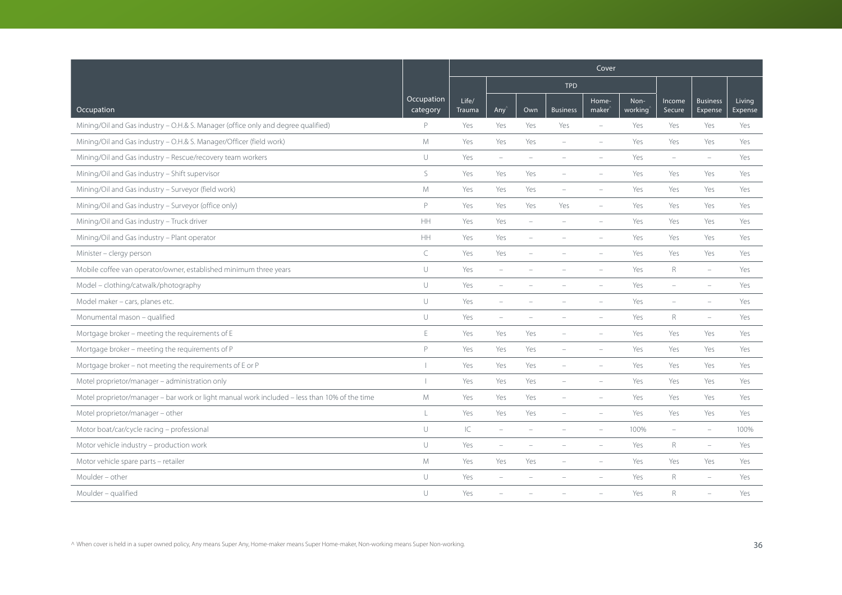|                                                                                               |                        |                 |                          |                          |                          | Cover                       |                 |                          |                            |                   |
|-----------------------------------------------------------------------------------------------|------------------------|-----------------|--------------------------|--------------------------|--------------------------|-----------------------------|-----------------|--------------------------|----------------------------|-------------------|
|                                                                                               |                        |                 |                          |                          | <b>TPD</b>               |                             |                 |                          |                            |                   |
| Occupation                                                                                    | Occupation<br>category | Life/<br>Trauma | Any'                     | Own                      | <b>Business</b>          | Home-<br>maker <sup>®</sup> | Non-<br>working | Income<br>Secure         | <b>Business</b><br>Expense | Living<br>Expense |
| Mining/Oil and Gas industry - O.H.& S. Manager (office only and degree qualified)             | P                      | Yes             | Yes                      | Yes                      | Yes                      | $\overline{\phantom{a}}$    | Yes             | Yes                      | Yes                        | Yes               |
| Mining/Oil and Gas industry - O.H.& S. Manager/Officer (field work)                           | M                      | Yes             | Yes                      | Yes                      | $\overline{\phantom{a}}$ | $\overline{\phantom{a}}$    | Yes             | Yes                      | Yes                        | Yes               |
| Mining/Oil and Gas industry - Rescue/recovery team workers                                    | U                      | Yes             | $\overline{\phantom{m}}$ |                          |                          |                             | Yes             |                          | i.                         | Yes               |
| Mining/Oil and Gas industry - Shift supervisor                                                | S                      | Yes             | Yes                      | Yes                      | $\overline{\phantom{a}}$ |                             | Yes             | Yes                      | Yes                        | Yes               |
| Mining/Oil and Gas industry - Surveyor (field work)                                           | M                      | Yes             | Yes                      | Yes                      | $\overline{\phantom{a}}$ | ÷,                          | Yes             | Yes                      | Yes                        | Yes               |
| Mining/Oil and Gas industry - Surveyor (office only)                                          | $\mathsf{P}$           | Yes             | Yes                      | Yes                      | Yes                      | $\equiv$                    | Yes             | Yes                      | Yes                        | Yes               |
| Mining/Oil and Gas industry - Truck driver                                                    | HH                     | Yes             | Yes                      | $\sim$                   | $\equiv$                 | $\overline{\phantom{a}}$    | Yes             | Yes                      | Yes                        | Yes               |
| Mining/Oil and Gas industry - Plant operator                                                  | HH                     | Yes             | Yes                      | $\overline{\phantom{a}}$ | $\overline{\phantom{a}}$ | $\equiv$                    | Yes             | Yes                      | Yes                        | Yes               |
| Minister - clergy person                                                                      | C                      | Yes             | Yes                      |                          |                          |                             | Yes             | Yes                      | Yes                        | Yes               |
| Mobile coffee van operator/owner, established minimum three years                             | $\cup$                 | Yes             | $\overline{\phantom{m}}$ |                          |                          |                             | Yes             | R                        | $\equiv$                   | Yes               |
| Model - clothing/catwalk/photography                                                          | U                      | Yes             | $\overline{\phantom{m}}$ |                          |                          |                             | Yes             | $\overline{\phantom{a}}$ | $\overline{\phantom{m}}$   | Yes               |
| Model maker - cars, planes etc.                                                               | $\cup$                 | Yes             | $\overline{\phantom{0}}$ |                          |                          |                             | Yes             | $\qquad \qquad -$        | $\overline{\phantom{0}}$   | Yes               |
| Monumental mason - qualified                                                                  | U                      | Yes             | $\equiv$                 |                          |                          |                             | Yes             | R                        | $\equiv$                   | Yes               |
| Mortgage broker - meeting the requirements of E                                               | $\mathsf E$            | Yes             | Yes                      | Yes                      | $\overline{\phantom{a}}$ | ÷,                          | Yes             | Yes                      | Yes                        | Yes               |
| Mortgage broker - meeting the requirements of P                                               | P                      | Yes             | Yes                      | Yes                      | $\overline{\phantom{a}}$ | $\overline{\phantom{m}}$    | Yes             | Yes                      | Yes                        | Yes               |
| Mortgage broker - not meeting the requirements of E or P                                      |                        | Yes             | Yes                      | Yes                      | $\overline{\phantom{a}}$ |                             | Yes             | Yes                      | Yes                        | Yes               |
| Motel proprietor/manager - administration only                                                |                        | Yes             | Yes                      | Yes                      | $\equiv$                 | $\equiv$                    | Yes             | Yes                      | Yes                        | Yes               |
| Motel proprietor/manager - bar work or light manual work included - less than 10% of the time | M                      | Yes             | Yes                      | Yes                      |                          |                             | Yes             | Yes                      | Yes                        | Yes               |
| Motel proprietor/manager - other                                                              | L                      | Yes             | Yes                      | Yes                      |                          |                             | Yes             | Yes                      | Yes                        | Yes               |
| Motor boat/car/cycle racing - professional                                                    | U                      | $\mathsf{IC}$   | $\overline{\phantom{a}}$ |                          |                          |                             | 100%            | $\overline{\phantom{a}}$ | $\overline{\phantom{m}}$   | 100%              |
| Motor vehicle industry - production work                                                      | U                      | Yes             | $\equiv$                 |                          |                          | $\equiv$                    | Yes             | R                        | $\equiv$                   | Yes               |
| Motor vehicle spare parts - retailer                                                          | M                      | Yes             | Yes                      | Yes                      | $\equiv$                 | $\equiv$                    | Yes             | Yes                      | Yes                        | Yes               |
| Moulder - other                                                                               | $\cup$                 | Yes             | $\equiv$                 |                          |                          |                             | Yes             | R                        | $\equiv$                   | Yes               |
| Moulder - qualified                                                                           | U                      | Yes             |                          |                          |                          |                             | Yes             | R                        |                            | Yes               |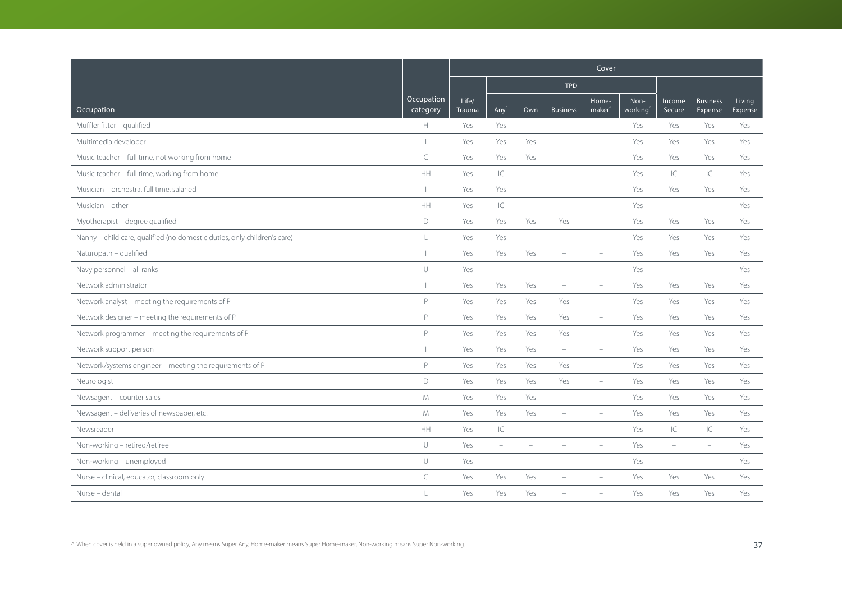|                                                                          |                        | Cover           |                          |                          |                          |                             |                 |                          |                            |                   |  |
|--------------------------------------------------------------------------|------------------------|-----------------|--------------------------|--------------------------|--------------------------|-----------------------------|-----------------|--------------------------|----------------------------|-------------------|--|
|                                                                          |                        |                 |                          |                          | <b>TPD</b>               |                             |                 |                          |                            |                   |  |
| Occupation                                                               | Occupation<br>category | Life/<br>Trauma | Any                      | Own                      | <b>Business</b>          | Home-<br>maker <sup>®</sup> | Non-<br>working | Income<br>Secure         | <b>Business</b><br>Expense | Living<br>Expense |  |
| Muffler fitter - qualified                                               | H                      | Yes             | Yes                      | $\equiv$                 |                          | $\equiv$                    | Yes             | Yes                      | Yes                        | Yes               |  |
| Multimedia developer                                                     |                        | Yes             | Yes                      | Yes                      | $\equiv$                 | $\equiv$                    | Yes             | Yes                      | Yes                        | Yes               |  |
| Music teacher - full time, not working from home                         | $\subset$              | Yes             | Yes                      | Yes                      |                          | $\equiv$                    | Yes             | Yes                      | Yes                        | Yes               |  |
| Music teacher - full time, working from home                             | HH                     | Yes             | $\subset$                | $\overline{\phantom{a}}$ |                          | $\overline{\phantom{a}}$    | Yes             | IС                       | $\mathsf{IC}$              | Yes               |  |
| Musician - orchestra, full time, salaried                                |                        | Yes             | Yes                      | $\overline{\phantom{a}}$ | $\overline{\phantom{a}}$ | $\overline{\phantom{a}}$    | Yes             | Yes                      | Yes                        | Yes               |  |
| Musician - other                                                         | HH                     | Yes             | $\subset$                | ۰                        |                          |                             | Yes             | ÷                        | $\equiv$                   | Yes               |  |
| Myotherapist - degree qualified                                          | D                      | Yes             | Yes                      | Yes                      | Yes                      | $\overline{\phantom{a}}$    | Yes             | Yes                      | Yes                        | Yes               |  |
| Nanny - child care, qualified (no domestic duties, only children's care) | L                      | Yes             | Yes                      | $\overline{\phantom{a}}$ | $\overline{\phantom{a}}$ | $\overline{\phantom{a}}$    | Yes             | Yes                      | Yes                        | Yes               |  |
| Naturopath - qualified                                                   |                        | Yes             | Yes                      | Yes                      |                          |                             | Yes             | Yes                      | Yes                        | Yes               |  |
| Navy personnel - all ranks                                               | $\cup$                 | Yes             | $\overline{\phantom{a}}$ | ÷                        |                          | $\equiv$                    | Yes             | $\equiv$                 | $\equiv$                   | Yes               |  |
| Network administrator                                                    |                        | Yes             | Yes                      | Yes                      | $\overline{\phantom{a}}$ | $\overline{\phantom{a}}$    | Yes             | Yes                      | Yes                        | Yes               |  |
| Network analyst - meeting the requirements of P                          | P                      | Yes             | Yes                      | Yes                      | Yes                      | $\overline{\phantom{a}}$    | Yes             | Yes                      | Yes                        | Yes               |  |
| Network designer - meeting the requirements of P                         | $\mathsf{P}$           | Yes             | Yes                      | Yes                      | Yes                      | $\overline{\phantom{a}}$    | Yes             | Yes                      | Yes                        | Yes               |  |
| Network programmer - meeting the requirements of P                       | P                      | Yes             | Yes                      | Yes                      | Yes                      | $\overline{\phantom{a}}$    | Yes             | Yes                      | Yes                        | Yes               |  |
| Network support person                                                   |                        | Yes             | Yes                      | Yes                      | $\overline{\phantom{a}}$ | $\overline{\phantom{a}}$    | Yes             | Yes                      | Yes                        | Yes               |  |
| Network/systems engineer - meeting the requirements of P                 | P                      | Yes             | Yes                      | Yes                      | Yes                      | $\overline{\phantom{a}}$    | Yes             | Yes                      | Yes                        | Yes               |  |
| Neurologist                                                              | D                      | Yes             | Yes                      | Yes                      | Yes                      | $\overline{\phantom{a}}$    | Yes             | Yes                      | Yes                        | Yes               |  |
| Newsagent - counter sales                                                | M                      | Yes             | Yes                      | Yes                      | $\overline{\phantom{a}}$ | $\overline{\phantom{a}}$    | Yes             | Yes                      | Yes                        | Yes               |  |
| Newsagent - deliveries of newspaper, etc.                                | M                      | Yes             | Yes                      | Yes                      | $\overline{\phantom{a}}$ | $\overline{\phantom{a}}$    | Yes             | Yes                      | Yes                        | Yes               |  |
| Newsreader                                                               | <b>HH</b>              | Yes             | $\mathsf{IC}$            | -                        |                          |                             | Yes             | IС                       | IC                         | Yes               |  |
| Non-working - retired/retiree                                            | $\cup$                 | Yes             | $\overline{\phantom{m}}$ |                          |                          |                             | Yes             | ÷                        | $\equiv$                   | Yes               |  |
| Non-working - unemployed                                                 | $\cup$                 | Yes             | $\overline{\phantom{a}}$ | $\overline{\phantom{a}}$ | $\equiv$                 | $\overline{\phantom{a}}$    | Yes             | $\overline{\phantom{a}}$ | $\overline{\phantom{a}}$   | Yes               |  |
| Nurse - clinical, educator, classroom only                               | $\subset$              | Yes             | Yes                      | Yes                      |                          |                             | Yes             | Yes                      | Yes                        | Yes               |  |
| Nurse - dental                                                           | L                      | Yes             | Yes                      | Yes                      |                          |                             | Yes             | Yes                      | Yes                        | Yes               |  |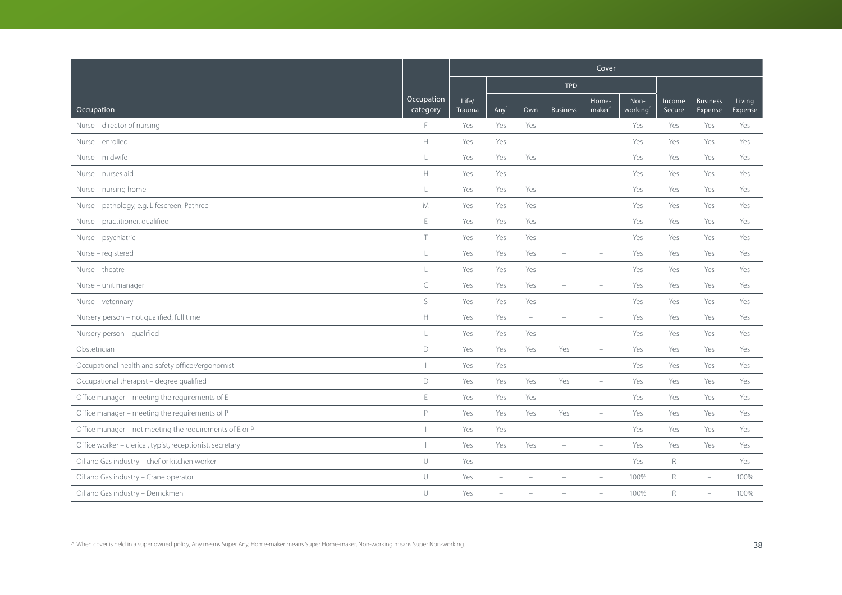|                                                           |                          | Cover           |                          |                          |                          |                             |                 |                  |                            |                   |  |
|-----------------------------------------------------------|--------------------------|-----------------|--------------------------|--------------------------|--------------------------|-----------------------------|-----------------|------------------|----------------------------|-------------------|--|
|                                                           |                          |                 |                          |                          | <b>TPD</b>               |                             |                 |                  |                            |                   |  |
| Occupation                                                | Occupation<br>category   | Life/<br>Trauma | Any                      | Own                      | <b>Business</b>          | Home-<br>maker <sup>®</sup> | Non-<br>working | Income<br>Secure | <b>Business</b><br>Expense | Living<br>Expense |  |
| Nurse - director of nursing                               | F                        | Yes             | Yes                      | Yes                      |                          | $\equiv$                    | Yes             | Yes              | Yes                        | Yes               |  |
| Nurse - enrolled                                          | $\mathbb H$              | Yes             | Yes                      | $\overline{\phantom{a}}$ |                          | $\equiv$                    | Yes             | Yes              | Yes                        | Yes               |  |
| Nurse - midwife                                           | $\mathsf L$              | Yes             | Yes                      | Yes                      |                          | $\equiv$                    | Yes             | Yes              | Yes                        | Yes               |  |
| Nurse - nurses aid                                        | $\mathbb H$              | Yes             | Yes                      | $\overline{\phantom{a}}$ | $\overline{\phantom{a}}$ | $\overline{\phantom{a}}$    | Yes             | Yes              | Yes                        | Yes               |  |
| Nurse - nursing home                                      | $\mathsf L$              | Yes             | Yes                      | Yes                      | $\overline{\phantom{a}}$ | $\overline{\phantom{a}}$    | Yes             | Yes              | Yes                        | Yes               |  |
| Nurse - pathology, e.g. Lifescreen, Pathrec               | ${\mathsf M}$            | Yes             | Yes                      | Yes                      |                          | $\equiv$                    | Yes             | Yes              | Yes                        | Yes               |  |
| Nurse - practitioner, qualified                           | E                        | Yes             | Yes                      | Yes                      | $\overline{\phantom{a}}$ | $\equiv$                    | Yes             | Yes              | Yes                        | Yes               |  |
| Nurse - psychiatric                                       | $\top$                   | Yes             | Yes                      | Yes                      | $\overline{\phantom{a}}$ | $\overline{\phantom{a}}$    | Yes             | Yes              | Yes                        | Yes               |  |
| Nurse - registered                                        | $\mathsf L$              | Yes             | Yes                      | Yes                      |                          |                             | Yes             | Yes              | Yes                        | Yes               |  |
| Nurse - theatre                                           | $\frac{1}{2}$            | Yes             | Yes                      | Yes                      | $\sim$                   | $\equiv$                    | Yes             | Yes              | Yes                        | Yes               |  |
| Nurse - unit manager                                      | C                        | Yes             | Yes                      | Yes                      | $\overline{\phantom{a}}$ | $\overline{\phantom{a}}$    | Yes             | Yes              | Yes                        | Yes               |  |
| Nurse - veterinary                                        | S                        | Yes             | Yes                      | Yes                      | $\overline{\phantom{a}}$ | $\overline{\phantom{a}}$    | Yes             | Yes              | Yes                        | Yes               |  |
| Nursery person - not qualified, full time                 | $\mathbb H$              | Yes             | Yes                      | ÷                        |                          | $\overline{\phantom{a}}$    | Yes             | Yes              | Yes                        | Yes               |  |
| Nursery person - qualified                                | L                        | Yes             | Yes                      | Yes                      | $\overline{\phantom{a}}$ | $\overline{\phantom{a}}$    | Yes             | Yes              | Yes                        | Yes               |  |
| Obstetrician                                              | D                        | Yes             | Yes                      | Yes                      | Yes                      | $\overline{\phantom{0}}$    | Yes             | Yes              | Yes                        | Yes               |  |
| Occupational health and safety officer/ergonomist         | $\mathbf{I}$             | Yes             | Yes                      | $\overline{\phantom{a}}$ | $\overline{\phantom{a}}$ | $\overline{\phantom{a}}$    | Yes             | Yes              | Yes                        | Yes               |  |
| Occupational therapist - degree qualified                 | D                        | Yes             | Yes                      | Yes                      | Yes                      | $\overline{\phantom{a}}$    | Yes             | Yes              | Yes                        | Yes               |  |
| Office manager - meeting the requirements of E            | $\mathsf E$              | Yes             | Yes                      | Yes                      | $\overline{\phantom{a}}$ | $\overline{\phantom{a}}$    | Yes             | Yes              | Yes                        | Yes               |  |
| Office manager - meeting the requirements of P            | P                        | Yes             | Yes                      | Yes                      | Yes                      | $\overline{\phantom{a}}$    | Yes             | Yes              | Yes                        | Yes               |  |
| Office manager - not meeting the requirements of E or P   | $\overline{\phantom{a}}$ | Yes             | Yes                      | $\equiv$                 |                          | $\sim$                      | Yes             | Yes              | Yes                        | Yes               |  |
| Office worker - clerical, typist, receptionist, secretary |                          | Yes             | Yes                      | Yes                      |                          |                             | Yes             | Yes              | Yes                        | Yes               |  |
| Oil and Gas industry - chef or kitchen worker             | $\cup$                   | Yes             | $\overline{\phantom{a}}$ | ÷                        | $\overline{\phantom{a}}$ | $\overline{\phantom{a}}$    | Yes             | $R_{\rm}$        | $\overline{\phantom{a}}$   | Yes               |  |
| Oil and Gas industry - Crane operator                     | $\cup$                   | Yes             | ÷                        |                          |                          |                             | 100%            | R                | ÷,                         | 100%              |  |
| Oil and Gas industry - Derrickmen                         | $\cup$                   | Yes             |                          |                          |                          |                             | 100%            | R                | $\overline{\phantom{m}}$   | 100%              |  |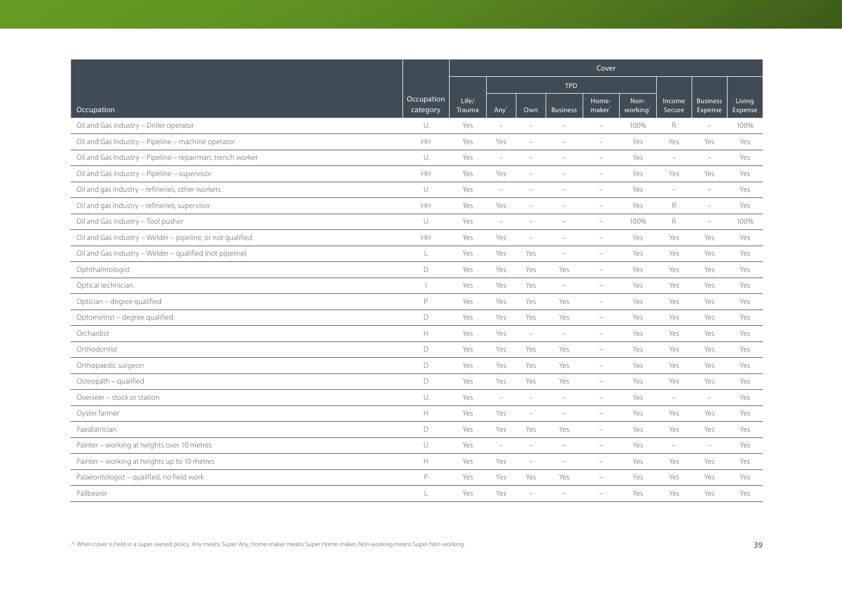|                                                            |                          | Cover                  |                          |                          |                          |                             |                 |                                 |                            |                   |
|------------------------------------------------------------|--------------------------|------------------------|--------------------------|--------------------------|--------------------------|-----------------------------|-----------------|---------------------------------|----------------------------|-------------------|
|                                                            |                          |                        |                          |                          | <b>TPD</b>               |                             |                 |                                 |                            |                   |
| Occupation                                                 | Occupation<br>category   | Life/<br><b>Trauma</b> | Any                      | Own                      | <b>Business</b>          | Home-<br>maker <sup>®</sup> | Non-<br>working | Income<br>Secure                | <b>Business</b><br>Expense | Living<br>Expense |
| Oil and Gas industry - Driller operator                    | $\cup$                   | Yes                    | $\overline{\phantom{a}}$ | ÷                        |                          | $\overline{\phantom{a}}$    | 100%            | R                               | $\overline{\phantom{m}}$   | 100%              |
| Oil and Gas Industry - Pipeline - machine operator         | <b>HH</b>                | Yes                    | Yes                      | ÷                        |                          |                             | Yes             | Yes                             | Yes                        | Yes               |
| Oil and Gas Industry - Pipeline - repairman, trench worker | $\cup$                   | Yes                    | $\sim$                   |                          |                          |                             | Yes             | $\equiv$                        | $\equiv$                   | Yes               |
| Oil and Gas industry - Pipeline - supervisor               | <b>HH</b>                | Yes                    | Yes                      | $\overline{\phantom{0}}$ |                          | $\overline{\phantom{a}}$    | Yes             | Yes                             | Yes                        | Yes               |
| Oil and gas industry - refineries, other workers           | $\cup$                   | Yes                    | $\overline{\phantom{m}}$ | ÷                        |                          | $\overline{\phantom{a}}$    | Yes             | $\overline{\phantom{m}}$        | $\equiv$                   | Yes               |
| Oil and gas industry - refineries, supervisor              | <b>HH</b>                | Yes                    | Yes                      |                          |                          |                             | Yes             | R                               | $\overline{\phantom{m}}$   | Yes               |
| Oil and Gas industry - Tool pusher                         | $\cup$                   | Yes                    | $\overline{\phantom{a}}$ | $\overline{\phantom{a}}$ |                          | $\equiv$                    | 100%            | R                               | $\overline{\phantom{m}}$   | 100%              |
| Oil and Gas industry - Welder - pipeline, or not qualified | <b>HH</b>                | Yes                    | Yes                      | $\overline{\phantom{0}}$ | $\equiv$                 | $\equiv$                    | Yes             | Yes                             | Yes                        | Yes               |
| Oil and Gas industry - Welder - qualified (not pipeline)   | L                        | Yes                    | Yes                      | Yes                      | $\overline{\phantom{a}}$ | $\overline{\phantom{a}}$    | Yes             | Yes                             | Yes                        | Yes               |
| Ophthalmologist                                            | D                        | Yes                    | Yes                      | Yes                      | Yes                      | $\overline{\phantom{a}}$    | Yes             | Yes                             | Yes                        | Yes               |
| Optical technician                                         | $\overline{\phantom{a}}$ | Yes                    | Yes                      | Yes                      | $\overline{\phantom{m}}$ | $\overline{\phantom{m}}$    | Yes             | Yes                             | Yes                        | Yes               |
| Optician - degree qualified                                | P                        | Yes                    | Yes                      | Yes                      | Yes                      | $\overline{\phantom{a}}$    | Yes             | Yes                             | Yes                        | Yes               |
| Optometrist - degree qualified                             | D                        | Yes                    | Yes                      | Yes                      | Yes                      | $\overline{\phantom{a}}$    | Yes             | Yes                             | Yes                        | Yes               |
| Orchardist                                                 | $\mathbb H$              | Yes                    | Yes                      | $\equiv$                 | $\overline{\phantom{a}}$ | $\overline{\phantom{0}}$    | Yes             | Yes                             | Yes                        | Yes               |
| Orthodontist                                               | D                        | Yes                    | Yes                      | Yes                      | Yes                      | $\overline{\phantom{0}}$    | Yes             | Yes                             | Yes                        | Yes               |
| Orthopaedic surgeon                                        | D                        | Yes                    | Yes                      | Yes                      | Yes                      | $\overline{\phantom{a}}$    | Yes             | Yes                             | Yes                        | Yes               |
| Osteopath - qualified                                      | D                        | Yes                    | Yes                      | Yes                      | Yes                      | $\overline{\phantom{a}}$    | Yes             | Yes                             | Yes                        | Yes               |
| Overseer - stock or station                                | U                        | Yes                    | $\overline{\phantom{a}}$ | $\overline{\phantom{a}}$ | $\equiv$                 | $\overline{\phantom{a}}$    | Yes             | $\overline{\phantom{a}}$        | $\overline{\phantom{a}}$   | Yes               |
| Oyster farmer                                              | $\mathbb H$              | Yes                    | Yes                      | $\overline{\phantom{a}}$ | $\equiv$                 | $\equiv$                    | Yes             | Yes                             | Yes                        | Yes               |
| Paediatrician                                              | D                        | Yes                    | Yes                      | Yes                      | Yes                      | $\equiv$                    | Yes             | Yes                             | Yes                        | Yes               |
| Painter - working at heights over 10 metres                | $\cup$                   | Yes                    | $\overline{\phantom{a}}$ | $\overline{\phantom{0}}$ | $\overline{\phantom{a}}$ | $\overline{\phantom{a}}$    | Yes             | $\hspace{0.1mm}-\hspace{0.1mm}$ | $\overline{\phantom{m}}$   | Yes               |
| Painter - working at heights up to 10 metres               | $\mathbb H$              | Yes                    | Yes                      | $\overline{\phantom{0}}$ | $\overline{\phantom{a}}$ | $\overline{\phantom{a}}$    | Yes             | Yes                             | Yes                        | Yes               |
| Palaeontologist - qualified, no field work                 | P                        | Yes                    | Yes                      | Yes                      | Yes                      | $\overline{\phantom{a}}$    | Yes             | Yes                             | Yes                        | Yes               |
| Pallbearer                                                 | $\mathbf{I}$             | Yes                    | Yes                      |                          |                          |                             | Yes             | Yes                             | Yes                        | Yes               |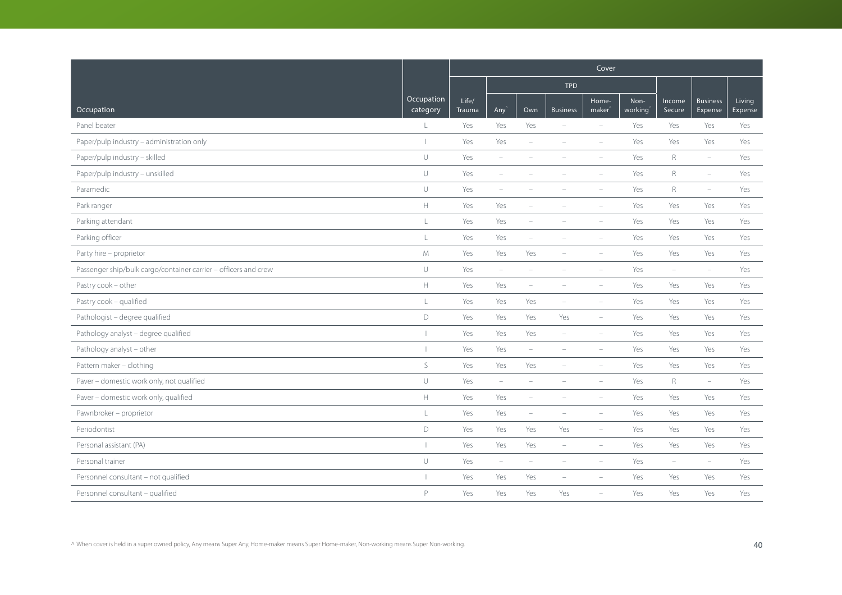|                                                                 |                        | Cover           |                          |                          |                          |                             |                 |                          |                            |                   |
|-----------------------------------------------------------------|------------------------|-----------------|--------------------------|--------------------------|--------------------------|-----------------------------|-----------------|--------------------------|----------------------------|-------------------|
|                                                                 |                        |                 |                          |                          | <b>TPD</b>               |                             |                 |                          |                            |                   |
| Occupation                                                      | Occupation<br>category | Life/<br>Trauma | Any                      | Own                      | <b>Business</b>          | Home-<br>maker <sup>®</sup> | Non-<br>working | Income<br>Secure         | <b>Business</b><br>Expense | Living<br>Expense |
| Panel beater                                                    | L                      | Yes             | Yes                      | Yes                      | $\equiv$                 | $\overline{\phantom{a}}$    | Yes             | Yes                      | Yes                        | Yes               |
| Paper/pulp industry - administration only                       |                        | Yes             | Yes                      | ۰                        |                          | $\equiv$                    | Yes             | Yes                      | Yes                        | Yes               |
| Paper/pulp industry - skilled                                   | $\cup$                 | Yes             | $\equiv$                 |                          |                          | $\equiv$                    | Yes             | $\mathsf R$              | $\overline{\phantom{a}}$   | Yes               |
| Paper/pulp industry - unskilled                                 | $\cup$                 | Yes             | $\overline{\phantom{m}}$ |                          |                          | $\overline{\phantom{a}}$    | Yes             | $\mathsf R$              | $\overline{\phantom{m}}$   | Yes               |
| Paramedic                                                       | $\cup$                 | Yes             | $\overline{\phantom{m}}$ | ÷                        |                          | $\overline{\phantom{a}}$    | Yes             | $R_{\rm}$                | $\overline{\phantom{m}}$   | Yes               |
| Park ranger                                                     | $\mathbb H$            | Yes             | Yes                      |                          |                          | $\overline{\phantom{a}}$    | Yes             | Yes                      | Yes                        | Yes               |
| Parking attendant                                               | L                      | Yes             | Yes                      |                          |                          | $\overline{\phantom{a}}$    | Yes             | Yes                      | Yes                        | Yes               |
| Parking officer                                                 | L                      | Yes             | Yes                      | $\overline{\phantom{a}}$ | $\equiv$                 | $\equiv$                    | Yes             | Yes                      | Yes                        | Yes               |
| Party hire - proprietor                                         | M                      | Yes             | Yes                      | Yes                      |                          |                             | Yes             | Yes                      | Yes                        | Yes               |
| Passenger ship/bulk cargo/container carrier - officers and crew | $\cup$                 | Yes             | $\overline{\phantom{m}}$ | $\overline{\phantom{0}}$ |                          | $\overline{\phantom{a}}$    | Yes             | $\overline{\phantom{a}}$ | $\overline{\phantom{m}}$   | Yes               |
| Pastry cook - other                                             | $\mathbb H$            | Yes             | Yes                      | $\overline{\phantom{m}}$ | $\overline{\phantom{a}}$ | $\overline{\phantom{a}}$    | Yes             | Yes                      | Yes                        | Yes               |
| Pastry cook - qualified                                         | $\mathsf L$            | Yes             | Yes                      | Yes                      | $\overline{\phantom{a}}$ | $\overline{\phantom{a}}$    | Yes             | Yes                      | Yes                        | Yes               |
| Pathologist - degree qualified                                  | $\mathsf D$            | Yes             | Yes                      | Yes                      | Yes                      | $\overline{\phantom{a}}$    | Yes             | Yes                      | Yes                        | Yes               |
| Pathology analyst - degree qualified                            |                        | Yes             | Yes                      | Yes                      | $\overline{\phantom{a}}$ | $\overline{\phantom{a}}$    | Yes             | Yes                      | Yes                        | Yes               |
| Pathology analyst - other                                       |                        | Yes             | Yes                      | $\overline{\phantom{m}}$ | $\overline{\phantom{a}}$ | $\overline{\phantom{a}}$    | Yes             | Yes                      | Yes                        | Yes               |
| Pattern maker - clothing                                        | S                      | Yes             | Yes                      | Yes                      |                          |                             | Yes             | Yes                      | Yes                        | Yes               |
| Paver - domestic work only, not qualified                       | $\cup$                 | Yes             | $\overline{\phantom{a}}$ | $\equiv$                 |                          | $\overline{\phantom{a}}$    | Yes             | $R_{\rm}$                | $\overline{\phantom{0}}$   | Yes               |
| Paver - domestic work only, qualified                           | $\mathbb H$            | Yes             | Yes                      |                          |                          | $\overline{\phantom{a}}$    | Yes             | Yes                      | Yes                        | Yes               |
| Pawnbroker - proprietor                                         | $\mathsf L$            | Yes             | Yes                      | $\overline{\phantom{a}}$ | $\equiv$                 | $\overline{\phantom{a}}$    | Yes             | Yes                      | Yes                        | Yes               |
| Periodontist                                                    | D                      | Yes             | Yes                      | Yes                      | Yes                      | $\equiv$                    | Yes             | Yes                      | Yes                        | Yes               |
| Personal assistant (PA)                                         |                        | Yes             | Yes                      | Yes                      | $\overline{\phantom{a}}$ | $\overline{\phantom{a}}$    | Yes             | Yes                      | Yes                        | Yes               |
| Personal trainer                                                | $\cup$                 | Yes             | $\overline{\phantom{a}}$ | $\overline{\phantom{m}}$ | $\overline{\phantom{a}}$ | $\overline{\phantom{a}}$    | Yes             | $\overline{\phantom{a}}$ | $\overline{\phantom{m}}$   | Yes               |
| Personnel consultant - not qualified                            |                        | Yes             | Yes                      | Yes                      |                          |                             | Yes             | Yes                      | Yes                        | Yes               |
| Personnel consultant - qualified                                | P                      | Yes             | Yes                      | Yes                      | Yes                      | $\equiv$                    | Yes             | Yes                      | Yes                        | Yes               |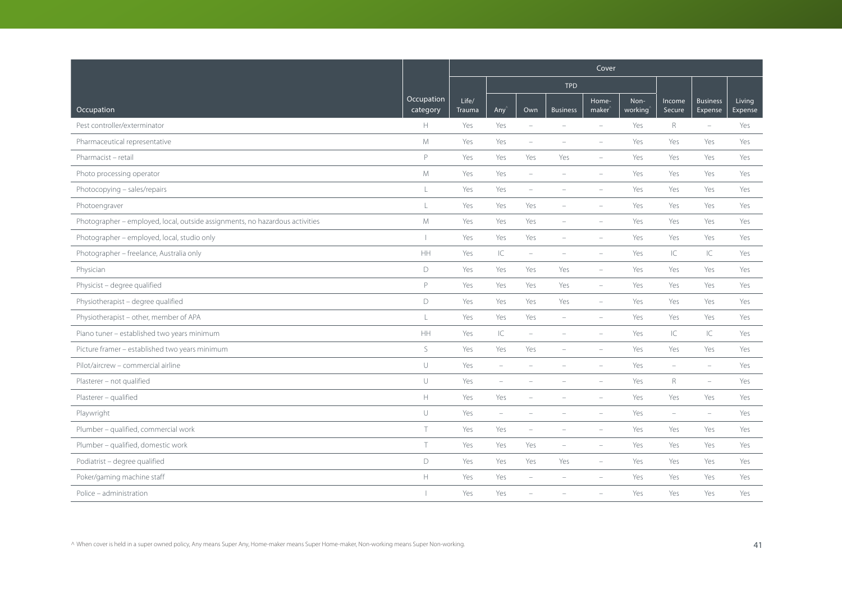|                                                                              |                        | Cover           |                          |                          |                          |                             |                 |                          |                            |                   |
|------------------------------------------------------------------------------|------------------------|-----------------|--------------------------|--------------------------|--------------------------|-----------------------------|-----------------|--------------------------|----------------------------|-------------------|
|                                                                              |                        |                 |                          |                          | <b>TPD</b>               |                             |                 |                          |                            |                   |
| Occupation                                                                   | Occupation<br>category | Life/<br>Trauma | Any                      | Own                      | <b>Business</b>          | Home-<br>maker <sup>'</sup> | Non-<br>working | Income<br>Secure         | <b>Business</b><br>Expense | Living<br>Expense |
| Pest controller/exterminator                                                 | H                      | Yes             | Yes                      | $\overline{\phantom{a}}$ |                          | $\overline{\phantom{a}}$    | Yes             | R                        | $\overline{\phantom{a}}$   | Yes               |
| Pharmaceutical representative                                                | M                      | Yes             | Yes                      | $\overline{\phantom{a}}$ | $\overline{\phantom{a}}$ | $\overline{\phantom{a}}$    | Yes             | Yes                      | Yes                        | Yes               |
| Pharmacist - retail                                                          | P                      | Yes             | Yes                      | Yes                      | Yes                      | $\overline{\phantom{0}}$    | Yes             | Yes                      | Yes                        | Yes               |
| Photo processing operator                                                    | M                      | Yes             | Yes                      | $\overline{\phantom{a}}$ | $\overline{\phantom{a}}$ | $\overline{\phantom{a}}$    | Yes             | Yes                      | Yes                        | Yes               |
| Photocopying - sales/repairs                                                 | $\mathsf L$            | Yes             | Yes                      | $\overline{\phantom{a}}$ | $\overline{\phantom{a}}$ | $\overline{\phantom{a}}$    | Yes             | Yes                      | Yes                        | Yes               |
| Photoengraver                                                                | $\mathsf{L}$           | Yes             | Yes                      | Yes                      |                          |                             | Yes             | Yes                      | Yes                        | Yes               |
| Photographer - employed, local, outside assignments, no hazardous activities | M                      | Yes             | Yes                      | Yes                      | $\overline{\phantom{a}}$ | $\overline{\phantom{a}}$    | Yes             | Yes                      | Yes                        | Yes               |
| Photographer - employed, local, studio only                                  | $\overline{1}$         | Yes             | Yes                      | Yes                      | $\overline{\phantom{a}}$ | $\overline{\phantom{a}}$    | Yes             | Yes                      | Yes                        | Yes               |
| Photographer - freelance, Australia only                                     | HH                     | Yes             | $\subset$                | $\overline{\phantom{a}}$ |                          |                             | Yes             | IC                       | $\subset$                  | Yes               |
| Physician                                                                    | D                      | Yes             | Yes                      | Yes                      | Yes                      | $\overline{\phantom{a}}$    | Yes             | Yes                      | Yes                        | Yes               |
| Physicist - degree qualified                                                 | P                      | Yes             | Yes                      | Yes                      | Yes                      | $\overline{\phantom{a}}$    | Yes             | Yes                      | Yes                        | Yes               |
| Physiotherapist - degree qualified                                           | D                      | Yes             | Yes                      | Yes                      | Yes                      | $\overline{\phantom{a}}$    | Yes             | Yes                      | Yes                        | Yes               |
| Physiotherapist - other, member of APA                                       | $\mathsf{L}$           | Yes             | Yes                      | Yes                      | $\sim$                   | ÷                           | Yes             | Yes                      | Yes                        | Yes               |
| Piano tuner - established two years minimum                                  | <b>HH</b>              | Yes             | IC                       | $\overline{\phantom{a}}$ | $\overline{\phantom{a}}$ | $\overline{\phantom{a}}$    | Yes             | IC                       | C                          | Yes               |
| Picture framer - established two years minimum                               | S                      | Yes             | Yes                      | Yes                      | $\overline{\phantom{a}}$ | ÷,                          | Yes             | Yes                      | Yes                        | Yes               |
| Pilot/aircrew - commercial airline                                           | $\cup$                 | Yes             | $\equiv$                 |                          |                          |                             | Yes             | $\equiv$                 | $\equiv$                   | Yes               |
| Plasterer - not qualified                                                    | $\cup$                 | Yes             | $\sim$                   |                          |                          |                             | Yes             | $R_{\odot}$              | $\sim$                     | Yes               |
| Plasterer - qualified                                                        | $\mathbb H$            | Yes             | Yes                      |                          |                          | $\overline{\phantom{a}}$    | Yes             | Yes                      | Yes                        | Yes               |
| Playwright                                                                   | $\cup$                 | Yes             | $\overline{\phantom{m}}$ | $\overline{\phantom{a}}$ | $\equiv$                 | $\equiv$                    | Yes             | $\overline{\phantom{a}}$ | $\sim$                     | Yes               |
| Plumber - qualified, commercial work                                         | $\top$                 | Yes             | Yes                      | $\equiv$                 |                          |                             | Yes             | Yes                      | Yes                        | Yes               |
| Plumber - qualified, domestic work                                           | $\top$                 | Yes             | Yes                      | Yes                      | $\overline{\phantom{a}}$ | $\overline{\phantom{a}}$    | Yes             | Yes                      | Yes                        | Yes               |
| Podiatrist - degree qualified                                                | D                      | Yes             | Yes                      | Yes                      | Yes                      | $\overline{\phantom{0}}$    | Yes             | Yes                      | Yes                        | Yes               |
| Poker/gaming machine staff                                                   | $\mathbb H$            | Yes             | Yes                      | ÷                        |                          |                             | Yes             | Yes                      | Yes                        | Yes               |
| Police - administration                                                      |                        | Yes             | Yes                      |                          |                          |                             | Yes             | Yes                      | Yes                        | Yes               |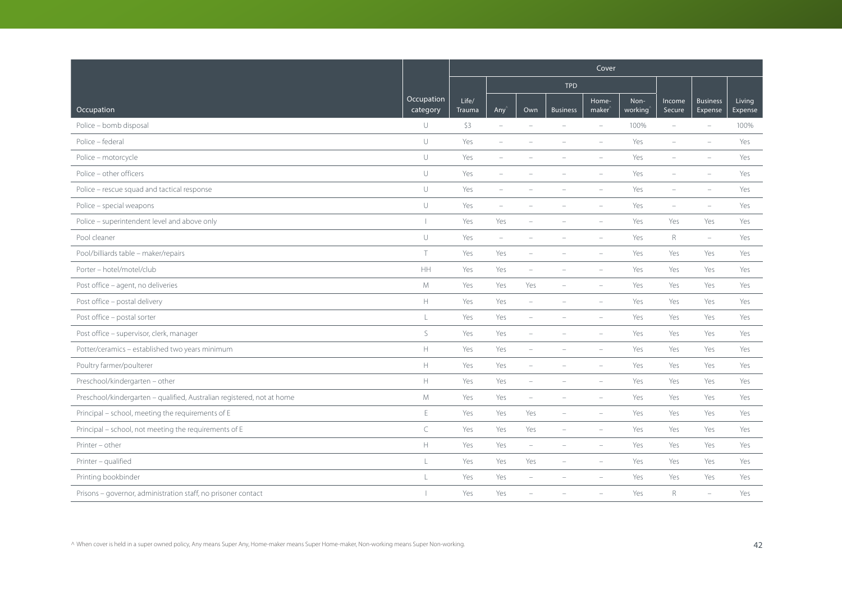|                                                                        |                        | Cover           |                                 |                          |                          |                             |                 |                          |                            |                   |  |
|------------------------------------------------------------------------|------------------------|-----------------|---------------------------------|--------------------------|--------------------------|-----------------------------|-----------------|--------------------------|----------------------------|-------------------|--|
|                                                                        |                        |                 |                                 |                          | <b>TPD</b>               |                             |                 |                          |                            |                   |  |
| Occupation                                                             | Occupation<br>category | Life/<br>Trauma | Any'                            | Own                      | <b>Business</b>          | Home-<br>maker <sup>®</sup> | Non-<br>working | Income<br>Secure         | <b>Business</b><br>Expense | Living<br>Expense |  |
| Police - bomb disposal                                                 | U                      | \$3             | $\overline{\phantom{a}}$        | ÷                        | $\overline{\phantom{a}}$ | $\equiv$                    | 100%            | $\equiv$                 | $\equiv$                   | 100%              |  |
| Police - federal                                                       | U                      | Yes             | $\overline{\phantom{m}}$        |                          |                          | $\equiv$                    | Yes             | ÷                        | $\equiv$                   | Yes               |  |
| Police - motorcycle                                                    | $\cup$                 | Yes             | ÷                               |                          |                          |                             | Yes             |                          |                            | Yes               |  |
| Police - other officers                                                | U                      | Yes             | $\overline{\phantom{0}}$        |                          |                          | $\overline{\phantom{a}}$    | Yes             |                          |                            | Yes               |  |
| Police - rescue squad and tactical response                            | $\cup$                 | Yes             | $\overline{\phantom{0}}$        | ۰                        |                          | $\overline{\phantom{m}}$    | Yes             | $\overline{\phantom{a}}$ | ÷                          | Yes               |  |
| Police - special weapons                                               | $\cup$                 | Yes             | ÷,                              |                          |                          |                             | Yes             | ÷                        |                            | Yes               |  |
| Police - superintendent level and above only                           | $\mathbf{I}$           | Yes             | Yes                             |                          |                          | $\overline{\phantom{a}}$    | Yes             | Yes                      | Yes                        | Yes               |  |
| Pool cleaner                                                           | U                      | Yes             | $\hspace{0.1mm}-\hspace{0.1mm}$ | ÷                        |                          | $\sim$                      | Yes             | R                        | $\overline{\phantom{0}}$   | Yes               |  |
| Pool/billiards table - maker/repairs                                   | $\top$                 | Yes             | Yes                             |                          |                          |                             | Yes             | Yes                      | Yes                        | Yes               |  |
| Porter - hotel/motel/club                                              | HH                     | Yes             | Yes                             | L.                       |                          | $\overline{\phantom{m}}$    | Yes             | Yes                      | Yes                        | Yes               |  |
| Post office - agent, no deliveries                                     | M                      | Yes             | Yes                             | Yes                      | $\overline{\phantom{a}}$ | ÷,                          | Yes             | Yes                      | Yes                        | Yes               |  |
| Post office - postal delivery                                          | H.                     | Yes             | Yes                             | $\overline{\phantom{0}}$ |                          | ÷,                          | Yes             | Yes                      | Yes                        | Yes               |  |
| Post office - postal sorter                                            | L                      | Yes             | Yes                             | ÷                        |                          |                             | Yes             | Yes                      | Yes                        | Yes               |  |
| Post office - supervisor, clerk, manager                               | S                      | Yes             | Yes                             |                          |                          |                             | Yes             | Yes                      | Yes                        | Yes               |  |
| Potter/ceramics - established two years minimum                        | $\mathsf H$            | Yes             | Yes                             | $\overline{\phantom{m}}$ |                          | $\equiv$                    | Yes             | Yes                      | Yes                        | Yes               |  |
| Poultry farmer/poulterer                                               | $\mathsf{H}$           | Yes             | Yes                             | $\overline{\phantom{a}}$ |                          | $\equiv$                    | Yes             | Yes                      | Yes                        | Yes               |  |
| Preschool/kindergarten - other                                         | H.                     | Yes             | Yes                             | ÷                        |                          |                             | Yes             | Yes                      | Yes                        | Yes               |  |
| Preschool/kindergarten - qualified, Australian registered, not at home | M                      | Yes             | Yes                             | $\overline{\phantom{a}}$ |                          | $\overline{\phantom{m}}$    | Yes             | Yes                      | Yes                        | Yes               |  |
| Principal - school, meeting the requirements of E                      | E                      | Yes             | Yes                             | Yes                      | $\overline{\phantom{0}}$ | $\overline{\phantom{0}}$    | Yes             | Yes                      | Yes                        | Yes               |  |
| Principal - school, not meeting the requirements of E                  | $\subset$              | Yes             | Yes                             | Yes                      |                          |                             | Yes             | Yes                      | Yes                        | Yes               |  |
| Printer - other                                                        | $\mathbb H$            | Yes             | Yes                             | $\overline{\phantom{0}}$ |                          |                             | Yes             | Yes                      | Yes                        | Yes               |  |
| Printer - qualified                                                    | L                      | Yes             | Yes                             | Yes                      | $\overline{\phantom{a}}$ | $\equiv$                    | Yes             | Yes                      | Yes                        | Yes               |  |
| Printing bookbinder                                                    | $\mathbb{I}$           | Yes             | Yes                             | ÷                        |                          |                             | Yes             | Yes                      | Yes                        | Yes               |  |
| Prisons - governor, administration staff, no prisoner contact          |                        | Yes             | Yes                             |                          |                          |                             | Yes             | $R_{\rm}$                | $\overline{\phantom{a}}$   | Yes               |  |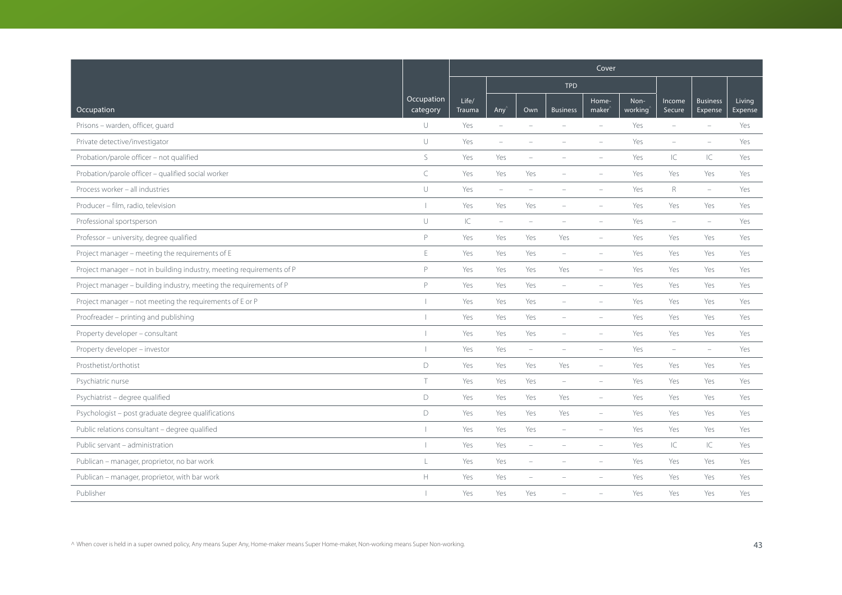|                                                                       |                        | Cover           |                          |                          |                          |                             |                 |                          |                            |                   |  |
|-----------------------------------------------------------------------|------------------------|-----------------|--------------------------|--------------------------|--------------------------|-----------------------------|-----------------|--------------------------|----------------------------|-------------------|--|
|                                                                       |                        |                 |                          |                          | <b>TPD</b>               |                             |                 |                          |                            |                   |  |
| Occupation                                                            | Occupation<br>category | Life/<br>Trauma | Any <sup></sup>          | Own                      | <b>Business</b>          | Home-<br>maker <sup>'</sup> | Non-<br>working | Income<br>Secure         | <b>Business</b><br>Expense | Living<br>Expense |  |
| Prisons - warden, officer, quard                                      | U                      | Yes             | $\equiv$                 | $\overline{\phantom{a}}$ | $\overline{\phantom{a}}$ | $\overline{\phantom{a}}$    | Yes             | $\overline{\phantom{0}}$ | $\overline{\phantom{a}}$   | Yes               |  |
| Private detective/investigator                                        | $\cup$                 | Yes             | $\overline{\phantom{a}}$ |                          |                          | $\overline{\phantom{a}}$    | Yes             | ÷                        | $\equiv$                   | Yes               |  |
| Probation/parole officer - not qualified                              | S                      | Yes             | Yes                      |                          |                          |                             | Yes             | IC                       | $\subset$                  | Yes               |  |
| Probation/parole officer - qualified social worker                    | $\subset$              | Yes             | Yes                      | Yes                      |                          |                             | Yes             | Yes                      | Yes                        | Yes               |  |
| Process worker - all industries                                       | $\cup$                 | Yes             | $\overline{\phantom{a}}$ | $\overline{\phantom{a}}$ |                          | $\overline{\phantom{a}}$    | Yes             | $\mathsf R$              | $\overline{\phantom{m}}$   | Yes               |  |
| Producer - film, radio, television                                    |                        | Yes             | Yes                      | Yes                      |                          |                             | Yes             | Yes                      | Yes                        | Yes               |  |
| Professional sportsperson                                             | $\cup$                 | IC              | $\overline{\phantom{a}}$ | $\equiv$                 | $\overline{\phantom{a}}$ | $\overline{\phantom{a}}$    | Yes             | $\sim$                   | $\equiv$                   | Yes               |  |
| Professor - university, degree qualified                              | P                      | Yes             | Yes                      | Yes                      | Yes                      | $\overline{\phantom{a}}$    | Yes             | Yes                      | Yes                        | Yes               |  |
| Project manager - meeting the requirements of E                       | $\mathsf E$            | Yes             | Yes                      | Yes                      | $\overline{\phantom{a}}$ |                             | Yes             | Yes                      | Yes                        | Yes               |  |
| Project manager - not in building industry, meeting requirements of P | P                      | Yes             | Yes                      | Yes                      | Yes                      | $\overline{\phantom{a}}$    | Yes             | Yes                      | Yes                        | Yes               |  |
| Project manager - building industry, meeting the requirements of P    | P                      | Yes             | Yes                      | Yes                      | $\overline{\phantom{a}}$ | $\overline{\phantom{a}}$    | Yes             | Yes                      | Yes                        | Yes               |  |
| Project manager - not meeting the requirements of E or P              |                        | Yes             | Yes                      | Yes                      | $\equiv$                 | $\equiv$                    | Yes             | Yes                      | Yes                        | Yes               |  |
| Proofreader - printing and publishing                                 |                        | Yes             | Yes                      | Yes                      |                          |                             | Yes             | Yes                      | Yes                        | Yes               |  |
| Property developer - consultant                                       |                        | Yes             | Yes                      | Yes                      | $\overline{\phantom{a}}$ | $\overline{\phantom{a}}$    | Yes             | Yes                      | Yes                        | Yes               |  |
| Property developer - investor                                         |                        | Yes             | Yes                      | $\overline{\phantom{a}}$ |                          | $\overline{\phantom{a}}$    | Yes             | $\overline{\phantom{a}}$ | $\equiv$                   | Yes               |  |
| Prosthetist/orthotist                                                 | $\mathsf D$            | Yes             | Yes                      | Yes                      | Yes                      | ÷,                          | Yes             | Yes                      | Yes                        | Yes               |  |
| Psychiatric nurse                                                     | T.                     | Yes             | Yes                      | Yes                      | $\overline{\phantom{a}}$ | $\overline{\phantom{a}}$    | Yes             | Yes                      | Yes                        | Yes               |  |
| Psychiatrist - degree qualified                                       | D                      | Yes             | Yes                      | Yes                      | Yes                      | $\overline{\phantom{a}}$    | Yes             | Yes                      | Yes                        | Yes               |  |
| Psychologist - post graduate degree qualifications                    | $\mathsf D$            | Yes             | Yes                      | Yes                      | Yes                      | $\equiv$                    | Yes             | Yes                      | Yes                        | Yes               |  |
| Public relations consultant - degree qualified                        |                        | Yes             | Yes                      | Yes                      | $\equiv$                 | $\overline{\phantom{a}}$    | Yes             | Yes                      | Yes                        | Yes               |  |
| Public servant - administration                                       |                        | Yes             | Yes                      | $\overline{\phantom{a}}$ |                          |                             | Yes             | IС                       | $\subset$                  | Yes               |  |
| Publican - manager, proprietor, no bar work                           | L                      | Yes             | Yes                      | $\overline{\phantom{0}}$ |                          |                             | Yes             | Yes                      | Yes                        | Yes               |  |
| Publican - manager, proprietor, with bar work                         | $\mathbb H$            | Yes             | Yes                      |                          |                          |                             | Yes             | Yes                      | Yes                        | Yes               |  |
| Publisher                                                             |                        | Yes             | Yes                      | Yes                      |                          |                             | Yes             | Yes                      | Yes                        | Yes               |  |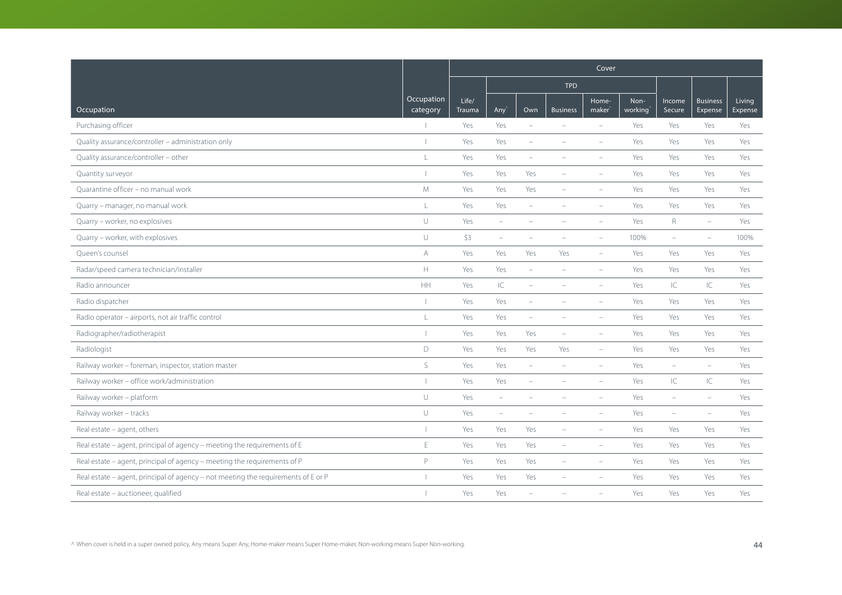|                                                                                   |                          | Cover           |                          |                          |                          |                          |                 |                          |                            |                   |
|-----------------------------------------------------------------------------------|--------------------------|-----------------|--------------------------|--------------------------|--------------------------|--------------------------|-----------------|--------------------------|----------------------------|-------------------|
|                                                                                   |                          |                 |                          |                          | <b>TPD</b>               |                          |                 |                          |                            |                   |
| Occupation                                                                        | Occupation<br>category   | Life/<br>Trauma | Any <sup></sup>          | Own                      | <b>Business</b>          | Home-<br>maker           | Non-<br>working | Income<br>Secure         | <b>Business</b><br>Expense | Living<br>Expense |
| Purchasing officer                                                                |                          | Yes             | Yes                      | $\overline{\phantom{a}}$ | $\overline{\phantom{a}}$ | $\overline{\phantom{a}}$ | Yes             | Yes                      | Yes                        | Yes               |
| Quality assurance/controller - administration only                                |                          | Yes             | Yes                      | ÷                        |                          | $\overline{\phantom{a}}$ | Yes             | Yes                      | Yes                        | Yes               |
| Quality assurance/controller - other                                              | L                        | Yes             | Yes                      | ۰                        |                          |                          | Yes             | Yes                      | Yes                        | Yes               |
| Quantity surveyor                                                                 |                          | Yes             | Yes                      | Yes                      |                          |                          | Yes             | Yes                      | Yes                        | Yes               |
| Ouarantine officer - no manual work                                               | M                        | Yes             | Yes                      | Yes                      | $\overline{\phantom{a}}$ | $\equiv$                 | Yes             | Yes                      | Yes                        | Yes               |
| Quarry - manager, no manual work                                                  | $\mathsf L$              | Yes             | Yes                      | $\overline{\phantom{a}}$ |                          |                          | Yes             | Yes                      | Yes                        | Yes               |
| Quarry - worker, no explosives                                                    | $\cup$                   | Yes             | $\overline{\phantom{m}}$ |                          |                          |                          | Yes             | $R_{\rm}$                | $\overline{\phantom{a}}$   | Yes               |
| Quarry - worker, with explosives                                                  | $\cup$                   | \$3             | $\overline{\phantom{a}}$ | $\overline{\phantom{0}}$ |                          | $\overline{\phantom{a}}$ | 100%            | $\overline{\phantom{a}}$ | $\overline{\phantom{a}}$   | 100%              |
| Queen's counsel                                                                   | A                        | Yes             | Yes                      | Yes                      | Yes                      | $\overline{\phantom{a}}$ | Yes             | Yes                      | Yes                        | Yes               |
| Radar/speed camera technician/installer                                           | H                        | Yes             | Yes                      | ÷,                       |                          | $\sim$                   | Yes             | Yes                      | Yes                        | Yes               |
| Radio announcer                                                                   | HH                       | Yes             | IC                       | i.                       | $\equiv$                 | $\equiv$                 | Yes             | IC                       | $\subset$                  | Yes               |
| Radio dispatcher                                                                  |                          | Yes             | Yes                      |                          |                          |                          | Yes             | Yes                      | Yes                        | Yes               |
| Radio operator - airports, not air traffic control                                | L                        | Yes             | Yes                      | $\overline{\phantom{0}}$ |                          |                          | Yes             | Yes                      | Yes                        | Yes               |
| Radiographer/radiotherapist                                                       |                          | Yes             | Yes                      | Yes                      | $\overline{\phantom{a}}$ | $\overline{\phantom{a}}$ | Yes             | Yes                      | Yes                        | Yes               |
| Radiologist                                                                       | $\mathsf D$              | Yes             | Yes                      | Yes                      | Yes                      | $\overline{\phantom{a}}$ | Yes             | Yes                      | Yes                        | Yes               |
| Railway worker - foreman, inspector, station master                               | $\mathsf S$              | Yes             | Yes                      | ÷                        |                          |                          | Yes             | ÷                        | $\equiv$                   | Yes               |
| Railway worker - office work/administration                                       |                          | Yes             | Yes                      | ÷                        |                          | $\equiv$                 | Yes             | IC                       | $\subset$                  | Yes               |
| Railway worker - platform                                                         | U                        | Yes             | $\overline{\phantom{a}}$ |                          |                          | $\overline{\phantom{a}}$ | Yes             | $\overline{\phantom{a}}$ | $\overline{\phantom{m}}$   | Yes               |
| Railway worker - tracks                                                           | $\cup$                   | Yes             | $\overline{\phantom{a}}$ |                          |                          |                          | Yes             | $\overline{\phantom{0}}$ | ÷                          | Yes               |
| Real estate - agent, others                                                       | $\overline{\phantom{a}}$ | Yes             | Yes                      | Yes                      |                          |                          | Yes             | Yes                      | Yes                        | Yes               |
| Real estate - agent, principal of agency - meeting the requirements of E          | Ε                        | Yes             | Yes                      | Yes                      | $\overline{\phantom{a}}$ | $\overline{\phantom{a}}$ | Yes             | Yes                      | Yes                        | Yes               |
| Real estate - agent, principal of agency - meeting the requirements of P          | P                        | Yes             | Yes                      | Yes                      | $\equiv$                 | $\equiv$                 | Yes             | Yes                      | Yes                        | Yes               |
| Real estate – agent, principal of agency – not meeting the requirements of E or P |                          | Yes             | Yes                      | Yes                      |                          |                          | Yes             | Yes                      | Yes                        | Yes               |
| Real estate - auctioneer, qualified                                               |                          | Yes             | Yes                      |                          |                          |                          | Yes             | Yes                      | Yes                        | Yes               |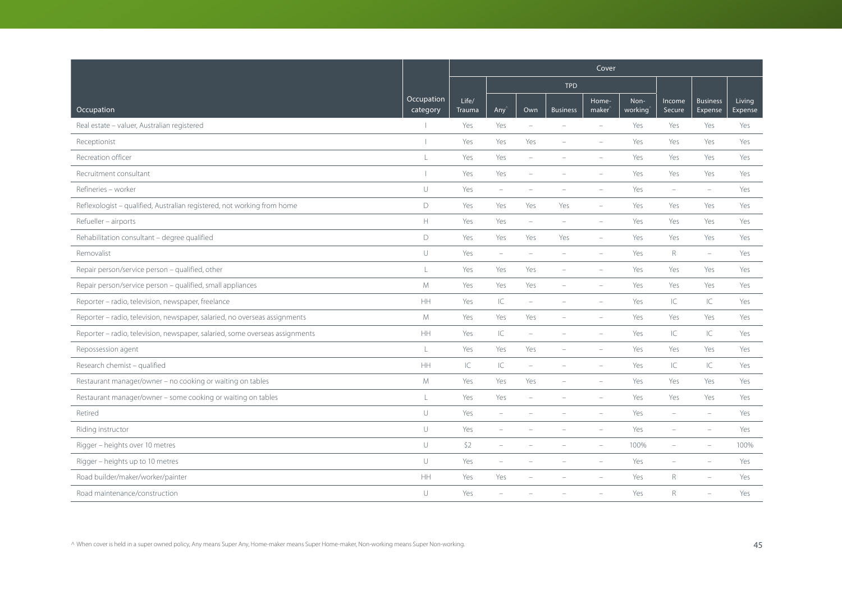|                                                                              |                        | Cover           |                                   |                          |                          |                             |                 |                  |                            |                   |
|------------------------------------------------------------------------------|------------------------|-----------------|-----------------------------------|--------------------------|--------------------------|-----------------------------|-----------------|------------------|----------------------------|-------------------|
|                                                                              |                        |                 |                                   |                          | <b>TPD</b>               |                             |                 |                  |                            |                   |
| Occupation                                                                   | Occupation<br>category | Life/<br>Trauma | Any'                              | Own                      | <b>Business</b>          | Home-<br>maker <sup>'</sup> | Non-<br>working | Income<br>Secure | <b>Business</b><br>Expense | Living<br>Expense |
| Real estate - valuer, Australian registered                                  |                        | Yes             | Yes                               | $\sim$                   | $\equiv$                 | $\equiv$                    | Yes             | Yes              | Yes                        | Yes               |
| Receptionist                                                                 |                        | Yes             | Yes                               | Yes                      |                          | $\overline{\phantom{a}}$    | Yes             | Yes              | Yes                        | Yes               |
| Recreation officer                                                           | $\mathsf{L}$           | Yes             | Yes                               |                          |                          |                             | Yes             | Yes              | Yes                        | Yes               |
| Recruitment consultant                                                       |                        | Yes             | Yes                               | $\overline{\phantom{a}}$ |                          |                             | Yes             | Yes              | Yes                        | Yes               |
| Refineries - worker                                                          | $\cup$                 | Yes             | $\overline{\phantom{a}}$          |                          |                          |                             | Yes             | $\equiv$         | $\equiv$                   | Yes               |
| Reflexologist - qualified, Australian registered, not working from home      | D                      | Yes             | Yes                               | Yes                      | Yes                      | $\equiv$                    | Yes             | Yes              | Yes                        | Yes               |
| Refueller - airports                                                         | $\mathbb H$            | Yes             | Yes                               | $\overline{\phantom{a}}$ | $\overline{\phantom{a}}$ | $\overline{\phantom{a}}$    | Yes             | Yes              | Yes                        | Yes               |
| Rehabilitation consultant - degree qualified                                 | D                      | Yes             | Yes                               | Yes                      | Yes                      | $\overline{\phantom{a}}$    | Yes             | Yes              | Yes                        | Yes               |
| Removalist                                                                   | U                      | Yes             | $\overline{\phantom{a}}$          | ÷                        |                          |                             | Yes             | $\mathsf{R}$     | $\overline{\phantom{a}}$   | Yes               |
| Repair person/service person - qualified, other                              | L                      | Yes             | Yes                               | Yes                      | $\equiv$                 | $\overline{\phantom{a}}$    | Yes             | Yes              | Yes                        | Yes               |
| Repair person/service person - qualified, small appliances                   | M                      | Yes             | Yes                               | Yes                      | $\overline{\phantom{a}}$ | $\overline{\phantom{m}}$    | Yes             | Yes              | Yes                        | Yes               |
| Reporter - radio, television, newspaper, freelance                           | HH                     | Yes             | $\ensuremath{\mathsf{IC}}\xspace$ | $\overline{\phantom{a}}$ |                          |                             | Yes             | IC               | IC                         | Yes               |
| Reporter - radio, television, newspaper, salaried, no overseas assignments   | M                      | Yes             | Yes                               | Yes                      |                          |                             | Yes             | Yes              | Yes                        | Yes               |
| Reporter - radio, television, newspaper, salaried, some overseas assignments | <b>HH</b>              | Yes             | C                                 | $\sim$                   | $\overline{\phantom{a}}$ | $\equiv$                    | Yes             | IC               | IC.                        | Yes               |
| Repossession agent                                                           | L                      | Yes             | Yes                               | Yes                      | $\overline{\phantom{a}}$ |                             | Yes             | Yes              | Yes                        | Yes               |
| Research chemist - qualified                                                 | HH                     | IC              | $\ensuremath{\mathsf{IC}}\xspace$ | ÷                        |                          |                             | Yes             | IC               | IC                         | Yes               |
| Restaurant manager/owner - no cooking or waiting on tables                   | M                      | Yes             | Yes                               | Yes                      | $\overline{\phantom{a}}$ | $\equiv$                    | Yes             | Yes              | Yes                        | Yes               |
| Restaurant manager/owner - some cooking or waiting on tables                 | L                      | Yes             | Yes                               |                          |                          |                             | Yes             | Yes              | Yes                        | Yes               |
| Retired                                                                      | $\cup$                 | Yes             | $\overline{\phantom{m}}$          |                          |                          |                             | Yes             | ۰                | $\overline{\phantom{a}}$   | Yes               |
| Riding instructor                                                            | U                      | Yes             | $\overline{\phantom{a}}$          |                          |                          |                             | Yes             |                  |                            | Yes               |
| Rigger - heights over 10 metres                                              | U                      | \$2             | $\overline{\phantom{m}}$          |                          |                          |                             | 100%            | ÷                | $\overline{\phantom{a}}$   | 100%              |
| Rigger - heights up to 10 metres                                             | U                      | Yes             | $\overline{\phantom{a}}$          |                          |                          | $\sim$                      | Yes             | $\equiv$         | ÷,                         | Yes               |
| Road builder/maker/worker/painter                                            | HH                     | Yes             | Yes                               |                          |                          |                             | Yes             | R                |                            | Yes               |
| Road maintenance/construction                                                | U                      | Yes             |                                   |                          |                          |                             | Yes             | $R_{\rm}$        | ÷                          | Yes               |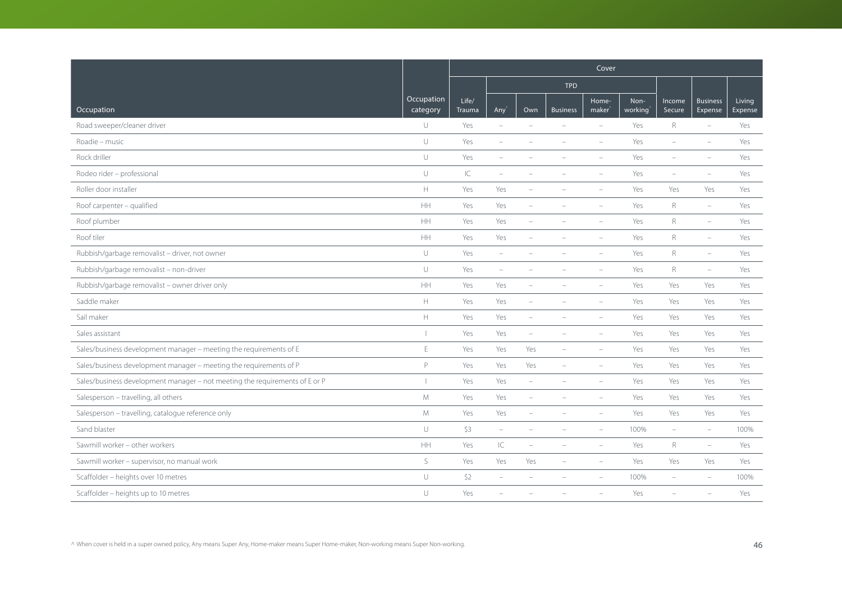|                                                                             |                          | Cover           |                          |                          |                          |                             |                 |                          |                            |                   |  |
|-----------------------------------------------------------------------------|--------------------------|-----------------|--------------------------|--------------------------|--------------------------|-----------------------------|-----------------|--------------------------|----------------------------|-------------------|--|
|                                                                             |                          |                 |                          |                          | <b>TPD</b>               |                             |                 |                          |                            |                   |  |
| Occupation                                                                  | Occupation<br>category   | Life/<br>Trauma | Any                      | Own                      | <b>Business</b>          | Home-<br>maker <sup>'</sup> | Non-<br>working | Income<br>Secure         | <b>Business</b><br>Expense | Living<br>Expense |  |
| Road sweeper/cleaner driver                                                 | $\cup$                   | Yes             | $\equiv$                 | $\equiv$                 | $\sim$                   | $\equiv$                    | Yes             | $R_{\odot}$              | $\equiv$                   | Yes               |  |
| Roadie - music                                                              | $\cup$                   | Yes             | $\overline{\phantom{a}}$ |                          |                          | $\overline{\phantom{a}}$    | Yes             | $\overline{\phantom{m}}$ | $\overline{\phantom{a}}$   | Yes               |  |
| Rock driller                                                                | $\cup$                   | Yes             | ÷,                       |                          |                          |                             | Yes             |                          |                            | Yes               |  |
| Rodeo rider - professional                                                  | $\cup$                   | IC              | $\sim$                   |                          |                          |                             | Yes             | $\overline{\phantom{a}}$ |                            | Yes               |  |
| Roller door installer                                                       | $\mathbb H$              | Yes             | Yes                      | $\overline{\phantom{m}}$ |                          |                             | Yes             | Yes                      | Yes                        | Yes               |  |
| Roof carpenter - qualified                                                  | HH                       | Yes             | Yes                      |                          |                          |                             | Yes             | R                        | $\sim$                     | Yes               |  |
| Roof plumber                                                                | <b>HH</b>                | Yes             | Yes                      | L.                       |                          |                             | Yes             | $\mathsf{R}$             | $\equiv$                   | Yes               |  |
| Roof tiler                                                                  | <b>HH</b>                | Yes             | Yes                      | $\equiv$                 | $\equiv$                 | $\sim$                      | Yes             | R                        | $\sim$                     | Yes               |  |
| Rubbish/garbage removalist - driver, not owner                              | $\cup$                   | Yes             | $\overline{\phantom{a}}$ |                          |                          |                             | Yes             | R                        | $\overline{\phantom{a}}$   | Yes               |  |
| Rubbish/garbage removalist - non-driver                                     | $\cup$                   | Yes             | ÷                        |                          |                          |                             | Yes             | $\mathsf{R}$             | $\equiv$                   | Yes               |  |
| Rubbish/garbage removalist - owner driver only                              | HH                       | Yes             | Yes                      | ÷,                       |                          |                             | Yes             | Yes                      | Yes                        | Yes               |  |
| Saddle maker                                                                | $\mathbb H$              | Yes             | Yes                      | ÷                        |                          | $\equiv$                    | Yes             | Yes                      | Yes                        | Yes               |  |
| Sail maker                                                                  | $\mathbb H$              | Yes             | Yes                      | $\overline{\phantom{0}}$ |                          |                             | Yes             | Yes                      | Yes                        | Yes               |  |
| Sales assistant                                                             | $\overline{\phantom{a}}$ | Yes             | Yes                      | $\overline{\phantom{a}}$ |                          | $\sim$                      | Yes             | Yes                      | Yes                        | Yes               |  |
| Sales/business development manager - meeting the requirements of E          | E                        | Yes             | Yes                      | Yes                      | $\overline{\phantom{a}}$ | $\overline{\phantom{a}}$    | Yes             | Yes                      | Yes                        | Yes               |  |
| Sales/business development manager - meeting the requirements of P          | P                        | Yes             | Yes                      | Yes                      | $\overline{\phantom{a}}$ |                             | Yes             | Yes                      | Yes                        | Yes               |  |
| Sales/business development manager - not meeting the requirements of E or P | $\perp$                  | Yes             | Yes                      | $\overline{\phantom{a}}$ |                          |                             | Yes             | Yes                      | Yes                        | Yes               |  |
| Salesperson - travelling, all others                                        | ${\mathsf M}$            | Yes             | Yes                      | $\overline{\phantom{0}}$ |                          | ÷                           | Yes             | Yes                      | Yes                        | Yes               |  |
| Salesperson - travelling, catalogue reference only                          | M                        | Yes             | Yes                      | $\overline{\phantom{a}}$ | $\equiv$                 | $\sim$                      | Yes             | Yes                      | Yes                        | Yes               |  |
| Sand blaster                                                                | $\cup$                   | \$3             | $\overline{\phantom{a}}$ |                          |                          |                             | 100%            | $\overline{\phantom{a}}$ | $\overline{\phantom{a}}$   | 100%              |  |
| Sawmill worker - other workers                                              | $\mathsf{HH}$            | Yes             | $\subset$                | ÷                        |                          | $\overline{\phantom{a}}$    | Yes             | $R_{\rm}$                | $\overline{\phantom{a}}$   | Yes               |  |
| Sawmill worker - supervisor, no manual work                                 | S                        | Yes             | Yes                      | Yes                      | $\overline{\phantom{a}}$ | $\overline{\phantom{a}}$    | Yes             | Yes                      | Yes                        | Yes               |  |
| Scaffolder - heights over 10 metres                                         | $\cup$                   | \$2             | $\overline{\phantom{a}}$ |                          |                          |                             | 100%            | L,                       |                            | 100%              |  |
| Scaffolder - heights up to 10 metres                                        | $\cup$                   | Yes             |                          |                          |                          |                             | Yes             |                          |                            | Yes               |  |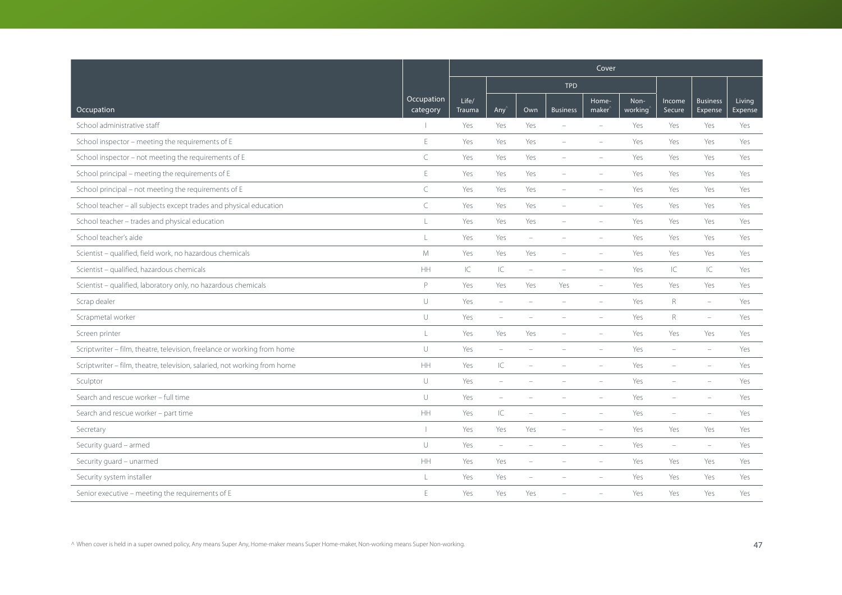|                                                                           |                        | Cover           |                          |                          |                          |                             |                 |                          |                            |                   |
|---------------------------------------------------------------------------|------------------------|-----------------|--------------------------|--------------------------|--------------------------|-----------------------------|-----------------|--------------------------|----------------------------|-------------------|
|                                                                           |                        |                 |                          |                          | <b>TPD</b>               |                             |                 |                          |                            |                   |
| Occupation                                                                | Occupation<br>category | Life/<br>Trauma | Any <sup></sup>          | Own                      | <b>Business</b>          | Home-<br>maker <sup>®</sup> | Non-<br>working | Income<br>Secure         | <b>Business</b><br>Expense | Living<br>Expense |
| School administrative staff                                               |                        | Yes             | Yes                      | Yes                      | $\equiv$                 | $\equiv$                    | Yes             | Yes                      | Yes                        | Yes               |
| School inspector - meeting the requirements of E                          | $\mathsf E$            | Yes             | Yes                      | Yes                      | $\overline{\phantom{a}}$ | $\overline{\phantom{a}}$    | Yes             | Yes                      | Yes                        | Yes               |
| School inspector - not meeting the requirements of E                      | $\subset$              | Yes             | Yes                      | Yes                      |                          |                             | Yes             | Yes                      | Yes                        | Yes               |
| School principal - meeting the requirements of E                          | $\mathsf E$            | Yes             | Yes                      | Yes                      |                          |                             | Yes             | Yes                      | Yes                        | Yes               |
| School principal - not meeting the requirements of E                      | $\subset$              | Yes             | Yes                      | Yes                      | $\overline{\phantom{a}}$ |                             | Yes             | Yes                      | Yes                        | Yes               |
| School teacher - all subjects except trades and physical education        | $\subset$              | Yes             | Yes                      | Yes                      |                          | $\equiv$                    | Yes             | Yes                      | Yes                        | Yes               |
| School teacher - trades and physical education                            | $\mathbf{L}$           | Yes             | Yes                      | Yes                      |                          |                             | Yes             | Yes                      | Yes                        | Yes               |
| School teacher's aide                                                     | $\mathbf{L}$           | Yes             | Yes                      | $\overline{\phantom{a}}$ | $\equiv$                 | $\equiv$                    | Yes             | Yes                      | Yes                        | Yes               |
| Scientist - qualified, field work, no hazardous chemicals                 | M                      | Yes             | Yes                      | Yes                      |                          |                             | Yes             | Yes                      | Yes                        | Yes               |
| Scientist - qualified, hazardous chemicals                                | HH                     | IC              | $\subset$                | ÷                        |                          |                             | Yes             | IC                       | $\subset$                  | Yes               |
| Scientist - qualified, laboratory only, no hazardous chemicals            | P                      | Yes             | Yes                      | Yes                      | Yes                      | $\overline{\phantom{a}}$    | Yes             | Yes                      | Yes                        | Yes               |
| Scrap dealer                                                              | $\cup$                 | Yes             | $\overline{\phantom{a}}$ | ÷                        |                          | $\equiv$                    | Yes             | R                        | $\equiv$                   | Yes               |
| Scrapmetal worker                                                         | $\cup$                 | Yes             | $\overline{\phantom{a}}$ |                          |                          |                             | Yes             | R                        | $\equiv$                   | Yes               |
| Screen printer                                                            | L                      | Yes             | Yes                      | Yes                      |                          | $\equiv$                    | Yes             | Yes                      | Yes                        | Yes               |
| Scriptwriter - film, theatre, television, freelance or working from home  | $\cup$                 | Yes             | $\overline{\phantom{a}}$ | ÷                        |                          | $\overline{\phantom{a}}$    | Yes             | $\overline{\phantom{a}}$ | $\equiv$                   | Yes               |
| Scriptwriter - film, theatre, television, salaried, not working from home | HH                     | Yes             | $\subset$                |                          |                          |                             | Yes             |                          |                            | Yes               |
| Sculptor                                                                  | $\cup$                 | Yes             | $\overline{\phantom{a}}$ |                          |                          |                             | Yes             |                          |                            | Yes               |
| Search and rescue worker - full time                                      | U                      | Yes             | $\overline{\phantom{m}}$ |                          |                          | $\overline{\phantom{a}}$    | Yes             | ÷                        | $\overline{\phantom{a}}$   | Yes               |
| Search and rescue worker - part time                                      | HH                     | Yes             | $\overline{\mathsf{C}}$  | i.                       |                          | $\sim$                      | Yes             | ÷                        | $\equiv$                   | Yes               |
| Secretary                                                                 |                        | Yes             | Yes                      | Yes                      |                          |                             | Yes             | Yes                      | Yes                        | Yes               |
| Security guard - armed                                                    | $\cup$                 | Yes             | $\overline{\phantom{a}}$ | $\overline{\phantom{a}}$ |                          |                             | Yes             | $\overline{\phantom{a}}$ | $\overline{\phantom{a}}$   | Yes               |
| Security guard - unarmed                                                  | HH                     | Yes             | Yes                      | $\overline{\phantom{0}}$ | $\equiv$                 | $\overline{\phantom{a}}$    | Yes             | Yes                      | Yes                        | Yes               |
| Security system installer                                                 | L                      | Yes             | Yes                      |                          |                          |                             | Yes             | Yes                      | Yes                        | Yes               |
| Senior executive - meeting the requirements of E                          | $\mathsf E$            | Yes             | Yes                      | Yes                      |                          |                             | Yes             | Yes                      | Yes                        | Yes               |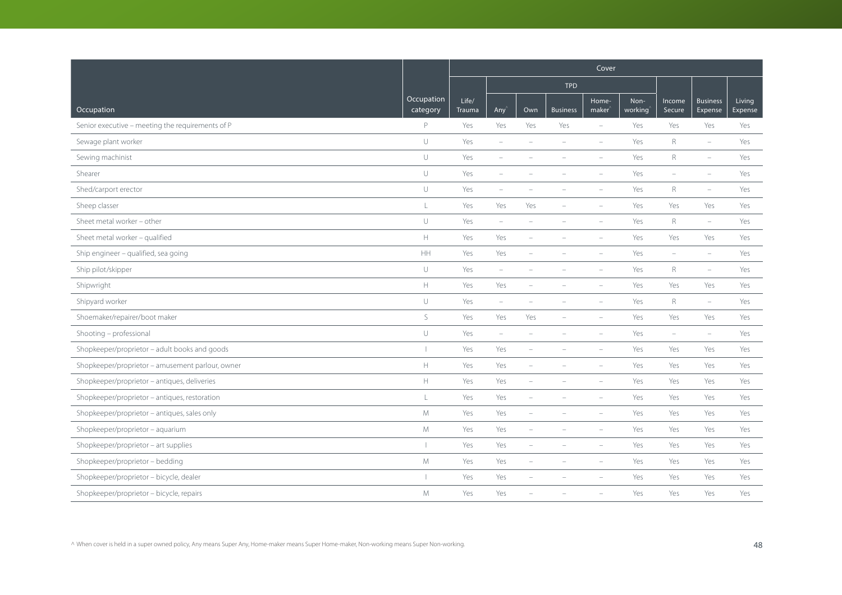|                                                  |                        | Cover           |                          |                          |                 |                             |                 |                          |                            |                   |
|--------------------------------------------------|------------------------|-----------------|--------------------------|--------------------------|-----------------|-----------------------------|-----------------|--------------------------|----------------------------|-------------------|
|                                                  |                        |                 |                          |                          | <b>TPD</b>      |                             |                 |                          |                            |                   |
| Occupation                                       | Occupation<br>category | Life/<br>Trauma | Any <sup></sup>          | Own                      | <b>Business</b> | Home-<br>maker <sup>®</sup> | Non-<br>working | Income<br>Secure         | <b>Business</b><br>Expense | Living<br>Expense |
| Senior executive - meeting the requirements of P | P                      | Yes             | Yes                      | Yes                      | Yes             | $\equiv$                    | Yes             | Yes                      | Yes                        | Yes               |
| Sewage plant worker                              | $\cup$                 | Yes             | $\overline{\phantom{m}}$ | ۰                        |                 | $\overline{\phantom{a}}$    | Yes             | R                        | $\overline{\phantom{a}}$   | Yes               |
| Sewing machinist                                 | $\cup$                 | Yes             | $\overline{\phantom{a}}$ |                          |                 |                             | Yes             | $\mathsf{R}$             | $\equiv$                   | Yes               |
| Shearer                                          | U                      | Yes             | $\overline{\phantom{m}}$ |                          |                 |                             | Yes             | $\equiv$                 | $\sim$                     | Yes               |
| Shed/carport erector                             | $\cup$                 | Yes             | $\overline{\phantom{a}}$ |                          |                 |                             | Yes             | $\mathsf R$              | $\sim$                     | Yes               |
| Sheep classer                                    | L                      | Yes             | Yes                      | Yes                      |                 | $\equiv$                    | Yes             | Yes                      | Yes                        | Yes               |
| Sheet metal worker - other                       | U                      | Yes             | $\overline{\phantom{a}}$ | ÷                        |                 | $\equiv$                    | Yes             | R                        | $\equiv$                   | Yes               |
| Sheet metal worker - qualified                   | H.                     | Yes             | Yes                      | ÷                        | $\equiv$        | $\equiv$                    | Yes             | Yes                      | Yes                        | Yes               |
| Ship engineer - qualified, sea going             | HH                     | Yes             | Yes                      | ÷                        |                 |                             | Yes             | $\overline{\phantom{a}}$ | $\overline{\phantom{a}}$   | Yes               |
| Ship pilot/skipper                               | $\cup$                 | Yes             | $\overline{\phantom{a}}$ |                          |                 | $\overline{\phantom{a}}$    | Yes             | R                        | $\overline{\phantom{m}}$   | Yes               |
| Shipwright                                       | Η.                     | Yes             | Yes                      | $\qquad \qquad -$        |                 | $\overline{\phantom{a}}$    | Yes             | Yes                      | Yes                        | Yes               |
| Shipyard worker                                  | $\cup$                 | Yes             | $\overline{\phantom{a}}$ | $\overline{\phantom{a}}$ |                 | $\overline{\phantom{a}}$    | Yes             | R                        | $\overline{\phantom{a}}$   | Yes               |
| Shoemaker/repairer/boot maker                    | $\mathsf S$            | Yes             | Yes                      | Yes                      |                 | $\overline{\phantom{a}}$    | Yes             | Yes                      | Yes                        | Yes               |
| Shooting - professional                          | U                      | Yes             | $\overline{\phantom{a}}$ | $\overline{\phantom{a}}$ | $\equiv$        | $\equiv$                    | Yes             | $\overline{\phantom{a}}$ | $\overline{\phantom{a}}$   | Yes               |
| Shopkeeper/proprietor - adult books and goods    |                        | Yes             | Yes                      | i.                       |                 | $\overline{\phantom{a}}$    | Yes             | Yes                      | Yes                        | Yes               |
| Shopkeeper/proprietor - amusement parlour, owner | H.                     | Yes             | Yes                      | $\overline{\phantom{a}}$ |                 |                             | Yes             | Yes                      | Yes                        | Yes               |
| Shopkeeper/proprietor - antiques, deliveries     | H.                     | Yes             | Yes                      | $\overline{\phantom{a}}$ |                 | $\overline{\phantom{a}}$    | Yes             | Yes                      | Yes                        | Yes               |
| Shopkeeper/proprietor - antiques, restoration    | L                      | Yes             | Yes                      | i.                       |                 | $\overline{\phantom{a}}$    | Yes             | Yes                      | Yes                        | Yes               |
| Shopkeeper/proprietor - antiques, sales only     | M                      | Yes             | Yes                      | i.                       |                 | $\equiv$                    | Yes             | Yes                      | Yes                        | Yes               |
| Shopkeeper/proprietor - aquarium                 | M                      | Yes             | Yes                      | ÷                        |                 |                             | Yes             | Yes                      | Yes                        | Yes               |
| Shopkeeper/proprietor - art supplies             |                        | Yes             | Yes                      | $\overline{\phantom{a}}$ |                 | $\overline{\phantom{a}}$    | Yes             | Yes                      | Yes                        | Yes               |
| Shopkeeper/proprietor - bedding                  | M                      | Yes             | Yes                      | $\overline{\phantom{0}}$ | ÷,              | $\sim$                      | Yes             | Yes                      | Yes                        | Yes               |
| Shopkeeper/proprietor - bicycle, dealer          |                        | Yes             | Yes                      | L.                       |                 |                             | Yes             | Yes                      | Yes                        | Yes               |
| Shopkeeper/proprietor - bicycle, repairs         | M                      | Yes             | Yes                      |                          |                 |                             | Yes             | Yes                      | Yes                        | Yes               |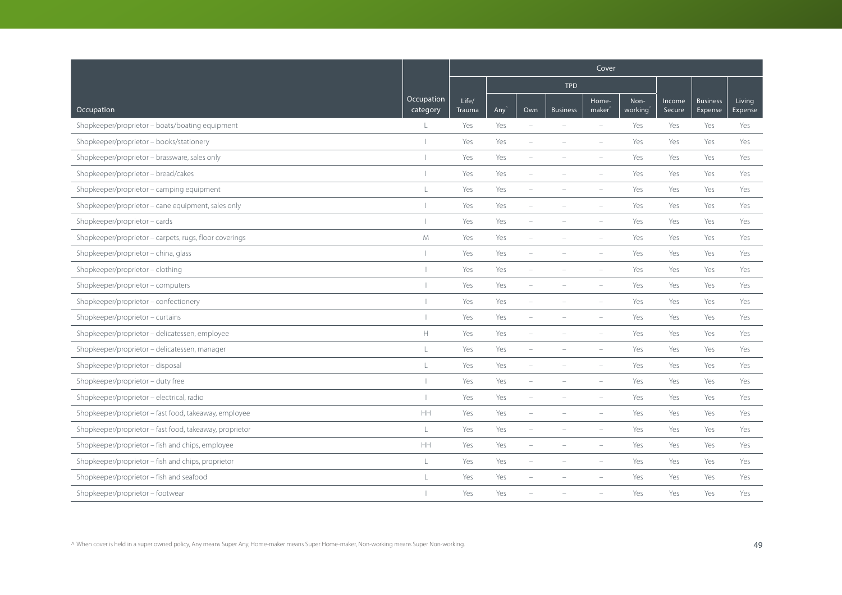|                                                         |                        | Cover           |     |                          |                 |                             |                 |                  |                            |                   |  |
|---------------------------------------------------------|------------------------|-----------------|-----|--------------------------|-----------------|-----------------------------|-----------------|------------------|----------------------------|-------------------|--|
|                                                         |                        |                 |     |                          | <b>TPD</b>      |                             |                 |                  |                            |                   |  |
| Occupation                                              | Occupation<br>category | Life/<br>Trauma | Any | Own                      | <b>Business</b> | Home-<br>maker <sup>'</sup> | Non-<br>working | Income<br>Secure | <b>Business</b><br>Expense | Living<br>Expense |  |
| Shopkeeper/proprietor - boats/boating equipment         | $\mathbb{L}$           | Yes             | Yes | $\sim$                   | $\equiv$        | $\sim$                      | Yes             | Yes              | Yes                        | Yes               |  |
| Shopkeeper/proprietor - books/stationery                |                        | Yes             | Yes | ÷                        |                 |                             | Yes             | Yes              | Yes                        | Yes               |  |
| Shopkeeper/proprietor - brassware, sales only           | $\mathbf{I}$           | Yes             | Yes |                          |                 |                             | Yes             | Yes              | Yes                        | Yes               |  |
| Shopkeeper/proprietor - bread/cakes                     |                        | Yes             | Yes |                          |                 |                             | Yes             | Yes              | Yes                        | Yes               |  |
| Shopkeeper/proprietor - camping equipment               | $\mathbb{L}$           | Yes             | Yes | ÷                        |                 |                             | Yes             | Yes              | Yes                        | Yes               |  |
| Shopkeeper/proprietor - cane equipment, sales only      |                        | Yes             | Yes |                          |                 | $\equiv$                    | Yes             | Yes              | Yes                        | Yes               |  |
| Shopkeeper/proprietor - cards                           |                        | Yes             | Yes | $\sim$                   |                 | $\equiv$                    | Yes             | Yes              | Yes                        | Yes               |  |
| Shopkeeper/proprietor - carpets, rugs, floor coverings  | M                      | Yes             | Yes | $\equiv$                 | $\equiv$        | $\equiv$                    | Yes             | Yes              | Yes                        | Yes               |  |
| Shopkeeper/proprietor - china, glass                    |                        | Yes             | Yes |                          |                 |                             | Yes             | Yes              | Yes                        | Yes               |  |
| Shopkeeper/proprietor - clothing                        | $\blacksquare$         | Yes             | Yes | ÷                        |                 | $\overline{\phantom{a}}$    | Yes             | Yes              | Yes                        | Yes               |  |
| Shopkeeper/proprietor - computers                       |                        | Yes             | Yes | $\overline{\phantom{a}}$ |                 | i.                          | Yes             | Yes              | Yes                        | Yes               |  |
| Shopkeeper/proprietor - confectionery                   |                        | Yes             | Yes | ÷                        |                 | $\overline{\phantom{a}}$    | Yes             | Yes              | Yes                        | Yes               |  |
| Shopkeeper/proprietor - curtains                        |                        | Yes             | Yes |                          |                 |                             | Yes             | Yes              | Yes                        | Yes               |  |
| Shopkeeper/proprietor - delicatessen, employee          | $\mathbb H$            | Yes             | Yes | ÷,                       |                 | $\equiv$                    | Yes             | Yes              | Yes                        | Yes               |  |
| Shopkeeper/proprietor - delicatessen, manager           | $\mathsf{L}$           | Yes             | Yes | ÷                        |                 | $\equiv$                    | Yes             | Yes              | Yes                        | Yes               |  |
| Shopkeeper/proprietor - disposal                        | L                      | Yes             | Yes | ÷                        |                 |                             | Yes             | Yes              | Yes                        | Yes               |  |
| Shopkeeper/proprietor - duty free                       |                        | Yes             | Yes | ÷                        |                 |                             | Yes             | Yes              | Yes                        | Yes               |  |
| Shopkeeper/proprietor - electrical, radio               |                        | Yes             | Yes | ÷                        |                 | ÷                           | Yes             | Yes              | Yes                        | Yes               |  |
| Shopkeeper/proprietor - fast food, takeaway, employee   | HH.                    | Yes             | Yes | ÷,                       |                 | ÷,                          | Yes             | Yes              | Yes                        | Yes               |  |
| Shopkeeper/proprietor - fast food, takeaway, proprietor | L                      | Yes             | Yes |                          |                 |                             | Yes             | Yes              | Yes                        | Yes               |  |
| Shopkeeper/proprietor - fish and chips, employee        | HH                     | Yes             | Yes | $\sim$                   |                 | $\overline{\phantom{m}}$    | Yes             | Yes              | Yes                        | Yes               |  |
| Shopkeeper/proprietor - fish and chips, proprietor      | L                      | Yes             | Yes | $\overline{\phantom{0}}$ | $\equiv$        | $\equiv$                    | Yes             | Yes              | Yes                        | Yes               |  |
| Shopkeeper/proprietor - fish and seafood                | $\mathbb{I}$           | Yes             | Yes |                          |                 |                             | Yes             | Yes              | Yes                        | Yes               |  |
| Shopkeeper/proprietor - footwear                        |                        | Yes             | Yes |                          |                 |                             | Yes             | Yes              | Yes                        | Yes               |  |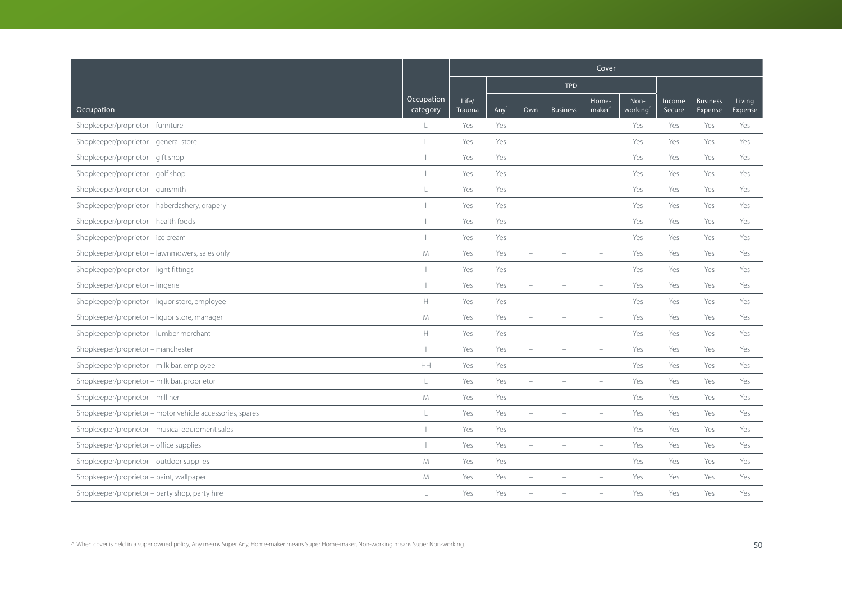|                                                           |                        | Cover           |     |                          |                 |                             |                 |                  |                            |                   |  |
|-----------------------------------------------------------|------------------------|-----------------|-----|--------------------------|-----------------|-----------------------------|-----------------|------------------|----------------------------|-------------------|--|
|                                                           |                        |                 |     |                          | <b>TPD</b>      |                             |                 |                  |                            |                   |  |
| Occupation                                                | Occupation<br>category | Life/<br>Trauma | Any | Own                      | <b>Business</b> | Home-<br>maker <sup>'</sup> | Non-<br>working | Income<br>Secure | <b>Business</b><br>Expense | Living<br>Expense |  |
| Shopkeeper/proprietor - furniture                         | $\mathbb{L}$           | Yes             | Yes | $\sim$                   | $\equiv$        | $\sim$                      | Yes             | Yes              | Yes                        | Yes               |  |
| Shopkeeper/proprietor - general store                     | $\mathsf{L}$           | Yes             | Yes | $\overline{\phantom{a}}$ |                 |                             | Yes             | Yes              | Yes                        | Yes               |  |
| Shopkeeper/proprietor - gift shop                         | $\mathbf{I}$           | Yes             | Yes |                          |                 |                             | Yes             | Yes              | Yes                        | Yes               |  |
| Shopkeeper/proprietor - golf shop                         |                        | Yes             | Yes |                          |                 |                             | Yes             | Yes              | Yes                        | Yes               |  |
| Shopkeeper/proprietor - gunsmith                          | $\mathbb{L}$           | Yes             | Yes | ۰                        |                 |                             | Yes             | Yes              | Yes                        | Yes               |  |
| Shopkeeper/proprietor - haberdashery, drapery             |                        | Yes             | Yes | L.                       |                 | $\equiv$                    | Yes             | Yes              | Yes                        | Yes               |  |
| Shopkeeper/proprietor - health foods                      |                        | Yes             | Yes | $\sim$                   |                 | $\equiv$                    | Yes             | Yes              | Yes                        | Yes               |  |
| Shopkeeper/proprietor - ice cream                         |                        | Yes             | Yes | $\equiv$                 | $\equiv$        | $\equiv$                    | Yes             | Yes              | Yes                        | Yes               |  |
| Shopkeeper/proprietor - lawnmowers, sales only            | M                      | Yes             | Yes |                          |                 |                             | Yes             | Yes              | Yes                        | Yes               |  |
| Shopkeeper/proprietor - light fittings                    | $\mathbf{I}$           | Yes             | Yes | ÷                        |                 | $\overline{\phantom{a}}$    | Yes             | Yes              | Yes                        | Yes               |  |
| Shopkeeper/proprietor - lingerie                          |                        | Yes             | Yes | $\overline{\phantom{a}}$ |                 | $\equiv$                    | Yes             | Yes              | Yes                        | Yes               |  |
| Shopkeeper/proprietor - liquor store, employee            | $\mathbb H$            | Yes             | Yes | ÷                        |                 | $\overline{\phantom{a}}$    | Yes             | Yes              | Yes                        | Yes               |  |
| Shopkeeper/proprietor - liquor store, manager             | M                      | Yes             | Yes |                          |                 |                             | Yes             | Yes              | Yes                        | Yes               |  |
| Shopkeeper/proprietor - lumber merchant                   | $\mathbb H$            | Yes             | Yes | ÷,                       |                 | $\equiv$                    | Yes             | Yes              | Yes                        | Yes               |  |
| Shopkeeper/proprietor - manchester                        | $\overline{1}$         | Yes             | Yes | ÷                        |                 | $\equiv$                    | Yes             | Yes              | Yes                        | Yes               |  |
| Shopkeeper/proprietor - milk bar, employee                | HH                     | Yes             | Yes | ÷                        |                 |                             | Yes             | Yes              | Yes                        | Yes               |  |
| Shopkeeper/proprietor - milk bar, proprietor              | L                      | Yes             | Yes | ÷                        |                 |                             | Yes             | Yes              | Yes                        | Yes               |  |
| Shopkeeper/proprietor - milliner                          | M                      | Yes             | Yes | L,                       |                 | $\overline{\phantom{a}}$    | Yes             | Yes              | Yes                        | Yes               |  |
| Shopkeeper/proprietor - motor vehicle accessories, spares | L                      | Yes             | Yes | ÷,                       |                 | ÷,                          | Yes             | Yes              | Yes                        | Yes               |  |
| Shopkeeper/proprietor - musical equipment sales           |                        | Yes             | Yes |                          |                 |                             | Yes             | Yes              | Yes                        | Yes               |  |
| Shopkeeper/proprietor - office supplies                   |                        | Yes             | Yes | ÷                        |                 | $\overline{\phantom{m}}$    | Yes             | Yes              | Yes                        | Yes               |  |
| Shopkeeper/proprietor - outdoor supplies                  | M                      | Yes             | Yes | $\overline{\phantom{0}}$ | $\equiv$        | $\equiv$                    | Yes             | Yes              | Yes                        | Yes               |  |
| Shopkeeper/proprietor - paint, wallpaper                  | M                      | Yes             | Yes |                          |                 |                             | Yes             | Yes              | Yes                        | Yes               |  |
| Shopkeeper/proprietor - party shop, party hire            | $\mathbf{L}$           | Yes             | Yes |                          |                 |                             | Yes             | Yes              | Yes                        | Yes               |  |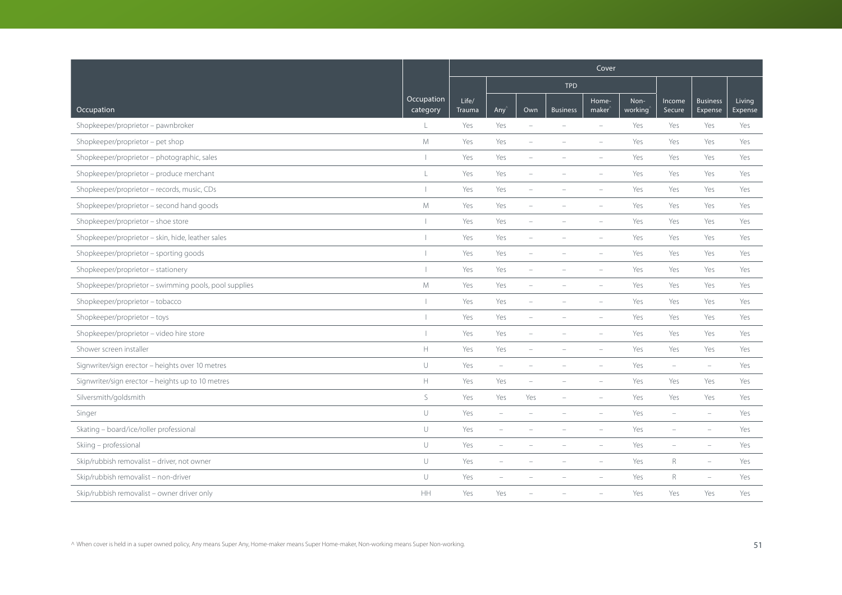|                                                       |                        | Cover           |                          |                          |                          |                             |                 |                          |                            |                   |  |  |  |
|-------------------------------------------------------|------------------------|-----------------|--------------------------|--------------------------|--------------------------|-----------------------------|-----------------|--------------------------|----------------------------|-------------------|--|--|--|
|                                                       |                        |                 |                          |                          | <b>TPD</b>               |                             |                 |                          |                            |                   |  |  |  |
| Occupation                                            | Occupation<br>category | Life/<br>Trauma | Any <sup></sup>          | Own                      | <b>Business</b>          | Home-<br>maker <sup>®</sup> | Non-<br>working | Income<br>Secure         | <b>Business</b><br>Expense | Living<br>Expense |  |  |  |
| Shopkeeper/proprietor - pawnbroker                    | L                      | Yes             | Yes                      | $\sim$                   | $\equiv$                 | $\equiv$                    | Yes             | Yes                      | Yes                        | Yes               |  |  |  |
| Shopkeeper/proprietor - pet shop                      | M                      | Yes             | Yes                      | ۰                        |                          | $\overline{\phantom{a}}$    | Yes             | Yes                      | Yes                        | Yes               |  |  |  |
| Shopkeeper/proprietor - photographic, sales           |                        | Yes             | Yes                      |                          |                          |                             | Yes             | Yes                      | Yes                        | Yes               |  |  |  |
| Shopkeeper/proprietor - produce merchant              | L                      | Yes             | Yes                      |                          |                          |                             | Yes             | Yes                      | Yes                        | Yes               |  |  |  |
| Shopkeeper/proprietor - records, music, CDs           |                        | Yes             | Yes                      | $\overline{\phantom{0}}$ |                          |                             | Yes             | Yes                      | Yes                        | Yes               |  |  |  |
| Shopkeeper/proprietor - second hand goods             | M                      | Yes             | Yes                      | $\overline{\phantom{a}}$ |                          | $\equiv$                    | Yes             | Yes                      | Yes                        | Yes               |  |  |  |
| Shopkeeper/proprietor - shoe store                    |                        | Yes             | Yes                      | ÷                        |                          | $\equiv$                    | Yes             | Yes                      | Yes                        | Yes               |  |  |  |
| Shopkeeper/proprietor - skin, hide, leather sales     |                        | Yes             | Yes                      | $\equiv$                 |                          | $\equiv$                    | Yes             | Yes                      | Yes                        | Yes               |  |  |  |
| Shopkeeper/proprietor - sporting goods                |                        | Yes             | Yes                      |                          |                          |                             | Yes             | Yes                      | Yes                        | Yes               |  |  |  |
| Shopkeeper/proprietor - stationery                    |                        | Yes             | Yes                      |                          |                          |                             | Yes             | Yes                      | Yes                        | Yes               |  |  |  |
| Shopkeeper/proprietor - swimming pools, pool supplies | M                      | Yes             | Yes                      | $\overline{\phantom{0}}$ |                          |                             | Yes             | Yes                      | Yes                        | Yes               |  |  |  |
| Shopkeeper/proprietor - tobacco                       |                        | Yes             | Yes                      | ÷                        |                          | $\equiv$                    | Yes             | Yes                      | Yes                        | Yes               |  |  |  |
| Shopkeeper/proprietor - toys                          |                        | Yes             | Yes                      |                          |                          |                             | Yes             | Yes                      | Yes                        | Yes               |  |  |  |
| Shopkeeper/proprietor - video hire store              |                        | Yes             | Yes                      | ÷                        |                          | $\equiv$                    | Yes             | Yes                      | Yes                        | Yes               |  |  |  |
| Shower screen installer                               | $\mathbb H$            | Yes             | Yes                      | $\overline{\phantom{a}}$ |                          | $\overline{\phantom{a}}$    | Yes             | Yes                      | Yes                        | Yes               |  |  |  |
| Signwriter/sign erector - heights over 10 metres      | U                      | Yes             | $\equiv$                 |                          |                          |                             | Yes             | i.                       | $\equiv$                   | Yes               |  |  |  |
| Signwriter/sign erector - heights up to 10 metres     | $\mathbb H$            | Yes             | Yes                      |                          |                          |                             | Yes             | Yes                      | Yes                        | Yes               |  |  |  |
| Silversmith/goldsmith                                 | $\mathsf S$            | Yes             | Yes                      | Yes                      | $\overline{\phantom{a}}$ | $\overline{\phantom{a}}$    | Yes             | Yes                      | Yes                        | Yes               |  |  |  |
| Singer                                                | U                      | Yes             | $\overline{\phantom{a}}$ | L.                       |                          | $\equiv$                    | Yes             | L.                       | $\equiv$                   | Yes               |  |  |  |
| Skating - board/ice/roller professional               | $\cup$                 | Yes             | ÷                        |                          |                          |                             | Yes             | L.                       |                            | Yes               |  |  |  |
| Skiing - professional                                 | U                      | Yes             | $\overline{\phantom{a}}$ |                          |                          |                             | Yes             | $\overline{\phantom{a}}$ | $\overline{\phantom{a}}$   | Yes               |  |  |  |
| Skip/rubbish removalist - driver, not owner           | $\cup$                 | Yes             | $\overline{\phantom{a}}$ | $\overline{\phantom{a}}$ | $\equiv$                 | $\overline{\phantom{a}}$    | Yes             | $R_{\rm}$                | $\equiv$                   | Yes               |  |  |  |
| Skip/rubbish removalist - non-driver                  | $\cup$                 | Yes             | ۰                        |                          |                          |                             | Yes             | $R_{\rm}$                | $\equiv$                   | Yes               |  |  |  |
| Skip/rubbish removalist - owner driver only           | HH                     | Yes             | Yes                      |                          |                          |                             | Yes             | Yes                      | Yes                        | Yes               |  |  |  |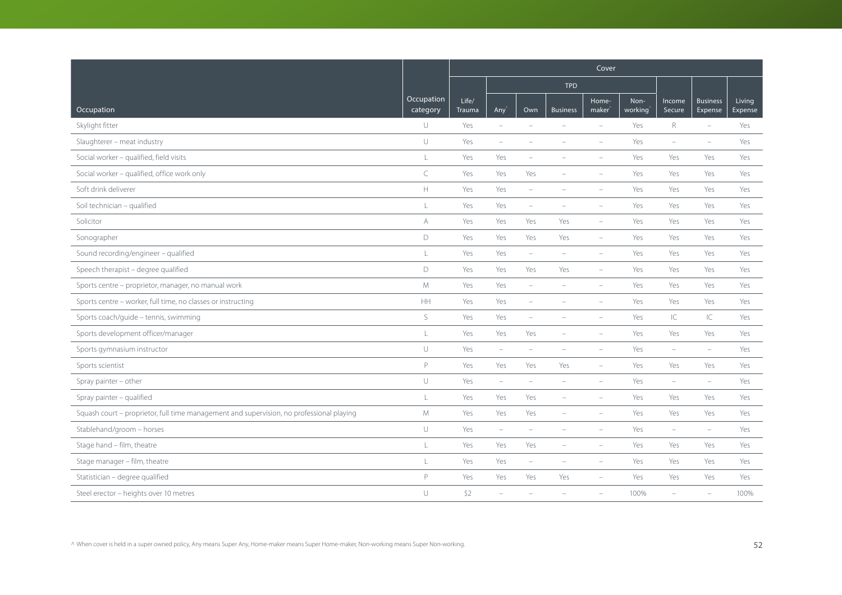|                                                                                          |                        | Cover           |                          |                          |                          |                             |                 |                          |                            |                   |  |  |  |
|------------------------------------------------------------------------------------------|------------------------|-----------------|--------------------------|--------------------------|--------------------------|-----------------------------|-----------------|--------------------------|----------------------------|-------------------|--|--|--|
|                                                                                          |                        |                 |                          |                          | <b>TPD</b>               |                             |                 |                          |                            |                   |  |  |  |
| Occupation                                                                               | Occupation<br>category | Life/<br>Trauma | Any'                     | Own                      | <b>Business</b>          | Home-<br>maker <sup>®</sup> | Non-<br>working | Income<br>Secure         | <b>Business</b><br>Expense | Living<br>Expense |  |  |  |
| Skylight fitter                                                                          | U                      | Yes             | $\overline{\phantom{a}}$ | $\sim$                   |                          | $\equiv$                    | Yes             | $\mathsf R$              | $\equiv$                   | Yes               |  |  |  |
| Slaughterer - meat industry                                                              | U                      | Yes             | $\overline{\phantom{a}}$ | ۰                        |                          |                             | Yes             | $\overline{\phantom{a}}$ | $\overline{\phantom{a}}$   | Yes               |  |  |  |
| Social worker - qualified, field visits                                                  | L                      | Yes             | Yes                      |                          |                          |                             | Yes             | Yes                      | Yes                        | Yes               |  |  |  |
| Social worker - qualified, office work only                                              | $\subset$              | Yes             | Yes                      | Yes                      |                          |                             | Yes             | Yes                      | Yes                        | Yes               |  |  |  |
| Soft drink deliverer                                                                     | $\mathbb H$            | Yes             | Yes                      | $\overline{\phantom{a}}$ |                          |                             | Yes             | Yes                      | Yes                        | Yes               |  |  |  |
| Soil technician - qualified                                                              | L                      | Yes             | Yes                      | $\overline{\phantom{0}}$ |                          | $\overline{\phantom{a}}$    | Yes             | Yes                      | Yes                        | Yes               |  |  |  |
| Solicitor                                                                                | A                      | Yes             | Yes                      | Yes                      | Yes                      | $\overline{\phantom{a}}$    | Yes             | Yes                      | Yes                        | Yes               |  |  |  |
| Sonographer                                                                              | D                      | Yes             | Yes                      | Yes                      | Yes                      | $\overline{\phantom{a}}$    | Yes             | Yes                      | Yes                        | Yes               |  |  |  |
| Sound recording/engineer - qualified                                                     | L                      | Yes             | Yes                      | $\overline{\phantom{a}}$ | $\overline{\phantom{0}}$ | $\overline{\phantom{a}}$    | Yes             | Yes                      | Yes                        | Yes               |  |  |  |
| Speech therapist - degree qualified                                                      | D                      | Yes             | Yes                      | Yes                      | Yes                      | $\overline{\phantom{a}}$    | Yes             | Yes                      | Yes                        | Yes               |  |  |  |
| Sports centre - proprietor, manager, no manual work                                      | M                      | Yes             | Yes                      | $\overline{\phantom{m}}$ | ÷                        | $\overline{\phantom{a}}$    | Yes             | Yes                      | Yes                        | Yes               |  |  |  |
| Sports centre - worker, full time, no classes or instructing                             | HH                     | Yes             | Yes                      | $\overline{\phantom{a}}$ |                          | $\overline{\phantom{a}}$    | Yes             | Yes                      | Yes                        | Yes               |  |  |  |
| Sports coach/guide - tennis, swimming                                                    | $\mathsf S$            | Yes             | Yes                      | ÷                        |                          |                             | Yes             | IC                       | IC                         | Yes               |  |  |  |
| Sports development officer/manager                                                       | L                      | Yes             | Yes                      | Yes                      | $\equiv$                 | $\equiv$                    | Yes             | Yes                      | Yes                        | Yes               |  |  |  |
| Sports gymnasium instructor                                                              | $\cup$                 | Yes             | $\overline{\phantom{a}}$ | i.                       | $\equiv$                 | $\overline{\phantom{a}}$    | Yes             | $\overline{\phantom{a}}$ | $\overline{\phantom{a}}$   | Yes               |  |  |  |
| Sports scientist                                                                         | P                      | Yes             | Yes                      | Yes                      | Yes                      | $\overline{\phantom{a}}$    | Yes             | Yes                      | Yes                        | Yes               |  |  |  |
| Spray painter - other                                                                    | U                      | Yes             | $\overline{\phantom{a}}$ | i.                       | $\overline{\phantom{m}}$ |                             | Yes             | $\overline{\phantom{a}}$ | $\sim$                     | Yes               |  |  |  |
| Spray painter - qualified                                                                | L                      | Yes             | Yes                      | Yes                      | ÷                        | $\overline{\phantom{a}}$    | Yes             | Yes                      | Yes                        | Yes               |  |  |  |
| Squash court - proprietor, full time management and supervision, no professional playing | M                      | Yes             | Yes                      | Yes                      | $\equiv$                 | $\equiv$                    | Yes             | Yes                      | Yes                        | Yes               |  |  |  |
| Stablehand/groom - horses                                                                | $\cup$                 | Yes             | $\overline{\phantom{a}}$ | ÷                        |                          |                             | Yes             | $\overline{\phantom{a}}$ | $\overline{\phantom{a}}$   | Yes               |  |  |  |
| Stage hand - film, theatre                                                               | L                      | Yes             | Yes                      | Yes                      |                          |                             | Yes             | Yes                      | Yes                        | Yes               |  |  |  |
| Stage manager - film, theatre                                                            | $\mathsf L$            | Yes             | Yes                      | $\overline{\phantom{m}}$ | $\overline{\phantom{a}}$ | $\overline{\phantom{a}}$    | Yes             | Yes                      | Yes                        | Yes               |  |  |  |
| Statistician - degree qualified                                                          | P                      | Yes             | Yes                      | Yes                      | Yes                      |                             | Yes             | Yes                      | Yes                        | Yes               |  |  |  |
| Steel erector - heights over 10 metres                                                   | U                      | \$2             | ÷,                       |                          |                          |                             | 100%            | ÷,                       |                            | 100%              |  |  |  |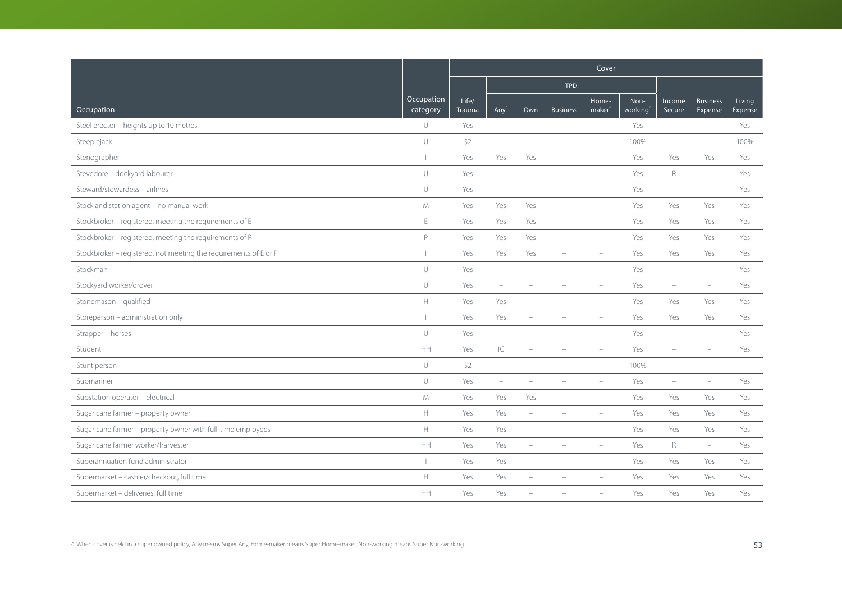|                                                                  |                                                     | Cover           |                          |                          |                          |                             |                 |                          |                            |                          |  |  |  |
|------------------------------------------------------------------|-----------------------------------------------------|-----------------|--------------------------|--------------------------|--------------------------|-----------------------------|-----------------|--------------------------|----------------------------|--------------------------|--|--|--|
|                                                                  |                                                     |                 |                          |                          | <b>TPD</b>               |                             |                 |                          |                            |                          |  |  |  |
| Occupation                                                       | Occupation<br>category                              | Life/<br>Trauma | Any'                     | Own                      | <b>Business</b>          | Home-<br>maker <sup>®</sup> | Non-<br>working | Income<br>Secure         | <b>Business</b><br>Expense | <b>Living</b><br>Expense |  |  |  |
| Steel erector - heights up to 10 metres                          | U                                                   | Yes             | $\overline{\phantom{a}}$ | $\sim$                   |                          | $\equiv$                    | Yes             | $\equiv$                 | $\equiv$                   | Yes                      |  |  |  |
| Steeplejack                                                      | $\cup$                                              | \$2             | $\overline{\phantom{a}}$ |                          |                          |                             | 100%            | $\overline{\phantom{m}}$ | $\overline{\phantom{a}}$   | 100%                     |  |  |  |
| Stenographer                                                     | $\overline{1}$                                      | Yes             | Yes                      | Yes                      |                          |                             | Yes             | Yes                      | Yes                        | Yes                      |  |  |  |
| Stevedore - dockyard labourer                                    | U                                                   | Yes             | $\overline{\phantom{m}}$ |                          |                          |                             | Yes             | $\mathsf R$              | $\overline{\phantom{m}}$   | Yes                      |  |  |  |
| Steward/stewardess - airlines                                    | $\cup$                                              | Yes             | $\overline{\phantom{a}}$ | ۰                        |                          |                             | Yes             | $\overline{\phantom{a}}$ | $\overline{\phantom{a}}$   | Yes                      |  |  |  |
| Stock and station agent - no manual work                         | ${\mathsf M}$                                       | Yes             | Yes                      | Yes                      |                          | $\equiv$                    | Yes             | Yes                      | Yes                        | Yes                      |  |  |  |
| Stockbroker - registered, meeting the requirements of E          | $\mathsf E$                                         | Yes             | Yes                      | Yes                      | $\equiv$                 |                             | Yes             | Yes                      | Yes                        | Yes                      |  |  |  |
| Stockbroker - registered, meeting the requirements of P          | P                                                   | Yes             | Yes                      | Yes                      | $\equiv$                 | $\equiv$                    | Yes             | Yes                      | Yes                        | Yes                      |  |  |  |
| Stockbroker - registered, not meeting the requirements of E or P | $\overline{\phantom{a}}$                            | Yes             | Yes                      | Yes                      |                          |                             | Yes             | Yes                      | Yes                        | Yes                      |  |  |  |
| Stockman                                                         | $\cup$                                              | Yes             | $\overline{\phantom{m}}$ |                          |                          |                             | Yes             | $\equiv$                 | $\sim$                     | Yes                      |  |  |  |
| Stockyard worker/drover                                          | U                                                   | Yes             | $\overline{\phantom{a}}$ | ÷                        |                          | $\overline{\phantom{a}}$    | Yes             | $\overline{\phantom{m}}$ | $\overline{\phantom{a}}$   | Yes                      |  |  |  |
| Stonemason - qualified                                           | $\mathbb H$                                         | Yes             | Yes                      |                          |                          |                             | Yes             | Yes                      | Yes                        | Yes                      |  |  |  |
| Storeperson - administration only                                |                                                     | Yes             | Yes                      |                          |                          |                             | Yes             | Yes                      | Yes                        | Yes                      |  |  |  |
| Strapper - horses                                                | $\cup$                                              | Yes             | $\overline{\phantom{a}}$ | ÷                        |                          | $\equiv$                    | Yes             | $\overline{\phantom{a}}$ | $\sim$                     | Yes                      |  |  |  |
| Student                                                          | HH                                                  | Yes             | $\subset$                | L.                       |                          | $\equiv$                    | Yes             | $\overline{\phantom{a}}$ |                            | Yes                      |  |  |  |
| Stunt person                                                     | $\cup$                                              | \$2             | $\equiv$                 |                          |                          |                             | 100%            | ÷                        |                            |                          |  |  |  |
| Submariner                                                       | $\cup$                                              | Yes             | $\overline{\phantom{a}}$ |                          |                          |                             | Yes             | ÷,                       |                            | Yes                      |  |  |  |
| Substation operator - electrical                                 | M                                                   | Yes             | Yes                      | Yes                      |                          | $\overline{\phantom{a}}$    | Yes             | Yes                      | Yes                        | Yes                      |  |  |  |
| Sugar cane farmer - property owner                               | H.                                                  | Yes             | Yes                      | $\sim$                   |                          | $\equiv$                    | Yes             | Yes                      | Yes                        | Yes                      |  |  |  |
| Sugar cane farmer - property owner with full-time employees      | $\mathsf{H}% _{\mathsf{H}}^{\ast}(\mathcal{M}_{0})$ | Yes             | Yes                      | ÷                        |                          |                             | Yes             | Yes                      | Yes                        | Yes                      |  |  |  |
| Sugar cane farmer worker/harvester                               | HH                                                  | Yes             | Yes                      | $\overline{\phantom{a}}$ |                          |                             | Yes             | $\mathsf{R}$             | $\overline{\phantom{m}}$   | Yes                      |  |  |  |
| Superannuation fund administrator                                |                                                     | Yes             | Yes                      | $\overline{\phantom{0}}$ | $\overline{\phantom{a}}$ | $\sim$                      | Yes             | Yes                      | Yes                        | Yes                      |  |  |  |
| Supermarket - cashier/checkout, full time                        | $\mathbb H$                                         | Yes             | Yes                      |                          |                          |                             | Yes             | Yes                      | Yes                        | Yes                      |  |  |  |
| Supermarket - deliveries, full time                              | HH                                                  | Yes             | Yes                      |                          |                          |                             | Yes             | Yes                      | Yes                        | Yes                      |  |  |  |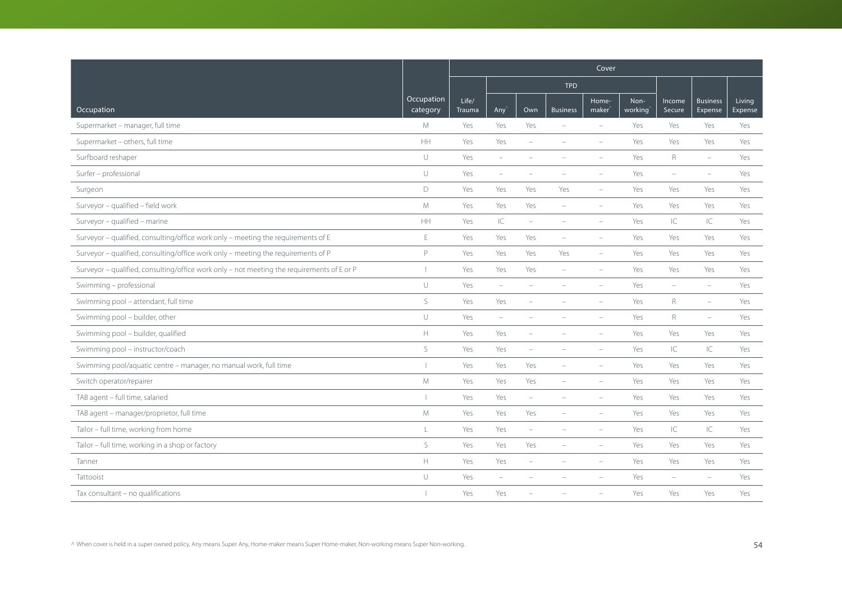|                                                                                            |                        | Cover           |                                   |                          |                          |                          |                 |                          |                            |                   |  |  |  |
|--------------------------------------------------------------------------------------------|------------------------|-----------------|-----------------------------------|--------------------------|--------------------------|--------------------------|-----------------|--------------------------|----------------------------|-------------------|--|--|--|
|                                                                                            |                        |                 |                                   |                          | <b>TPD</b>               |                          |                 |                          |                            |                   |  |  |  |
| Occupation                                                                                 | Occupation<br>category | Life/<br>Trauma | Any $\hat{}$                      | Own                      | <b>Business</b>          | Home-<br>$make^$         | Non-<br>working | Income<br>Secure         | <b>Business</b><br>Expense | Living<br>Expense |  |  |  |
| Supermarket - manager, full time                                                           | M                      | Yes             | Yes                               | Yes                      |                          | $\overline{\phantom{a}}$ | Yes             | Yes                      | Yes                        | Yes               |  |  |  |
| Supermarket - others, full time                                                            | HH                     | Yes             | Yes                               | $\overline{\phantom{a}}$ |                          |                          | Yes             | Yes                      | Yes                        | Yes               |  |  |  |
| Surfboard reshaper                                                                         | $\cup$                 | Yes             | $\sim$                            |                          |                          |                          | Yes             | R                        | $\equiv$                   | Yes               |  |  |  |
| Surfer - professional                                                                      | $\cup$                 | Yes             | $\overline{\phantom{a}}$          | ۰                        |                          | $\overline{\phantom{a}}$ | Yes             | $\overline{\phantom{a}}$ | $\overline{\phantom{m}}$   | Yes               |  |  |  |
| Surgeon                                                                                    | $\mathsf D$            | Yes             | Yes                               | Yes                      | Yes                      | $\overline{\phantom{a}}$ | Yes             | Yes                      | Yes                        | Yes               |  |  |  |
| Surveyor - qualified - field work                                                          | M                      | Yes             | Yes                               | Yes                      | $\overline{\phantom{m}}$ |                          | Yes             | Yes                      | Yes                        | Yes               |  |  |  |
| Surveyor - qualified - marine                                                              | HH                     | Yes             | $\ensuremath{\mathsf{IC}}\xspace$ | $\overline{\phantom{a}}$ |                          |                          | Yes             | IC                       | IC                         | Yes               |  |  |  |
| Surveyor - qualified, consulting/office work only - meeting the requirements of E          | $\mathsf E$            | Yes             | Yes                               | Yes                      | $\overline{\phantom{a}}$ | $\overline{\phantom{a}}$ | Yes             | Yes                      | Yes                        | Yes               |  |  |  |
| Surveyor - qualified, consulting/office work only - meeting the requirements of P          | P                      | Yes             | Yes                               | Yes                      | Yes                      | $\equiv$                 | Yes             | Yes                      | Yes                        | Yes               |  |  |  |
| Surveyor - qualified, consulting/office work only - not meeting the requirements of E or P | $\mathbf{I}$           | Yes             | Yes                               | Yes                      | $\overline{\phantom{a}}$ | $\overline{\phantom{a}}$ | Yes             | Yes                      | Yes                        | Yes               |  |  |  |
| Swimming - professional                                                                    | $\cup$                 | Yes             | $\overline{\phantom{a}}$          | ÷                        | $\overline{\phantom{a}}$ | $\equiv$                 | Yes             | $\overline{\phantom{a}}$ | $\overline{\phantom{0}}$   | Yes               |  |  |  |
| Swimming pool - attendant, full time                                                       | $\mathsf S$            | Yes             | Yes                               |                          |                          |                          | Yes             | $\mathsf R$              | $\overline{\phantom{m}}$   | Yes               |  |  |  |
| Swimming pool - builder, other                                                             | $\cup$                 | Yes             | $\overline{\phantom{a}}$          |                          |                          |                          | Yes             | $\mathsf{R}$             | $\overline{\phantom{m}}$   | Yes               |  |  |  |
| Swimming pool - builder, qualified                                                         | $\mathbb H$            | Yes             | Yes                               | ÷,                       |                          | $\equiv$                 | Yes             | Yes                      | Yes                        | Yes               |  |  |  |
| Swimming pool - instructor/coach                                                           | S                      | Yes             | Yes                               | $\overline{\phantom{a}}$ |                          |                          | Yes             | IC                       | C                          | Yes               |  |  |  |
| Swimming pool/aquatic centre - manager, no manual work, full time                          | т                      | Yes             | Yes                               | Yes                      |                          |                          | Yes             | Yes                      | Yes                        | Yes               |  |  |  |
| Switch operator/repairer                                                                   | ${\mathsf M}$          | Yes             | Yes                               | Yes                      |                          | $\overline{\phantom{a}}$ | Yes             | Yes                      | Yes                        | Yes               |  |  |  |
| TAB agent - full time, salaried                                                            | $\overline{1}$         | Yes             | Yes                               | $\overline{\phantom{a}}$ |                          |                          | Yes             | Yes                      | Yes                        | Yes               |  |  |  |
| TAB agent - manager/proprietor, full time                                                  | M                      | Yes             | Yes                               | Yes                      |                          | $\overline{\phantom{a}}$ | Yes             | Yes                      | Yes                        | Yes               |  |  |  |
| Tailor - full time, working from home                                                      | $\mathbf{L}$           | Yes             | Yes                               | ÷,                       |                          |                          | Yes             | IC                       | IC                         | Yes               |  |  |  |
| Tailor - full time, working in a shop or factory                                           | S                      | Yes             | Yes                               | Yes                      |                          |                          | Yes             | Yes                      | Yes                        | Yes               |  |  |  |
| Tanner                                                                                     | $\mathbb H$            | Yes             | Yes                               | $\overline{\phantom{0}}$ | $\overline{\phantom{a}}$ | $\overline{\phantom{a}}$ | Yes             | Yes                      | Yes                        | Yes               |  |  |  |
| Tattooist                                                                                  | U                      | Yes             | $\overline{\phantom{a}}$          |                          |                          |                          | Yes             | ÷,                       | $\equiv$                   | Yes               |  |  |  |
| Tax consultant - no qualifications                                                         |                        | Yes             | Yes                               |                          |                          |                          | Yes             | Yes                      | Yes                        | Yes               |  |  |  |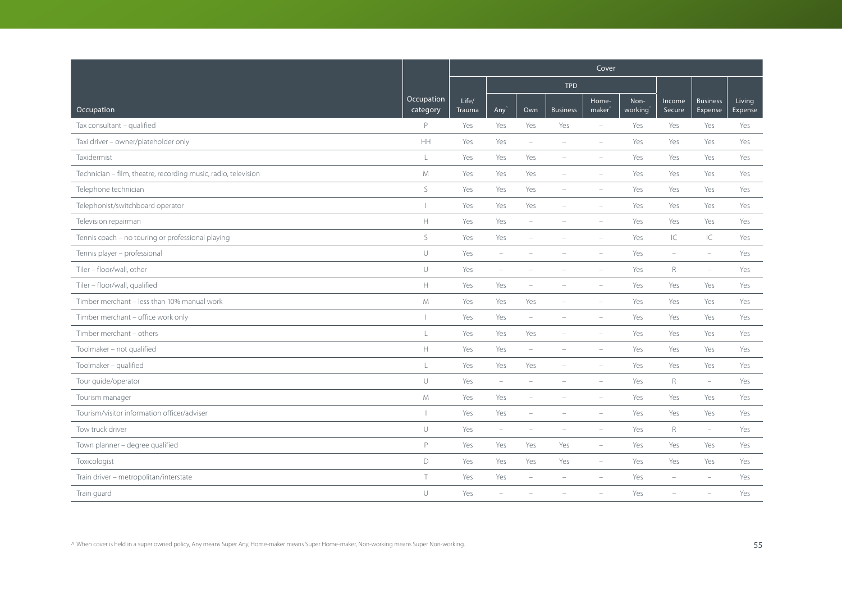|                                                                |                        | Cover                  |                          |                          |                          |                                                |                 |                  |                            |                   |  |  |  |
|----------------------------------------------------------------|------------------------|------------------------|--------------------------|--------------------------|--------------------------|------------------------------------------------|-----------------|------------------|----------------------------|-------------------|--|--|--|
|                                                                |                        |                        |                          |                          | <b>TPD</b>               |                                                |                 |                  |                            |                   |  |  |  |
| Occupation                                                     | Occupation<br>category | Life/<br><b>Trauma</b> | Any                      | Own                      | <b>Business</b>          | Home-<br>$\overline{\mathsf{m}}$ aker $\hat{}$ | Non-<br>working | Income<br>Secure | <b>Business</b><br>Expense | Living<br>Expense |  |  |  |
| Tax consultant - qualified                                     | P                      | Yes                    | Yes                      | Yes                      | Yes                      | $\overline{\phantom{a}}$                       | Yes             | Yes              | Yes                        | Yes               |  |  |  |
| Taxi driver - owner/plateholder only                           | HH                     | Yes                    | Yes                      | $\overline{\phantom{a}}$ | $\equiv$                 | $\equiv$                                       | Yes             | Yes              | Yes                        | Yes               |  |  |  |
| Taxidermist                                                    | L                      | Yes                    | Yes                      | Yes                      | $\equiv$                 | $\equiv$                                       | Yes             | Yes              | Yes                        | Yes               |  |  |  |
| Technician - film, theatre, recording music, radio, television | M                      | Yes                    | Yes                      | Yes                      | $\overline{\phantom{a}}$ | $\overline{\phantom{a}}$                       | Yes             | Yes              | Yes                        | Yes               |  |  |  |
| Telephone technician                                           | S                      | Yes                    | Yes                      | Yes                      | $\overline{\phantom{0}}$ | $\overline{\phantom{a}}$                       | Yes             | Yes              | Yes                        | Yes               |  |  |  |
| Telephonist/switchboard operator                               |                        | Yes                    | Yes                      | Yes                      | $\overline{\phantom{a}}$ | $\equiv$                                       | Yes             | Yes              | Yes                        | Yes               |  |  |  |
| Television repairman                                           | $\mathbb H$            | Yes                    | Yes                      | $\overline{\phantom{a}}$ |                          | $\equiv$                                       | Yes             | Yes              | Yes                        | Yes               |  |  |  |
| Tennis coach - no touring or professional playing              | $\mathsf{S}$           | Yes                    | Yes                      | $\overline{\phantom{a}}$ | $\equiv$                 | $\equiv$                                       | Yes             | IC               | IC                         | Yes               |  |  |  |
| Tennis player - professional                                   | $\cup$                 | Yes                    | $\equiv$                 |                          |                          |                                                | Yes             | ÷                | $\equiv$                   | Yes               |  |  |  |
| Tiler - floor/wall, other                                      | $\cup$                 | Yes                    | $\overline{\phantom{m}}$ | ۰                        |                          | $\overline{\phantom{a}}$                       | Yes             | $\mathsf R$      | $\overline{\phantom{m}}$   | Yes               |  |  |  |
| Tiler - floor/wall, qualified                                  | $\mathbb H$            | Yes                    | Yes                      | $\overline{\phantom{a}}$ | $\overline{\phantom{a}}$ | $\overline{\phantom{a}}$                       | Yes             | Yes              | Yes                        | Yes               |  |  |  |
| Timber merchant - less than 10% manual work                    | M                      | Yes                    | Yes                      | Yes                      |                          | $\overline{\phantom{a}}$                       | Yes             | Yes              | Yes                        | Yes               |  |  |  |
| Timber merchant - office work only                             |                        | Yes                    | Yes                      | $\overline{\phantom{a}}$ |                          | $\equiv$                                       | Yes             | Yes              | Yes                        | Yes               |  |  |  |
| Timber merchant - others                                       | L                      | Yes                    | Yes                      | Yes                      | $\equiv$                 | $\equiv$                                       | Yes             | Yes              | Yes                        | Yes               |  |  |  |
| Toolmaker - not qualified                                      | $\mathbb H$            | Yes                    | Yes                      | $\overline{\phantom{a}}$ | $\overline{\phantom{a}}$ | $\overline{\phantom{a}}$                       | Yes             | Yes              | Yes                        | Yes               |  |  |  |
| Toolmaker - qualified                                          | $\mathsf L$            | Yes                    | Yes                      | Yes                      |                          |                                                | Yes             | Yes              | Yes                        | Yes               |  |  |  |
| Tour guide/operator                                            | $\cup$                 | Yes                    | $\overline{\phantom{m}}$ | $\equiv$                 |                          | $\overline{\phantom{a}}$                       | Yes             | R                | $\overline{\phantom{0}}$   | Yes               |  |  |  |
| Tourism manager                                                | $M_{\odot}$            | Yes                    | Yes                      | $\overline{\phantom{a}}$ |                          | $\overline{\phantom{a}}$                       | Yes             | Yes              | Yes                        | Yes               |  |  |  |
| Tourism/visitor information officer/adviser                    |                        | Yes                    | Yes                      | $\overline{\phantom{a}}$ |                          | $\equiv$                                       | Yes             | Yes              | Yes                        | Yes               |  |  |  |
| Tow truck driver                                               | $\cup$                 | Yes                    | $\overline{\phantom{a}}$ | $\equiv$                 |                          | $\equiv$                                       | Yes             | R                | $\overline{\phantom{a}}$   | Yes               |  |  |  |
| Town planner - degree qualified                                | P                      | Yes                    | Yes                      | Yes                      | Yes                      | $\overline{\phantom{a}}$                       | Yes             | Yes              | Yes                        | Yes               |  |  |  |
| Toxicologist                                                   | D                      | Yes                    | Yes                      | Yes                      | Yes                      | $\overline{\phantom{m}}$                       | Yes             | Yes              | Yes                        | Yes               |  |  |  |
| Train driver - metropolitan/interstate                         | $\top$                 | Yes                    | Yes                      | L,                       |                          |                                                | Yes             | ÷,               |                            | Yes               |  |  |  |
| Train guard                                                    | U                      | Yes                    | ÷                        |                          |                          |                                                | Yes             |                  |                            | Yes               |  |  |  |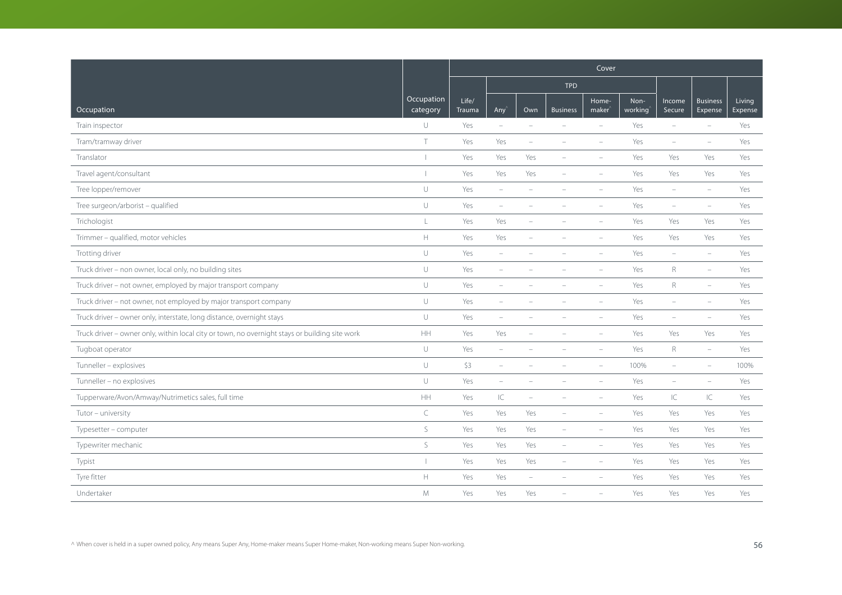|                                                                                                |                        | Cover           |                                 |                          |                          |                             |                 |                          |                            |                   |  |  |  |
|------------------------------------------------------------------------------------------------|------------------------|-----------------|---------------------------------|--------------------------|--------------------------|-----------------------------|-----------------|--------------------------|----------------------------|-------------------|--|--|--|
|                                                                                                |                        |                 |                                 |                          | <b>TPD</b>               |                             |                 |                          |                            |                   |  |  |  |
| Occupation                                                                                     | Occupation<br>category | Life/<br>Trauma | Any <sup></sup>                 | Own                      | <b>Business</b>          | Home-<br>maker <sup>'</sup> | Non-<br>working | Income<br>Secure         | <b>Business</b><br>Expense | Living<br>Expense |  |  |  |
| Train inspector                                                                                | U                      | Yes             | $\overline{\phantom{a}}$        | $\equiv$                 | $\equiv$                 | $\sim$                      | Yes             | $\equiv$                 | $\equiv$                   | Yes               |  |  |  |
| Tram/tramway driver                                                                            | $\top$                 | Yes             | Yes                             | ÷                        |                          |                             | Yes             | $\overline{\phantom{a}}$ | $\equiv$                   | Yes               |  |  |  |
| Translator                                                                                     | $\mathbf{I}$           | Yes             | Yes                             | Yes                      |                          |                             | Yes             | Yes                      | Yes                        | Yes               |  |  |  |
| Travel agent/consultant                                                                        |                        | Yes             | Yes                             | Yes                      |                          |                             | Yes             | Yes                      | Yes                        | Yes               |  |  |  |
| Tree lopper/remover                                                                            | $\cup$                 | Yes             | $\hspace{0.1mm}-\hspace{0.1mm}$ | ۰                        |                          |                             | Yes             | $\overline{\phantom{a}}$ | $\equiv$                   | Yes               |  |  |  |
| Tree surgeon/arborist - qualified                                                              | $\cup$                 | Yes             | $\overline{\phantom{a}}$        |                          |                          |                             | Yes             | $\overline{\phantom{a}}$ | $\overline{\phantom{a}}$   | Yes               |  |  |  |
| Trichologist                                                                                   | L                      | Yes             | Yes                             | ÷                        |                          |                             | Yes             | Yes                      | Yes                        | Yes               |  |  |  |
| Trimmer - qualified, motor vehicles                                                            | H.                     | Yes             | Yes                             | ÷                        | ÷                        | $\equiv$                    | Yes             | Yes                      | Yes                        | Yes               |  |  |  |
| Trotting driver                                                                                | $\cup$                 | Yes             | $\overline{\phantom{0}}$        |                          |                          |                             | Yes             | $\overline{\phantom{a}}$ | $\overline{\phantom{m}}$   | Yes               |  |  |  |
| Truck driver - non owner, local only, no building sites                                        | $\cup$                 | Yes             | ÷,                              |                          |                          |                             | Yes             | $\mathsf{R}$             | ÷                          | Yes               |  |  |  |
| Truck driver - not owner, employed by major transport company                                  | U                      | Yes             | $\overline{\phantom{a}}$        |                          |                          |                             | Yes             | $\mathsf{R}$             | $\equiv$                   | Yes               |  |  |  |
| Truck driver - not owner, not employed by major transport company                              | $\cup$                 | Yes             | $\overline{\phantom{m}}$        |                          |                          | $\equiv$                    | Yes             | ۰                        | $\overline{\phantom{a}}$   | Yes               |  |  |  |
| Truck driver - owner only, interstate, long distance, overnight stays                          | $\cup$                 | Yes             | ÷                               |                          |                          |                             | Yes             | ÷                        |                            | Yes               |  |  |  |
| Truck driver - owner only, within local city or town, no overnight stays or building site work | HH                     | Yes             | Yes                             |                          |                          | $\equiv$                    | Yes             | Yes                      | Yes                        | Yes               |  |  |  |
| Tugboat operator                                                                               | $\cup$                 | Yes             | $\overline{\phantom{a}}$        |                          |                          | ÷,                          | Yes             | $R_{\rm}$                | $\overline{\phantom{0}}$   | Yes               |  |  |  |
| Tunneller - explosives                                                                         | U                      | \$3             | $\overline{\phantom{a}}$        |                          |                          |                             | 100%            | ÷,                       | ÷                          | 100%              |  |  |  |
| Tunneller - no explosives                                                                      | U                      | Yes             | $\overline{\phantom{a}}$        |                          |                          |                             | Yes             | ÷,                       | $\equiv$                   | Yes               |  |  |  |
| Tupperware/Avon/Amway/Nutrimetics sales, full time                                             | HH                     | Yes             | $\subset$                       | ÷                        |                          | $\overline{\phantom{m}}$    | Yes             | IC                       | IC                         | Yes               |  |  |  |
| Tutor - university                                                                             | $\subset$              | Yes             | Yes                             | Yes                      | $\equiv$                 | $\equiv$                    | Yes             | Yes                      | Yes                        | Yes               |  |  |  |
| Typesetter - computer                                                                          | S                      | Yes             | Yes                             | Yes                      |                          |                             | Yes             | Yes                      | Yes                        | Yes               |  |  |  |
| Typewriter mechanic                                                                            | S                      | Yes             | Yes                             | Yes                      |                          |                             | Yes             | Yes                      | Yes                        | Yes               |  |  |  |
| Typist                                                                                         |                        | Yes             | Yes                             | Yes                      | $\overline{\phantom{0}}$ | $\equiv$                    | Yes             | Yes                      | Yes                        | Yes               |  |  |  |
| Tyre fitter                                                                                    | $\mathbb H$            | Yes             | Yes                             | $\overline{\phantom{a}}$ |                          |                             | Yes             | Yes                      | Yes                        | Yes               |  |  |  |
| Undertaker                                                                                     | M                      | Yes             | Yes                             | Yes                      |                          |                             | Yes             | Yes                      | Yes                        | Yes               |  |  |  |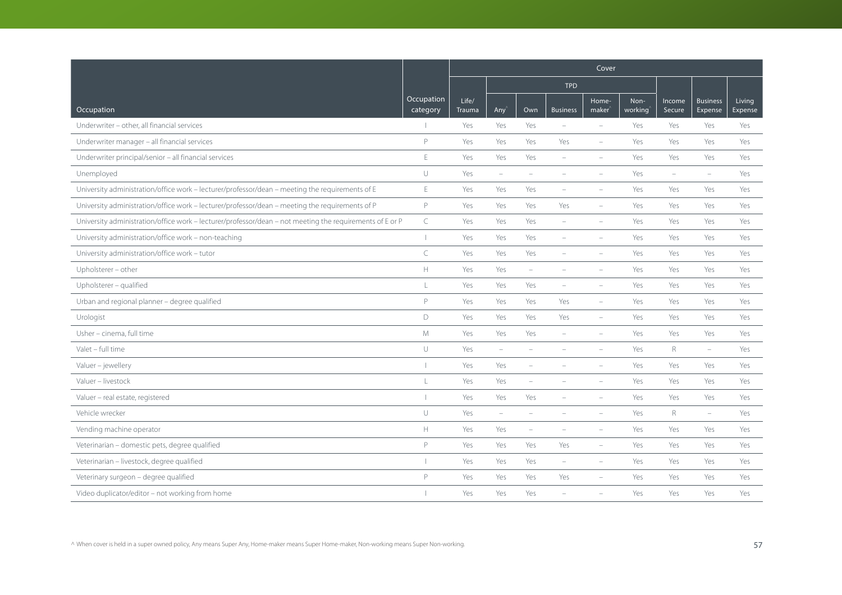|                                                                                                          |                          | Cover           |                          |                          |                          |                             |                 |                          |                            |                   |  |  |
|----------------------------------------------------------------------------------------------------------|--------------------------|-----------------|--------------------------|--------------------------|--------------------------|-----------------------------|-----------------|--------------------------|----------------------------|-------------------|--|--|
|                                                                                                          |                          |                 |                          |                          | <b>TPD</b>               |                             |                 |                          |                            |                   |  |  |
| Occupation                                                                                               | Occupation<br>category   | Life/<br>Trauma | Any                      | Own                      | <b>Business</b>          | Home-<br>maker <sup>®</sup> | Non-<br>working | Income<br>Secure         | <b>Business</b><br>Expense | Living<br>Expense |  |  |
| Underwriter - other, all financial services                                                              |                          | Yes             | Yes                      | Yes                      | $\sim$                   | $\equiv$                    | Yes             | Yes                      | Yes                        | Yes               |  |  |
| Underwriter manager - all financial services                                                             | P                        | Yes             | Yes                      | Yes                      | Yes                      | $\overline{\phantom{a}}$    | Yes             | Yes                      | Yes                        | Yes               |  |  |
| Underwriter principal/senior - all financial services                                                    | E                        | Yes             | Yes                      | Yes                      | $\sim$                   |                             | Yes             | Yes                      | Yes                        | Yes               |  |  |
| Unemployed                                                                                               | $\cup$                   | Yes             | $\overline{\phantom{m}}$ | ÷                        |                          |                             | Yes             | $\overline{\phantom{a}}$ | $\overline{\phantom{m}}$   | Yes               |  |  |
| University administration/office work - lecturer/professor/dean - meeting the requirements of E          | E                        | Yes             | Yes                      | Yes                      | $\overline{\phantom{a}}$ | $\overline{\phantom{a}}$    | Yes             | Yes                      | Yes                        | Yes               |  |  |
| University administration/office work - lecturer/professor/dean - meeting the requirements of P          | P                        | Yes             | Yes                      | Yes                      | Yes                      | $\equiv$                    | Yes             | Yes                      | Yes                        | Yes               |  |  |
| University administration/office work - lecturer/professor/dean - not meeting the requirements of E or P | $\subset$                | Yes             | Yes                      | Yes                      | $\sim$                   | $\equiv$                    | Yes             | Yes                      | Yes                        | Yes               |  |  |
| University administration/office work - non-teaching                                                     | $\overline{\phantom{a}}$ | Yes             | Yes                      | Yes                      | $\overline{\phantom{a}}$ | $\equiv$                    | Yes             | Yes                      | Yes                        | Yes               |  |  |
| University administration/office work - tutor                                                            | $\subset$                | Yes             | Yes                      | Yes                      |                          |                             | Yes             | Yes                      | Yes                        | Yes               |  |  |
| Upholsterer - other                                                                                      | $\mathbb H$              | Yes             | Yes                      | ÷                        |                          |                             | Yes             | Yes                      | Yes                        | Yes               |  |  |
| Upholsterer - qualified                                                                                  | $\frac{1}{2}$            | Yes             | Yes                      | Yes                      | $\overline{\phantom{a}}$ | $\overline{\phantom{a}}$    | Yes             | Yes                      | Yes                        | Yes               |  |  |
| Urban and regional planner - degree qualified                                                            | P                        | Yes             | Yes                      | Yes                      | Yes                      | $\overline{\phantom{a}}$    | Yes             | Yes                      | Yes                        | Yes               |  |  |
| Urologist                                                                                                | D                        | Yes             | Yes                      | Yes                      | Yes                      | $\overline{\phantom{a}}$    | Yes             | Yes                      | Yes                        | Yes               |  |  |
| Usher - cinema, full time                                                                                | M                        | Yes             | Yes                      | Yes                      | $\sim$                   | $\equiv$                    | Yes             | Yes                      | Yes                        | Yes               |  |  |
| Valet - full time                                                                                        | $\cup$                   | Yes             | $\overline{\phantom{a}}$ | ÷                        | $\overline{\phantom{a}}$ | $\equiv$                    | Yes             | R                        | $\overline{\phantom{a}}$   | Yes               |  |  |
| Valuer - jewellery                                                                                       | $\overline{\phantom{a}}$ | Yes             | Yes                      | $\overline{\phantom{0}}$ |                          |                             | Yes             | Yes                      | Yes                        | Yes               |  |  |
| Valuer - livestock                                                                                       | $\mathsf{L}$             | Yes             | Yes                      | $\overline{\phantom{0}}$ |                          |                             | Yes             | Yes                      | Yes                        | Yes               |  |  |
| Valuer - real estate, registered                                                                         |                          | Yes             | Yes                      | Yes                      |                          |                             | Yes             | Yes                      | Yes                        | Yes               |  |  |
| Vehicle wrecker                                                                                          | $\cup$                   | Yes             | $\overline{\phantom{m}}$ | ÷                        |                          | $\equiv$                    | Yes             | $R_{\odot}$              | $\overline{\phantom{a}}$   | Yes               |  |  |
| Vending machine operator                                                                                 | $\mathbb H$              | Yes             | Yes                      | $\overline{\phantom{a}}$ |                          |                             | Yes             | Yes                      | Yes                        | Yes               |  |  |
| Veterinarian - domestic pets, degree qualified                                                           | P                        | Yes             | Yes                      | Yes                      | Yes                      | $\overline{\phantom{a}}$    | Yes             | Yes                      | Yes                        | Yes               |  |  |
| Veterinarian - livestock, degree qualified                                                               |                          | Yes             | Yes                      | Yes                      | $\overline{\phantom{a}}$ | $\overline{\phantom{0}}$    | Yes             | Yes                      | Yes                        | Yes               |  |  |
| Veterinary surgeon - degree qualified                                                                    | P                        | Yes             | Yes                      | Yes                      | Yes                      |                             | Yes             | Yes                      | Yes                        | Yes               |  |  |
| Video duplicator/editor - not working from home                                                          |                          | Yes             | Yes                      | Yes                      |                          |                             | Yes             | Yes                      | Yes                        | Yes               |  |  |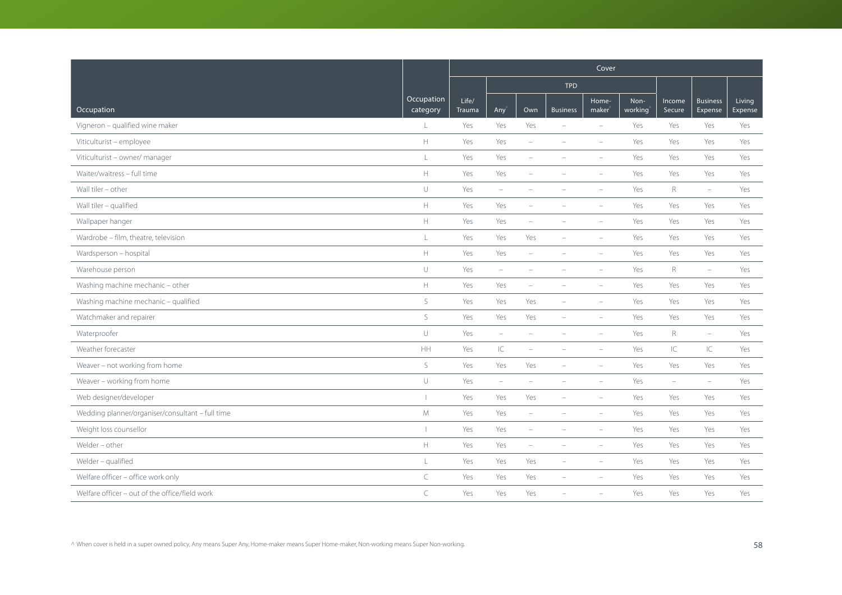|                                                  |                               | Cover                  |                          |                          |                          |                             |                 |                          |                            |                   |  |  |  |
|--------------------------------------------------|-------------------------------|------------------------|--------------------------|--------------------------|--------------------------|-----------------------------|-----------------|--------------------------|----------------------------|-------------------|--|--|--|
|                                                  |                               |                        |                          |                          | <b>TPD</b>               |                             |                 |                          |                            |                   |  |  |  |
| Occupation                                       | <b>Occupation</b><br>category | Life/<br><b>Trauma</b> | Any                      | Own                      | <b>Business</b>          | Home-<br>maker <sup>®</sup> | Non-<br>working | Income<br>Secure         | <b>Business</b><br>Expense | Living<br>Expense |  |  |  |
| Vigneron - qualified wine maker                  | L                             | Yes                    | Yes                      | Yes                      |                          | $\overline{\phantom{a}}$    | Yes             | Yes                      | Yes                        | Yes               |  |  |  |
| Viticulturist - employee                         | $\mathbb H$                   | Yes                    | Yes                      | $\sim$                   |                          | $\equiv$                    | Yes             | Yes                      | Yes                        | Yes               |  |  |  |
| Viticulturist - owner/ manager                   | L                             | Yes                    | Yes                      | $\overline{\phantom{0}}$ |                          | $\equiv$                    | Yes             | Yes                      | Yes                        | Yes               |  |  |  |
| Waiter/waitress - full time                      | $\mathbb H$                   | Yes                    | Yes                      | $\overline{\phantom{0}}$ |                          | $\overline{\phantom{a}}$    | Yes             | Yes                      | Yes                        | Yes               |  |  |  |
| Wall tiler - other                               | $\cup$                        | Yes                    | $\overline{\phantom{a}}$ | $\overline{\phantom{a}}$ |                          | $\overline{\phantom{a}}$    | Yes             | $R_{\rm}$                | $\overline{\phantom{m}}$   | Yes               |  |  |  |
| Wall tiler - qualified                           | $\mathbb H$                   | Yes                    | Yes                      |                          |                          | ÷                           | Yes             | Yes                      | Yes                        | Yes               |  |  |  |
| Wallpaper hanger                                 | $\mathbb H$                   | Yes                    | Yes                      |                          |                          | $\overline{\phantom{a}}$    | Yes             | Yes                      | Yes                        | Yes               |  |  |  |
| Wardrobe - film, theatre, television             | $\mathsf L$                   | Yes                    | Yes                      | Yes                      | $\equiv$                 | $\equiv$                    | Yes             | Yes                      | Yes                        | Yes               |  |  |  |
| Wardsperson - hospital                           | $\mathbb H$                   | Yes                    | Yes                      | $\overline{\phantom{a}}$ |                          |                             | Yes             | Yes                      | Yes                        | Yes               |  |  |  |
| Warehouse person                                 | $\cup$                        | Yes                    | $\overline{\phantom{0}}$ | $\overline{\phantom{a}}$ |                          | $\overline{\phantom{a}}$    | Yes             | $R_{\rm}$                | $\overline{\phantom{0}}$   | Yes               |  |  |  |
| Washing machine mechanic - other                 | $\mathbb H$                   | Yes                    | Yes                      | $\overline{\phantom{a}}$ | $\overline{\phantom{a}}$ | $\overline{\phantom{a}}$    | Yes             | Yes                      | Yes                        | Yes               |  |  |  |
| Washing machine mechanic - qualified             | $\mathsf{S}$                  | Yes                    | Yes                      | Yes                      |                          | $\overline{\phantom{a}}$    | Yes             | Yes                      | Yes                        | Yes               |  |  |  |
| Watchmaker and repairer                          | $\mathsf S$                   | Yes                    | Yes                      | Yes                      | $\equiv$                 | $\overline{\phantom{a}}$    | Yes             | Yes                      | Yes                        | Yes               |  |  |  |
| Waterproofer                                     | $\cup$                        | Yes                    | $\equiv$                 | $\sim$                   | $\equiv$                 | $\equiv$                    | Yes             | $R_{\rm}$                | $\equiv$                   | Yes               |  |  |  |
| Weather forecaster                               | HH                            | Yes                    | $\subset$                | $\overline{\phantom{a}}$ |                          | $\overline{\phantom{a}}$    | Yes             | IC                       | IC                         | Yes               |  |  |  |
| Weaver - not working from home                   | S                             | Yes                    | Yes                      | Yes                      |                          |                             | Yes             | Yes                      | Yes                        | Yes               |  |  |  |
| Weaver - working from home                       | $\cup$                        | Yes                    | $\overline{\phantom{a}}$ | $\equiv$                 |                          | $\overline{\phantom{a}}$    | Yes             | $\overline{\phantom{a}}$ | $\overline{\phantom{a}}$   | Yes               |  |  |  |
| Web designer/developer                           |                               | Yes                    | Yes                      | Yes                      | $\overline{\phantom{a}}$ | $\overline{\phantom{a}}$    | Yes             | Yes                      | Yes                        | Yes               |  |  |  |
| Wedding planner/organiser/consultant - full time | $M_{\odot}$                   | Yes                    | Yes                      | $\overline{\phantom{a}}$ | $\overline{\phantom{a}}$ | $\equiv$                    | Yes             | Yes                      | Yes                        | Yes               |  |  |  |
| Weight loss counsellor                           |                               | Yes                    | Yes                      | $\equiv$                 |                          | $\equiv$                    | Yes             | Yes                      | Yes                        | Yes               |  |  |  |
| Welder - other                                   | $\mathbb H$                   | Yes                    | Yes                      | $\overline{\phantom{a}}$ |                          | $\overline{\phantom{a}}$    | Yes             | Yes                      | Yes                        | Yes               |  |  |  |
| Welder - qualified                               | $\mathsf L$                   | Yes                    | Yes                      | Yes                      | $\overline{\phantom{a}}$ | $\overline{\phantom{a}}$    | Yes             | Yes                      | Yes                        | Yes               |  |  |  |
| Welfare officer - office work only               | $\subset$                     | Yes                    | Yes                      | Yes                      |                          |                             | Yes             | Yes                      | Yes                        | Yes               |  |  |  |
| Welfare officer - out of the office/field work   | $\subset$                     | Yes                    | Yes                      | Yes                      |                          |                             | Yes             | Yes                      | Yes                        | Yes               |  |  |  |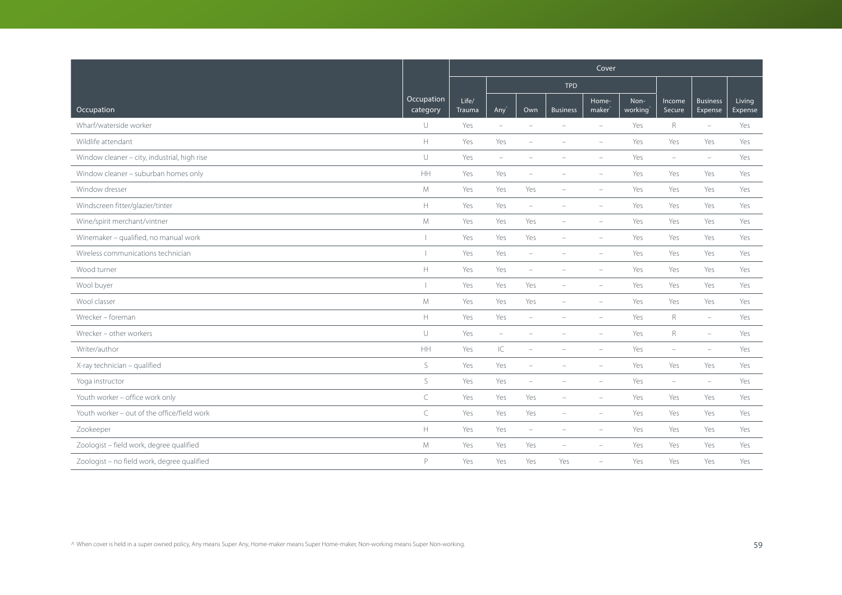|                                              |                        | Cover           |                          |                          |                          |                             |                 |                          |                            |                   |  |  |  |
|----------------------------------------------|------------------------|-----------------|--------------------------|--------------------------|--------------------------|-----------------------------|-----------------|--------------------------|----------------------------|-------------------|--|--|--|
|                                              |                        |                 |                          |                          | <b>TPD</b>               |                             |                 |                          |                            |                   |  |  |  |
| Occupation                                   | Occupation<br>category | Life/<br>Trauma | Any                      | Own                      | <b>Business</b>          | Home-<br>maker <sup>®</sup> | Non-<br>working | Income<br>Secure         | <b>Business</b><br>Expense | Living<br>Expense |  |  |  |
| Wharf/waterside worker                       | $\cup$                 | Yes             | $\overline{\phantom{a}}$ | $\overline{\phantom{0}}$ | $\overline{\phantom{a}}$ | $\overline{\phantom{a}}$    | Yes             | $\mathsf{R}$             | $\overline{\phantom{a}}$   | Yes               |  |  |  |
| Wildlife attendant                           | $\mathbb H$            | Yes             | Yes                      | $\overline{\phantom{0}}$ |                          | $\overline{\phantom{a}}$    | Yes             | Yes                      | Yes                        | Yes               |  |  |  |
| Window cleaner - city, industrial, high rise | $\cup$                 | Yes             | $\overline{\phantom{m}}$ | L.                       |                          | $\overline{\phantom{a}}$    | Yes             | $\overline{\phantom{a}}$ | $\overline{\phantom{a}}$   | Yes               |  |  |  |
| Window cleaner - suburban homes only         | <b>HH</b>              | Yes             | Yes                      |                          |                          |                             | Yes             | Yes                      | Yes                        | Yes               |  |  |  |
| Window dresser                               | $M_{\odot}$            | Yes             | Yes                      | Yes                      |                          | $\sim$                      | Yes             | Yes                      | Yes                        | Yes               |  |  |  |
| Windscreen fitter/glazier/tinter             | $\mathbb H$            | Yes             | Yes                      | $\overline{\phantom{m}}$ |                          |                             | Yes             | Yes                      | Yes                        | Yes               |  |  |  |
| Wine/spirit merchant/vintner                 | M                      | Yes             | Yes                      | Yes                      |                          |                             | Yes             | Yes                      | Yes                        | Yes               |  |  |  |
| Winemaker - qualified, no manual work        | т                      | Yes             | Yes                      | Yes                      | $\overline{\phantom{a}}$ | $\equiv$                    | Yes             | Yes                      | Yes                        | Yes               |  |  |  |
| Wireless communications technician           |                        | Yes             | Yes                      | $\overline{\phantom{a}}$ |                          | $\equiv$                    | Yes             | Yes                      | Yes                        | Yes               |  |  |  |
| Wood turner                                  | $\mathbb H$            | Yes             | Yes                      | $\overline{\phantom{a}}$ | $\equiv$                 | $\equiv$                    | Yes             | Yes                      | Yes                        | Yes               |  |  |  |
| Wool buyer                                   |                        | Yes             | Yes                      | Yes                      |                          | $\overline{\phantom{a}}$    | Yes             | Yes                      | Yes                        | Yes               |  |  |  |
| Wool classer                                 | M                      | Yes             | Yes                      | Yes                      | $\equiv$                 | $\equiv$                    | Yes             | Yes                      | Yes                        | Yes               |  |  |  |
| Wrecker - foreman                            | $\mathbb H$            | Yes             | Yes                      | $\overline{\phantom{0}}$ |                          |                             | Yes             | R                        | $\overline{\phantom{a}}$   | Yes               |  |  |  |
| Wrecker - other workers                      | $\cup$                 | Yes             | $\overline{\phantom{m}}$ | $\overline{\phantom{a}}$ |                          |                             | Yes             | $\mathsf{R}$             | $\overline{\phantom{m}}$   | Yes               |  |  |  |
| Writer/author                                | HH                     | Yes             | IC                       | ÷                        |                          |                             | Yes             | $\sim$                   | $\equiv$                   | Yes               |  |  |  |
| X-ray technician - qualified                 | $\mathsf S$            | Yes             | Yes                      | ÷,                       |                          |                             | Yes             | Yes                      | Yes                        | Yes               |  |  |  |
| Yoga instructor                              | $\mathsf S$            | Yes             | Yes                      |                          |                          |                             | Yes             | $\qquad \qquad -$        | $\equiv$                   | Yes               |  |  |  |
| Youth worker - office work only              | $\subset$              | Yes             | Yes                      | Yes                      |                          |                             | Yes             | Yes                      | Yes                        | Yes               |  |  |  |
| Youth worker - out of the office/field work  | $\subset$              | Yes             | Yes                      | Yes                      |                          |                             | Yes             | Yes                      | Yes                        | Yes               |  |  |  |
| Zookeeper                                    | H                      | Yes             | Yes                      | $\qquad \qquad -$        |                          |                             | Yes             | Yes                      | Yes                        | Yes               |  |  |  |
| Zoologist - field work, degree qualified     | M                      | Yes             | Yes                      | Yes                      | $\sim$                   | $\equiv$                    | Yes             | Yes                      | Yes                        | Yes               |  |  |  |
| Zoologist - no field work, degree qualified  | P                      | Yes             | Yes                      | Yes                      | Yes                      | $\overline{\phantom{a}}$    | Yes             | Yes                      | Yes                        | Yes               |  |  |  |